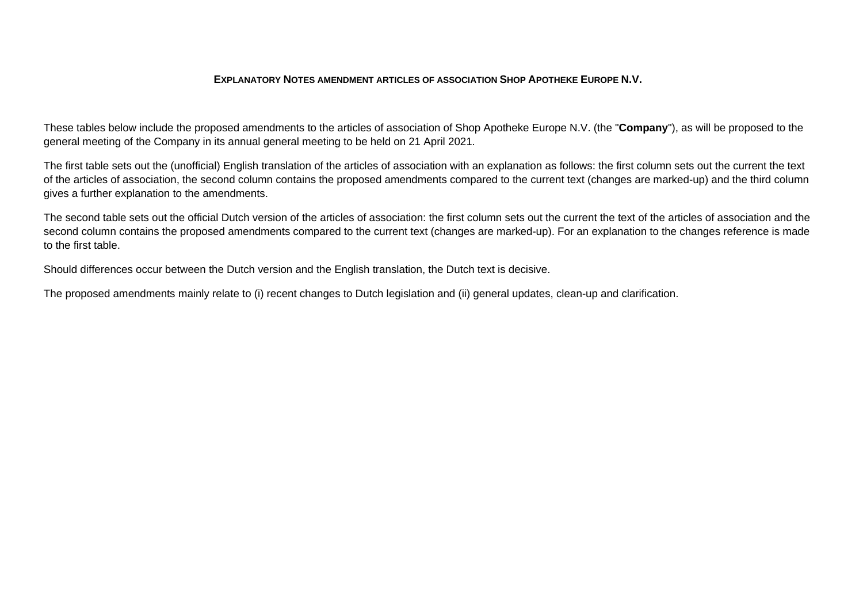## **EXPLANATORY NOTES AMENDMENT ARTICLES OF ASSOCIATION SHOP APOTHEKE EUROPE N.V.**

These tables below include the proposed amendments to the articles of association of Shop Apotheke Europe N.V. (the "**Company**"), as will be proposed to the general meeting of the Company in its annual general meeting to be held on 21 April 2021.

The first table sets out the (unofficial) English translation of the articles of association with an explanation as follows: the first column sets out the current the text of the articles of association, the second column contains the proposed amendments compared to the current text (changes are marked-up) and the third column gives a further explanation to the amendments.

The second table sets out the official Dutch version of the articles of association: the first column sets out the current the text of the articles of association and the second column contains the proposed amendments compared to the current text (changes are marked-up). For an explanation to the changes reference is made to the first table.

Should differences occur between the Dutch version and the English translation, the Dutch text is decisive.

The proposed amendments mainly relate to (i) recent changes to Dutch legislation and (ii) general updates, clean-up and clarification.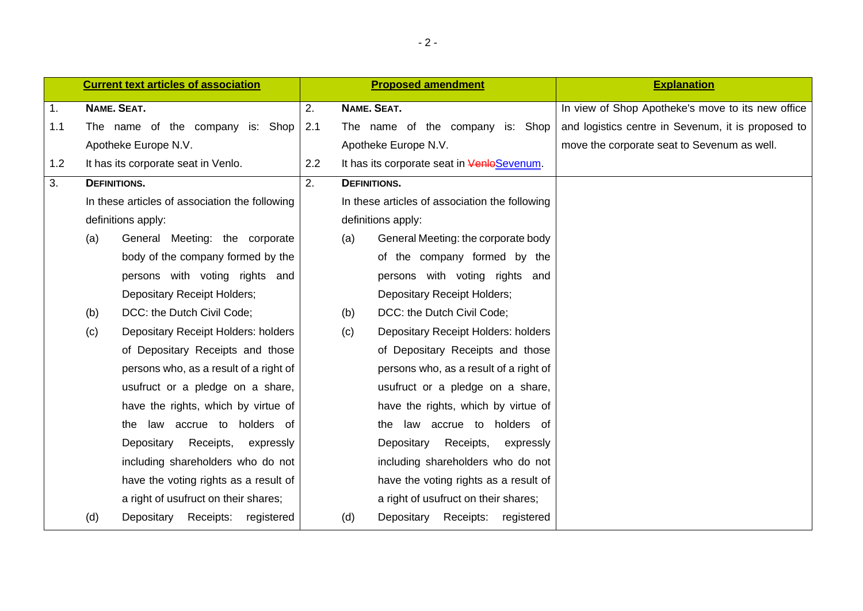|                |                     | <b>Current text articles of association</b>    |     |                     | <b>Proposed amendment</b>                      | <b>Explanation</b>                                 |
|----------------|---------------------|------------------------------------------------|-----|---------------------|------------------------------------------------|----------------------------------------------------|
| $\mathbf{1}$ . | NAME. SEAT.         |                                                | 2.  | NAME. SEAT.         |                                                | In view of Shop Apotheke's move to its new office  |
| 1.1            |                     | The name of the company is: Shop               | 2.1 |                     | The name of the company is: Shop               | and logistics centre in Sevenum, it is proposed to |
|                |                     | Apotheke Europe N.V.                           |     |                     | Apotheke Europe N.V.                           | move the corporate seat to Sevenum as well.        |
| 1.2            |                     | It has its corporate seat in Venlo.            | 2.2 |                     | It has its corporate seat in VenloSevenum.     |                                                    |
| 3.             | <b>DEFINITIONS.</b> |                                                | 2.  | <b>DEFINITIONS.</b> |                                                |                                                    |
|                |                     | In these articles of association the following |     |                     | In these articles of association the following |                                                    |
|                |                     | definitions apply:                             |     |                     | definitions apply:                             |                                                    |
|                | (a)                 | General Meeting: the corporate                 |     | (a)                 | General Meeting: the corporate body            |                                                    |
|                |                     | body of the company formed by the              |     |                     | of the company formed by the                   |                                                    |
|                |                     | persons with voting rights and                 |     |                     | persons with voting rights and                 |                                                    |
|                |                     | <b>Depositary Receipt Holders;</b>             |     |                     | <b>Depositary Receipt Holders;</b>             |                                                    |
|                | (b)                 | DCC: the Dutch Civil Code;                     |     | (b)                 | DCC: the Dutch Civil Code;                     |                                                    |
|                | (c)                 | Depositary Receipt Holders: holders            |     | (c)                 | Depositary Receipt Holders: holders            |                                                    |
|                |                     | of Depositary Receipts and those               |     |                     | of Depositary Receipts and those               |                                                    |
|                |                     | persons who, as a result of a right of         |     |                     | persons who, as a result of a right of         |                                                    |
|                |                     | usufruct or a pledge on a share,               |     |                     | usufruct or a pledge on a share,               |                                                    |
|                |                     | have the rights, which by virtue of            |     |                     | have the rights, which by virtue of            |                                                    |
|                |                     | the law accrue to holders of                   |     |                     | the law accrue to holders of                   |                                                    |
|                |                     | Depositary<br>Receipts,<br>expressly           |     |                     | Depositary<br>Receipts,<br>expressly           |                                                    |
|                |                     | including shareholders who do not              |     |                     | including shareholders who do not              |                                                    |
|                |                     | have the voting rights as a result of          |     |                     | have the voting rights as a result of          |                                                    |
|                |                     | a right of usufruct on their shares;           |     |                     | a right of usufruct on their shares;           |                                                    |
|                | (d)                 | Depositary<br>Receipts:<br>registered          |     | (d)                 | Depositary Receipts: registered                |                                                    |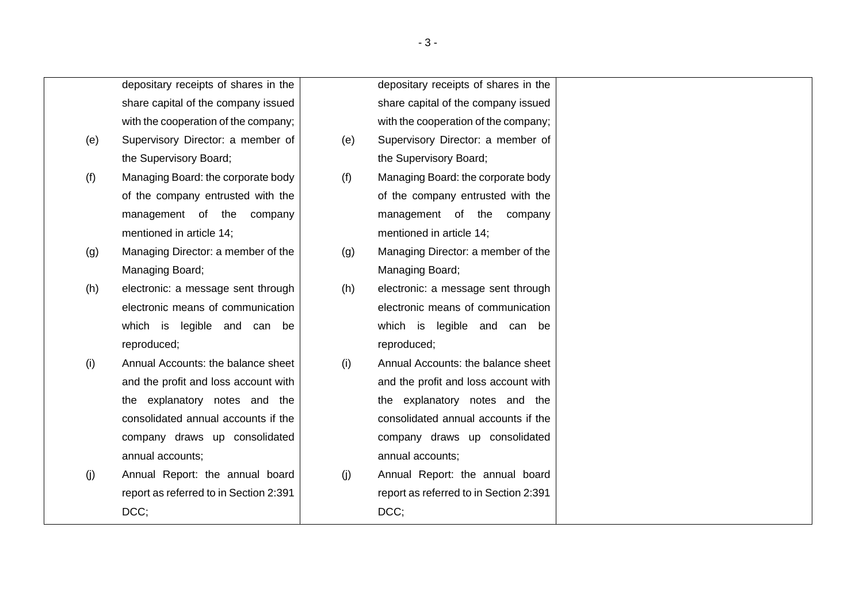depositary receipts of shares in the share capital of the company issued with the cooperation of the company; (e) Supervisory Director: a member of the Supervisory Board; (f) Managing Board: the corporate body of the company entrusted with the management of the company mentioned in article 14; (g) Managing Director: a member of the Managing Board; (h) electronic: a message sent through electronic means of communication which is legible and can be reproduced; (i) Annual Accounts: the balance sheet depositary receipts of shares in the share capital of the company issued with the cooperation of the company; (e) Supervisory Director: a member of the Supervisory Board; (f) Managing Board: the corporate body of the company entrusted with the management of the company mentioned in article 14; (g) Managing Director: a member of the Managing Board; (h) electronic: a message sent through electronic means of communication which is legible and can be reproduced; (i) Annual Accounts: the balance sheet and the profit and loss account with

- and the profit and loss account with the explanatory notes and the consolidated annual accounts if the company draws up consolidated annual accounts;
- (j) Annual Report: the annual board report as referred to in Section 2:391 DCC:
- annual accounts; (j) Annual Report: the annual board report as referred to in Section 2:391 DCC:

the explanatory notes and the consolidated annual accounts if the company draws up consolidated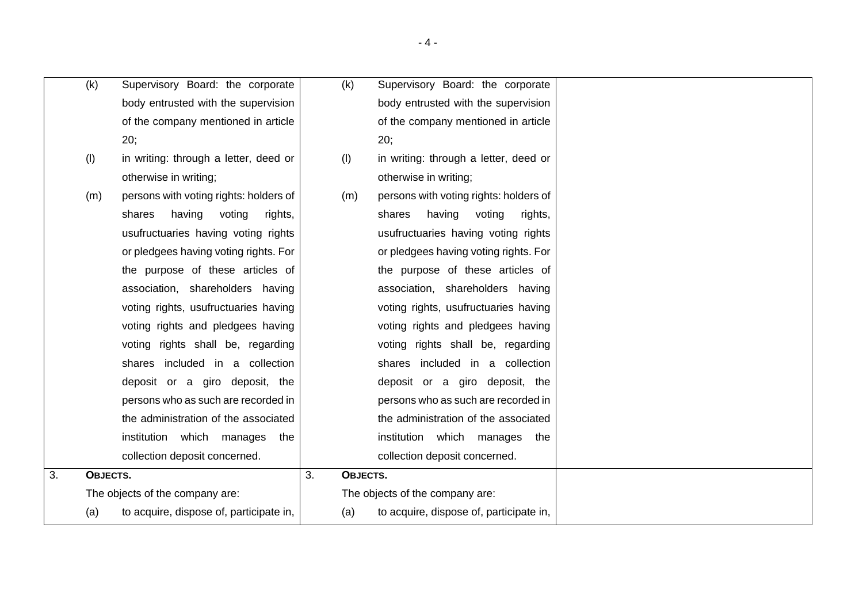|    | (k)      | Supervisory Board: the corporate        |    | (k)      | Supervisory Board: the corporate        |
|----|----------|-----------------------------------------|----|----------|-----------------------------------------|
|    |          | body entrusted with the supervision     |    |          | body entrusted with the supervision     |
|    |          | of the company mentioned in article     |    |          | of the company mentioned in article     |
|    |          | 20;                                     |    |          | 20;                                     |
|    | (1)      | in writing: through a letter, deed or   |    | (1)      | in writing: through a letter, deed or   |
|    |          | otherwise in writing;                   |    |          | otherwise in writing;                   |
|    | (m)      | persons with voting rights: holders of  |    | (m)      | persons with voting rights: holders of  |
|    |          | having<br>voting<br>shares<br>rights,   |    |          | having voting<br>shares<br>rights,      |
|    |          | usufructuaries having voting rights     |    |          | usufructuaries having voting rights     |
|    |          | or pledgees having voting rights. For   |    |          | or pledgees having voting rights. For   |
|    |          | the purpose of these articles of        |    |          | the purpose of these articles of        |
|    |          | association, shareholders having        |    |          | association, shareholders having        |
|    |          | voting rights, usufructuaries having    |    |          | voting rights, usufructuaries having    |
|    |          | voting rights and pledgees having       |    |          | voting rights and pledgees having       |
|    |          | voting rights shall be, regarding       |    |          | voting rights shall be, regarding       |
|    |          | shares included in a collection         |    |          | shares included in a collection         |
|    |          | deposit or a giro deposit, the          |    |          | deposit or a giro deposit, the          |
|    |          | persons who as such are recorded in     |    |          | persons who as such are recorded in     |
|    |          | the administration of the associated    |    |          | the administration of the associated    |
|    |          | institution which manages<br>the        |    |          | institution which manages<br>the        |
|    |          | collection deposit concerned.           |    |          | collection deposit concerned.           |
| 3. | OBJECTS. |                                         | 3. | OBJECTS. |                                         |
|    |          | The objects of the company are:         |    |          | The objects of the company are:         |
|    | (a)      | to acquire, dispose of, participate in, |    | (a)      | to acquire, dispose of, participate in, |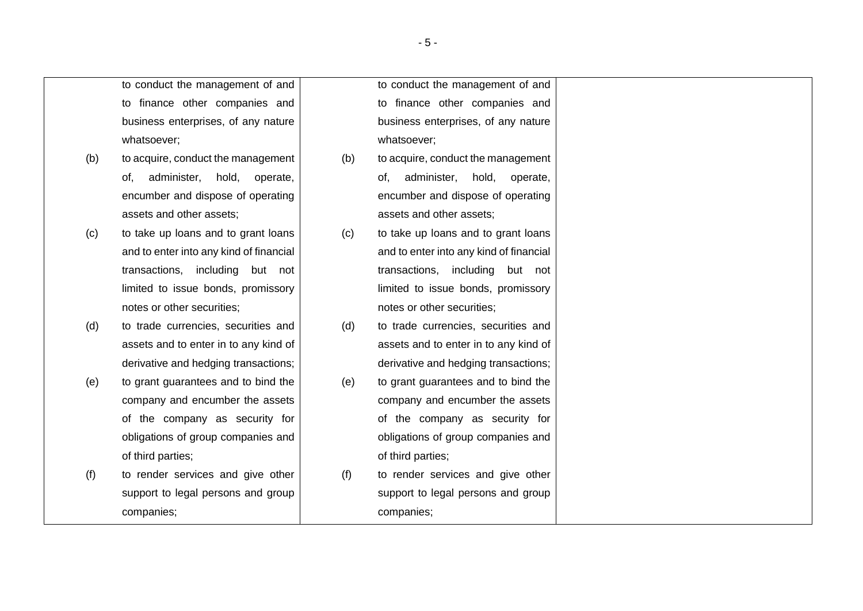to conduct the management of and to finance other companies and business enterprises, of any nature whatsoever;

- (b) to acquire, conduct the management of, administer, hold, operate, encumber and dispose of operating assets and other assets;
- (c) to take up loans and to grant loans and to enter into any kind of financial transactions, including but not limited to issue bonds, promissory notes or other securities;
- (d) to trade currencies, securities and assets and to enter in to any kind of derivative and hedging transactions;
- (e) to grant guarantees and to bind the company and encumber the assets of the company as security for obligations of group companies and of third parties;
- (f) to render services and give other support to legal persons and group companies;

to conduct the management of and to finance other companies and business enterprises, of any nature whatsoever;

- (b) to acquire, conduct the management of, administer, hold, operate, encumber and dispose of operating assets and other assets;
- (c) to take up loans and to grant loans and to enter into any kind of financial transactions, including but not limited to issue bonds, promissory notes or other securities;
- (d) to trade currencies, securities and assets and to enter in to any kind of derivative and hedging transactions;
- (e) to grant guarantees and to bind the company and encumber the assets of the company as security for obligations of group companies and of third parties;
- (f) to render services and give other support to legal persons and group companies;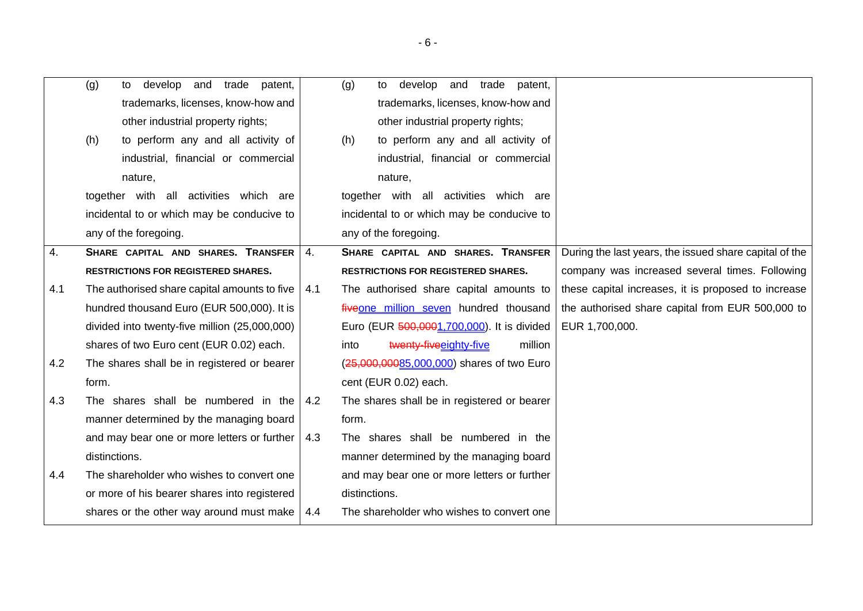|     | (g)<br>develop and trade<br>patent,<br>to     |     | develop and trade<br>(g)<br>patent,<br>to   |                                                        |
|-----|-----------------------------------------------|-----|---------------------------------------------|--------------------------------------------------------|
|     | trademarks, licenses, know-how and            |     | trademarks, licenses, know-how and          |                                                        |
|     | other industrial property rights;             |     | other industrial property rights;           |                                                        |
|     | to perform any and all activity of<br>(h)     |     | to perform any and all activity of<br>(h)   |                                                        |
|     | industrial, financial or commercial           |     | industrial, financial or commercial         |                                                        |
|     | nature,                                       |     | nature,                                     |                                                        |
|     | together with all activities which are        |     | together with all activities which are      |                                                        |
|     | incidental to or which may be conducive to    |     | incidental to or which may be conducive to  |                                                        |
|     | any of the foregoing.                         |     | any of the foregoing.                       |                                                        |
| 4.  | SHARE CAPITAL AND SHARES. TRANSFER            | 4.  | SHARE CAPITAL AND SHARES. TRANSFER          | During the last years, the issued share capital of the |
|     | <b>RESTRICTIONS FOR REGISTERED SHARES.</b>    |     | <b>RESTRICTIONS FOR REGISTERED SHARES.</b>  | company was increased several times. Following         |
| 4.1 | The authorised share capital amounts to five  | 4.1 | The authorised share capital amounts to     | these capital increases, it is proposed to increase    |
|     | hundred thousand Euro (EUR 500,000). It is    |     | fiveone million seven hundred thousand      | the authorised share capital from EUR 500,000 to       |
|     | divided into twenty-five million (25,000,000) |     | Euro (EUR 500,0001,700,000). It is divided  | EUR 1,700,000.                                         |
|     | shares of two Euro cent (EUR 0.02) each.      |     | million<br>twenty-five eighty-five<br>into  |                                                        |
| 4.2 | The shares shall be in registered or bearer   |     | (25,000,00085,000,000) shares of two Euro   |                                                        |
|     | form.                                         |     | cent (EUR 0.02) each.                       |                                                        |
| 4.3 | The shares shall be numbered in the           | 4.2 | The shares shall be in registered or bearer |                                                        |
|     | manner determined by the managing board       |     | form.                                       |                                                        |
|     | and may bear one or more letters or further   | 4.3 | The shares shall be numbered in the         |                                                        |
|     | distinctions.                                 |     | manner determined by the managing board     |                                                        |
| 4.4 | The shareholder who wishes to convert one     |     | and may bear one or more letters or further |                                                        |
|     | or more of his bearer shares into registered  |     | distinctions.                               |                                                        |
|     | shares or the other way around must make      | 4.4 | The shareholder who wishes to convert one   |                                                        |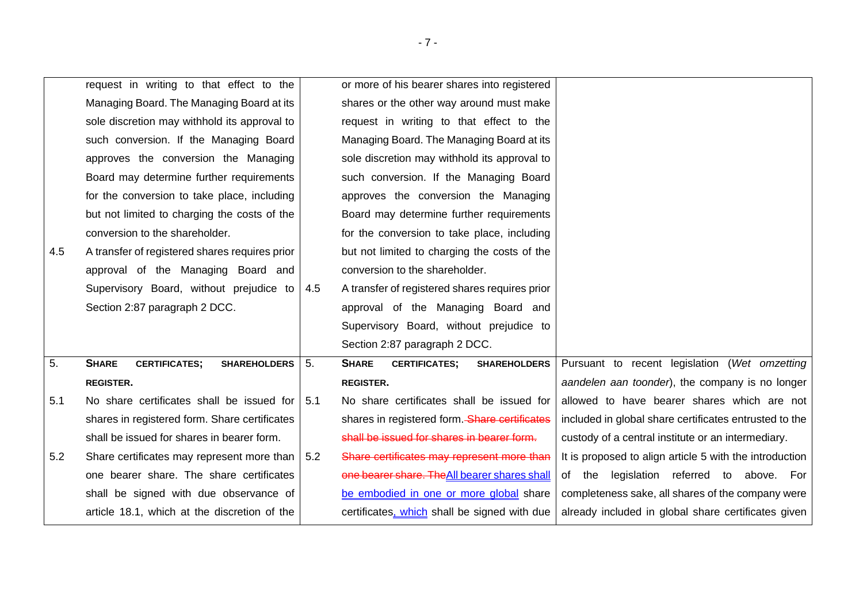|     | request in writing to that effect to the                    |     | or more of his bearer shares into registered                |                                                         |
|-----|-------------------------------------------------------------|-----|-------------------------------------------------------------|---------------------------------------------------------|
|     | Managing Board. The Managing Board at its                   |     | shares or the other way around must make                    |                                                         |
|     | sole discretion may withhold its approval to                |     | request in writing to that effect to the                    |                                                         |
|     | such conversion. If the Managing Board                      |     | Managing Board. The Managing Board at its                   |                                                         |
|     | approves the conversion the Managing                        |     | sole discretion may withhold its approval to                |                                                         |
|     | Board may determine further requirements                    |     | such conversion. If the Managing Board                      |                                                         |
|     | for the conversion to take place, including                 |     | approves the conversion the Managing                        |                                                         |
|     | but not limited to charging the costs of the                |     | Board may determine further requirements                    |                                                         |
|     | conversion to the shareholder.                              |     | for the conversion to take place, including                 |                                                         |
| 4.5 | A transfer of registered shares requires prior              |     | but not limited to charging the costs of the                |                                                         |
|     | approval of the Managing Board and                          |     | conversion to the shareholder.                              |                                                         |
|     | Supervisory Board, without prejudice to                     | 4.5 | A transfer of registered shares requires prior              |                                                         |
|     | Section 2:87 paragraph 2 DCC.                               |     | approval of the Managing Board and                          |                                                         |
|     |                                                             |     | Supervisory Board, without prejudice to                     |                                                         |
|     |                                                             |     | Section 2:87 paragraph 2 DCC.                               |                                                         |
| 5.  | <b>SHARE</b><br><b>CERTIFICATES;</b><br><b>SHAREHOLDERS</b> | 5.  | <b>SHARE</b><br><b>CERTIFICATES;</b><br><b>SHAREHOLDERS</b> | Pursuant to recent legislation (Wet omzetting           |
|     | <b>REGISTER.</b>                                            |     | <b>REGISTER.</b>                                            | aandelen aan toonder), the company is no longer         |
| 5.1 | No share certificates shall be issued for                   | 5.1 | No share certificates shall be issued for                   | allowed to have bearer shares which are not             |
|     | shares in registered form. Share certificates               |     | shares in registered form. Share certificates               | included in global share certificates entrusted to the  |
|     | shall be issued for shares in bearer form.                  |     | shall be issued for shares in bearer form.                  | custody of a central institute or an intermediary.      |
| 5.2 | Share certificates may represent more than                  | 5.2 | Share certificates may represent more than                  | It is proposed to align article 5 with the introduction |
|     | one bearer share. The share certificates                    |     | one bearer share. The All bearer shares shall               | of the legislation referred to above. For               |
|     | shall be signed with due observance of                      |     | be embodied in one or more global share                     | completeness sake, all shares of the company were       |
|     | article 18.1, which at the discretion of the                |     | certificates, which shall be signed with due                | already included in global share certificates given     |

- 7 -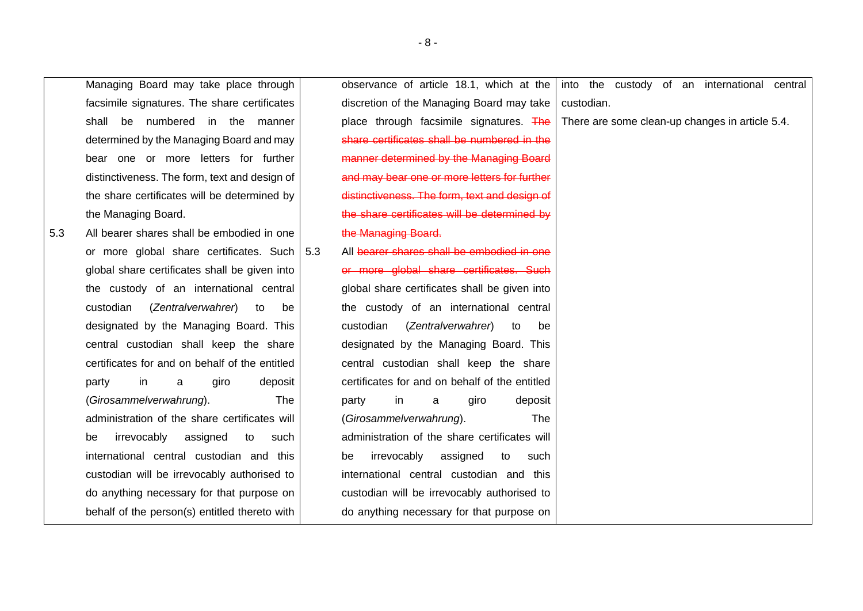| facsimile signatures. The share certificates<br>discretion of the Managing Board may take<br>custodian.<br>be numbered in the manner<br>place through facsimile signatures. The<br>There are some clean-up changes in article 5.4.<br>shall<br>share certificates shall be numbered in the<br>determined by the Managing Board and may<br>manner determined by the Managing Board<br>bear one or more letters for further<br>distinctiveness. The form, text and design of<br>and may bear one or more letters for further<br>the share certificates will be determined by<br>distinctiveness. The form, text and design of<br>the share certificates will be determined by<br>the Managing Board.<br>All bearer shares shall be embodied in one<br>the Managing Board.<br>5.3<br>or more global share certificates. Such   5.3<br>All bearer shares shall be embodied in one<br>or more global share certificates. Such<br>global share certificates shall be given into<br>the custody of an international central<br>global share certificates shall be given into<br>custodian<br>(Zentralverwahrer)<br>the custody of an international central<br>to<br>be<br>designated by the Managing Board. This<br>custodian<br>(Zentralverwahrer)<br>to<br>be<br>central custodian shall keep the share<br>designated by the Managing Board. This<br>certificates for and on behalf of the entitled<br>central custodian shall keep the share<br>certificates for and on behalf of the entitled<br>in<br>giro<br>deposit<br>party<br>a<br>(Girosammelverwahrung).<br>The<br>in<br>giro<br>party<br>a<br>deposit<br>administration of the share certificates will<br>(Girosammelverwahrung).<br>The<br>irrevocably<br>administration of the share certificates will<br>assigned<br>be<br>to<br>such<br>international central custodian and this<br>irrevocably<br>assigned<br>to<br>such<br>be<br>custodian will be irrevocably authorised to<br>international central custodian and this<br>custodian will be irrevocably authorised to<br>do anything necessary for that purpose on<br>behalf of the person(s) entitled thereto with<br>do anything necessary for that purpose on | Managing Board may take place through | observance of article 18.1, which at the | into the custody of an international central |
|-------------------------------------------------------------------------------------------------------------------------------------------------------------------------------------------------------------------------------------------------------------------------------------------------------------------------------------------------------------------------------------------------------------------------------------------------------------------------------------------------------------------------------------------------------------------------------------------------------------------------------------------------------------------------------------------------------------------------------------------------------------------------------------------------------------------------------------------------------------------------------------------------------------------------------------------------------------------------------------------------------------------------------------------------------------------------------------------------------------------------------------------------------------------------------------------------------------------------------------------------------------------------------------------------------------------------------------------------------------------------------------------------------------------------------------------------------------------------------------------------------------------------------------------------------------------------------------------------------------------------------------------------------------------------------------------------------------------------------------------------------------------------------------------------------------------------------------------------------------------------------------------------------------------------------------------------------------------------------------------------------------------------------------------------------------------------------------------------------------------------------------------------------------------------------|---------------------------------------|------------------------------------------|----------------------------------------------|
|                                                                                                                                                                                                                                                                                                                                                                                                                                                                                                                                                                                                                                                                                                                                                                                                                                                                                                                                                                                                                                                                                                                                                                                                                                                                                                                                                                                                                                                                                                                                                                                                                                                                                                                                                                                                                                                                                                                                                                                                                                                                                                                                                                               |                                       |                                          |                                              |
|                                                                                                                                                                                                                                                                                                                                                                                                                                                                                                                                                                                                                                                                                                                                                                                                                                                                                                                                                                                                                                                                                                                                                                                                                                                                                                                                                                                                                                                                                                                                                                                                                                                                                                                                                                                                                                                                                                                                                                                                                                                                                                                                                                               |                                       |                                          |                                              |
|                                                                                                                                                                                                                                                                                                                                                                                                                                                                                                                                                                                                                                                                                                                                                                                                                                                                                                                                                                                                                                                                                                                                                                                                                                                                                                                                                                                                                                                                                                                                                                                                                                                                                                                                                                                                                                                                                                                                                                                                                                                                                                                                                                               |                                       |                                          |                                              |
|                                                                                                                                                                                                                                                                                                                                                                                                                                                                                                                                                                                                                                                                                                                                                                                                                                                                                                                                                                                                                                                                                                                                                                                                                                                                                                                                                                                                                                                                                                                                                                                                                                                                                                                                                                                                                                                                                                                                                                                                                                                                                                                                                                               |                                       |                                          |                                              |
|                                                                                                                                                                                                                                                                                                                                                                                                                                                                                                                                                                                                                                                                                                                                                                                                                                                                                                                                                                                                                                                                                                                                                                                                                                                                                                                                                                                                                                                                                                                                                                                                                                                                                                                                                                                                                                                                                                                                                                                                                                                                                                                                                                               |                                       |                                          |                                              |
|                                                                                                                                                                                                                                                                                                                                                                                                                                                                                                                                                                                                                                                                                                                                                                                                                                                                                                                                                                                                                                                                                                                                                                                                                                                                                                                                                                                                                                                                                                                                                                                                                                                                                                                                                                                                                                                                                                                                                                                                                                                                                                                                                                               |                                       |                                          |                                              |
|                                                                                                                                                                                                                                                                                                                                                                                                                                                                                                                                                                                                                                                                                                                                                                                                                                                                                                                                                                                                                                                                                                                                                                                                                                                                                                                                                                                                                                                                                                                                                                                                                                                                                                                                                                                                                                                                                                                                                                                                                                                                                                                                                                               |                                       |                                          |                                              |
|                                                                                                                                                                                                                                                                                                                                                                                                                                                                                                                                                                                                                                                                                                                                                                                                                                                                                                                                                                                                                                                                                                                                                                                                                                                                                                                                                                                                                                                                                                                                                                                                                                                                                                                                                                                                                                                                                                                                                                                                                                                                                                                                                                               |                                       |                                          |                                              |
|                                                                                                                                                                                                                                                                                                                                                                                                                                                                                                                                                                                                                                                                                                                                                                                                                                                                                                                                                                                                                                                                                                                                                                                                                                                                                                                                                                                                                                                                                                                                                                                                                                                                                                                                                                                                                                                                                                                                                                                                                                                                                                                                                                               |                                       |                                          |                                              |
|                                                                                                                                                                                                                                                                                                                                                                                                                                                                                                                                                                                                                                                                                                                                                                                                                                                                                                                                                                                                                                                                                                                                                                                                                                                                                                                                                                                                                                                                                                                                                                                                                                                                                                                                                                                                                                                                                                                                                                                                                                                                                                                                                                               |                                       |                                          |                                              |
|                                                                                                                                                                                                                                                                                                                                                                                                                                                                                                                                                                                                                                                                                                                                                                                                                                                                                                                                                                                                                                                                                                                                                                                                                                                                                                                                                                                                                                                                                                                                                                                                                                                                                                                                                                                                                                                                                                                                                                                                                                                                                                                                                                               |                                       |                                          |                                              |
|                                                                                                                                                                                                                                                                                                                                                                                                                                                                                                                                                                                                                                                                                                                                                                                                                                                                                                                                                                                                                                                                                                                                                                                                                                                                                                                                                                                                                                                                                                                                                                                                                                                                                                                                                                                                                                                                                                                                                                                                                                                                                                                                                                               |                                       |                                          |                                              |
|                                                                                                                                                                                                                                                                                                                                                                                                                                                                                                                                                                                                                                                                                                                                                                                                                                                                                                                                                                                                                                                                                                                                                                                                                                                                                                                                                                                                                                                                                                                                                                                                                                                                                                                                                                                                                                                                                                                                                                                                                                                                                                                                                                               |                                       |                                          |                                              |
|                                                                                                                                                                                                                                                                                                                                                                                                                                                                                                                                                                                                                                                                                                                                                                                                                                                                                                                                                                                                                                                                                                                                                                                                                                                                                                                                                                                                                                                                                                                                                                                                                                                                                                                                                                                                                                                                                                                                                                                                                                                                                                                                                                               |                                       |                                          |                                              |
|                                                                                                                                                                                                                                                                                                                                                                                                                                                                                                                                                                                                                                                                                                                                                                                                                                                                                                                                                                                                                                                                                                                                                                                                                                                                                                                                                                                                                                                                                                                                                                                                                                                                                                                                                                                                                                                                                                                                                                                                                                                                                                                                                                               |                                       |                                          |                                              |
|                                                                                                                                                                                                                                                                                                                                                                                                                                                                                                                                                                                                                                                                                                                                                                                                                                                                                                                                                                                                                                                                                                                                                                                                                                                                                                                                                                                                                                                                                                                                                                                                                                                                                                                                                                                                                                                                                                                                                                                                                                                                                                                                                                               |                                       |                                          |                                              |
|                                                                                                                                                                                                                                                                                                                                                                                                                                                                                                                                                                                                                                                                                                                                                                                                                                                                                                                                                                                                                                                                                                                                                                                                                                                                                                                                                                                                                                                                                                                                                                                                                                                                                                                                                                                                                                                                                                                                                                                                                                                                                                                                                                               |                                       |                                          |                                              |
|                                                                                                                                                                                                                                                                                                                                                                                                                                                                                                                                                                                                                                                                                                                                                                                                                                                                                                                                                                                                                                                                                                                                                                                                                                                                                                                                                                                                                                                                                                                                                                                                                                                                                                                                                                                                                                                                                                                                                                                                                                                                                                                                                                               |                                       |                                          |                                              |
|                                                                                                                                                                                                                                                                                                                                                                                                                                                                                                                                                                                                                                                                                                                                                                                                                                                                                                                                                                                                                                                                                                                                                                                                                                                                                                                                                                                                                                                                                                                                                                                                                                                                                                                                                                                                                                                                                                                                                                                                                                                                                                                                                                               |                                       |                                          |                                              |
|                                                                                                                                                                                                                                                                                                                                                                                                                                                                                                                                                                                                                                                                                                                                                                                                                                                                                                                                                                                                                                                                                                                                                                                                                                                                                                                                                                                                                                                                                                                                                                                                                                                                                                                                                                                                                                                                                                                                                                                                                                                                                                                                                                               |                                       |                                          |                                              |
|                                                                                                                                                                                                                                                                                                                                                                                                                                                                                                                                                                                                                                                                                                                                                                                                                                                                                                                                                                                                                                                                                                                                                                                                                                                                                                                                                                                                                                                                                                                                                                                                                                                                                                                                                                                                                                                                                                                                                                                                                                                                                                                                                                               |                                       |                                          |                                              |
|                                                                                                                                                                                                                                                                                                                                                                                                                                                                                                                                                                                                                                                                                                                                                                                                                                                                                                                                                                                                                                                                                                                                                                                                                                                                                                                                                                                                                                                                                                                                                                                                                                                                                                                                                                                                                                                                                                                                                                                                                                                                                                                                                                               |                                       |                                          |                                              |
|                                                                                                                                                                                                                                                                                                                                                                                                                                                                                                                                                                                                                                                                                                                                                                                                                                                                                                                                                                                                                                                                                                                                                                                                                                                                                                                                                                                                                                                                                                                                                                                                                                                                                                                                                                                                                                                                                                                                                                                                                                                                                                                                                                               |                                       |                                          |                                              |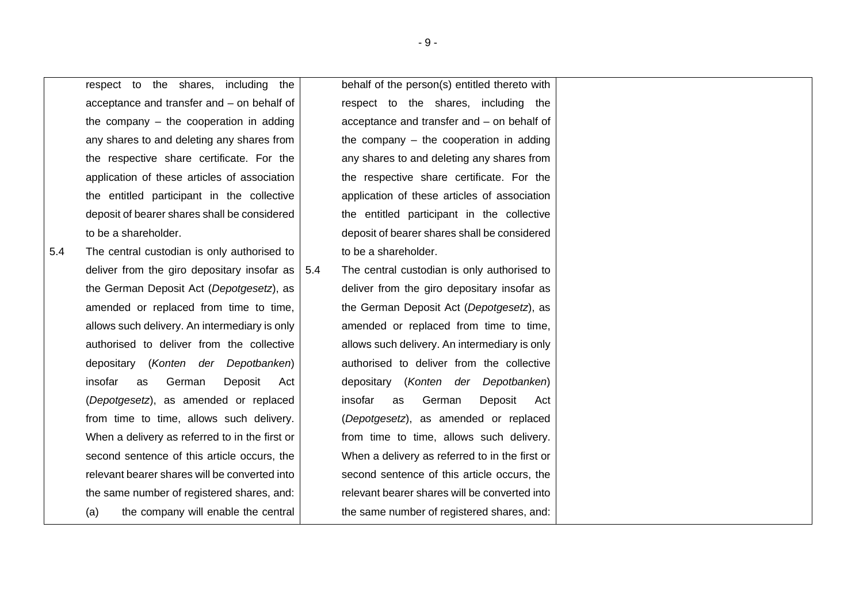respect to the shares, including the acceptance and transfer and – on behalf of the company – the cooperation in adding any shares to and deleting any shares from the respective share certificate. For the application of these articles of association the entitled participant in the collective deposit of bearer shares shall be considered to be a shareholder.

5.4 The central custodian is only authorised to deliver from the giro depositary insofar as  $\vert$  5.4 the German Deposit Act (*Depotgesetz*), as amended or replaced from time to time, allows such delivery. An intermediary is only authorised to deliver from the collective depositary (*Konten der Depotbanken*) insofar as German Deposit Act (*Depotgesetz*), as amended or replaced from time to time, allows such delivery. When a delivery as referred to in the first or second sentence of this article occurs, the relevant bearer shares will be converted into the same number of registered shares, and: (a) the company will enable the central

behalf of the person(s) entitled thereto with respect to the shares, including the acceptance and transfer and – on behalf of the company – the cooperation in adding any shares to and deleting any shares from the respective share certificate. For the application of these articles of association the entitled participant in the collective deposit of bearer shares shall be considered to be a shareholder.

The central custodian is only authorised to deliver from the giro depositary insofar as the German Deposit Act (*Depotgesetz*), as amended or replaced from time to time, allows such delivery. An intermediary is only authorised to deliver from the collective depositary (*Konten der Depotbanken*) insofar as German Deposit Act (*Depotgesetz*), as amended or replaced from time to time, allows such delivery. When a delivery as referred to in the first or second sentence of this article occurs, the relevant bearer shares will be converted into the same number of registered shares, and: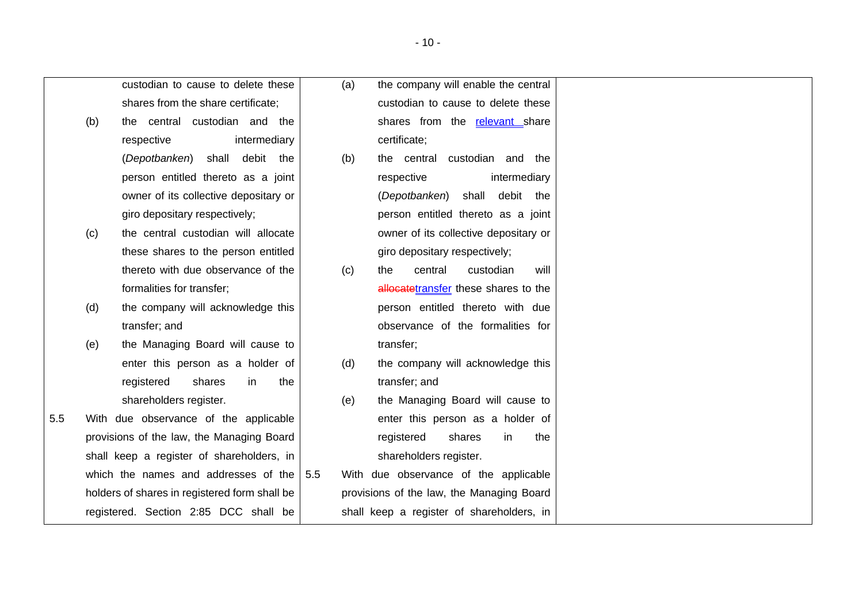custodian to cause to delete these shares from the share certificate; (b) the central custodian and the respective intermediarv (*Depotbanken*) shall debit the person entitled thereto as a joint owner of its collective depositary or giro depositary respectively; (c) the central custodian will allocate these shares to the person entitled thereto with due observance of the formalities for transfer; (d) the company will acknowledge this transfer; and (e) the Managing Board will cause to enter this person as a holder of registered shares in the shareholders register. 5.5 With due observance of the applicable provisions of the law, the Managing Board shall keep a register of shareholders, in which the names and addresses of the holders of shares in registered form shall be registered. Section 2:85 DCC shall be (a) the company will enable the central custodian to cause to delete these shares from the relevant share certificate; (b) the central custodian and the respective intermediary (*Depotbanken*) shall debit the person entitled thereto as a joint owner of its collective depositary or giro depositary respectively; (c) the central custodian will allocatetransfer these shares to the person entitled thereto with due observance of the formalities for transfer; (d) the company will acknowledge this transfer; and (e) the Managing Board will cause to enter this person as a holder of registered shares in the shareholders register. 5.5 With due observance of the applicable provisions of the law, the Managing Board shall keep a register of shareholders, in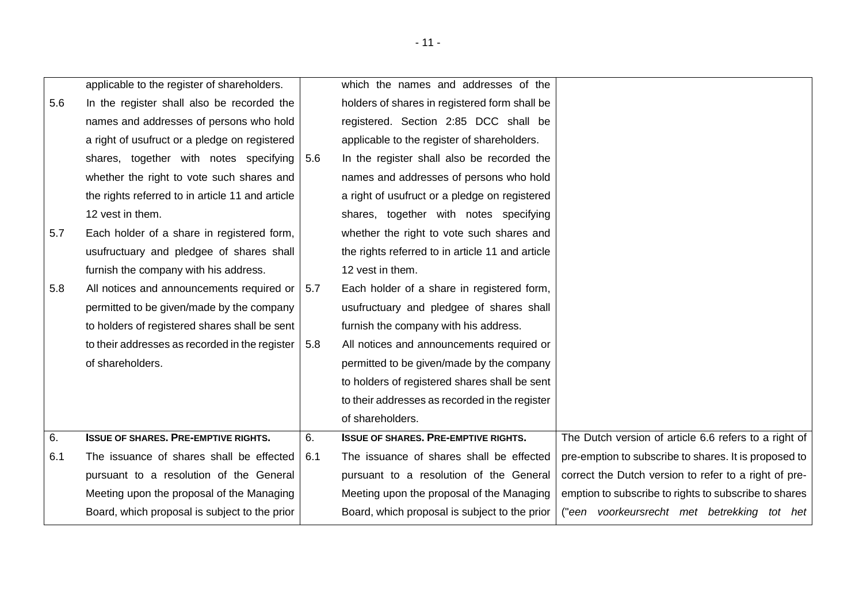|     | applicable to the register of shareholders.      |     | which the names and addresses of the             |                                                       |
|-----|--------------------------------------------------|-----|--------------------------------------------------|-------------------------------------------------------|
| 5.6 | In the register shall also be recorded the       |     | holders of shares in registered form shall be    |                                                       |
|     | names and addresses of persons who hold          |     | registered. Section 2:85 DCC shall be            |                                                       |
|     | a right of usufruct or a pledge on registered    |     | applicable to the register of shareholders.      |                                                       |
|     | shares, together with notes specifying           | 5.6 | In the register shall also be recorded the       |                                                       |
|     | whether the right to vote such shares and        |     | names and addresses of persons who hold          |                                                       |
|     | the rights referred to in article 11 and article |     | a right of usufruct or a pledge on registered    |                                                       |
|     | 12 vest in them.                                 |     | shares, together with notes specifying           |                                                       |
| 5.7 | Each holder of a share in registered form,       |     | whether the right to vote such shares and        |                                                       |
|     | usufructuary and pledgee of shares shall         |     | the rights referred to in article 11 and article |                                                       |
|     | furnish the company with his address.            |     | 12 vest in them.                                 |                                                       |
| 5.8 | All notices and announcements required or        | 5.7 | Each holder of a share in registered form,       |                                                       |
|     | permitted to be given/made by the company        |     | usufructuary and pledgee of shares shall         |                                                       |
|     | to holders of registered shares shall be sent    |     | furnish the company with his address.            |                                                       |
|     | to their addresses as recorded in the register   | 5.8 | All notices and announcements required or        |                                                       |
|     | of shareholders.                                 |     | permitted to be given/made by the company        |                                                       |
|     |                                                  |     | to holders of registered shares shall be sent    |                                                       |
|     |                                                  |     | to their addresses as recorded in the register   |                                                       |
|     |                                                  |     | of shareholders.                                 |                                                       |
| 6.  | <b>ISSUE OF SHARES. PRE-EMPTIVE RIGHTS.</b>      | 6.  | <b>ISSUE OF SHARES. PRE-EMPTIVE RIGHTS.</b>      | The Dutch version of article 6.6 refers to a right of |
| 6.1 | The issuance of shares shall be effected         | 6.1 | The issuance of shares shall be effected         | pre-emption to subscribe to shares. It is proposed to |
|     | pursuant to a resolution of the General          |     | pursuant to a resolution of the General          | correct the Dutch version to refer to a right of pre- |
|     | Meeting upon the proposal of the Managing        |     | Meeting upon the proposal of the Managing        | emption to subscribe to rights to subscribe to shares |
|     | Board, which proposal is subject to the prior    |     | Board, which proposal is subject to the prior    | ("een voorkeursrecht met betrekking tot het           |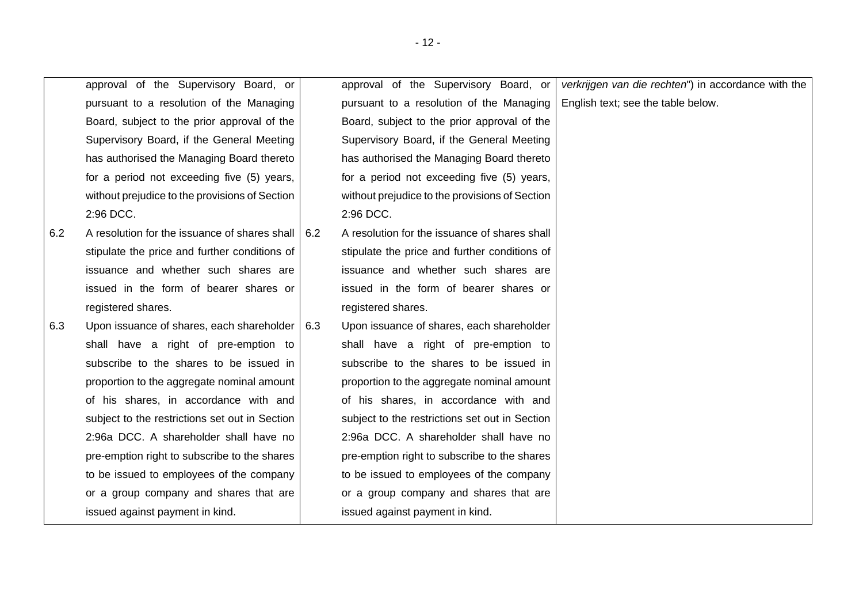|     | approval of the Supervisory Board, or          |     | approval of the Supervisory Board, or          | verkrijgen van die rechten") in accordance with the |
|-----|------------------------------------------------|-----|------------------------------------------------|-----------------------------------------------------|
|     | pursuant to a resolution of the Managing       |     | pursuant to a resolution of the Managing       | English text; see the table below.                  |
|     | Board, subject to the prior approval of the    |     | Board, subject to the prior approval of the    |                                                     |
|     | Supervisory Board, if the General Meeting      |     | Supervisory Board, if the General Meeting      |                                                     |
|     | has authorised the Managing Board thereto      |     | has authorised the Managing Board thereto      |                                                     |
|     | for a period not exceeding five (5) years,     |     | for a period not exceeding five (5) years,     |                                                     |
|     | without prejudice to the provisions of Section |     | without prejudice to the provisions of Section |                                                     |
|     | 2:96 DCC.                                      |     | 2:96 DCC.                                      |                                                     |
| 6.2 | A resolution for the issuance of shares shall  | 6.2 | A resolution for the issuance of shares shall  |                                                     |
|     | stipulate the price and further conditions of  |     | stipulate the price and further conditions of  |                                                     |
|     | issuance and whether such shares are           |     | issuance and whether such shares are           |                                                     |
|     | issued in the form of bearer shares or         |     | issued in the form of bearer shares or         |                                                     |
|     | registered shares.                             |     | registered shares.                             |                                                     |
| 6.3 | Upon issuance of shares, each shareholder      | 6.3 | Upon issuance of shares, each shareholder      |                                                     |
|     | shall have a right of pre-emption to           |     | shall have a right of pre-emption to           |                                                     |
|     | subscribe to the shares to be issued in        |     | subscribe to the shares to be issued in        |                                                     |
|     | proportion to the aggregate nominal amount     |     | proportion to the aggregate nominal amount     |                                                     |
|     | of his shares, in accordance with and          |     | of his shares, in accordance with and          |                                                     |
|     | subject to the restrictions set out in Section |     | subject to the restrictions set out in Section |                                                     |
|     | 2:96a DCC. A shareholder shall have no         |     | 2:96a DCC. A shareholder shall have no         |                                                     |
|     | pre-emption right to subscribe to the shares   |     | pre-emption right to subscribe to the shares   |                                                     |
|     | to be issued to employees of the company       |     | to be issued to employees of the company       |                                                     |
|     | or a group company and shares that are         |     | or a group company and shares that are         |                                                     |
|     | issued against payment in kind.                |     | issued against payment in kind.                |                                                     |
|     |                                                |     |                                                |                                                     |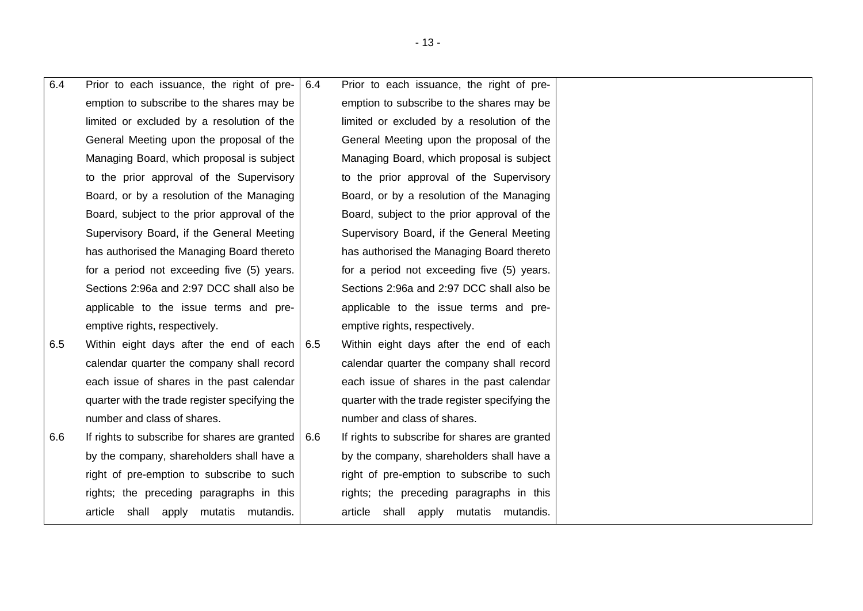| 6.4 | Prior to each issuance, the right of pre-                         | 6.4 | Prior to each issuance, the right of pre-      |  |
|-----|-------------------------------------------------------------------|-----|------------------------------------------------|--|
|     | emption to subscribe to the shares may be                         |     | emption to subscribe to the shares may be      |  |
|     | limited or excluded by a resolution of the                        |     | limited or excluded by a resolution of the     |  |
|     | General Meeting upon the proposal of the                          |     | General Meeting upon the proposal of the       |  |
|     | Managing Board, which proposal is subject                         |     | Managing Board, which proposal is subject      |  |
|     | to the prior approval of the Supervisory                          |     | to the prior approval of the Supervisory       |  |
|     | Board, or by a resolution of the Managing                         |     | Board, or by a resolution of the Managing      |  |
|     | Board, subject to the prior approval of the                       |     | Board, subject to the prior approval of the    |  |
|     | Supervisory Board, if the General Meeting                         |     | Supervisory Board, if the General Meeting      |  |
|     | has authorised the Managing Board thereto                         |     | has authorised the Managing Board thereto      |  |
|     | for a period not exceeding five (5) years.                        |     | for a period not exceeding five (5) years.     |  |
|     | Sections 2:96a and 2:97 DCC shall also be                         |     | Sections 2:96a and 2:97 DCC shall also be      |  |
|     | applicable to the issue terms and pre-                            |     | applicable to the issue terms and pre-         |  |
|     | emptive rights, respectively.                                     |     | emptive rights, respectively.                  |  |
| 6.5 | Within eight days after the end of each   6.5                     |     | Within eight days after the end of each        |  |
|     | calendar quarter the company shall record                         |     | calendar quarter the company shall record      |  |
|     | each issue of shares in the past calendar                         |     | each issue of shares in the past calendar      |  |
|     | quarter with the trade register specifying the                    |     | quarter with the trade register specifying the |  |
|     | number and class of shares.                                       |     | number and class of shares.                    |  |
| 6.6 | If rights to subscribe for shares are granted $\vert 6.6 \rangle$ |     | If rights to subscribe for shares are granted  |  |
|     | by the company, shareholders shall have a                         |     | by the company, shareholders shall have a      |  |
|     | right of pre-emption to subscribe to such                         |     | right of pre-emption to subscribe to such      |  |
|     | rights; the preceding paragraphs in this                          |     | rights; the preceding paragraphs in this       |  |
|     | article<br>shall apply mutatis mutandis.                          |     | article<br>shall<br>mutatis mutandis.<br>apply |  |

- 13 -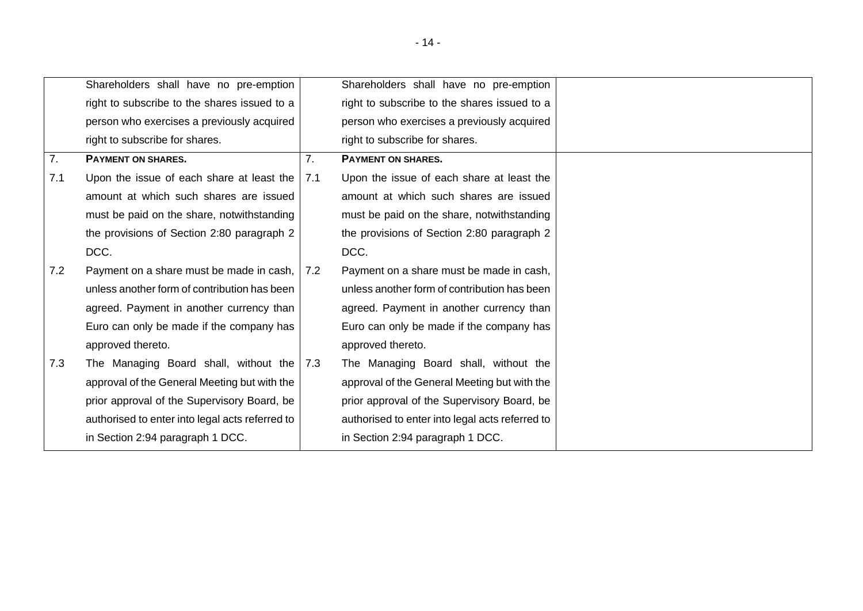|     | Shareholders shall have no pre-emption                |             | Shareholders shall have no pre-emption          |
|-----|-------------------------------------------------------|-------------|-------------------------------------------------|
|     | right to subscribe to the shares issued to a          |             | right to subscribe to the shares issued to a    |
|     | person who exercises a previously acquired            |             | person who exercises a previously acquired      |
|     | right to subscribe for shares.                        |             | right to subscribe for shares.                  |
| 7.  | <b>PAYMENT ON SHARES.</b>                             | 7.          | <b>PAYMENT ON SHARES.</b>                       |
| 7.1 | Upon the issue of each share at least the $\vert$ 7.1 |             | Upon the issue of each share at least the       |
|     | amount at which such shares are issued                |             | amount at which such shares are issued          |
|     | must be paid on the share, notwithstanding            |             | must be paid on the share, notwithstanding      |
|     | the provisions of Section 2:80 paragraph 2            |             | the provisions of Section 2:80 paragraph 2      |
|     | DCC.                                                  |             | DCC.                                            |
| 7.2 | Payment on a share must be made in cash,              | $\vert$ 7.2 | Payment on a share must be made in cash,        |
|     | unless another form of contribution has been          |             | unless another form of contribution has been    |
|     | agreed. Payment in another currency than              |             | agreed. Payment in another currency than        |
|     | Euro can only be made if the company has              |             | Euro can only be made if the company has        |
|     | approved thereto.                                     |             | approved thereto.                               |
| 7.3 | The Managing Board shall, without the   7.3           |             | The Managing Board shall, without the           |
|     | approval of the General Meeting but with the          |             | approval of the General Meeting but with the    |
|     | prior approval of the Supervisory Board, be           |             | prior approval of the Supervisory Board, be     |
|     | authorised to enter into legal acts referred to       |             | authorised to enter into legal acts referred to |
|     | in Section 2:94 paragraph 1 DCC.                      |             | in Section 2:94 paragraph 1 DCC.                |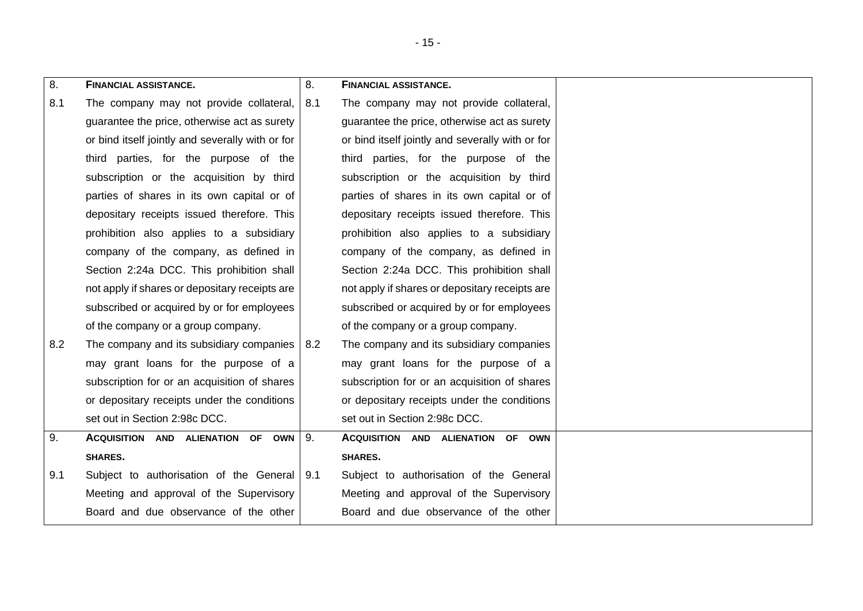<span id="page-14-0"></span>

| 8.  | <b>FINANCIAL ASSISTANCE.</b>                     | 8.  | <b>FINANCIAL ASSISTANCE.</b>                     |
|-----|--------------------------------------------------|-----|--------------------------------------------------|
| 8.1 | The company may not provide collateral,          | 8.1 | The company may not provide collateral,          |
|     | guarantee the price, otherwise act as surety     |     | guarantee the price, otherwise act as surety     |
|     | or bind itself jointly and severally with or for |     | or bind itself jointly and severally with or for |
|     | third parties, for the purpose of the            |     | third parties, for the purpose of the            |
|     | subscription or the acquisition by third         |     | subscription or the acquisition by third         |
|     | parties of shares in its own capital or of       |     | parties of shares in its own capital or of       |
|     | depositary receipts issued therefore. This       |     | depositary receipts issued therefore. This       |
|     | prohibition also applies to a subsidiary         |     | prohibition also applies to a subsidiary         |
|     | company of the company, as defined in            |     | company of the company, as defined in            |
|     | Section 2:24a DCC. This prohibition shall        |     | Section 2:24a DCC. This prohibition shall        |
|     | not apply if shares or depositary receipts are   |     | not apply if shares or depositary receipts are   |
|     | subscribed or acquired by or for employees       |     | subscribed or acquired by or for employees       |
|     | of the company or a group company.               |     | of the company or a group company.               |
| 8.2 | The company and its subsidiary companies         | 8.2 | The company and its subsidiary companies         |
|     | may grant loans for the purpose of a             |     | may grant loans for the purpose of a             |
|     | subscription for or an acquisition of shares     |     | subscription for or an acquisition of shares     |
|     | or depositary receipts under the conditions      |     | or depositary receipts under the conditions      |
|     | set out in Section 2:98c DCC.                    |     | set out in Section 2:98c DCC.                    |
| 9.  | ACQUISITION AND ALIENATION OF OWN                | 9.  | ACQUISITION AND ALIENATION OF OWN                |
|     | SHARES.                                          |     | SHARES.                                          |
| 9.1 | Subject to authorisation of the General 9.1      |     | Subject to authorisation of the General          |
|     | Meeting and approval of the Supervisory          |     | Meeting and approval of the Supervisory          |
|     | Board and due observance of the other            |     | Board and due observance of the other            |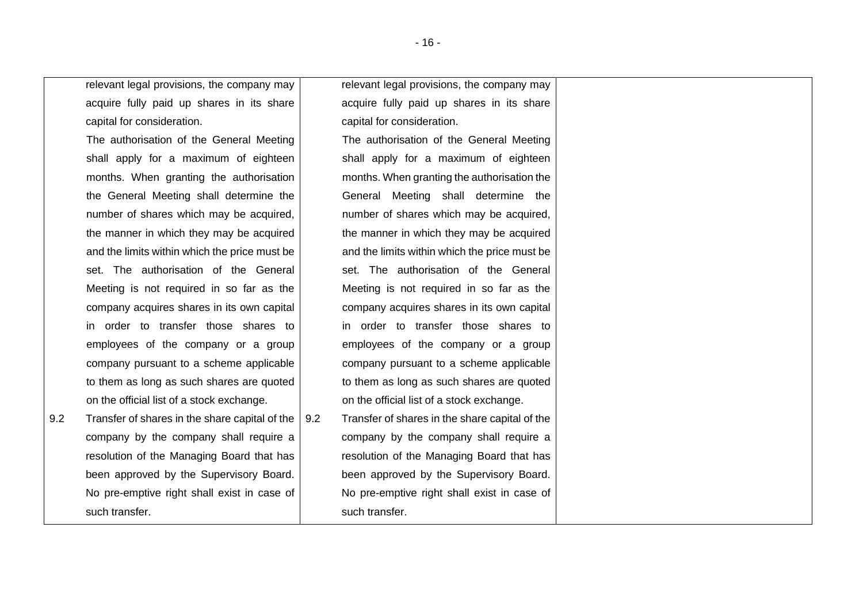relevant legal provisions, the company may acquire fully paid up shares in its share capital for consideration.

The authorisation of the General Meeting shall apply for a maximum of eighteen months. When granting the authorisation the General Meeting shall determine the number of shares which may be acquired, the manner in which they may be acquired and the limits within which the price must be set. The authorisation of the General Meeting is not required in so far as the company acquires shares in its own capital in order to transfer those shares to employees of the company or a group company pursuant to a scheme applicable to them as long as such shares are quoted on the official list of a stock exchange.

<span id="page-15-0"></span>9.2 Transfer of shares in the share capital of the company by the company shall require a resolution of the Managing Board that has been approved by the Supervisory Board. No pre-emptive right shall exist in case of such transfer.

relevant legal provisions, the company may acquire fully paid up shares in its share capital for consideration.

The authorisation of the General Meeting shall apply for a maximum of eighteen months. When granting the authorisation the General Meeting shall determine the number of shares which may be acquired, the manner in which they may be acquired and the limits within which the price must be set. The authorisation of the General Meeting is not required in so far as the company acquires shares in its own capital in order to transfer those shares to employees of the company or a group company pursuant to a scheme applicable to them as long as such shares are quoted on the official list of a stock exchange.

9.2 Transfer of shares in the share capital of the company by the company shall require a resolution of the Managing Board that has been approved by the Supervisory Board. No pre-emptive right shall exist in case of such transfer.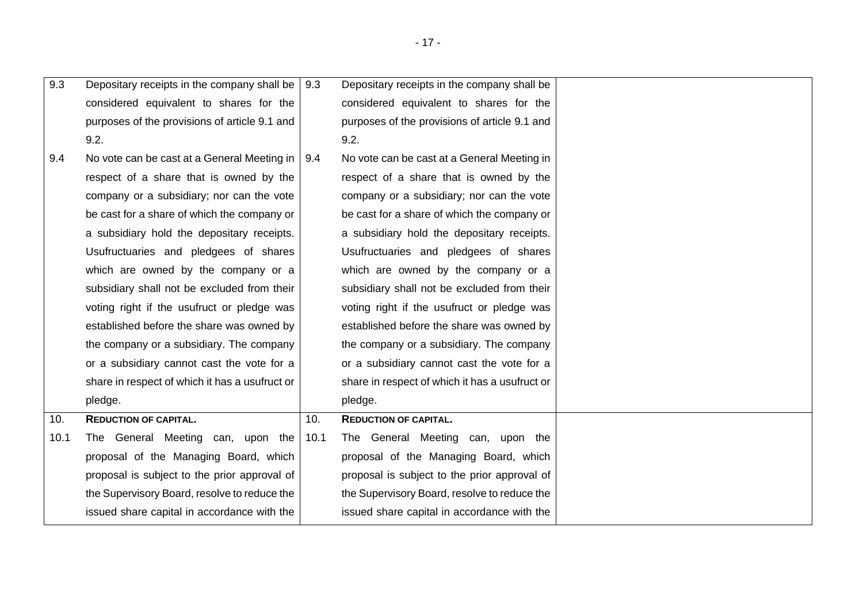| 9.3  | Depositary receipts in the company shall be $\vert$ 9.3 |      | Depositary receipts in the company shall be    |  |
|------|---------------------------------------------------------|------|------------------------------------------------|--|
|      | considered equivalent to shares for the                 |      | considered equivalent to shares for the        |  |
|      | purposes of the provisions of article 9.1 and           |      | purposes of the provisions of article 9.1 and  |  |
|      | 9.2.                                                    |      | 9.2.                                           |  |
| 9.4  | No vote can be cast at a General Meeting in   9.4       |      | No vote can be cast at a General Meeting in    |  |
|      | respect of a share that is owned by the                 |      | respect of a share that is owned by the        |  |
|      | company or a subsidiary; nor can the vote               |      | company or a subsidiary; nor can the vote      |  |
|      | be cast for a share of which the company or             |      | be cast for a share of which the company or    |  |
|      | a subsidiary hold the depositary receipts.              |      | a subsidiary hold the depositary receipts.     |  |
|      | Usufructuaries and pledgees of shares                   |      | Usufructuaries and pledgees of shares          |  |
|      | which are owned by the company or a                     |      | which are owned by the company or a            |  |
|      | subsidiary shall not be excluded from their             |      | subsidiary shall not be excluded from their    |  |
|      | voting right if the usufruct or pledge was              |      | voting right if the usufruct or pledge was     |  |
|      | established before the share was owned by               |      | established before the share was owned by      |  |
|      | the company or a subsidiary. The company                |      | the company or a subsidiary. The company       |  |
|      | or a subsidiary cannot cast the vote for a              |      | or a subsidiary cannot cast the vote for a     |  |
|      | share in respect of which it has a usufruct or          |      | share in respect of which it has a usufruct or |  |
|      | pledge.                                                 |      | pledge.                                        |  |
| 10.  | <b>REDUCTION OF CAPITAL.</b>                            | 10.  | <b>REDUCTION OF CAPITAL.</b>                   |  |
| 10.1 | The General Meeting can, upon the                       | 10.1 | The General Meeting can, upon the              |  |
|      | proposal of the Managing Board, which                   |      | proposal of the Managing Board, which          |  |
|      | proposal is subject to the prior approval of            |      | proposal is subject to the prior approval of   |  |
|      | the Supervisory Board, resolve to reduce the            |      | the Supervisory Board, resolve to reduce the   |  |
|      | issued share capital in accordance with the             |      | issued share capital in accordance with the    |  |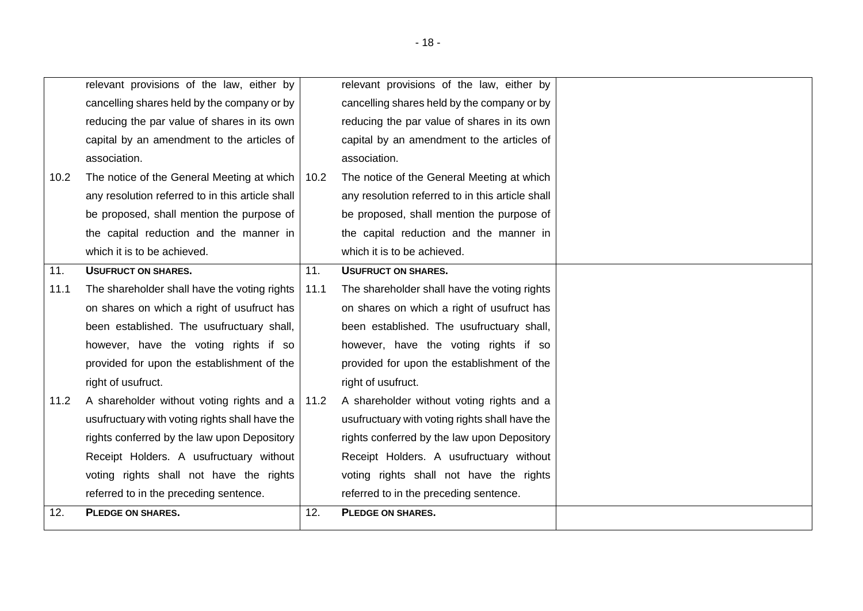|      | relevant provisions of the law, either by        |      | relevant provisions of the law, either by        |  |
|------|--------------------------------------------------|------|--------------------------------------------------|--|
|      | cancelling shares held by the company or by      |      | cancelling shares held by the company or by      |  |
|      | reducing the par value of shares in its own      |      | reducing the par value of shares in its own      |  |
|      | capital by an amendment to the articles of       |      | capital by an amendment to the articles of       |  |
|      | association.                                     |      | association.                                     |  |
| 10.2 | The notice of the General Meeting at which       | 10.2 | The notice of the General Meeting at which       |  |
|      | any resolution referred to in this article shall |      | any resolution referred to in this article shall |  |
|      |                                                  |      |                                                  |  |
|      | be proposed, shall mention the purpose of        |      | be proposed, shall mention the purpose of        |  |
|      | the capital reduction and the manner in          |      | the capital reduction and the manner in          |  |
|      | which it is to be achieved.                      |      | which it is to be achieved.                      |  |
| 11.  | <b>USUFRUCT ON SHARES.</b>                       | 11.  | <b>USUFRUCT ON SHARES.</b>                       |  |
| 11.1 | The shareholder shall have the voting rights     | 11.1 | The shareholder shall have the voting rights     |  |
|      | on shares on which a right of usufruct has       |      | on shares on which a right of usufruct has       |  |
|      | been established. The usufructuary shall,        |      | been established. The usufructuary shall,        |  |
|      | however, have the voting rights if so            |      | however, have the voting rights if so            |  |
|      | provided for upon the establishment of the       |      | provided for upon the establishment of the       |  |
|      | right of usufruct.                               |      | right of usufruct.                               |  |
| 11.2 | A shareholder without voting rights and a        | 11.2 | A shareholder without voting rights and a        |  |
|      | usufructuary with voting rights shall have the   |      | usufructuary with voting rights shall have the   |  |
|      | rights conferred by the law upon Depository      |      | rights conferred by the law upon Depository      |  |
|      | Receipt Holders. A usufructuary without          |      | Receipt Holders. A usufructuary without          |  |
|      | voting rights shall not have the rights          |      | voting rights shall not have the rights          |  |
|      | referred to in the preceding sentence.           |      | referred to in the preceding sentence.           |  |
| 12.  | <b>PLEDGE ON SHARES.</b>                         | 12.  | <b>PLEDGE ON SHARES.</b>                         |  |
|      |                                                  |      |                                                  |  |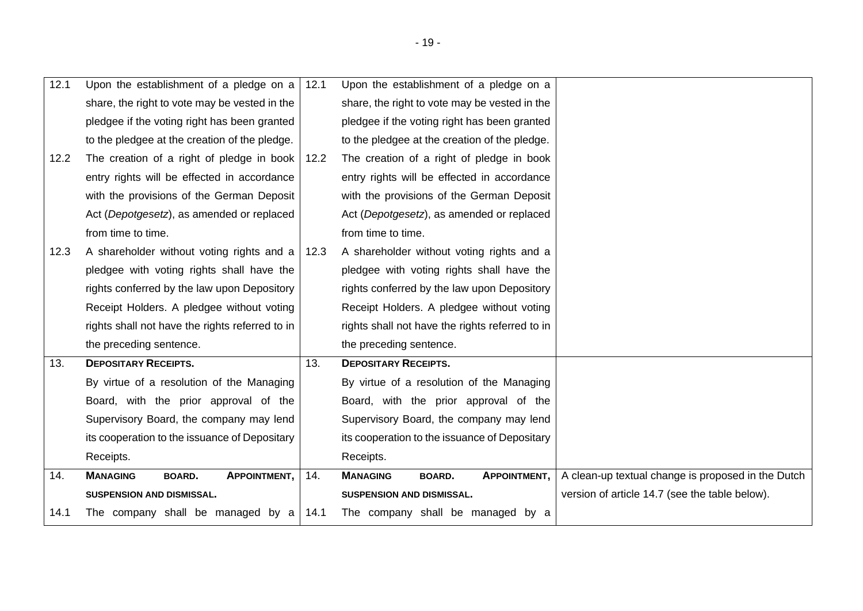| 12.1 | Upon the establishment of a pledge on a $\vert$ 12.1    |      | Upon the establishment of a pledge on a                 |                                                    |
|------|---------------------------------------------------------|------|---------------------------------------------------------|----------------------------------------------------|
|      | share, the right to vote may be vested in the           |      | share, the right to vote may be vested in the           |                                                    |
|      | pledgee if the voting right has been granted            |      | pledgee if the voting right has been granted            |                                                    |
|      | to the pledgee at the creation of the pledge.           |      | to the pledgee at the creation of the pledge.           |                                                    |
| 12.2 | The creation of a right of pledge in book               | 12.2 | The creation of a right of pledge in book               |                                                    |
|      | entry rights will be effected in accordance             |      | entry rights will be effected in accordance             |                                                    |
|      | with the provisions of the German Deposit               |      | with the provisions of the German Deposit               |                                                    |
|      | Act (Depotgesetz), as amended or replaced               |      | Act (Depotgesetz), as amended or replaced               |                                                    |
|      | from time to time.                                      |      | from time to time.                                      |                                                    |
| 12.3 | A shareholder without voting rights and a $\vert$ 12.3  |      | A shareholder without voting rights and a               |                                                    |
|      | pledgee with voting rights shall have the               |      | pledgee with voting rights shall have the               |                                                    |
|      | rights conferred by the law upon Depository             |      | rights conferred by the law upon Depository             |                                                    |
|      | Receipt Holders. A pledgee without voting               |      | Receipt Holders. A pledgee without voting               |                                                    |
|      | rights shall not have the rights referred to in         |      | rights shall not have the rights referred to in         |                                                    |
|      | the preceding sentence.                                 |      | the preceding sentence.                                 |                                                    |
| 13.  | <b>DEPOSITARY RECEIPTS.</b>                             | 13.  | <b>DEPOSITARY RECEIPTS.</b>                             |                                                    |
|      | By virtue of a resolution of the Managing               |      | By virtue of a resolution of the Managing               |                                                    |
|      | Board, with the prior approval of the                   |      | Board, with the prior approval of the                   |                                                    |
|      | Supervisory Board, the company may lend                 |      | Supervisory Board, the company may lend                 |                                                    |
|      | its cooperation to the issuance of Depositary           |      | its cooperation to the issuance of Depositary           |                                                    |
|      | Receipts.                                               |      | Receipts.                                               |                                                    |
| 14.  | <b>MANAGING</b><br><b>APPOINTMENT,</b><br><b>BOARD.</b> | 14.  | <b>MANAGING</b><br><b>APPOINTMENT,</b><br><b>BOARD.</b> | A clean-up textual change is proposed in the Dutch |
|      | SUSPENSION AND DISMISSAL.                               |      | SUSPENSION AND DISMISSAL.                               | version of article 14.7 (see the table below).     |
| 14.1 | The company shall be managed by a                       | 14.1 | The company shall be managed by a                       |                                                    |
|      |                                                         |      |                                                         |                                                    |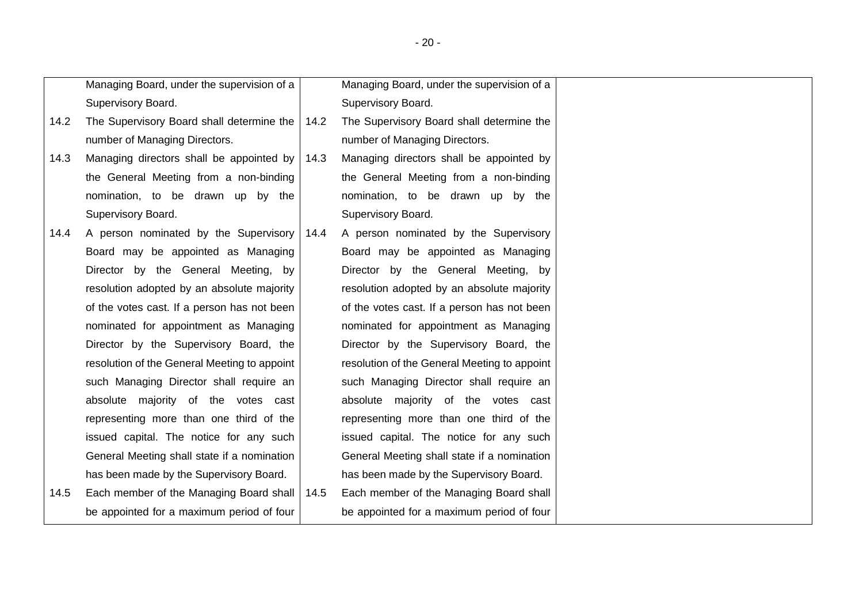|      | Managing Board, under the supervision of a   |      | Managing Board, under the supervision of a   |  |
|------|----------------------------------------------|------|----------------------------------------------|--|
|      | Supervisory Board.                           |      | Supervisory Board.                           |  |
| 14.2 | The Supervisory Board shall determine the    | 14.2 | The Supervisory Board shall determine the    |  |
|      | number of Managing Directors.                |      | number of Managing Directors.                |  |
| 14.3 | Managing directors shall be appointed by     | 14.3 | Managing directors shall be appointed by     |  |
|      | the General Meeting from a non-binding       |      | the General Meeting from a non-binding       |  |
|      | nomination, to be drawn up by the            |      | nomination, to be drawn up by the            |  |
|      | Supervisory Board.                           |      | Supervisory Board.                           |  |
| 14.4 | A person nominated by the Supervisory        | 14.4 | A person nominated by the Supervisory        |  |
|      | Board may be appointed as Managing           |      | Board may be appointed as Managing           |  |
|      | Director by the General Meeting, by          |      | Director by the General Meeting, by          |  |
|      | resolution adopted by an absolute majority   |      | resolution adopted by an absolute majority   |  |
|      | of the votes cast. If a person has not been  |      | of the votes cast. If a person has not been  |  |
|      | nominated for appointment as Managing        |      | nominated for appointment as Managing        |  |
|      | Director by the Supervisory Board, the       |      | Director by the Supervisory Board, the       |  |
|      | resolution of the General Meeting to appoint |      | resolution of the General Meeting to appoint |  |
|      | such Managing Director shall require an      |      | such Managing Director shall require an      |  |
|      | absolute majority of the votes cast          |      | absolute majority of the votes cast          |  |
|      | representing more than one third of the      |      | representing more than one third of the      |  |
|      | issued capital. The notice for any such      |      | issued capital. The notice for any such      |  |
|      | General Meeting shall state if a nomination  |      | General Meeting shall state if a nomination  |  |
|      | has been made by the Supervisory Board.      |      | has been made by the Supervisory Board.      |  |
| 14.5 | Each member of the Managing Board shall      | 14.5 | Each member of the Managing Board shall      |  |
|      | be appointed for a maximum period of four    |      | be appointed for a maximum period of four    |  |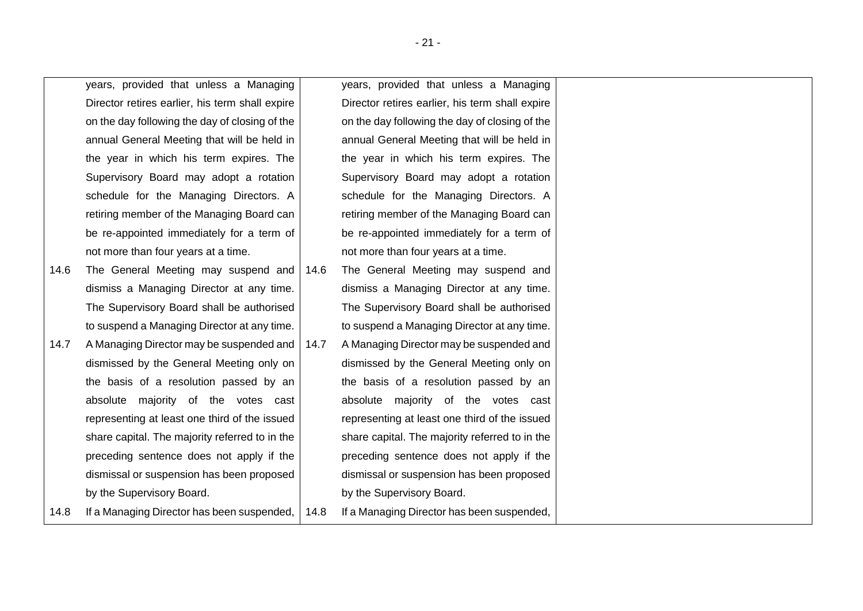<span id="page-20-1"></span><span id="page-20-0"></span>

|      | years, provided that unless a Managing          |      | years, provided that unless a Managing          |  |
|------|-------------------------------------------------|------|-------------------------------------------------|--|
|      | Director retires earlier, his term shall expire |      | Director retires earlier, his term shall expire |  |
|      | on the day following the day of closing of the  |      | on the day following the day of closing of the  |  |
|      | annual General Meeting that will be held in     |      | annual General Meeting that will be held in     |  |
|      | the year in which his term expires. The         |      | the year in which his term expires. The         |  |
|      | Supervisory Board may adopt a rotation          |      | Supervisory Board may adopt a rotation          |  |
|      | schedule for the Managing Directors. A          |      | schedule for the Managing Directors. A          |  |
|      | retiring member of the Managing Board can       |      | retiring member of the Managing Board can       |  |
|      | be re-appointed immediately for a term of       |      | be re-appointed immediately for a term of       |  |
|      | not more than four years at a time.             |      | not more than four years at a time.             |  |
| 14.6 | The General Meeting may suspend and             | 14.6 | The General Meeting may suspend and             |  |
|      | dismiss a Managing Director at any time.        |      | dismiss a Managing Director at any time.        |  |
|      | The Supervisory Board shall be authorised       |      | The Supervisory Board shall be authorised       |  |
|      | to suspend a Managing Director at any time.     |      | to suspend a Managing Director at any time.     |  |
| 14.7 | A Managing Director may be suspended and        | 14.7 | A Managing Director may be suspended and        |  |
|      | dismissed by the General Meeting only on        |      | dismissed by the General Meeting only on        |  |
|      | the basis of a resolution passed by an          |      | the basis of a resolution passed by an          |  |
|      | absolute majority of the votes cast             |      | absolute majority of the votes cast             |  |
|      | representing at least one third of the issued   |      | representing at least one third of the issued   |  |
|      | share capital. The majority referred to in the  |      | share capital. The majority referred to in the  |  |
|      | preceding sentence does not apply if the        |      | preceding sentence does not apply if the        |  |
|      | dismissal or suspension has been proposed       |      | dismissal or suspension has been proposed       |  |
|      | by the Supervisory Board.                       |      | by the Supervisory Board.                       |  |
| 14.8 | If a Managing Director has been suspended,      | 14.8 | If a Managing Director has been suspended,      |  |
|      |                                                 |      |                                                 |  |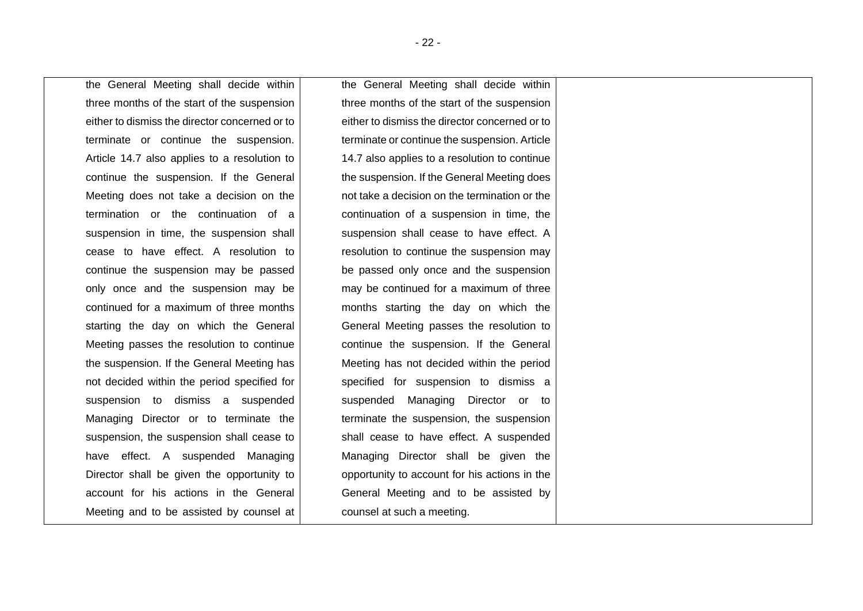the General Meeting shall decide within three months of the start of the suspension either to dismiss the director concerned or to terminate or continue the suspension. Article [14.7](#page-20-0) also applies to a resolution to continue the suspension. If the General Meeting does not take a decision on the termination or the continuation of a suspension in time, the suspension shall cease to have effect. A resolution to continue the suspension may be passed only once and the suspension may be continued for a maximum of three months starting the day on which the General Meeting passes the resolution to continue the suspension. If the General Meeting has not decided within the period specified for suspension to dismiss a suspended Managing Director or to terminate the suspension, the suspension shall cease to have effect. A suspended Managing Director shall be given the opportunity to account for his actions in the General Meeting and to be assisted by counsel at

the General Meeting shall decide within three months of the start of the suspension either to dismiss the director concerned or to terminate or continue the suspension. Article [14.7](#page-20-0) also applies to a resolution to continue the suspension. If the General Meeting does not take a decision on the termination or the continuation of a suspension in time, the suspension shall cease to have effect. A resolution to continue the suspension may be passed only once and the suspension may be continued for a maximum of three months starting the day on which the General Meeting passes the resolution to continue the suspension. If the General Meeting has not decided within the period specified for suspension to dismiss a suspended Managing Director or to terminate the suspension, the suspension shall cease to have effect. A suspended Managing Director shall be given the opportunity to account for his actions in the General Meeting and to be assisted by counsel at such a meeting.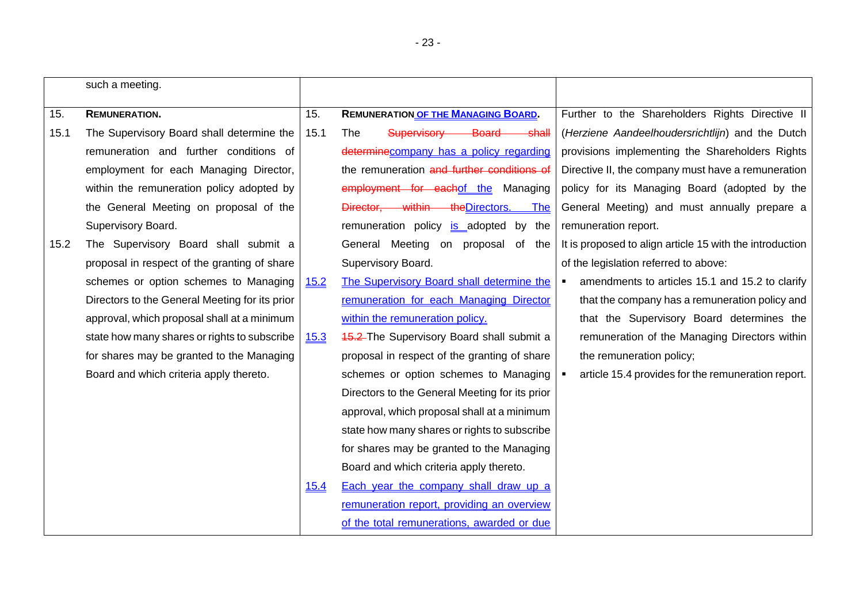|      | such a meeting.                                |             |                                                  |                                                                   |
|------|------------------------------------------------|-------------|--------------------------------------------------|-------------------------------------------------------------------|
| 15.  | <b>REMUNERATION.</b>                           | 15.         | <b>REMUNERATION OF THE MANAGING BOARD.</b>       | Further to the Shareholders Rights Directive II                   |
| 15.1 | The Supervisory Board shall determine the      | 15.1        | Supervisory<br>Board<br>The<br><del>-shall</del> | (Herziene Aandeelhoudersrichtlijn) and the Dutch                  |
|      | remuneration and further conditions of         |             | determinecompany has a policy regarding          | provisions implementing the Shareholders Rights                   |
|      | employment for each Managing Director,         |             | the remuneration and further conditions of       | Directive II, the company must have a remuneration                |
|      | within the remuneration policy adopted by      |             | employment for eachof the Managing               | policy for its Managing Board (adopted by the                     |
|      | the General Meeting on proposal of the         |             | Director, within the Directors.<br><b>The</b>    | General Meeting) and must annually prepare a                      |
|      | Supervisory Board.                             |             | remuneration policy is adopted by the            | remuneration report.                                              |
| 15.2 | The Supervisory Board shall submit a           |             | General Meeting on proposal<br>of the            | It is proposed to align article 15 with the introduction          |
|      | proposal in respect of the granting of share   |             | Supervisory Board.                               | of the legislation referred to above:                             |
|      | schemes or option schemes to Managing          | <u>15.2</u> | The Supervisory Board shall determine the        | amendments to articles 15.1 and 15.2 to clarify<br>$\blacksquare$ |
|      | Directors to the General Meeting for its prior |             | remuneration for each Managing Director          | that the company has a remuneration policy and                    |
|      | approval, which proposal shall at a minimum    |             | within the remuneration policy.                  | that the Supervisory Board determines the                         |
|      | state how many shares or rights to subscribe   | 15.3        | <b>15.2</b> The Supervisory Board shall submit a | remuneration of the Managing Directors within                     |
|      | for shares may be granted to the Managing      |             | proposal in respect of the granting of share     | the remuneration policy;                                          |
|      | Board and which criteria apply thereto.        |             | schemes or option schemes to Managing            | article 15.4 provides for the remuneration report.                |
|      |                                                |             | Directors to the General Meeting for its prior   |                                                                   |
|      |                                                |             | approval, which proposal shall at a minimum      |                                                                   |
|      |                                                |             | state how many shares or rights to subscribe     |                                                                   |
|      |                                                |             | for shares may be granted to the Managing        |                                                                   |
|      |                                                |             | Board and which criteria apply thereto.          |                                                                   |
|      |                                                | 15.4        | Each year the company shall draw up a            |                                                                   |
|      |                                                |             | remuneration report, providing an overview       |                                                                   |
|      |                                                |             | of the total remunerations, awarded or due       |                                                                   |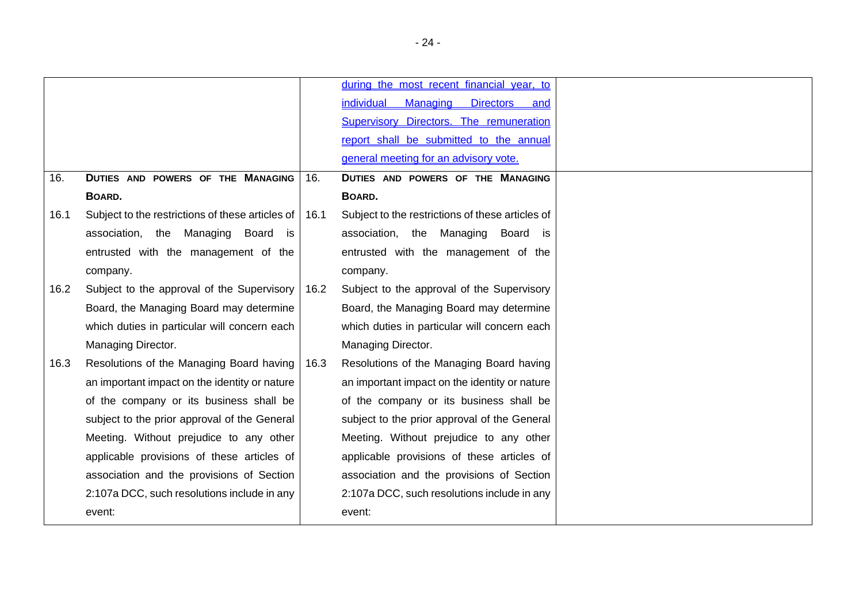<span id="page-23-0"></span>

|      |                                                  |      | during the most recent financial year, to        |
|------|--------------------------------------------------|------|--------------------------------------------------|
|      |                                                  |      | individual<br>Managing Directors and             |
|      |                                                  |      | <b>Supervisory Directors. The remuneration</b>   |
|      |                                                  |      | report shall be submitted to the annual          |
|      |                                                  |      | general meeting for an advisory vote.            |
| 16.  | DUTIES AND POWERS OF THE MANAGING                | 16.  | DUTIES AND POWERS OF THE MANAGING                |
|      | BOARD.                                           |      | BOARD.                                           |
| 16.1 | Subject to the restrictions of these articles of | 16.1 | Subject to the restrictions of these articles of |
|      | association, the Managing Board<br>is            |      | association, the Managing<br>Board is            |
|      | entrusted with the management of the             |      | entrusted with the management of the             |
|      | company.                                         |      | company.                                         |
| 16.2 | Subject to the approval of the Supervisory       | 16.2 | Subject to the approval of the Supervisory       |
|      | Board, the Managing Board may determine          |      | Board, the Managing Board may determine          |
|      | which duties in particular will concern each     |      | which duties in particular will concern each     |
|      | Managing Director.                               |      | Managing Director.                               |
| 16.3 | Resolutions of the Managing Board having         | 16.3 | Resolutions of the Managing Board having         |
|      | an important impact on the identity or nature    |      | an important impact on the identity or nature    |
|      | of the company or its business shall be          |      | of the company or its business shall be          |
|      | subject to the prior approval of the General     |      | subject to the prior approval of the General     |
|      | Meeting. Without prejudice to any other          |      | Meeting. Without prejudice to any other          |
|      | applicable provisions of these articles of       |      | applicable provisions of these articles of       |
|      | association and the provisions of Section        |      | association and the provisions of Section        |
|      | 2:107a DCC, such resolutions include in any      |      | 2:107a DCC, such resolutions include in any      |
|      | event:                                           |      | event:                                           |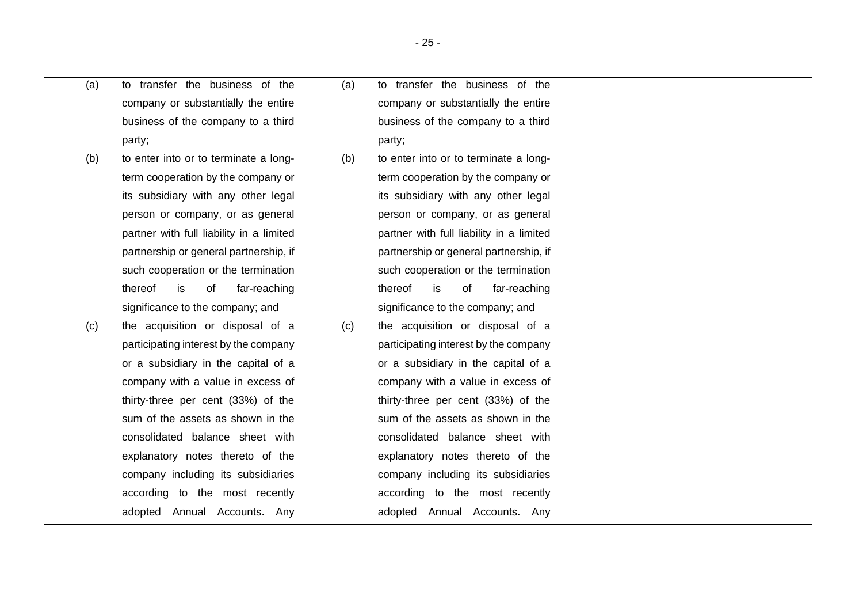| (a) | to transfer the business of the     |
|-----|-------------------------------------|
|     | company or substantially the entire |
|     | business of the company to a third  |
|     | party;                              |

- (b) to enter into or to terminate a longterm cooperation by the company or its subsidiary with any other legal person or company, or as general partner with full liability in a limited partnership or general partnership, if such cooperation or the termination thereof is of far-reaching significance to the company; and
- (c) the acquisition or disposal of a participating interest by the company or a subsidiary in the capital of a company with a value in excess of thirty-three per cent (33%) of the sum of the assets as shown in the consolidated balance sheet with explanatory notes thereto of the company including its subsidiaries according to the most recently adopted Annual Accounts. Any

(a) to transfer the business of the company or substantially the entire business of the company to a third party;

- (b) to enter into or to terminate a longterm cooperation by the company or its subsidiary with any other legal person or company, or as general partner with full liability in a limited partnership or general partnership, if such cooperation or the termination thereof is of far-reaching significance to the company; and
- (c) the acquisition or disposal of a participating interest by the company or a subsidiary in the capital of a company with a value in excess of thirty-three per cent (33%) of the sum of the assets as shown in the consolidated balance sheet with explanatory notes thereto of the company including its subsidiaries according to the most recently adopted Annual Accounts. Any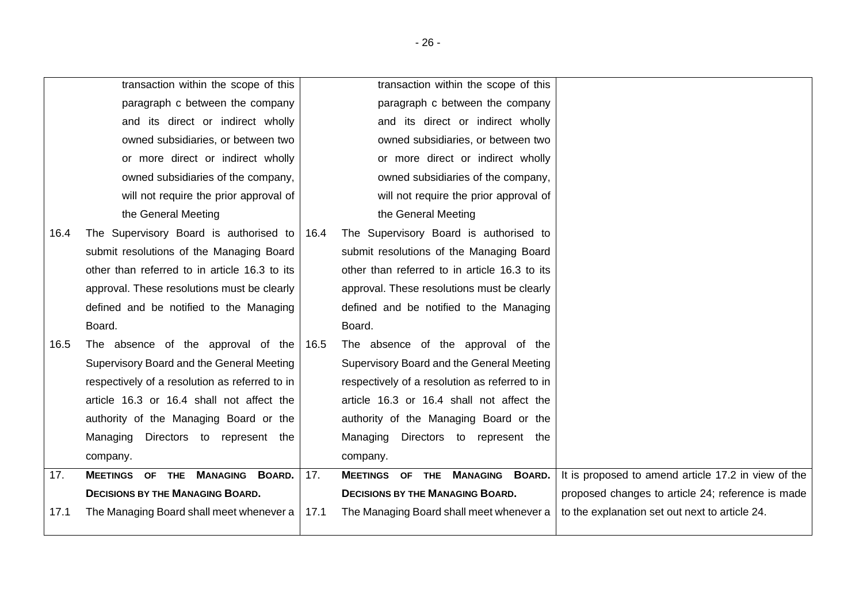<span id="page-25-0"></span>

|      | transaction within the scope of this           |      | transaction within the scope of this           |                                                     |
|------|------------------------------------------------|------|------------------------------------------------|-----------------------------------------------------|
|      | paragraph c between the company                |      | paragraph c between the company                |                                                     |
|      | and its direct or indirect wholly              |      | and its direct or indirect wholly              |                                                     |
|      | owned subsidiaries, or between two             |      | owned subsidiaries, or between two             |                                                     |
|      | or more direct or indirect wholly              |      | or more direct or indirect wholly              |                                                     |
|      | owned subsidiaries of the company,             |      | owned subsidiaries of the company,             |                                                     |
|      | will not require the prior approval of         |      | will not require the prior approval of         |                                                     |
|      | the General Meeting                            |      | the General Meeting                            |                                                     |
| 16.4 | The Supervisory Board is authorised to         | 16.4 | The Supervisory Board is authorised to         |                                                     |
|      | submit resolutions of the Managing Board       |      | submit resolutions of the Managing Board       |                                                     |
|      | other than referred to in article 16.3 to its  |      | other than referred to in article 16.3 to its  |                                                     |
|      | approval. These resolutions must be clearly    |      | approval. These resolutions must be clearly    |                                                     |
|      | defined and be notified to the Managing        |      | defined and be notified to the Managing        |                                                     |
|      | Board.                                         |      | Board.                                         |                                                     |
| 16.5 | The absence of the approval of the             | 16.5 | The absence of the approval of the             |                                                     |
|      | Supervisory Board and the General Meeting      |      | Supervisory Board and the General Meeting      |                                                     |
|      | respectively of a resolution as referred to in |      | respectively of a resolution as referred to in |                                                     |
|      | article 16.3 or 16.4 shall not affect the      |      | article 16.3 or 16.4 shall not affect the      |                                                     |
|      | authority of the Managing Board or the         |      | authority of the Managing Board or the         |                                                     |
|      | Managing Directors to represent the            |      | Managing Directors to represent the            |                                                     |
|      | company.                                       |      | company.                                       |                                                     |
| 17.  | <b>MEETINGS OF THE MANAGING BOARD.</b>         | 17.  | MEETINGS OF THE MANAGING BOARD.                | It is proposed to amend article 17.2 in view of the |
|      | <b>DECISIONS BY THE MANAGING BOARD.</b>        |      | <b>DECISIONS BY THE MANAGING BOARD.</b>        | proposed changes to article 24; reference is made   |
| 17.1 | The Managing Board shall meet whenever a       | 17.1 | The Managing Board shall meet whenever a       | to the explanation set out next to article 24.      |
|      |                                                |      |                                                |                                                     |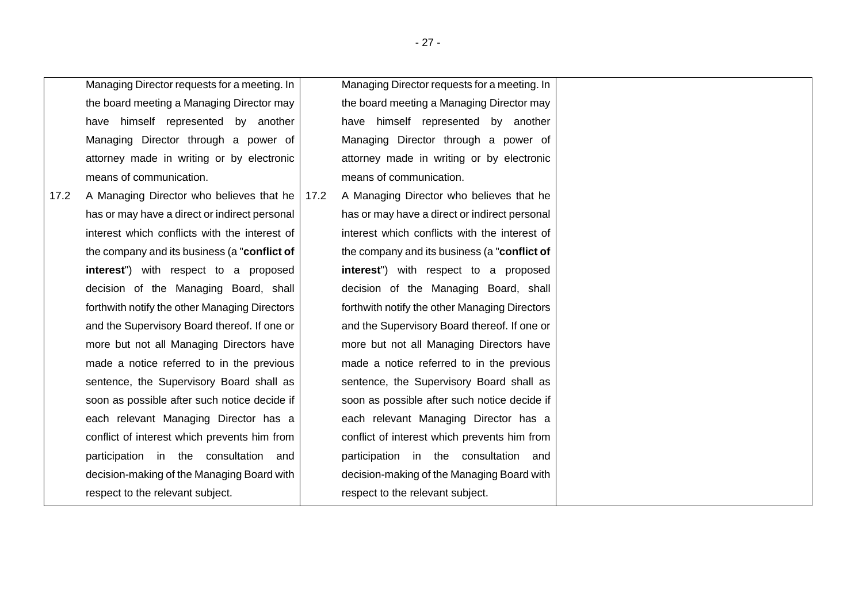Managing Director requests for a meeting. In the board meeting a Managing Director may have himself represented by another Managing Director through a power of attorney made in writing or by electronic means of communication.

<span id="page-26-0"></span>17.2 A Managing Director who believes that he has or may have a direct or indirect personal interest which conflicts with the interest of the company and its business (a "**conflict of interest**") with respect to a proposed decision of the Managing Board, shall forthwith notify the other Managing Directors and the Supervisory Board thereof. If one or more but not all Managing Directors have made a notice referred to in the previous sentence, the Supervisory Board shall as soon as possible after such notice decide if each relevant Managing Director has a conflict of interest which prevents him from participation in the consultation and decision-making of the Managing Board with respect to the relevant subject.

Managing Director requests for a meeting. In the board meeting a Managing Director may have himself represented by another Managing Director through a power of attorney made in writing or by electronic means of communication.

17.2 A Managing Director who believes that he has or may have a direct or indirect personal interest which conflicts with the interest of the company and its business (a "**conflict of interest**") with respect to a proposed decision of the Managing Board, shall forthwith notify the other Managing Directors and the Supervisory Board thereof. If one or more but not all Managing Directors have made a notice referred to in the previous sentence, the Supervisory Board shall as soon as possible after such notice decide if each relevant Managing Director has a conflict of interest which prevents him from participation in the consultation and decision-making of the Managing Board with respect to the relevant subject.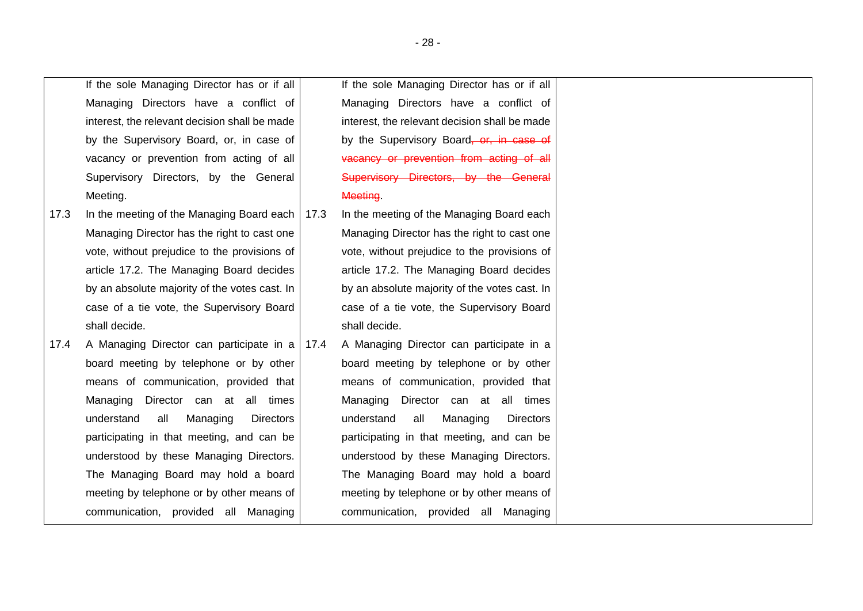|      | If the sole Managing Director has or if all       | If the sole Managing Director has or if all          |
|------|---------------------------------------------------|------------------------------------------------------|
|      | Managing Directors have a conflict of             | Managing Directors have a conflict of                |
|      | interest, the relevant decision shall be made     | interest, the relevant decision shall be made        |
|      | by the Supervisory Board, or, in case of          | by the Supervisory Board <del>, or, in case of</del> |
|      | vacancy or prevention from acting of all          | vacancy or prevention from acting of all             |
|      | Supervisory Directors, by the General             | Supervisory Directors, by the General                |
|      | Meeting.                                          | Meeting.                                             |
| 17.3 | In the meeting of the Managing Board each   17.3  | In the meeting of the Managing Board each            |
|      | Managing Director has the right to cast one       | Managing Director has the right to cast one          |
|      | vote, without prejudice to the provisions of      | vote, without prejudice to the provisions of         |
|      | article 17.2. The Managing Board decides          | article 17.2. The Managing Board decides             |
|      | by an absolute majority of the votes cast. In     | by an absolute majority of the votes cast. In        |
|      | case of a tie vote, the Supervisory Board         | case of a tie vote, the Supervisory Board            |
|      | shall decide.                                     | shall decide.                                        |
| 17.4 | A Managing Director can participate in a   17.4   | A Managing Director can participate in a             |
|      | board meeting by telephone or by other            | board meeting by telephone or by other               |
|      | means of communication, provided that             | means of communication, provided that                |
|      | Managing Director can at all times                | Managing Director can at all times                   |
|      | Managing<br>understand<br>all<br><b>Directors</b> | all<br>Managing<br>understand<br><b>Directors</b>    |
|      | participating in that meeting, and can be         | participating in that meeting, and can be            |
|      | understood by these Managing Directors.           | understood by these Managing Directors.              |
|      | The Managing Board may hold a board               | The Managing Board may hold a board                  |
|      | meeting by telephone or by other means of         | meeting by telephone or by other means of            |
|      | communication, provided all Managing              | communication, provided all Managing                 |
|      |                                                   |                                                      |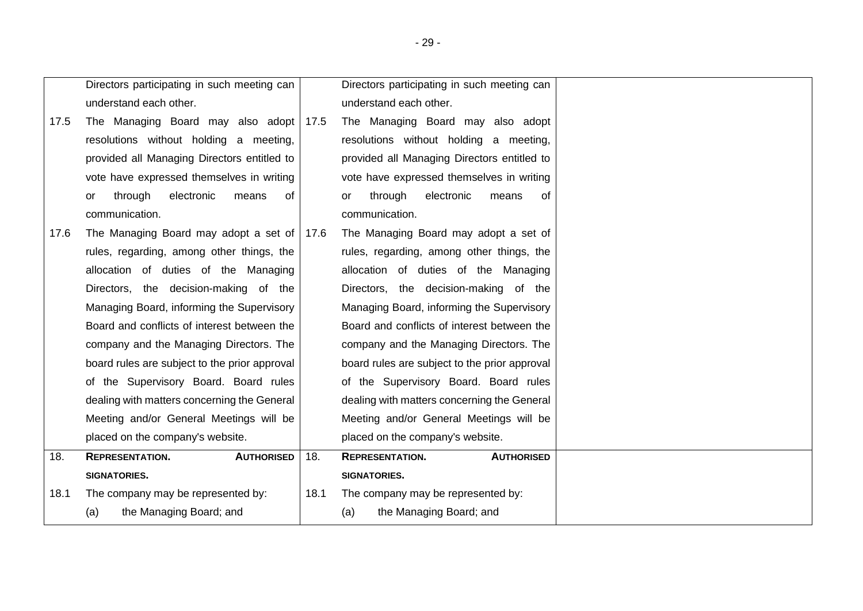|      | Directors participating in such meeting can        |      | Directors participating in such meeting can   |  |
|------|----------------------------------------------------|------|-----------------------------------------------|--|
|      | understand each other.                             |      | understand each other.                        |  |
| 17.5 | The Managing Board may also adopt                  | 17.5 | The Managing Board may also adopt             |  |
|      | resolutions without holding a meeting,             |      | resolutions without holding a meeting,        |  |
|      | provided all Managing Directors entitled to        |      | provided all Managing Directors entitled to   |  |
|      | vote have expressed themselves in writing          |      | vote have expressed themselves in writing     |  |
|      | electronic<br>through<br>means<br>0f<br>or         |      | electronic<br>through<br>means<br>0f<br>or    |  |
|      | communication.                                     |      | communication.                                |  |
| 17.6 | The Managing Board may adopt a set of $\vert$ 17.6 |      | The Managing Board may adopt a set of         |  |
|      | rules, regarding, among other things, the          |      | rules, regarding, among other things, the     |  |
|      | allocation of duties of the Managing               |      | allocation of duties of the Managing          |  |
|      | Directors, the decision-making of the              |      | Directors, the decision-making of the         |  |
|      | Managing Board, informing the Supervisory          |      | Managing Board, informing the Supervisory     |  |
|      | Board and conflicts of interest between the        |      | Board and conflicts of interest between the   |  |
|      | company and the Managing Directors. The            |      | company and the Managing Directors. The       |  |
|      | board rules are subject to the prior approval      |      | board rules are subject to the prior approval |  |
|      | of the Supervisory Board. Board rules              |      | of the Supervisory Board. Board rules         |  |
|      | dealing with matters concerning the General        |      | dealing with matters concerning the General   |  |
|      | Meeting and/or General Meetings will be            |      | Meeting and/or General Meetings will be       |  |
|      | placed on the company's website.                   |      | placed on the company's website.              |  |
| 18.  | <b>REPRESENTATION.</b><br><b>AUTHORISED</b>        | 18.  | <b>REPRESENTATION.</b><br><b>AUTHORISED</b>   |  |
|      | SIGNATORIES.                                       |      | <b>SIGNATORIES.</b>                           |  |
| 18.1 | The company may be represented by:                 | 18.1 | The company may be represented by:            |  |
|      | the Managing Board; and<br>(a)                     |      | the Managing Board; and<br>(a)                |  |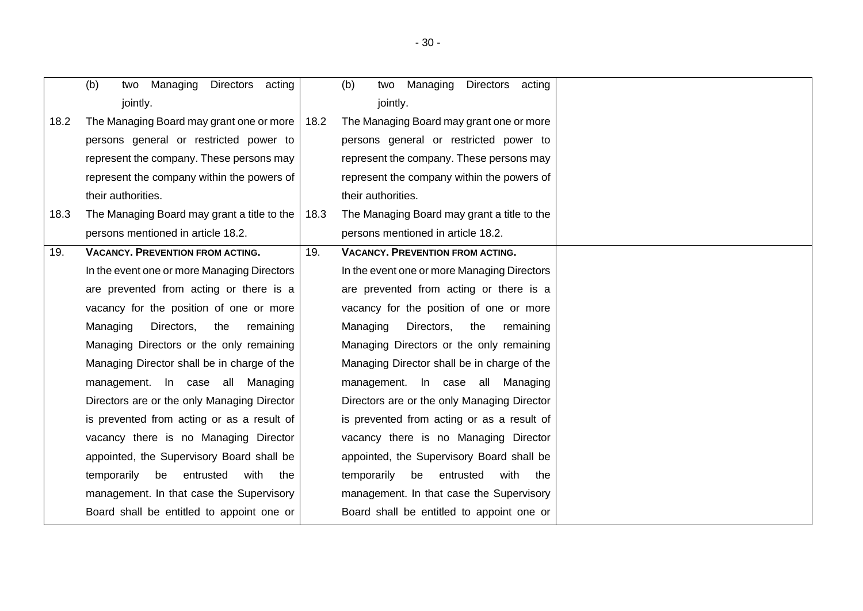<span id="page-29-0"></span>

|      | (b)<br>Managing<br>Directors acting<br>two    |      | Managing<br>Directors acting<br>(b)<br>two    |  |
|------|-----------------------------------------------|------|-----------------------------------------------|--|
|      | jointly.                                      |      | jointly.                                      |  |
| 18.2 | The Managing Board may grant one or more      | 18.2 | The Managing Board may grant one or more      |  |
|      | persons general or restricted power to        |      | persons general or restricted power to        |  |
|      | represent the company. These persons may      |      | represent the company. These persons may      |  |
|      | represent the company within the powers of    |      | represent the company within the powers of    |  |
|      | their authorities.                            |      | their authorities.                            |  |
| 18.3 | The Managing Board may grant a title to the   | 18.3 | The Managing Board may grant a title to the   |  |
|      | persons mentioned in article 18.2.            |      | persons mentioned in article 18.2.            |  |
| 19.  | <b>VACANCY. PREVENTION FROM ACTING.</b>       | 19.  | <b>VACANCY. PREVENTION FROM ACTING.</b>       |  |
|      | In the event one or more Managing Directors   |      | In the event one or more Managing Directors   |  |
|      | are prevented from acting or there is a       |      | are prevented from acting or there is a       |  |
|      | vacancy for the position of one or more       |      | vacancy for the position of one or more       |  |
|      | Managing<br>Directors,<br>the<br>remaining    |      | Managing<br>Directors,<br>the<br>remaining    |  |
|      | Managing Directors or the only remaining      |      | Managing Directors or the only remaining      |  |
|      | Managing Director shall be in charge of the   |      | Managing Director shall be in charge of the   |  |
|      | management. In case all Managing              |      | management. In case all Managing              |  |
|      | Directors are or the only Managing Director   |      | Directors are or the only Managing Director   |  |
|      | is prevented from acting or as a result of    |      | is prevented from acting or as a result of    |  |
|      | vacancy there is no Managing Director         |      | vacancy there is no Managing Director         |  |
|      | appointed, the Supervisory Board shall be     |      | appointed, the Supervisory Board shall be     |  |
|      | temporarily<br>entrusted<br>with<br>be<br>the |      | temporarily<br>entrusted<br>with<br>be<br>the |  |
|      | management. In that case the Supervisory      |      | management. In that case the Supervisory      |  |
|      | Board shall be entitled to appoint one or     |      | Board shall be entitled to appoint one or     |  |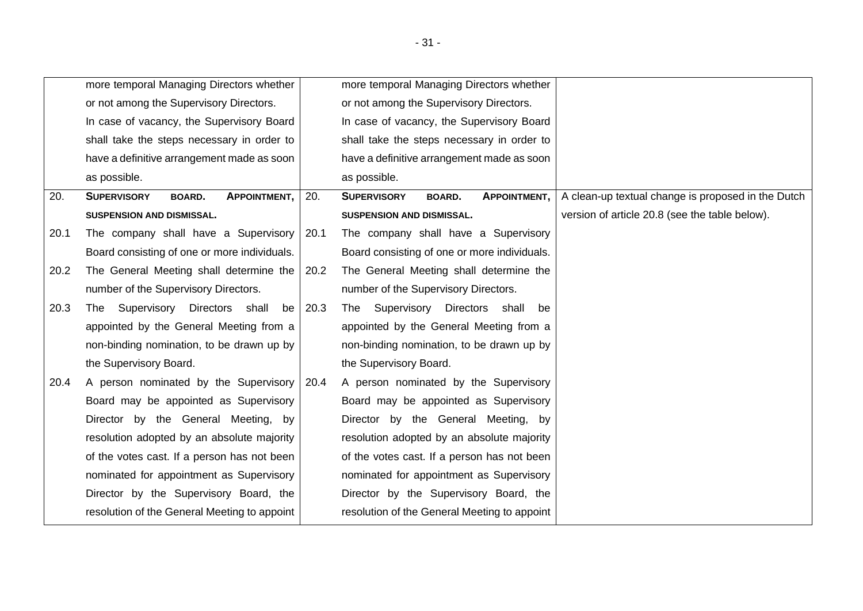<span id="page-30-0"></span>

|      | more temporal Managing Directors whether                   |      | more temporal Managing Directors whether                   |                                                    |
|------|------------------------------------------------------------|------|------------------------------------------------------------|----------------------------------------------------|
|      | or not among the Supervisory Directors.                    |      | or not among the Supervisory Directors.                    |                                                    |
|      | In case of vacancy, the Supervisory Board                  |      | In case of vacancy, the Supervisory Board                  |                                                    |
|      | shall take the steps necessary in order to                 |      | shall take the steps necessary in order to                 |                                                    |
|      | have a definitive arrangement made as soon                 |      | have a definitive arrangement made as soon                 |                                                    |
|      | as possible.                                               |      | as possible.                                               |                                                    |
| 20.  | <b>SUPERVISORY</b><br><b>APPOINTMENT,</b><br><b>BOARD.</b> | 20.  | <b>SUPERVISORY</b><br><b>APPOINTMENT,</b><br><b>BOARD.</b> | A clean-up textual change is proposed in the Dutch |
|      | SUSPENSION AND DISMISSAL.                                  |      | SUSPENSION AND DISMISSAL.                                  | version of article 20.8 (see the table below).     |
| 20.1 | The company shall have a Supervisory                       | 20.1 | The company shall have a Supervisory                       |                                                    |
|      | Board consisting of one or more individuals.               |      | Board consisting of one or more individuals.               |                                                    |
| 20.2 | The General Meeting shall determine the                    | 20.2 | The General Meeting shall determine the                    |                                                    |
|      | number of the Supervisory Directors.                       |      | number of the Supervisory Directors.                       |                                                    |
| 20.3 | Supervisory Directors shall<br>The<br>be                   | 20.3 | The Supervisory Directors shall<br>be                      |                                                    |
|      | appointed by the General Meeting from a                    |      | appointed by the General Meeting from a                    |                                                    |
|      | non-binding nomination, to be drawn up by                  |      | non-binding nomination, to be drawn up by                  |                                                    |
|      | the Supervisory Board.                                     |      | the Supervisory Board.                                     |                                                    |
| 20.4 | A person nominated by the Supervisory 20.4                 |      | A person nominated by the Supervisory                      |                                                    |
|      | Board may be appointed as Supervisory                      |      | Board may be appointed as Supervisory                      |                                                    |
|      | Director by the General Meeting, by                        |      | Director by the General Meeting, by                        |                                                    |
|      | resolution adopted by an absolute majority                 |      | resolution adopted by an absolute majority                 |                                                    |
|      | of the votes cast. If a person has not been                |      | of the votes cast. If a person has not been                |                                                    |
|      | nominated for appointment as Supervisory                   |      | nominated for appointment as Supervisory                   |                                                    |
|      | Director by the Supervisory Board, the                     |      | Director by the Supervisory Board, the                     |                                                    |
|      | resolution of the General Meeting to appoint               |      | resolution of the General Meeting to appoint               |                                                    |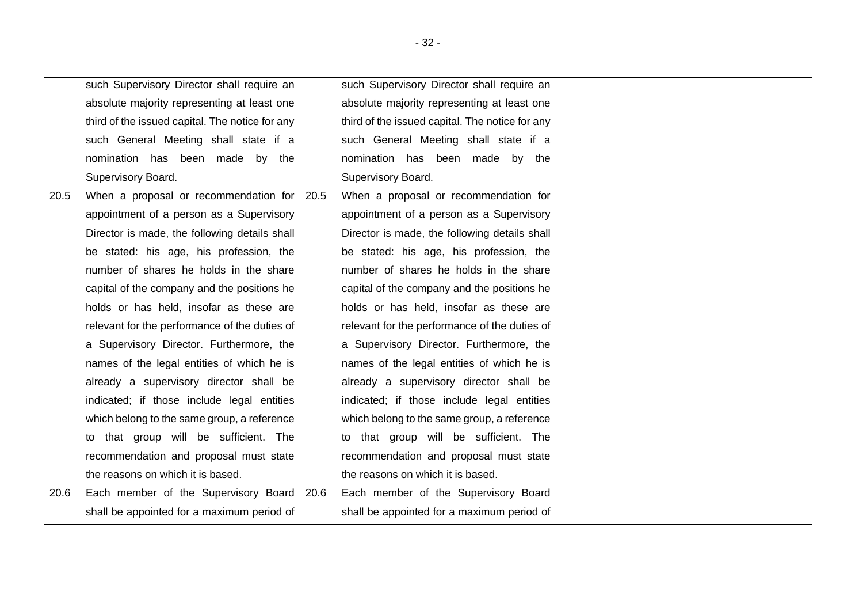|      | such Supervisory Director shall require an      |      | such Supervisory Director shall require an      |  |
|------|-------------------------------------------------|------|-------------------------------------------------|--|
|      | absolute majority representing at least one     |      | absolute majority representing at least one     |  |
|      | third of the issued capital. The notice for any |      | third of the issued capital. The notice for any |  |
|      | such General Meeting shall state if a           |      | such General Meeting shall state if a           |  |
|      | nomination has been made by the                 |      | nomination has been made by the                 |  |
|      | Supervisory Board.                              |      | Supervisory Board.                              |  |
| 20.5 | When a proposal or recommendation for           | 20.5 | When a proposal or recommendation for           |  |
|      | appointment of a person as a Supervisory        |      | appointment of a person as a Supervisory        |  |
|      | Director is made, the following details shall   |      | Director is made, the following details shall   |  |
|      | be stated: his age, his profession, the         |      | be stated: his age, his profession, the         |  |
|      | number of shares he holds in the share          |      | number of shares he holds in the share          |  |
|      | capital of the company and the positions he     |      | capital of the company and the positions he     |  |
|      | holds or has held, insofar as these are         |      | holds or has held, insofar as these are         |  |
|      | relevant for the performance of the duties of   |      | relevant for the performance of the duties of   |  |
|      | a Supervisory Director. Furthermore, the        |      | a Supervisory Director. Furthermore, the        |  |
|      | names of the legal entities of which he is      |      | names of the legal entities of which he is      |  |
|      | already a supervisory director shall be         |      | already a supervisory director shall be         |  |
|      | indicated; if those include legal entities      |      | indicated; if those include legal entities      |  |
|      | which belong to the same group, a reference     |      | which belong to the same group, a reference     |  |
|      | to that group will be sufficient. The           |      | to that group will be sufficient. The           |  |
|      | recommendation and proposal must state          |      | recommendation and proposal must state          |  |
|      | the reasons on which it is based.               |      | the reasons on which it is based.               |  |
| 20.6 | Each member of the Supervisory Board            | 20.6 | Each member of the Supervisory Board            |  |
|      | shall be appointed for a maximum period of      |      | shall be appointed for a maximum period of      |  |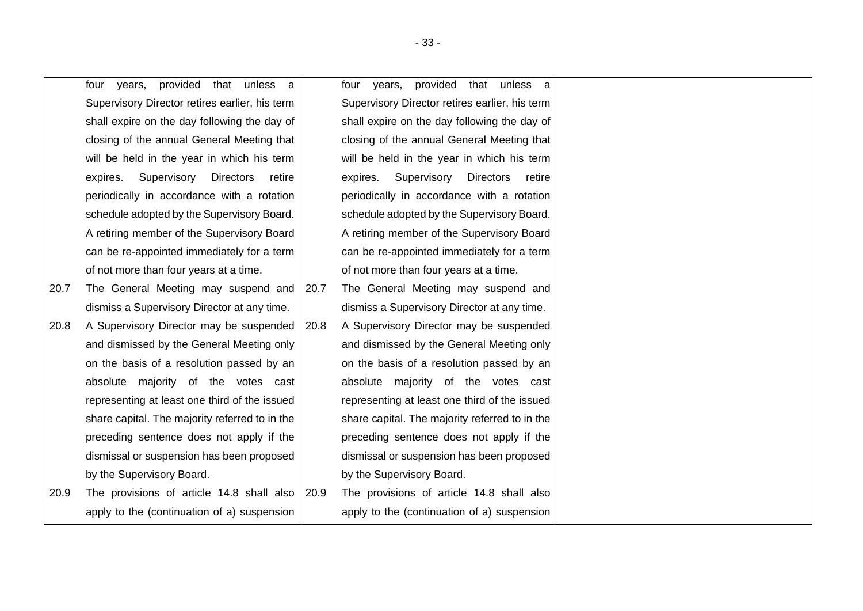four years, provided that unless a Supervisory Director retires earlier, his term shall expire on the day following the day of closing of the annual General Meeting that will be held in the year in which his term expires. Supervisory Directors retire periodically in accordance with a rotation schedule adopted by the Supervisory Board. A retiring member of the Supervisory Board can be re-appointed immediately for a term of not more than four years at a time.

- 20.7 The General Meeting may suspend and dismiss a Supervisory Director at any time.
- 20.8 A Supervisory Director may be suspended and dismissed by the General Meeting only on the basis of a resolution passed by an absolute majority of the votes cast representing at least one third of the issued share capital. The majority referred to in the preceding sentence does not apply if the dismissal or suspension has been proposed by the Supervisory Board.
- 20.9 The provisions of article [14.8](#page-20-1) shall also apply to the (continuation of a) suspension

four years, provided that unless a Supervisory Director retires earlier, his term shall expire on the day following the day of closing of the annual General Meeting that will be held in the year in which his term expires. Supervisory Directors retire periodically in accordance with a rotation schedule adopted by the Supervisory Board. A retiring member of the Supervisory Board can be re-appointed immediately for a term of not more than four years at a time.

- 20.7 The General Meeting may suspend and dismiss a Supervisory Director at any time.
- 20.8 A Supervisory Director may be suspended and dismissed by the General Meeting only on the basis of a resolution passed by an absolute majority of the votes cast representing at least one third of the issued share capital. The majority referred to in the preceding sentence does not apply if the dismissal or suspension has been proposed by the Supervisory Board.
- 20.9 The provisions of article [14.8](#page-20-1) shall also apply to the (continuation of a) suspension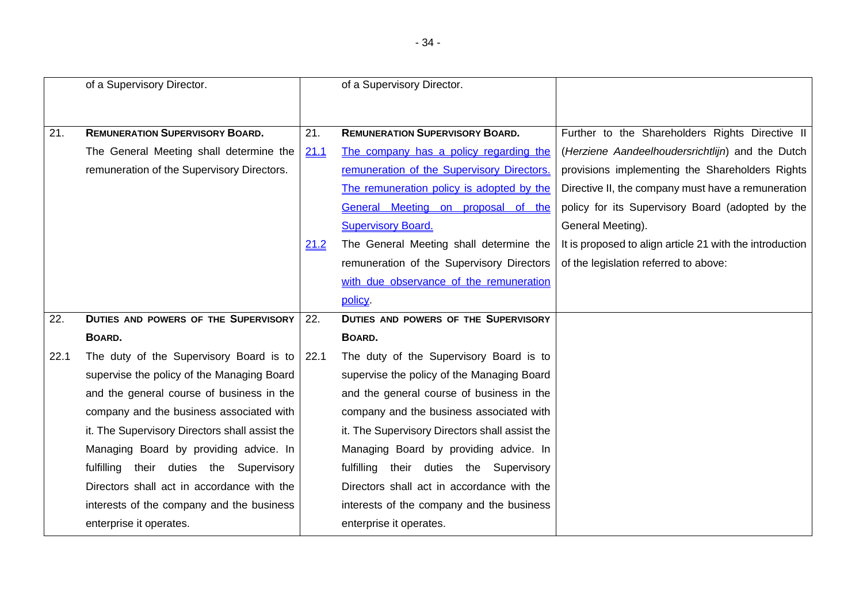|      | of a Supervisory Director.                     |      | of a Supervisory Director.                     |                                                          |
|------|------------------------------------------------|------|------------------------------------------------|----------------------------------------------------------|
|      |                                                |      |                                                |                                                          |
|      |                                                |      |                                                |                                                          |
| 21.  | <b>REMUNERATION SUPERVISORY BOARD.</b>         | 21.  | <b>REMUNERATION SUPERVISORY BOARD.</b>         | Further to the Shareholders Rights Directive II          |
|      | The General Meeting shall determine the        | 21.1 | The company has a policy regarding the         | (Herziene Aandeelhoudersrichtlijn) and the Dutch         |
|      | remuneration of the Supervisory Directors.     |      | remuneration of the Supervisory Directors.     | provisions implementing the Shareholders Rights          |
|      |                                                |      | The remuneration policy is adopted by the      | Directive II, the company must have a remuneration       |
|      |                                                |      | General Meeting on proposal of the             | policy for its Supervisory Board (adopted by the         |
|      |                                                |      | <b>Supervisory Board.</b>                      | General Meeting).                                        |
|      |                                                | 21.2 | The General Meeting shall determine the        | It is proposed to align article 21 with the introduction |
|      |                                                |      | remuneration of the Supervisory Directors      | of the legislation referred to above:                    |
|      |                                                |      | with due observance of the remuneration        |                                                          |
|      |                                                |      | policy.                                        |                                                          |
| 22.  | <b>DUTIES AND POWERS OF THE SUPERVISORY</b>    | 22.  | <b>DUTIES AND POWERS OF THE SUPERVISORY</b>    |                                                          |
|      | BOARD.                                         |      | BOARD.                                         |                                                          |
| 22.1 | The duty of the Supervisory Board is to        | 22.1 | The duty of the Supervisory Board is to        |                                                          |
|      | supervise the policy of the Managing Board     |      | supervise the policy of the Managing Board     |                                                          |
|      | and the general course of business in the      |      | and the general course of business in the      |                                                          |
|      | company and the business associated with       |      | company and the business associated with       |                                                          |
|      | it. The Supervisory Directors shall assist the |      | it. The Supervisory Directors shall assist the |                                                          |
|      | Managing Board by providing advice. In         |      | Managing Board by providing advice. In         |                                                          |
|      | fulfilling their duties the Supervisory        |      | fulfilling their duties the Supervisory        |                                                          |
|      | Directors shall act in accordance with the     |      | Directors shall act in accordance with the     |                                                          |
|      | interests of the company and the business      |      | interests of the company and the business      |                                                          |
|      | enterprise it operates.                        |      | enterprise it operates.                        |                                                          |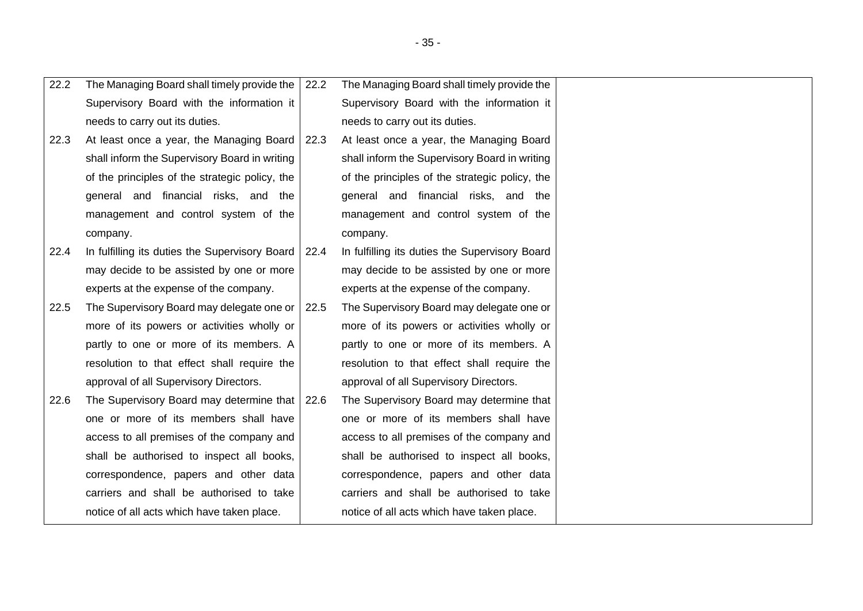| 22.2 | The Managing Board shall timely provide the    | 22.2 | The Managing Board shall timely provide the    |
|------|------------------------------------------------|------|------------------------------------------------|
|      | Supervisory Board with the information it      |      | Supervisory Board with the information it      |
|      | needs to carry out its duties.                 |      | needs to carry out its duties.                 |
| 22.3 | At least once a year, the Managing Board       | 22.3 | At least once a year, the Managing Board       |
|      | shall inform the Supervisory Board in writing  |      | shall inform the Supervisory Board in writing  |
|      | of the principles of the strategic policy, the |      | of the principles of the strategic policy, the |
|      | general and financial risks, and the           |      | general and financial risks, and the           |
|      | management and control system of the           |      | management and control system of the           |
|      | company.                                       |      | company.                                       |
| 22.4 | In fulfilling its duties the Supervisory Board | 22.4 | In fulfilling its duties the Supervisory Board |
|      | may decide to be assisted by one or more       |      | may decide to be assisted by one or more       |
|      | experts at the expense of the company.         |      | experts at the expense of the company.         |
| 22.5 | The Supervisory Board may delegate one or      | 22.5 | The Supervisory Board may delegate one or      |
|      | more of its powers or activities wholly or     |      | more of its powers or activities wholly or     |
|      | partly to one or more of its members. A        |      | partly to one or more of its members. A        |
|      | resolution to that effect shall require the    |      | resolution to that effect shall require the    |
|      | approval of all Supervisory Directors.         |      | approval of all Supervisory Directors.         |
| 22.6 | The Supervisory Board may determine that 22.6  |      | The Supervisory Board may determine that       |
|      | one or more of its members shall have          |      | one or more of its members shall have          |
|      | access to all premises of the company and      |      | access to all premises of the company and      |
|      | shall be authorised to inspect all books,      |      | shall be authorised to inspect all books,      |
|      | correspondence, papers and other data          |      | correspondence, papers and other data          |
|      | carriers and shall be authorised to take       |      | carriers and shall be authorised to take       |
|      | notice of all acts which have taken place.     |      | notice of all acts which have taken place.     |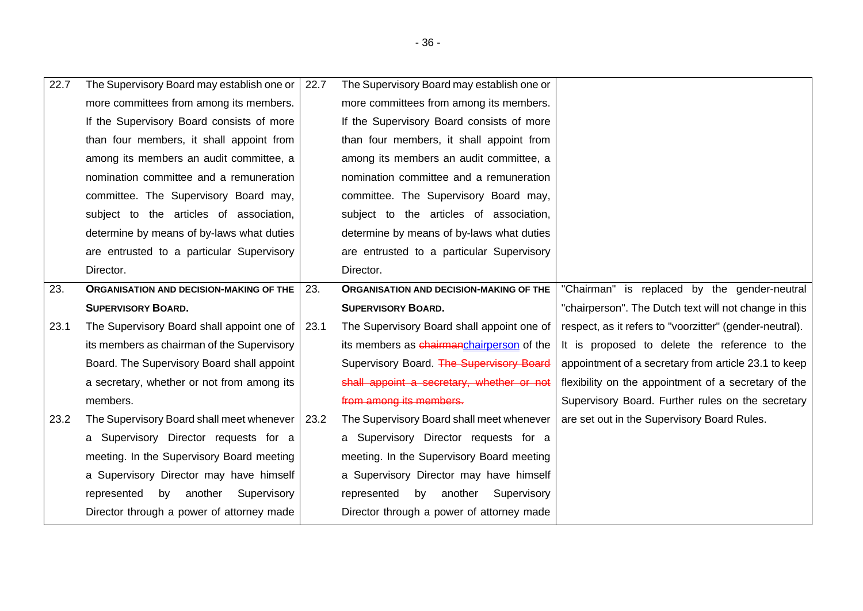| 22.7 | The Supervisory Board may establish one or       | 22.7 | The Supervisory Board may establish one or     |                                                         |
|------|--------------------------------------------------|------|------------------------------------------------|---------------------------------------------------------|
|      | more committees from among its members.          |      | more committees from among its members.        |                                                         |
|      | If the Supervisory Board consists of more        |      | If the Supervisory Board consists of more      |                                                         |
|      | than four members, it shall appoint from         |      | than four members, it shall appoint from       |                                                         |
|      | among its members an audit committee, a          |      | among its members an audit committee, a        |                                                         |
|      | nomination committee and a remuneration          |      | nomination committee and a remuneration        |                                                         |
|      | committee. The Supervisory Board may,            |      | committee. The Supervisory Board may,          |                                                         |
|      | subject to the articles of association,          |      | subject to the articles of association,        |                                                         |
|      | determine by means of by-laws what duties        |      | determine by means of by-laws what duties      |                                                         |
|      | are entrusted to a particular Supervisory        |      | are entrusted to a particular Supervisory      |                                                         |
|      | Director.                                        |      | Director.                                      |                                                         |
| 23.  | <b>ORGANISATION AND DECISION-MAKING OF THE</b>   | 23.  | <b>ORGANISATION AND DECISION-MAKING OF THE</b> | "Chairman" is replaced by the gender-neutral            |
|      | <b>SUPERVISORY BOARD.</b>                        |      | <b>SUPERVISORY BOARD.</b>                      | "chairperson". The Dutch text will not change in this   |
|      |                                                  |      |                                                |                                                         |
| 23.1 | The Supervisory Board shall appoint one of       | 23.1 | The Supervisory Board shall appoint one of     | respect, as it refers to "voorzitter" (gender-neutral). |
|      | its members as chairman of the Supervisory       |      | its members as chairmanchairperson of the      | It is proposed to delete the reference to the           |
|      | Board. The Supervisory Board shall appoint       |      | Supervisory Board. The Supervisory Board       | appointment of a secretary from article 23.1 to keep    |
|      | a secretary, whether or not from among its       |      | shall appoint a secretary, whether or not      | flexibility on the appointment of a secretary of the    |
|      | members.                                         |      | from among its members.                        | Supervisory Board. Further rules on the secretary       |
| 23.2 | The Supervisory Board shall meet whenever   23.2 |      | The Supervisory Board shall meet whenever      | are set out in the Supervisory Board Rules.             |
|      | a Supervisory Director requests for a            |      | a Supervisory Director requests for a          |                                                         |
|      | meeting. In the Supervisory Board meeting        |      | meeting. In the Supervisory Board meeting      |                                                         |
|      | a Supervisory Director may have himself          |      | a Supervisory Director may have himself        |                                                         |
|      | by another<br>Supervisory<br>represented         |      | another<br>represented<br>by<br>Supervisory    |                                                         |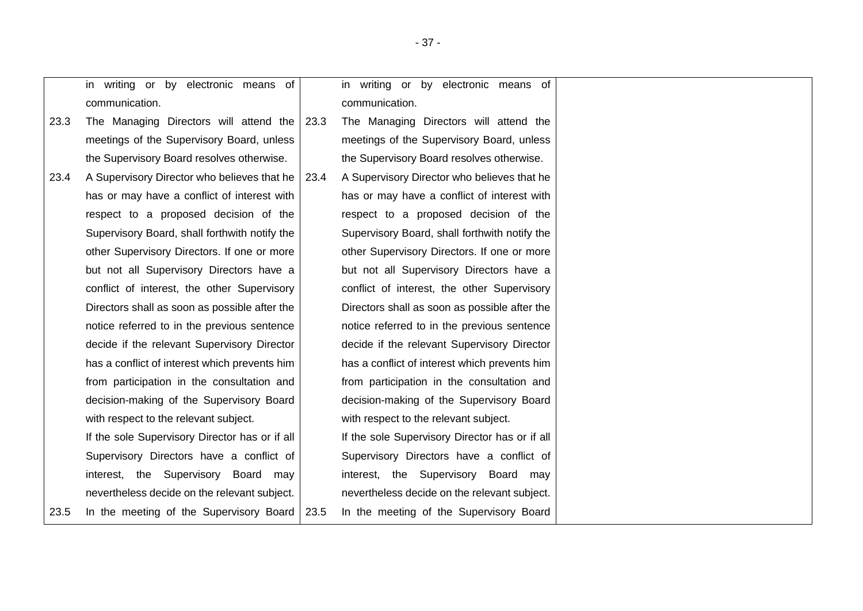<span id="page-36-0"></span>

|      | in writing or by electronic means of           |      | in writing or by electronic means of           |
|------|------------------------------------------------|------|------------------------------------------------|
|      | communication.                                 |      | communication.                                 |
| 23.3 | The Managing Directors will attend the         | 23.3 | The Managing Directors will attend the         |
|      | meetings of the Supervisory Board, unless      |      | meetings of the Supervisory Board, unless      |
|      | the Supervisory Board resolves otherwise.      |      | the Supervisory Board resolves otherwise.      |
| 23.4 | A Supervisory Director who believes that he    | 23.4 | A Supervisory Director who believes that he    |
|      | has or may have a conflict of interest with    |      | has or may have a conflict of interest with    |
|      | respect to a proposed decision of the          |      | respect to a proposed decision of the          |
|      | Supervisory Board, shall forthwith notify the  |      | Supervisory Board, shall forthwith notify the  |
|      | other Supervisory Directors. If one or more    |      | other Supervisory Directors. If one or more    |
|      | but not all Supervisory Directors have a       |      | but not all Supervisory Directors have a       |
|      | conflict of interest, the other Supervisory    |      | conflict of interest, the other Supervisory    |
|      | Directors shall as soon as possible after the  |      | Directors shall as soon as possible after the  |
|      | notice referred to in the previous sentence    |      | notice referred to in the previous sentence    |
|      | decide if the relevant Supervisory Director    |      | decide if the relevant Supervisory Director    |
|      | has a conflict of interest which prevents him  |      | has a conflict of interest which prevents him  |
|      | from participation in the consultation and     |      | from participation in the consultation and     |
|      | decision-making of the Supervisory Board       |      | decision-making of the Supervisory Board       |
|      | with respect to the relevant subject.          |      | with respect to the relevant subject.          |
|      | If the sole Supervisory Director has or if all |      | If the sole Supervisory Director has or if all |
|      | Supervisory Directors have a conflict of       |      | Supervisory Directors have a conflict of       |
|      | interest, the Supervisory Board may            |      | interest, the Supervisory Board may            |
|      | nevertheless decide on the relevant subject.   |      | nevertheless decide on the relevant subject.   |
| 23.5 | In the meeting of the Supervisory Board        | 23.5 | In the meeting of the Supervisory Board        |
|      |                                                |      |                                                |

- 37 -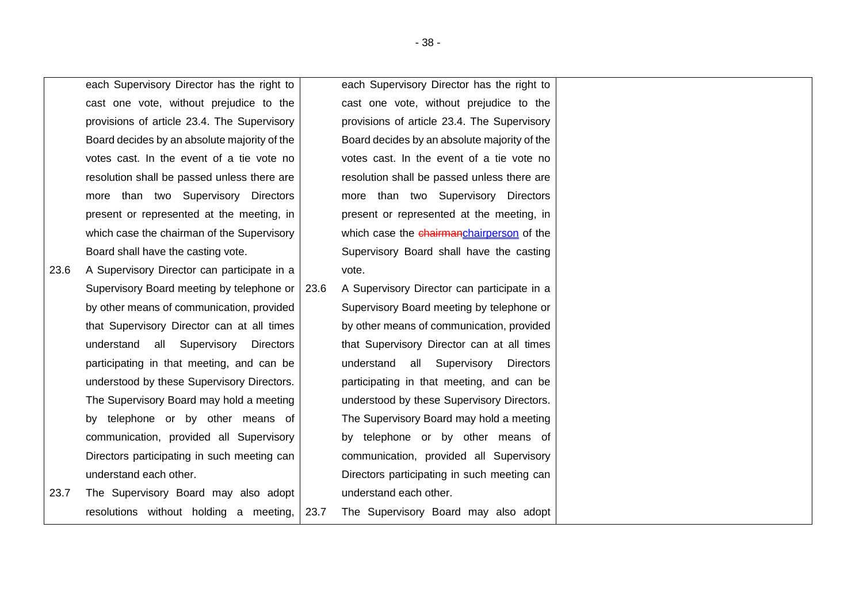each Supervisory Director has the right to cast one vote, without prejudice to the provisions of article [23.4.](#page-36-0) The Supervisory Board decides by an absolute majority of the votes cast. In the event of a tie vote no resolution shall be passed unless there are more than two Supervisory Directors present or represented at the meeting, in which case the chairman of the Supervisory Board shall have the casting vote.

- 23.6 A Supervisory Director can participate in a Supervisory Board meeting by telephone or by other means of communication, provided that Supervisory Director can at all times understand all Supervisory Directors participating in that meeting, and can be understood by these Supervisory Directors. The Supervisory Board may hold a meeting by telephone or by other means of communication, provided all Supervisory Directors participating in such meeting can understand each other.
- 23.7 The Supervisory Board may also adopt resolutions without holding a meeting,

each Supervisory Director has the right to cast one vote, without prejudice to the provisions of article [23.4.](#page-36-0) The Supervisory Board decides by an absolute majority of the votes cast. In the event of a tie vote no resolution shall be passed unless there are more than two Supervisory Directors present or represented at the meeting, in which case the chairmanchairperson of the Supervisory Board shall have the casting vote.

23.6 A Supervisory Director can participate in a Supervisory Board meeting by telephone or by other means of communication, provided that Supervisory Director can at all times understand all Supervisory Directors participating in that meeting, and can be understood by these Supervisory Directors. The Supervisory Board may hold a meeting by telephone or by other means of communication, provided all Supervisory Directors participating in such meeting can understand each other.

23.7 The Supervisory Board may also adopt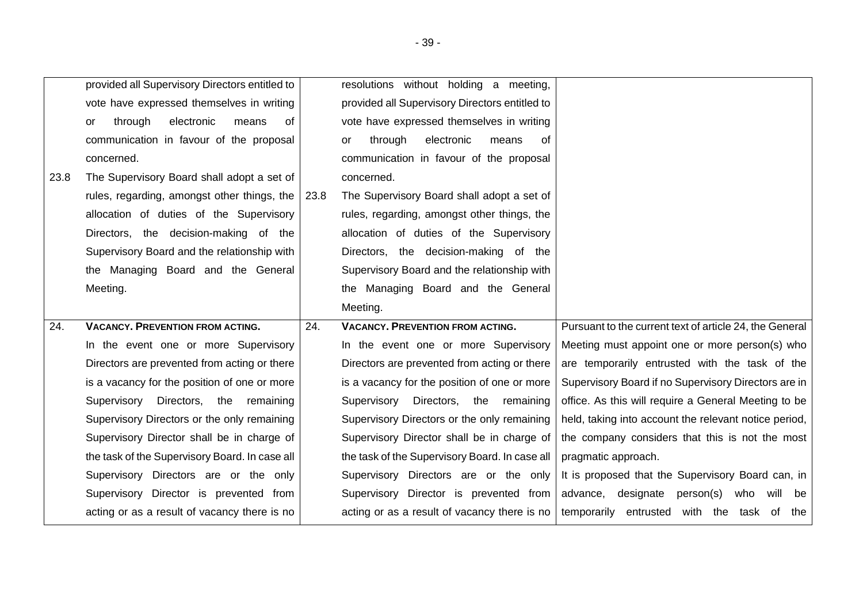|      | provided all Supervisory Directors entitled to |      | resolutions without holding a meeting,            |                                                         |
|------|------------------------------------------------|------|---------------------------------------------------|---------------------------------------------------------|
|      | vote have expressed themselves in writing      |      | provided all Supervisory Directors entitled to    |                                                         |
|      | electronic<br>through<br>means<br>0f<br>or     |      | vote have expressed themselves in writing         |                                                         |
|      | communication in favour of the proposal        |      | electronic<br>through<br>means<br>οf<br><b>or</b> |                                                         |
|      | concerned.                                     |      | communication in favour of the proposal           |                                                         |
| 23.8 | The Supervisory Board shall adopt a set of     |      | concerned.                                        |                                                         |
|      | rules, regarding, amongst other things, the    | 23.8 | The Supervisory Board shall adopt a set of        |                                                         |
|      | allocation of duties of the Supervisory        |      | rules, regarding, amongst other things, the       |                                                         |
|      | Directors, the decision-making of the          |      | allocation of duties of the Supervisory           |                                                         |
|      | Supervisory Board and the relationship with    |      | Directors, the decision-making of the             |                                                         |
|      | the Managing Board and the General             |      | Supervisory Board and the relationship with       |                                                         |
|      | Meeting.                                       |      | the Managing Board and the General                |                                                         |
|      |                                                |      | Meeting.                                          |                                                         |
|      |                                                |      |                                                   |                                                         |
| 24.  | <b>VACANCY. PREVENTION FROM ACTING.</b>        | 24.  | <b>VACANCY. PREVENTION FROM ACTING.</b>           | Pursuant to the current text of article 24, the General |
|      | In the event one or more Supervisory           |      | In the event one or more Supervisory              | Meeting must appoint one or more person(s) who          |
|      | Directors are prevented from acting or there   |      | Directors are prevented from acting or there      | are temporarily entrusted with the task of the          |
|      | is a vacancy for the position of one or more   |      | is a vacancy for the position of one or more      | Supervisory Board if no Supervisory Directors are in    |
|      | Supervisory<br>Directors, the remaining        |      | Supervisory<br>Directors, the remaining           | office. As this will require a General Meeting to be    |
|      | Supervisory Directors or the only remaining    |      | Supervisory Directors or the only remaining       | held, taking into account the relevant notice period,   |
|      | Supervisory Director shall be in charge of     |      | Supervisory Director shall be in charge of        | the company considers that this is not the most         |
|      | the task of the Supervisory Board. In case all |      | the task of the Supervisory Board. In case all    | pragmatic approach.                                     |
|      | Supervisory Directors are or the only          |      | Supervisory Directors are or the only             | It is proposed that the Supervisory Board can, in       |
|      | Supervisory Director is prevented from         |      | Supervisory Director is prevented from            | advance, designate person(s)<br>who will be             |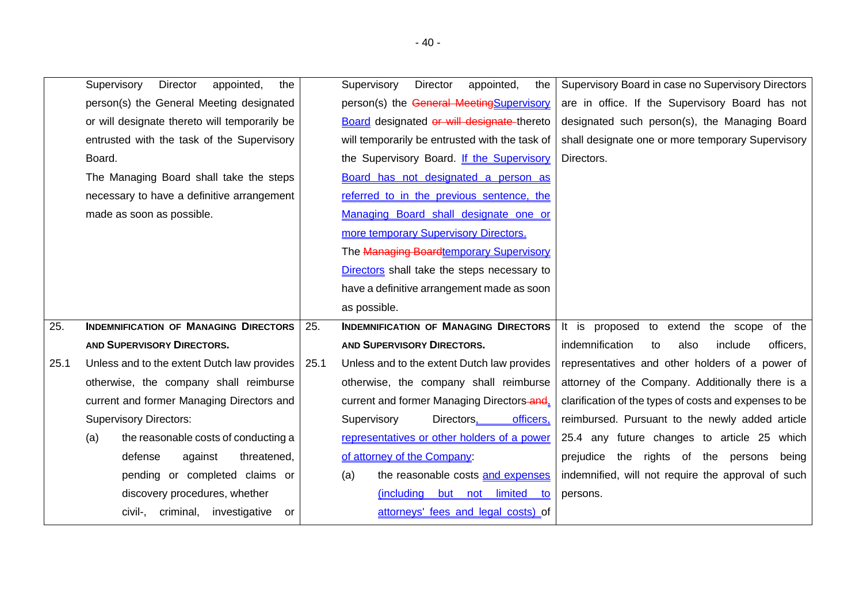<span id="page-39-0"></span>

|      | Supervisory<br>Director<br>appointed,<br>the  |      | Supervisory<br>Director<br>appointed,<br>the   | Supervisory Board in case no Supervisory Directors     |
|------|-----------------------------------------------|------|------------------------------------------------|--------------------------------------------------------|
|      | person(s) the General Meeting designated      |      | person(s) the General MeetingSupervisory       | are in office. If the Supervisory Board has not        |
|      | or will designate thereto will temporarily be |      | Board designated or will designate thereto     | designated such person(s), the Managing Board          |
|      | entrusted with the task of the Supervisory    |      | will temporarily be entrusted with the task of | shall designate one or more temporary Supervisory      |
|      | Board.                                        |      | the Supervisory Board. If the Supervisory      | Directors.                                             |
|      | The Managing Board shall take the steps       |      | Board has not designated a person as           |                                                        |
|      | necessary to have a definitive arrangement    |      | referred to in the previous sentence, the      |                                                        |
|      | made as soon as possible.                     |      | Managing Board shall designate one or          |                                                        |
|      |                                               |      | more temporary Supervisory Directors.          |                                                        |
|      |                                               |      | The Managing Boardtemporary Supervisory        |                                                        |
|      |                                               |      | Directors shall take the steps necessary to    |                                                        |
|      |                                               |      | have a definitive arrangement made as soon     |                                                        |
|      |                                               |      | as possible.                                   |                                                        |
| 25.  | <b>INDEMNIFICATION OF MANAGING DIRECTORS</b>  | 25.  | <b>INDEMNIFICATION OF MANAGING DIRECTORS</b>   | It is proposed to extend the scope of the              |
|      | <b>AND SUPERVISORY DIRECTORS.</b>             |      | AND SUPERVISORY DIRECTORS.                     | indemnification<br>also<br>include<br>officers,<br>to  |
| 25.1 | Unless and to the extent Dutch law provides   | 25.1 | Unless and to the extent Dutch law provides    | representatives and other holders of a power of        |
|      | otherwise, the company shall reimburse        |      | otherwise, the company shall reimburse         | attorney of the Company. Additionally there is a       |
|      | current and former Managing Directors and     |      | current and former Managing Directors-and.     | clarification of the types of costs and expenses to be |
|      | <b>Supervisory Directors:</b>                 |      | Supervisory<br>Directors,<br>officers,         | reimbursed. Pursuant to the newly added article        |
|      | the reasonable costs of conducting a<br>(a)   |      | representatives or other holders of a power    | 25.4 any future changes to article 25 which            |
|      | defense<br>against<br>threatened,             |      | of attorney of the Company:                    | prejudice the rights of the persons<br>being           |
|      | pending or completed claims or                |      | the reasonable costs and expenses<br>(a)       | indemnified, will not require the approval of such     |
|      | discovery procedures, whether                 |      | (including but not limited<br>to               | persons.                                               |
|      | civil-, criminal, investigative<br>or         |      | attorneys' fees and legal costs) of            |                                                        |
|      |                                               |      |                                                |                                                        |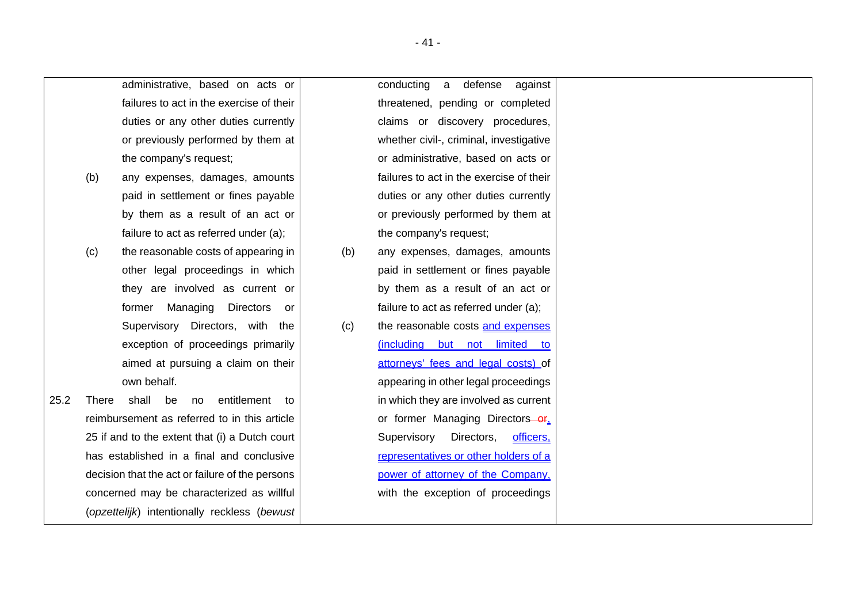|      |              | administrative, based on acts or                |     | conducting<br>defense<br>a<br>against    |
|------|--------------|-------------------------------------------------|-----|------------------------------------------|
|      |              | failures to act in the exercise of their        |     | threatened, pending or completed         |
|      |              | duties or any other duties currently            |     | claims or discovery procedures,          |
|      |              | or previously performed by them at              |     | whether civil-, criminal, investigative  |
|      |              | the company's request;                          |     | or administrative, based on acts or      |
|      | (b)          | any expenses, damages, amounts                  |     | failures to act in the exercise of their |
|      |              | paid in settlement or fines payable             |     | duties or any other duties currently     |
|      |              | by them as a result of an act or                |     | or previously performed by them at       |
|      |              | failure to act as referred under (a);           |     | the company's request;                   |
|      | (c)          | the reasonable costs of appearing in            | (b) | any expenses, damages, amounts           |
|      |              | other legal proceedings in which                |     | paid in settlement or fines payable      |
|      |              | they are involved as current or                 |     | by them as a result of an act or         |
|      |              | Managing<br><b>Directors</b><br>former<br>or    |     | failure to act as referred under (a);    |
|      |              | Supervisory Directors, with the                 | (c) | the reasonable costs and expenses        |
|      |              | exception of proceedings primarily              |     | (including but not limited to            |
|      |              | aimed at pursuing a claim on their              |     | attorneys' fees and legal costs) of      |
|      |              | own behalf.                                     |     | appearing in other legal proceedings     |
| 25.2 | <b>There</b> | shall<br>entitlement<br>be<br>no<br>to          |     | in which they are involved as current    |
|      |              | reimbursement as referred to in this article    |     | or former Managing Directors-or,         |
|      |              | 25 if and to the extent that (i) a Dutch court  |     | Supervisory<br>Directors,<br>officers,   |
|      |              | has established in a final and conclusive       |     | representatives or other holders of a    |
|      |              | decision that the act or failure of the persons |     | power of attorney of the Company,        |
|      |              | concerned may be characterized as willful       |     | with the exception of proceedings        |
|      |              | (opzettelijk) intentionally reckless (bewust    |     |                                          |
|      |              |                                                 |     |                                          |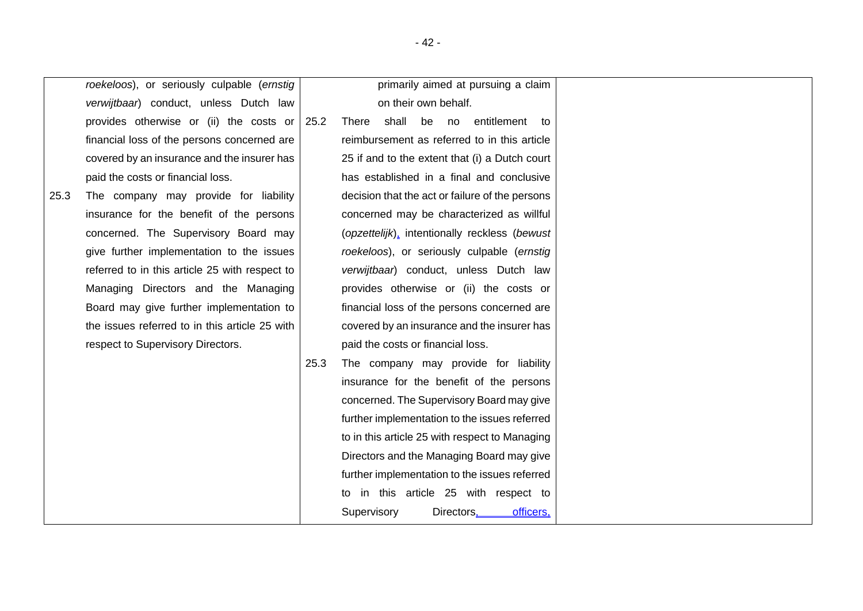|      | roekeloos), or seriously culpable (ernstig     |      | primarily aimed at pursuing a claim             |
|------|------------------------------------------------|------|-------------------------------------------------|
|      | verwijtbaar) conduct, unless Dutch law         |      | on their own behalf.                            |
|      | provides otherwise or (ii) the costs or        | 25.2 | There shall be no entitlement<br>to             |
|      | financial loss of the persons concerned are    |      | reimbursement as referred to in this article    |
|      | covered by an insurance and the insurer has    |      | 25 if and to the extent that (i) a Dutch court  |
|      | paid the costs or financial loss.              |      | has established in a final and conclusive       |
| 25.3 | The company may provide for liability          |      | decision that the act or failure of the persons |
|      | insurance for the benefit of the persons       |      | concerned may be characterized as willful       |
|      | concerned. The Supervisory Board may           |      | (opzettelijk), intentionally reckless (bewust   |
|      | give further implementation to the issues      |      | roekeloos), or seriously culpable (ernstig      |
|      | referred to in this article 25 with respect to |      | verwijtbaar) conduct, unless Dutch law          |
|      | Managing Directors and the Managing            |      | provides otherwise or (ii) the costs or         |
|      | Board may give further implementation to       |      | financial loss of the persons concerned are     |
|      | the issues referred to in this article 25 with |      | covered by an insurance and the insurer has     |
|      | respect to Supervisory Directors.              |      | paid the costs or financial loss.               |
|      |                                                | 25.3 | The company may provide for liability           |
|      |                                                |      | insurance for the benefit of the persons        |
|      |                                                |      | concerned. The Supervisory Board may give       |
|      |                                                |      | further implementation to the issues referred   |
|      |                                                |      | to in this article 25 with respect to Managing  |
|      |                                                |      | Directors and the Managing Board may give       |
|      |                                                |      | further implementation to the issues referred   |
|      |                                                |      | to in this article 25 with respect to           |
|      |                                                |      | Supervisory<br>Directors,<br>officers,          |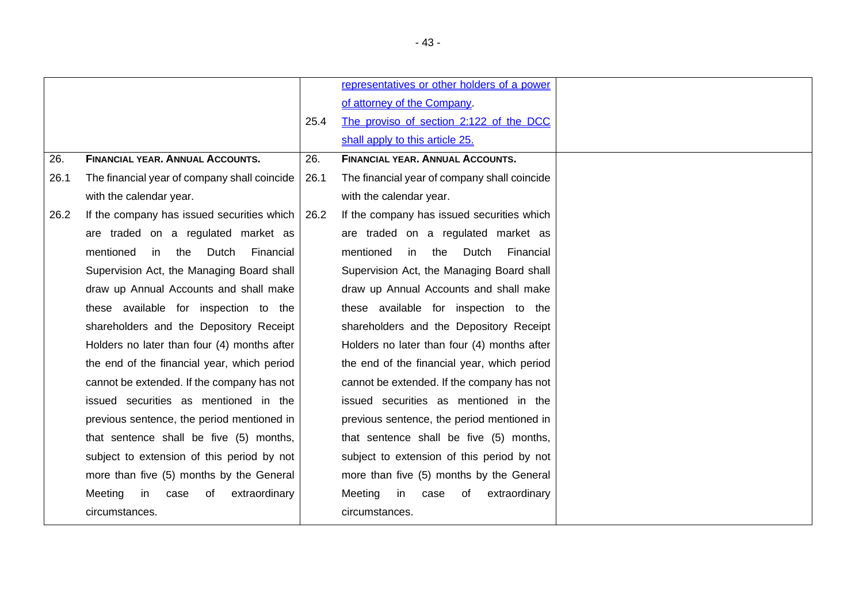<span id="page-42-0"></span>

|      |                                              |      | representatives or other holders of a power  |
|------|----------------------------------------------|------|----------------------------------------------|
|      |                                              |      | of attorney of the Company.                  |
|      |                                              | 25.4 | The proviso of section 2:122 of the DCC      |
|      |                                              |      | shall apply to this article 25.              |
| 26.  | <b>FINANCIAL YEAR, ANNUAL ACCOUNTS.</b>      | 26.  | <b>FINANCIAL YEAR, ANNUAL ACCOUNTS.</b>      |
| 26.1 | The financial year of company shall coincide | 26.1 | The financial year of company shall coincide |
|      | with the calendar year.                      |      | with the calendar year.                      |
| 26.2 | If the company has issued securities which   | 26.2 | If the company has issued securities which   |
|      | are traded on a regulated market as          |      | are traded on a regulated market as          |
|      | mentioned<br>in<br>the<br>Dutch<br>Financial |      | Financial<br>mentioned<br>in the Dutch       |
|      | Supervision Act, the Managing Board shall    |      | Supervision Act, the Managing Board shall    |
|      | draw up Annual Accounts and shall make       |      | draw up Annual Accounts and shall make       |
|      | these available for inspection to the        |      | these available for inspection to the        |
|      | shareholders and the Depository Receipt      |      | shareholders and the Depository Receipt      |
|      | Holders no later than four (4) months after  |      | Holders no later than four (4) months after  |
|      | the end of the financial year, which period  |      | the end of the financial year, which period  |
|      | cannot be extended. If the company has not   |      | cannot be extended. If the company has not   |
|      | issued securities as mentioned in the        |      | issued securities as mentioned in the        |
|      | previous sentence, the period mentioned in   |      | previous sentence, the period mentioned in   |
|      | that sentence shall be five (5) months,      |      | that sentence shall be five (5) months,      |
|      | subject to extension of this period by not   |      | subject to extension of this period by not   |
|      | more than five (5) months by the General     |      | more than five (5) months by the General     |
|      | Meeting<br>extraordinary<br>in<br>of<br>case |      | Meeting<br>extraordinary<br>in<br>case<br>of |
|      | circumstances.                               |      | circumstances.                               |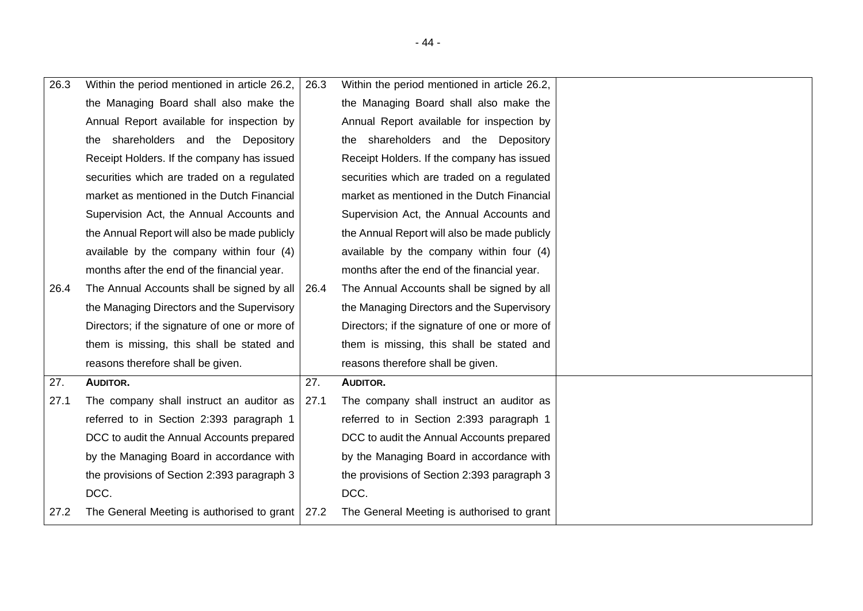| 26.3 | Within the period mentioned in article 26.2,      | 26.3 | Within the period mentioned in article 26.2,  |  |
|------|---------------------------------------------------|------|-----------------------------------------------|--|
|      | the Managing Board shall also make the            |      | the Managing Board shall also make the        |  |
|      | Annual Report available for inspection by         |      | Annual Report available for inspection by     |  |
|      | the shareholders and the Depository               |      | the shareholders and the Depository           |  |
|      | Receipt Holders. If the company has issued        |      | Receipt Holders. If the company has issued    |  |
|      | securities which are traded on a regulated        |      | securities which are traded on a regulated    |  |
|      | market as mentioned in the Dutch Financial        |      | market as mentioned in the Dutch Financial    |  |
|      | Supervision Act, the Annual Accounts and          |      | Supervision Act, the Annual Accounts and      |  |
|      | the Annual Report will also be made publicly      |      | the Annual Report will also be made publicly  |  |
|      | available by the company within four (4)          |      | available by the company within four (4)      |  |
|      | months after the end of the financial year.       |      | months after the end of the financial year.   |  |
| 26.4 | The Annual Accounts shall be signed by all        | 26.4 | The Annual Accounts shall be signed by all    |  |
|      | the Managing Directors and the Supervisory        |      | the Managing Directors and the Supervisory    |  |
|      | Directors; if the signature of one or more of     |      | Directors; if the signature of one or more of |  |
|      | them is missing, this shall be stated and         |      | them is missing, this shall be stated and     |  |
|      | reasons therefore shall be given.                 |      | reasons therefore shall be given.             |  |
| 27.  | AUDITOR.                                          | 27.  | AUDITOR.                                      |  |
| 27.1 | The company shall instruct an auditor as          | 27.1 | The company shall instruct an auditor as      |  |
|      | referred to in Section 2:393 paragraph 1          |      | referred to in Section 2:393 paragraph 1      |  |
|      | DCC to audit the Annual Accounts prepared         |      | DCC to audit the Annual Accounts prepared     |  |
|      | by the Managing Board in accordance with          |      | by the Managing Board in accordance with      |  |
|      | the provisions of Section 2:393 paragraph 3       |      | the provisions of Section 2:393 paragraph 3   |  |
|      | DCC.                                              |      | DCC.                                          |  |
| 27.2 | The General Meeting is authorised to grant   27.2 |      | The General Meeting is authorised to grant    |  |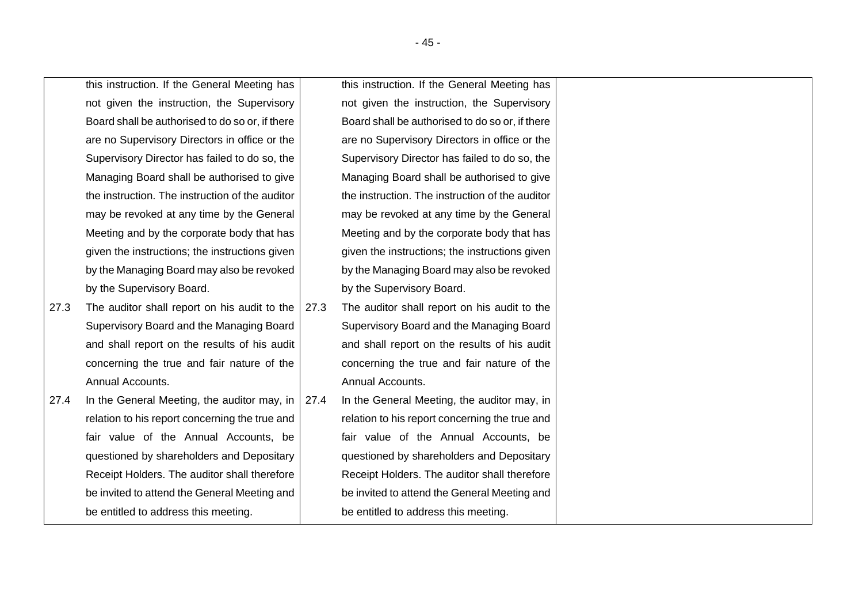this instruction. If the General Meeting has not given the instruction, the Supervisory Board shall be authorised to do so or, if there are no Supervisory Directors in office or the Supervisory Director has failed to do so, the Managing Board shall be authorised to give the instruction. The instruction of the auditor may be revoked at any time by the General Meeting and by the corporate body that has given the instructions; the instructions given by the Managing Board may also be revoked by the Supervisory Board.

- 27.3 The auditor shall report on his audit to the Supervisory Board and the Managing Board and shall report on the results of his audit concerning the true and fair nature of the Annual Accounts.
- 27.4 In the General Meeting, the auditor may, in  $\vert$ relation to his report concerning the true and fair value of the Annual Accounts, be questioned by shareholders and Depositary Receipt Holders. The auditor shall therefore be invited to attend the General Meeting and be entitled to address this meeting.

this instruction. If the General Meeting has not given the instruction, the Supervisory Board shall be authorised to do so or, if there are no Supervisory Directors in office or the Supervisory Director has failed to do so, the Managing Board shall be authorised to give the instruction. The instruction of the auditor may be revoked at any time by the General Meeting and by the corporate body that has given the instructions; the instructions given by the Managing Board may also be revoked by the Supervisory Board.

- 27.3 The auditor shall report on his audit to the Supervisory Board and the Managing Board and shall report on the results of his audit concerning the true and fair nature of the Annual Accounts.
- 27.4 In the General Meeting, the auditor may, in relation to his report concerning the true and fair value of the Annual Accounts, be questioned by shareholders and Depositary Receipt Holders. The auditor shall therefore be invited to attend the General Meeting and be entitled to address this meeting.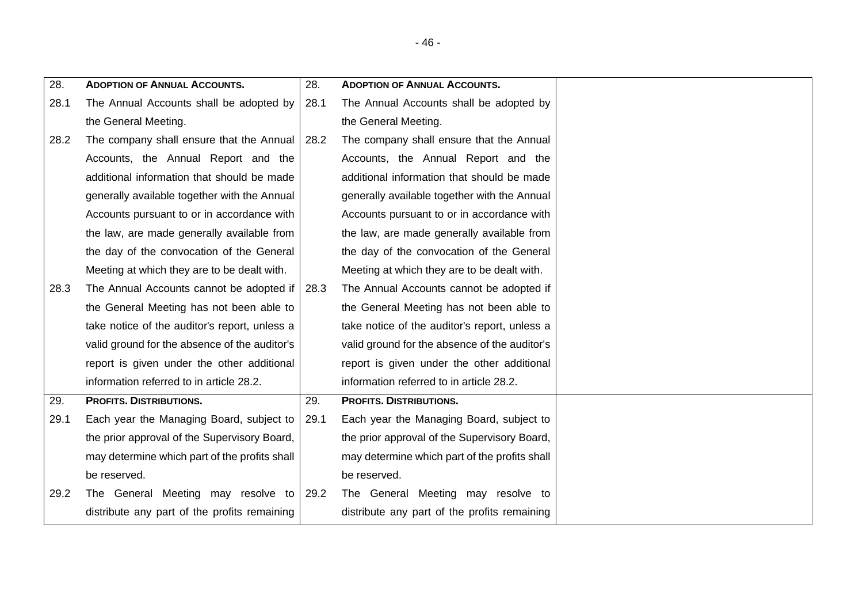<span id="page-45-1"></span><span id="page-45-0"></span>

| 28.  | <b>ADOPTION OF ANNUAL ACCOUNTS.</b>           | 28.  | <b>ADOPTION OF ANNUAL ACCOUNTS.</b>           |  |
|------|-----------------------------------------------|------|-----------------------------------------------|--|
| 28.1 | The Annual Accounts shall be adopted by       | 28.1 | The Annual Accounts shall be adopted by       |  |
|      | the General Meeting.                          |      | the General Meeting.                          |  |
| 28.2 | The company shall ensure that the Annual      | 28.2 | The company shall ensure that the Annual      |  |
|      | Accounts, the Annual Report and the           |      | Accounts, the Annual Report and the           |  |
|      | additional information that should be made    |      | additional information that should be made    |  |
|      | generally available together with the Annual  |      | generally available together with the Annual  |  |
|      | Accounts pursuant to or in accordance with    |      | Accounts pursuant to or in accordance with    |  |
|      | the law, are made generally available from    |      | the law, are made generally available from    |  |
|      | the day of the convocation of the General     |      | the day of the convocation of the General     |  |
|      | Meeting at which they are to be dealt with.   |      | Meeting at which they are to be dealt with.   |  |
| 28.3 | The Annual Accounts cannot be adopted if      | 28.3 | The Annual Accounts cannot be adopted if      |  |
|      | the General Meeting has not been able to      |      | the General Meeting has not been able to      |  |
|      | take notice of the auditor's report, unless a |      | take notice of the auditor's report, unless a |  |
|      | valid ground for the absence of the auditor's |      | valid ground for the absence of the auditor's |  |
|      | report is given under the other additional    |      | report is given under the other additional    |  |
|      | information referred to in article 28.2.      |      | information referred to in article 28.2.      |  |
| 29.  | <b>PROFITS. DISTRIBUTIONS.</b>                | 29.  | <b>PROFITS. DISTRIBUTIONS.</b>                |  |
| 29.1 | Each year the Managing Board, subject to      | 29.1 | Each year the Managing Board, subject to      |  |
|      | the prior approval of the Supervisory Board,  |      | the prior approval of the Supervisory Board,  |  |
|      | may determine which part of the profits shall |      | may determine which part of the profits shall |  |
|      | be reserved.                                  |      | be reserved.                                  |  |
| 29.2 | The General Meeting may resolve to            | 29.2 | The General Meeting may resolve to            |  |
|      | distribute any part of the profits remaining  |      | distribute any part of the profits remaining  |  |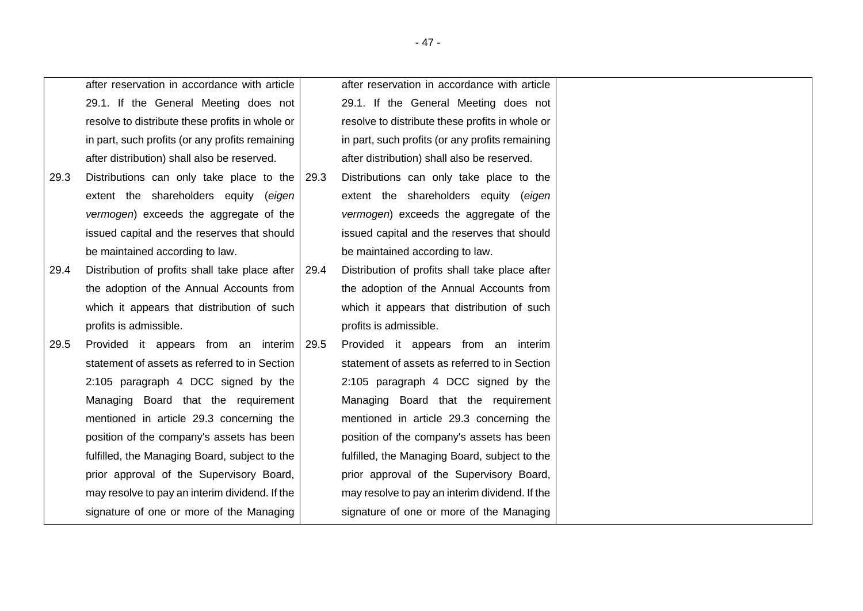<span id="page-46-0"></span>

|      | after reservation in accordance with article    |      | after reservation in accordance with article    |
|------|-------------------------------------------------|------|-------------------------------------------------|
|      | 29.1. If the General Meeting does not           |      | 29.1. If the General Meeting does not           |
|      | resolve to distribute these profits in whole or |      | resolve to distribute these profits in whole or |
|      | in part, such profits (or any profits remaining |      | in part, such profits (or any profits remaining |
|      | after distribution) shall also be reserved.     |      | after distribution) shall also be reserved.     |
| 29.3 | Distributions can only take place to the        | 29.3 | Distributions can only take place to the        |
|      | extent the shareholders equity (eigen           |      | extent the shareholders equity (eigen           |
|      | vermogen) exceeds the aggregate of the          |      | vermogen) exceeds the aggregate of the          |
|      | issued capital and the reserves that should     |      | issued capital and the reserves that should     |
|      | be maintained according to law.                 |      | be maintained according to law.                 |
| 29.4 | Distribution of profits shall take place after  | 29.4 | Distribution of profits shall take place after  |
|      | the adoption of the Annual Accounts from        |      | the adoption of the Annual Accounts from        |
|      | which it appears that distribution of such      |      | which it appears that distribution of such      |
|      | profits is admissible.                          |      | profits is admissible.                          |
| 29.5 | Provided it appears from an interim             | 29.5 | Provided it appears from an interim             |
|      | statement of assets as referred to in Section   |      | statement of assets as referred to in Section   |
|      | 2:105 paragraph 4 DCC signed by the             |      | 2:105 paragraph 4 DCC signed by the             |
|      | Managing Board that the requirement             |      | Managing Board that the requirement             |
|      | mentioned in article 29.3 concerning the        |      | mentioned in article 29.3 concerning the        |
|      | position of the company's assets has been       |      | position of the company's assets has been       |
|      | fulfilled, the Managing Board, subject to the   |      | fulfilled, the Managing Board, subject to the   |
|      | prior approval of the Supervisory Board,        |      | prior approval of the Supervisory Board,        |
|      | may resolve to pay an interim dividend. If the  |      | may resolve to pay an interim dividend. If the  |
|      | signature of one or more of the Managing        |      | signature of one or more of the Managing        |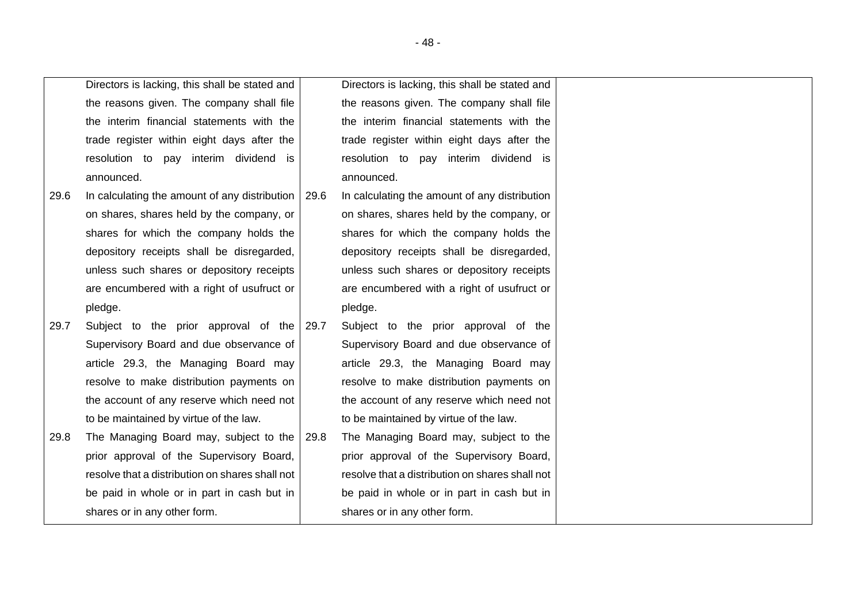|      | Directors is lacking, this shall be stated and  |      | Directors is lacking, this shall be stated and  |
|------|-------------------------------------------------|------|-------------------------------------------------|
|      | the reasons given. The company shall file       |      | the reasons given. The company shall file       |
|      | the interim financial statements with the       |      | the interim financial statements with the       |
|      | trade register within eight days after the      |      | trade register within eight days after the      |
|      | resolution to pay interim dividend is           |      | resolution to pay interim dividend is           |
|      | announced.                                      |      | announced.                                      |
| 29.6 | In calculating the amount of any distribution   | 29.6 | In calculating the amount of any distribution   |
|      | on shares, shares held by the company, or       |      | on shares, shares held by the company, or       |
|      | shares for which the company holds the          |      | shares for which the company holds the          |
|      | depository receipts shall be disregarded,       |      | depository receipts shall be disregarded,       |
|      | unless such shares or depository receipts       |      | unless such shares or depository receipts       |
|      | are encumbered with a right of usufruct or      |      | are encumbered with a right of usufruct or      |
|      | pledge.                                         |      | pledge.                                         |
| 29.7 | Subject to the prior approval of the 29.7       |      | Subject to the prior approval of the            |
|      | Supervisory Board and due observance of         |      | Supervisory Board and due observance of         |
|      | article 29.3, the Managing Board may            |      | article 29.3, the Managing Board may            |
|      | resolve to make distribution payments on        |      | resolve to make distribution payments on        |
|      | the account of any reserve which need not       |      | the account of any reserve which need not       |
|      | to be maintained by virtue of the law.          |      | to be maintained by virtue of the law.          |
| 29.8 | The Managing Board may, subject to the          | 29.8 | The Managing Board may, subject to the          |
|      | prior approval of the Supervisory Board,        |      | prior approval of the Supervisory Board,        |
|      | resolve that a distribution on shares shall not |      | resolve that a distribution on shares shall not |
|      | be paid in whole or in part in cash but in      |      | be paid in whole or in part in cash but in      |
|      | shares or in any other form.                    |      | shares or in any other form.                    |

- 48 -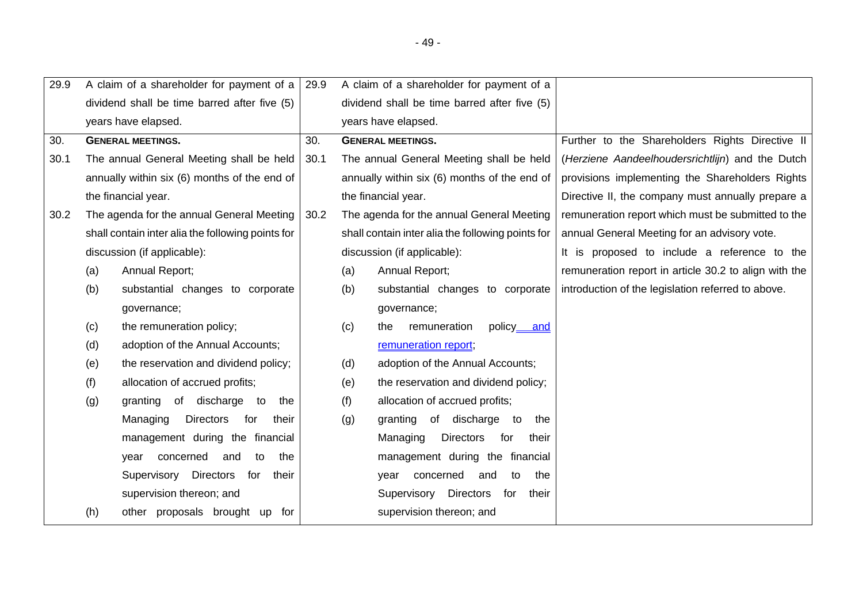| 29.9 |     | A claim of a shareholder for payment of a         | 29.9 |     | A claim of a shareholder for payment of a         |                                                       |
|------|-----|---------------------------------------------------|------|-----|---------------------------------------------------|-------------------------------------------------------|
|      |     | dividend shall be time barred after five (5)      |      |     | dividend shall be time barred after five (5)      |                                                       |
|      |     | years have elapsed.                               |      |     | years have elapsed.                               |                                                       |
| 30.  |     | <b>GENERAL MEETINGS.</b>                          | 30.  |     | <b>GENERAL MEETINGS.</b>                          | Further to the Shareholders Rights Directive II       |
| 30.1 |     | The annual General Meeting shall be held          | 30.1 |     | The annual General Meeting shall be held          | (Herziene Aandeelhoudersrichtlijn) and the Dutch      |
|      |     | annually within six (6) months of the end of      |      |     | annually within six (6) months of the end of      | provisions implementing the Shareholders Rights       |
|      |     | the financial year.                               |      |     | the financial year.                               | Directive II, the company must annually prepare a     |
| 30.2 |     | The agenda for the annual General Meeting         | 30.2 |     | The agenda for the annual General Meeting         | remuneration report which must be submitted to the    |
|      |     | shall contain inter alia the following points for |      |     | shall contain inter alia the following points for | annual General Meeting for an advisory vote.          |
|      |     | discussion (if applicable):                       |      |     | discussion (if applicable):                       | It is proposed to include a reference to the          |
|      | (a) | Annual Report;                                    |      | (a) | Annual Report;                                    | remuneration report in article 30.2 to align with the |
|      | (b) | substantial changes to corporate                  |      | (b) | substantial changes to corporate                  | introduction of the legislation referred to above.    |
|      |     | governance;                                       |      |     | governance;                                       |                                                       |
|      | (c) | the remuneration policy;                          |      | (c) | remuneration<br>policy and<br>the                 |                                                       |
|      | (d) | adoption of the Annual Accounts;                  |      |     | remuneration report;                              |                                                       |
|      | (e) | the reservation and dividend policy;              |      | (d) | adoption of the Annual Accounts;                  |                                                       |
|      | (f) | allocation of accrued profits;                    |      | (e) | the reservation and dividend policy;              |                                                       |
|      | (g) | of discharge to<br>granting<br>the                |      | (f) | allocation of accrued profits;                    |                                                       |
|      |     | Managing<br>Directors<br>for<br>their             |      | (g) | granting of discharge to<br>the                   |                                                       |
|      |     | management during the financial                   |      |     | Managing<br>Directors<br>for<br>their             |                                                       |
|      |     | concerned<br>the<br>and<br>to<br>year             |      |     | management during the financial                   |                                                       |
|      |     | Supervisory Directors<br>their<br>for             |      |     | concerned<br>the<br>and<br>to<br>vear             |                                                       |
|      |     | supervision thereon; and                          |      |     | <b>Directors</b><br>Supervisory<br>for<br>their   |                                                       |
|      | (h) | other proposals brought up for                    |      |     | supervision thereon; and                          |                                                       |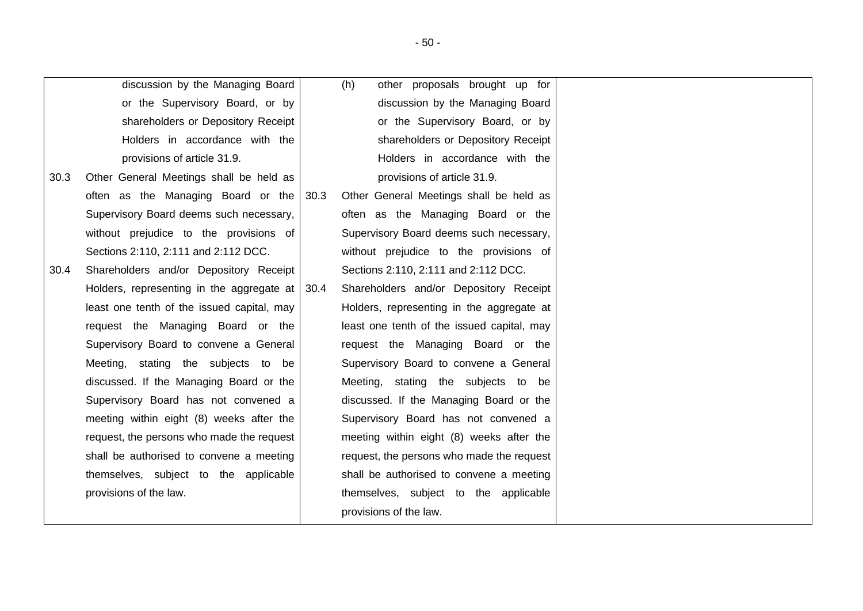|      | discussion by the Managing Board                 |      | (h)<br>other proposals brought up for      |
|------|--------------------------------------------------|------|--------------------------------------------|
|      | or the Supervisory Board, or by                  |      | discussion by the Managing Board           |
|      | shareholders or Depository Receipt               |      | or the Supervisory Board, or by            |
|      | Holders in accordance with the                   |      | shareholders or Depository Receipt         |
|      | provisions of article 31.9.                      |      | Holders in accordance with the             |
| 30.3 | Other General Meetings shall be held as          |      | provisions of article 31.9.                |
|      | often as the Managing Board or the               | 30.3 | Other General Meetings shall be held as    |
|      | Supervisory Board deems such necessary,          |      | often as the Managing Board or the         |
|      | without prejudice to the provisions of           |      | Supervisory Board deems such necessary,    |
|      | Sections 2:110, 2:111 and 2:112 DCC.             |      | without prejudice to the provisions of     |
| 30.4 | Shareholders and/or Depository Receipt           |      | Sections 2:110, 2:111 and 2:112 DCC.       |
|      | Holders, representing in the aggregate at   30.4 |      | Shareholders and/or Depository Receipt     |
|      | least one tenth of the issued capital, may       |      | Holders, representing in the aggregate at  |
|      | request the Managing Board or the                |      | least one tenth of the issued capital, may |
|      | Supervisory Board to convene a General           |      | request the Managing Board or the          |
|      | Meeting, stating the subjects to be              |      | Supervisory Board to convene a General     |
|      | discussed. If the Managing Board or the          |      | Meeting, stating the subjects to be        |
|      | Supervisory Board has not convened a             |      | discussed. If the Managing Board or the    |
|      | meeting within eight (8) weeks after the         |      | Supervisory Board has not convened a       |
|      | request, the persons who made the request        |      | meeting within eight (8) weeks after the   |
|      | shall be authorised to convene a meeting         |      | request, the persons who made the request  |
|      | themselves, subject to the applicable            |      | shall be authorised to convene a meeting   |
|      | provisions of the law.                           |      | themselves, subject to the applicable      |
|      |                                                  |      | provisions of the law.                     |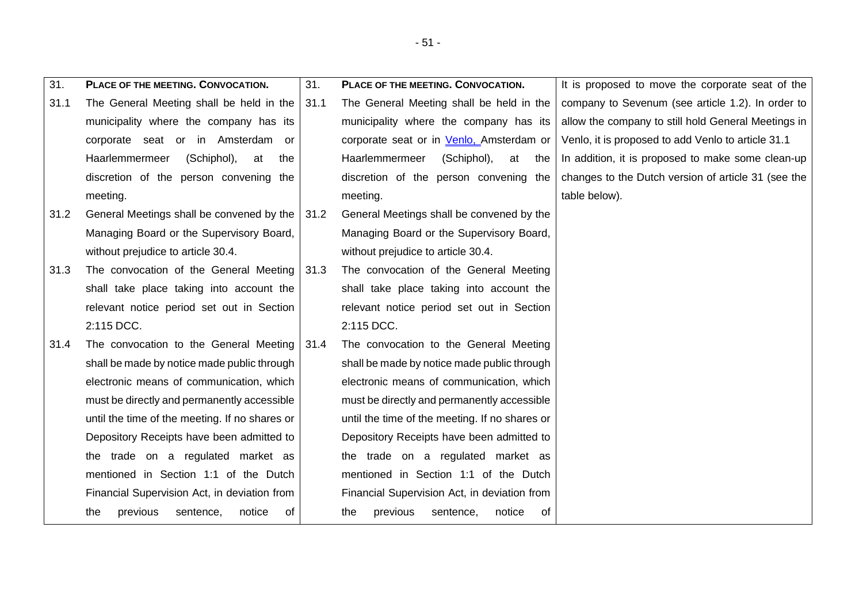| 31.  | PLACE OF THE MEETING. CONVOCATION.             | 31.  | PLACE OF THE MEETING. CONVOCATION.             | It is proposed to move the corporate seat of the    |
|------|------------------------------------------------|------|------------------------------------------------|-----------------------------------------------------|
| 31.1 | The General Meeting shall be held in the       | 31.1 | The General Meeting shall be held in the       | company to Sevenum (see article 1.2). In order to   |
|      | municipality where the company has its         |      | municipality where the company has its         | allow the company to still hold General Meetings in |
|      | corporate seat or in Amsterdam<br>or           |      | corporate seat or in Venlo, Amsterdam or       | Venlo, it is proposed to add Venlo to article 31.1  |
|      | Haarlemmermeer<br>(Schiphol),<br>at<br>the     |      | Haarlemmermeer<br>(Schiphol),<br>at<br>the     | In addition, it is proposed to make some clean-up   |
|      | discretion of the person convening the         |      | discretion of the person convening the         | changes to the Dutch version of article 31 (see the |
|      | meeting.                                       |      | meeting.                                       | table below).                                       |
| 31.2 | General Meetings shall be convened by the      | 31.2 | General Meetings shall be convened by the      |                                                     |
|      | Managing Board or the Supervisory Board,       |      | Managing Board or the Supervisory Board,       |                                                     |
|      | without prejudice to article 30.4.             |      | without prejudice to article 30.4.             |                                                     |
| 31.3 | The convocation of the General Meeting         | 31.3 | The convocation of the General Meeting         |                                                     |
|      | shall take place taking into account the       |      | shall take place taking into account the       |                                                     |
|      | relevant notice period set out in Section      |      | relevant notice period set out in Section      |                                                     |
|      | 2:115 DCC.                                     |      | 2:115 DCC.                                     |                                                     |
| 31.4 | The convocation to the General Meeting         | 31.4 | The convocation to the General Meeting         |                                                     |
|      | shall be made by notice made public through    |      | shall be made by notice made public through    |                                                     |
|      | electronic means of communication, which       |      | electronic means of communication, which       |                                                     |
|      | must be directly and permanently accessible    |      | must be directly and permanently accessible    |                                                     |
|      | until the time of the meeting. If no shares or |      | until the time of the meeting. If no shares or |                                                     |
|      | Depository Receipts have been admitted to      |      | Depository Receipts have been admitted to      |                                                     |
|      | the trade on a regulated market as             |      | the trade on a regulated market as             |                                                     |
|      | mentioned in Section 1:1 of the Dutch          |      | mentioned in Section 1:1 of the Dutch          |                                                     |
|      | Financial Supervision Act, in deviation from   |      | Financial Supervision Act, in deviation from   |                                                     |
|      | the<br>previous<br>notice<br>of<br>sentence,   |      | the<br>previous<br>notice<br>of<br>sentence,   |                                                     |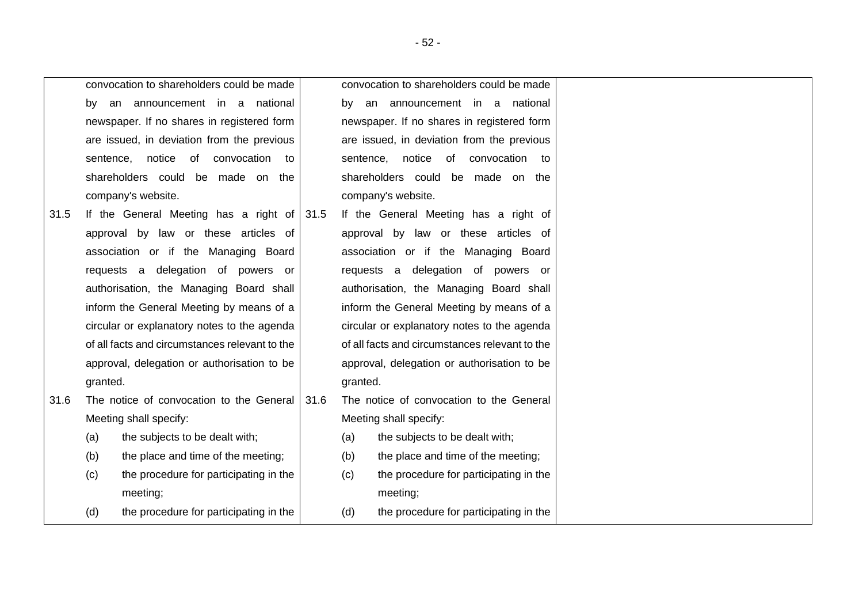|      |           | convocation to shareholders could be made      |      | convocation to shareholders could be made      |                                             |  |  |  |
|------|-----------|------------------------------------------------|------|------------------------------------------------|---------------------------------------------|--|--|--|
|      | by        | an announcement in a national                  |      | by                                             | an announcement in a national               |  |  |  |
|      |           | newspaper. If no shares in registered form     |      |                                                | newspaper. If no shares in registered form  |  |  |  |
|      |           | are issued, in deviation from the previous     |      |                                                | are issued, in deviation from the previous  |  |  |  |
|      | sentence, | of<br>convocation<br>notice<br>to              |      | sentence,                                      | notice<br>of<br>convocation to              |  |  |  |
|      |           | shareholders could be made on the              |      |                                                | shareholders could be made on the           |  |  |  |
|      |           | company's website.                             |      | company's website.                             |                                             |  |  |  |
| 31.5 |           | If the General Meeting has a right of $ 31.5$  |      | If the General Meeting has a right of          |                                             |  |  |  |
|      |           | approval by law or these articles of           |      |                                                | approval by law or these articles of        |  |  |  |
|      |           | association or if the Managing Board           |      |                                                | association or if the Managing Board        |  |  |  |
|      |           | requests a delegation of powers or             |      |                                                | requests a delegation of powers or          |  |  |  |
|      |           | authorisation, the Managing Board shall        |      |                                                | authorisation, the Managing Board shall     |  |  |  |
|      |           | inform the General Meeting by means of a       |      | inform the General Meeting by means of a       |                                             |  |  |  |
|      |           | circular or explanatory notes to the agenda    |      |                                                | circular or explanatory notes to the agenda |  |  |  |
|      |           | of all facts and circumstances relevant to the |      | of all facts and circumstances relevant to the |                                             |  |  |  |
|      |           | approval, delegation or authorisation to be    |      |                                                | approval, delegation or authorisation to be |  |  |  |
|      | granted.  |                                                |      | granted.                                       |                                             |  |  |  |
| 31.6 |           | The notice of convocation to the General       | 31.6 |                                                | The notice of convocation to the General    |  |  |  |
|      |           | Meeting shall specify:                         |      |                                                | Meeting shall specify:                      |  |  |  |
|      | (a)       | the subjects to be dealt with;                 |      | (a)                                            | the subjects to be dealt with;              |  |  |  |
|      | (b)       | the place and time of the meeting;             |      | (b)                                            | the place and time of the meeting;          |  |  |  |
|      | (c)       | the procedure for participating in the         |      | (c)                                            | the procedure for participating in the      |  |  |  |
|      |           | meeting;                                       |      |                                                | meeting;                                    |  |  |  |
|      | (d)       | the procedure for participating in the         |      | (d)                                            | the procedure for participating in the      |  |  |  |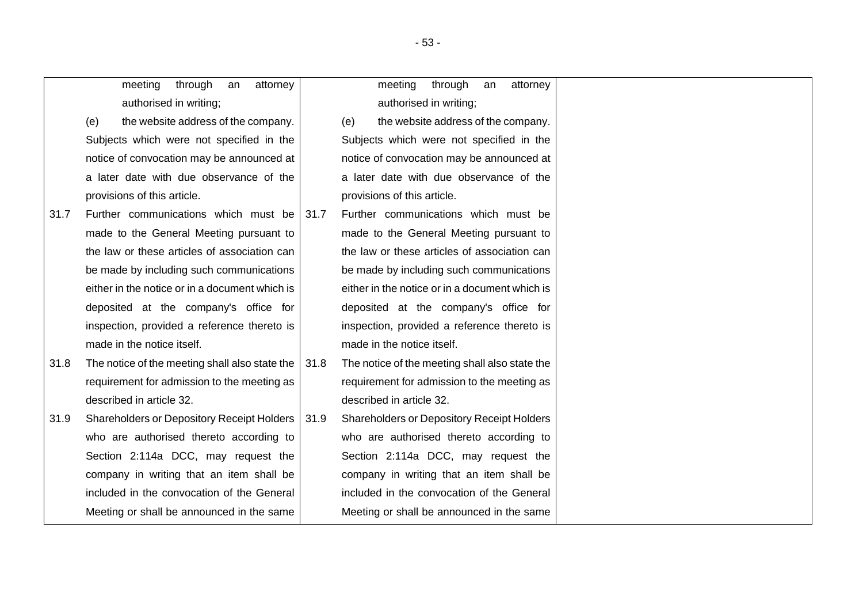|      | meeting<br>through<br>attorney<br>an           |      | through<br>meeting<br>attorney<br>an              |
|------|------------------------------------------------|------|---------------------------------------------------|
|      | authorised in writing;                         |      | authorised in writing;                            |
|      | the website address of the company.<br>(e)     |      | the website address of the company.<br>(e)        |
|      | Subjects which were not specified in the       |      | Subjects which were not specified in the          |
|      | notice of convocation may be announced at      |      | notice of convocation may be announced at         |
|      | a later date with due observance of the        |      | a later date with due observance of the           |
|      | provisions of this article.                    |      | provisions of this article.                       |
| 31.7 | Further communications which must be           | 31.7 | Further communications which must be              |
|      | made to the General Meeting pursuant to        |      | made to the General Meeting pursuant to           |
|      | the law or these articles of association can   |      | the law or these articles of association can      |
|      | be made by including such communications       |      | be made by including such communications          |
|      | either in the notice or in a document which is |      | either in the notice or in a document which is    |
|      | deposited at the company's office for          |      | deposited at the company's office for             |
|      | inspection, provided a reference thereto is    |      | inspection, provided a reference thereto is       |
|      | made in the notice itself.                     |      | made in the notice itself.                        |
| 31.8 | The notice of the meeting shall also state the | 31.8 | The notice of the meeting shall also state the    |
|      | requirement for admission to the meeting as    |      | requirement for admission to the meeting as       |
|      | described in article 32.                       |      | described in article 32.                          |
| 31.9 | Shareholders or Depository Receipt Holders     | 31.9 | <b>Shareholders or Depository Receipt Holders</b> |
|      | who are authorised thereto according to        |      | who are authorised thereto according to           |
|      | Section 2:114a DCC, may request the            |      | Section 2:114a DCC, may request the               |
|      | company in writing that an item shall be       |      | company in writing that an item shall be          |
|      | included in the convocation of the General     |      | included in the convocation of the General        |
|      | Meeting or shall be announced in the same      |      | Meeting or shall be announced in the same         |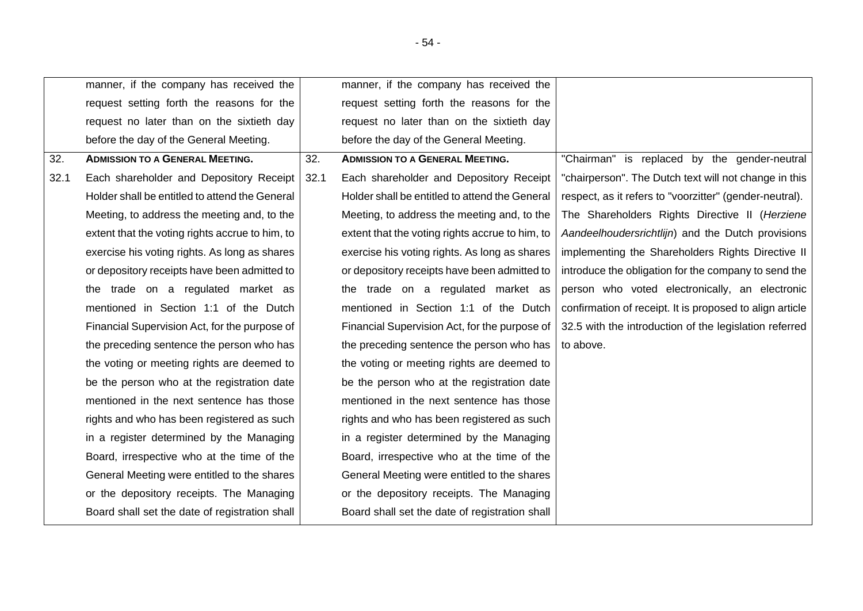<span id="page-53-1"></span><span id="page-53-0"></span>

|      | manner, if the company has received the         |      | manner, if the company has received the         |                                                          |
|------|-------------------------------------------------|------|-------------------------------------------------|----------------------------------------------------------|
|      | request setting forth the reasons for the       |      | request setting forth the reasons for the       |                                                          |
|      | request no later than on the sixtieth day       |      | request no later than on the sixtieth day       |                                                          |
|      | before the day of the General Meeting.          |      | before the day of the General Meeting.          |                                                          |
| 32.  | <b>ADMISSION TO A GENERAL MEETING.</b>          | 32.  | <b>ADMISSION TO A GENERAL MEETING.</b>          | "Chairman" is replaced by the gender-neutral             |
| 32.1 | Each shareholder and Depository Receipt         | 32.1 | Each shareholder and Depository Receipt         | "chairperson". The Dutch text will not change in this    |
|      | Holder shall be entitled to attend the General  |      | Holder shall be entitled to attend the General  | respect, as it refers to "voorzitter" (gender-neutral).  |
|      | Meeting, to address the meeting and, to the     |      | Meeting, to address the meeting and, to the     | The Shareholders Rights Directive II (Herziene           |
|      | extent that the voting rights accrue to him, to |      | extent that the voting rights accrue to him, to | Aandeelhoudersrichtlijn) and the Dutch provisions        |
|      | exercise his voting rights. As long as shares   |      | exercise his voting rights. As long as shares   | implementing the Shareholders Rights Directive II        |
|      | or depository receipts have been admitted to    |      | or depository receipts have been admitted to    | introduce the obligation for the company to send the     |
|      | the trade on a regulated market as              |      | the trade on a regulated market as              | person who voted electronically, an electronic           |
|      | mentioned in Section 1:1 of the Dutch           |      | mentioned in Section 1:1 of the Dutch           | confirmation of receipt. It is proposed to align article |
|      | Financial Supervision Act, for the purpose of   |      | Financial Supervision Act, for the purpose of   | 32.5 with the introduction of the legislation referred   |
|      | the preceding sentence the person who has       |      | the preceding sentence the person who has       | to above.                                                |
|      | the voting or meeting rights are deemed to      |      | the voting or meeting rights are deemed to      |                                                          |
|      | be the person who at the registration date      |      | be the person who at the registration date      |                                                          |
|      | mentioned in the next sentence has those        |      | mentioned in the next sentence has those        |                                                          |
|      | rights and who has been registered as such      |      | rights and who has been registered as such      |                                                          |
|      | in a register determined by the Managing        |      | in a register determined by the Managing        |                                                          |
|      | Board, irrespective who at the time of the      |      | Board, irrespective who at the time of the      |                                                          |
|      | General Meeting were entitled to the shares     |      | General Meeting were entitled to the shares     |                                                          |
|      | or the depository receipts. The Managing        |      | or the depository receipts. The Managing        |                                                          |
|      | Board shall set the date of registration shall  |      | Board shall set the date of registration shall  |                                                          |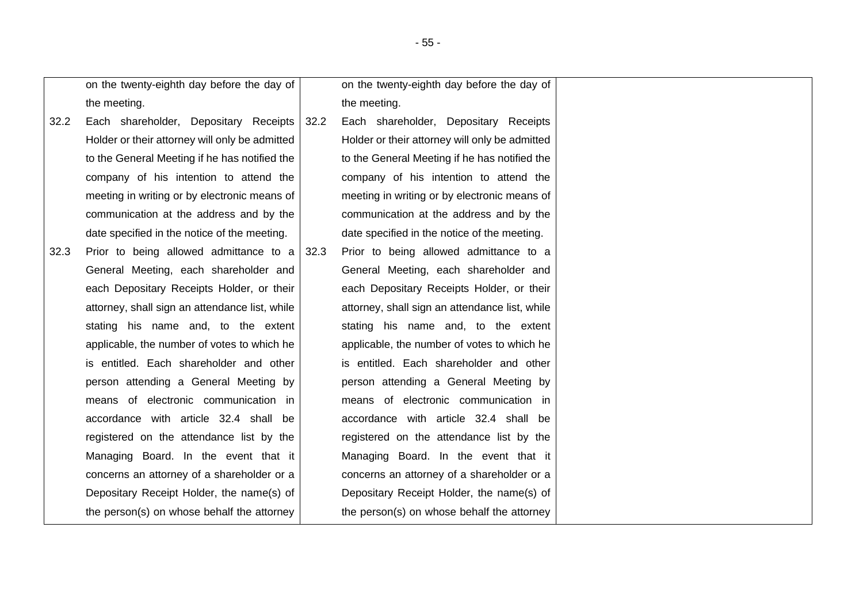on the twenty-eighth day before the day of the meeting.

- 32.2 Each shareholder, Depositary Receipts Holder or their attorney will only be admitted to the General Meeting if he has notified the company of his intention to attend the meeting in writing or by electronic means of communication at the address and by the date specified in the notice of the meeting.
- 32.3 Prior to being allowed admittance to a General Meeting, each shareholder and each Depositary Receipts Holder, or their attorney, shall sign an attendance list, while stating his name and, to the extent applicable, the number of votes to which he is entitled. Each shareholder and other person attending a General Meeting by means of electronic communication in accordance with article 32.4 shall be registered on the attendance list by the Managing Board. In the event that it concerns an attorney of a shareholder or a Depositary Receipt Holder, the name(s) of the person(s) on whose behalf the attorney

on the twenty-eighth day before the day of the meeting.

32.2 Each shareholder, Depositary Receipts Holder or their attorney will only be admitted to the General Meeting if he has notified the company of his intention to attend the meeting in writing or by electronic means of communication at the address and by the date specified in the notice of the meeting.

32.3 Prior to being allowed admittance to a General Meeting, each shareholder and each Depositary Receipts Holder, or their attorney, shall sign an attendance list, while stating his name and, to the extent applicable, the number of votes to which he is entitled. Each shareholder and other person attending a General Meeting by means of electronic communication in accordance with article 32.4 shall be registered on the attendance list by the Managing Board. In the event that it concerns an attorney of a shareholder or a Depositary Receipt Holder, the name(s) of the person(s) on whose behalf the attorney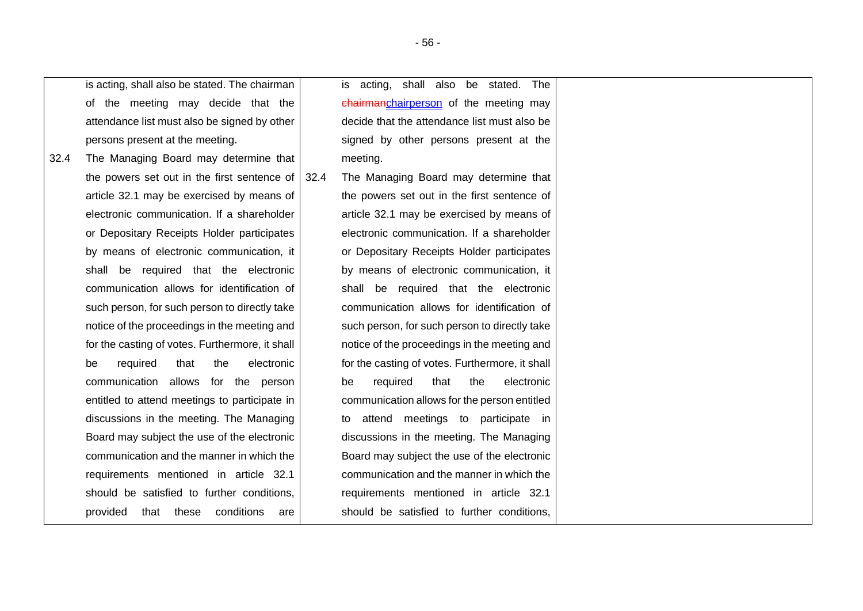is acting, shall also be stated. The chairman of the meeting may decide that the attendance list must also be signed by other persons present at the meeting.

32.4 The Managing Board may determine that the powers set out in the first sentence of article [32.1](#page-53-1) may be exercised by means of electronic communication. If a shareholder or Depositary Receipts Holder participates by means of electronic communication, it shall be required that the electronic communication allows for identification of such person, for such person to directly take notice of the proceedings in the meeting and for the casting of votes. Furthermore, it shall be required that the electronic communication allows for the person entitled to attend meetings to participate in discussions in the meeting. The Managing Board may subject the use of the electronic communication and the manner in which the requirements mentioned in article [32.1](#page-53-1) should be satisfied to further conditions, provided that these conditions are

is acting, shall also be stated. The chairmanchairperson of the meeting may decide that the attendance list must also be signed by other persons present at the meeting.

32.4 The Managing Board may determine that the powers set out in the first sentence of article [32.1](#page-53-1) may be exercised by means of electronic communication. If a shareholder or Depositary Receipts Holder participates by means of electronic communication, it shall be required that the electronic communication allows for identification of such person, for such person to directly take notice of the proceedings in the meeting and for the casting of votes. Furthermore, it shall be required that the electronic communication allows for the person entitled to attend meetings to participate in discussions in the meeting. The Managing Board may subject the use of the electronic communication and the manner in which the requirements mentioned in article [32.1](#page-53-1) should be satisfied to further conditions,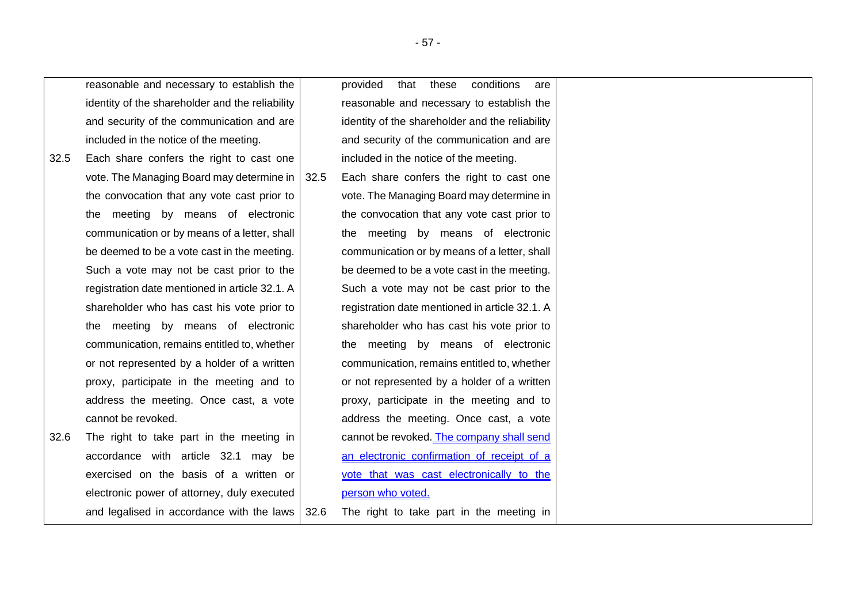reasonable and necessary to establish the identity of the shareholder and the reliability and security of the communication and are included in the notice of the meeting.

- 32.5 Each share confers the right to cast one vote. The Managing Board may determine in the convocation that any vote cast prior to the meeting by means of electronic communication or by means of a letter, shall be deemed to be a vote cast in the meeting. Such a vote may not be cast prior to the registration date mentioned in article [32.1.](#page-53-1) A shareholder who has cast his vote prior to the meeting by means of electronic communication, remains entitled to, whether or not represented by a holder of a written proxy, participate in the meeting and to address the meeting. Once cast, a vote cannot be revoked.
- 32.6 The right to take part in the meeting in accordance with article [32.1](#page-53-1) may be exercised on the basis of a written or electronic power of attorney, duly executed and legalised in accordance with the laws

provided that these conditions are reasonable and necessary to establish the identity of the shareholder and the reliability and security of the communication and are included in the notice of the meeting.

32.5 Each share confers the right to cast one vote. The Managing Board may determine in the convocation that any vote cast prior to the meeting by means of electronic communication or by means of a letter, shall be deemed to be a vote cast in the meeting. Such a vote may not be cast prior to the registration date mentioned in article [32.1.](#page-53-1) A shareholder who has cast his vote prior to the meeting by means of electronic communication, remains entitled to, whether or not represented by a holder of a written proxy, participate in the meeting and to address the meeting. Once cast, a vote cannot be revoked. The company shall send an electronic confirmation of receipt of a vote that was cast electronically to the person who voted.

32.6 The right to take part in the meeting in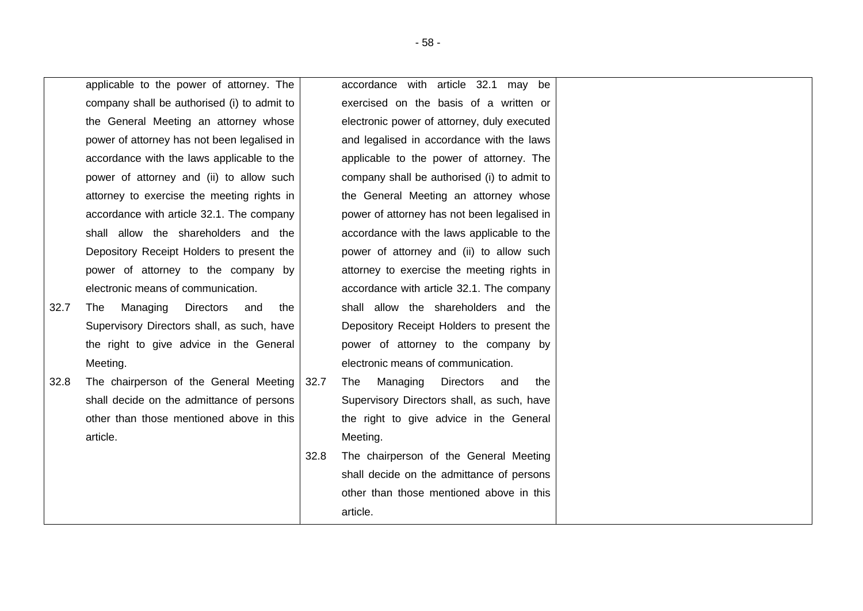applicable to the power of attorney. The company shall be authorised (i) to admit to the General Meeting an attorney whose power of attorney has not been legalised in accordance with the laws applicable to the power of attorney and (ii) to allow such attorney to exercise the meeting rights in accordance with article [32.1](#page-53-1). The company shall allow the shareholders and the Depository Receipt Holders to present the power of attorney to the company by electronic means of communication.

- 32.7 The Managing Directors and the Supervisory Directors shall, as such, have the right to give advice in the General Meeting.
- 32.8 The chairperson of the General Meeting shall decide on the admittance of persons other than those mentioned above in this article.

accordance with article [32.1](#page-53-1) may be exercised on the basis of a written or electronic power of attorney, duly executed and legalised in accordance with the laws applicable to the power of attorney. The company shall be authorised (i) to admit to the General Meeting an attorney whose power of attorney has not been legalised in accordance with the laws applicable to the power of attorney and (ii) to allow such attorney to exercise the meeting rights in accordance with article [32.1.](#page-53-1) The company shall allow the shareholders and the Depository Receipt Holders to present the power of attorney to the company by electronic means of communication.

- 32.7 The Managing Directors and the Supervisory Directors shall, as such, have the right to give advice in the General Meeting.
- 32.8 The chairperson of the General Meeting shall decide on the admittance of persons other than those mentioned above in this article.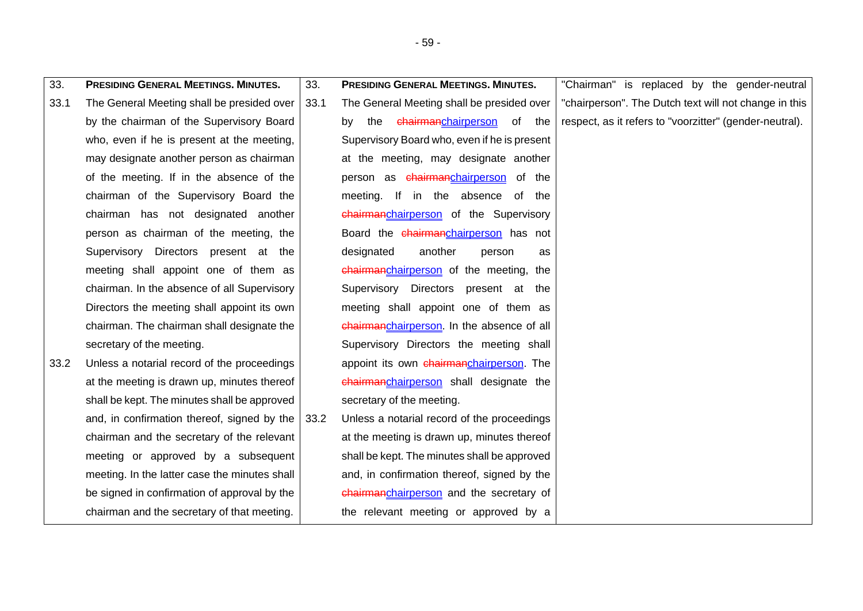| 33.  | <b>PRESIDING GENERAL MEETINGS. MINUTES.</b>   | 33.  | <b>PRESIDING GENERAL MEETINGS. MINUTES.</b>     | "Chairman" is replaced by the gender-neutral            |
|------|-----------------------------------------------|------|-------------------------------------------------|---------------------------------------------------------|
| 33.1 | The General Meeting shall be presided over    | 33.1 | The General Meeting shall be presided over      | "chairperson". The Dutch text will not change in this   |
|      | by the chairman of the Supervisory Board      |      | the <del>chairmanchairperson</del> of the<br>bv | respect, as it refers to "voorzitter" (gender-neutral). |
|      | who, even if he is present at the meeting,    |      | Supervisory Board who, even if he is present    |                                                         |
|      | may designate another person as chairman      |      | at the meeting, may designate another           |                                                         |
|      | of the meeting. If in the absence of the      |      | person as chairmanchairperson of the            |                                                         |
|      | chairman of the Supervisory Board the         |      | meeting. If in the absence of the               |                                                         |
|      | chairman has not designated another           |      | chairmanchairperson of the Supervisory          |                                                         |
|      | person as chairman of the meeting, the        |      | Board the chairmanchairperson has not           |                                                         |
|      | Supervisory Directors present at the          |      | designated<br>another<br>person<br>as           |                                                         |
|      | meeting shall appoint one of them as          |      | chairmanchairperson of the meeting, the         |                                                         |
|      | chairman. In the absence of all Supervisory   |      | Supervisory Directors<br>present at the         |                                                         |
|      | Directors the meeting shall appoint its own   |      | meeting shall appoint one of them as            |                                                         |
|      | chairman. The chairman shall designate the    |      | chairmanchairperson. In the absence of all      |                                                         |
|      | secretary of the meeting.                     |      | Supervisory Directors the meeting shall         |                                                         |
| 33.2 | Unless a notarial record of the proceedings   |      | appoint its own chairmanchairperson. The        |                                                         |
|      | at the meeting is drawn up, minutes thereof   |      | chairmanchairperson shall designate the         |                                                         |
|      | shall be kept. The minutes shall be approved  |      | secretary of the meeting.                       |                                                         |
|      | and, in confirmation thereof, signed by the   | 33.2 | Unless a notarial record of the proceedings     |                                                         |
|      | chairman and the secretary of the relevant    |      | at the meeting is drawn up, minutes thereof     |                                                         |
|      | meeting or approved by a subsequent           |      | shall be kept. The minutes shall be approved    |                                                         |
|      | meeting. In the latter case the minutes shall |      | and, in confirmation thereof, signed by the     |                                                         |
|      | be signed in confirmation of approval by the  |      | chairmanchairperson and the secretary of        |                                                         |
|      | chairman and the secretary of that meeting.   |      | the relevant meeting or approved by a           |                                                         |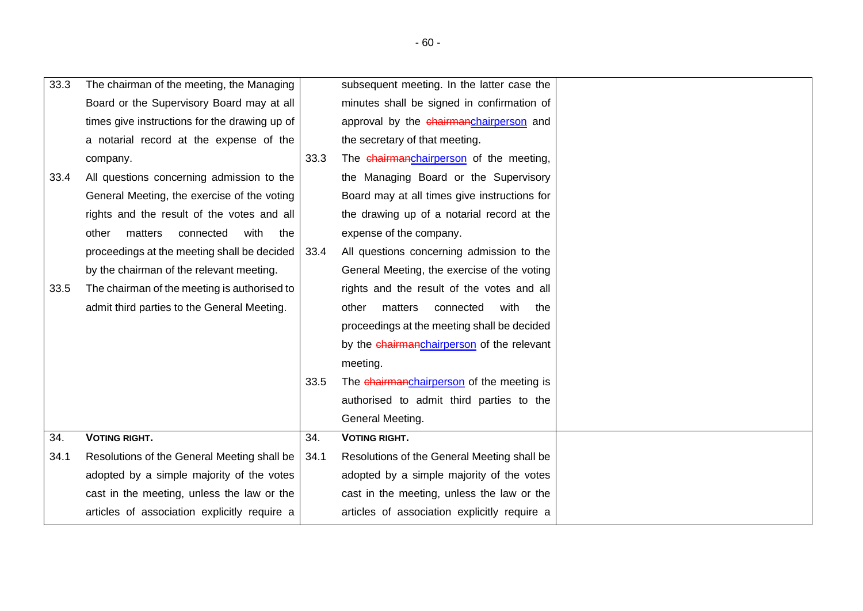| 33.3 | The chairman of the meeting, the Managing     |      | subsequent meeting. In the latter case the   |  |
|------|-----------------------------------------------|------|----------------------------------------------|--|
|      | Board or the Supervisory Board may at all     |      | minutes shall be signed in confirmation of   |  |
|      | times give instructions for the drawing up of |      | approval by the chairmanchairperson and      |  |
|      | a notarial record at the expense of the       |      | the secretary of that meeting.               |  |
|      | company.                                      | 33.3 | The chairmanchairperson of the meeting,      |  |
| 33.4 | All questions concerning admission to the     |      | the Managing Board or the Supervisory        |  |
|      | General Meeting, the exercise of the voting   |      | Board may at all times give instructions for |  |
|      | rights and the result of the votes and all    |      | the drawing up of a notarial record at the   |  |
|      | matters<br>connected<br>with<br>other<br>the  |      | expense of the company.                      |  |
|      | proceedings at the meeting shall be decided   | 33.4 | All questions concerning admission to the    |  |
|      | by the chairman of the relevant meeting.      |      | General Meeting, the exercise of the voting  |  |
| 33.5 | The chairman of the meeting is authorised to  |      | rights and the result of the votes and all   |  |
|      | admit third parties to the General Meeting.   |      | matters<br>other<br>connected<br>with<br>the |  |
|      |                                               |      | proceedings at the meeting shall be decided  |  |
|      |                                               |      | by the chairmanchairperson of the relevant   |  |
|      |                                               |      | meeting.                                     |  |
|      |                                               | 33.5 | The chairmanchairperson of the meeting is    |  |
|      |                                               |      | authorised to admit third parties to the     |  |
|      |                                               |      | General Meeting.                             |  |
| 34.  | <b>VOTING RIGHT.</b>                          | 34.  | <b>VOTING RIGHT.</b>                         |  |
| 34.1 | Resolutions of the General Meeting shall be   | 34.1 | Resolutions of the General Meeting shall be  |  |
|      | adopted by a simple majority of the votes     |      | adopted by a simple majority of the votes    |  |
|      | cast in the meeting, unless the law or the    |      | cast in the meeting, unless the law or the   |  |
|      | articles of association explicitly require a  |      | articles of association explicitly require a |  |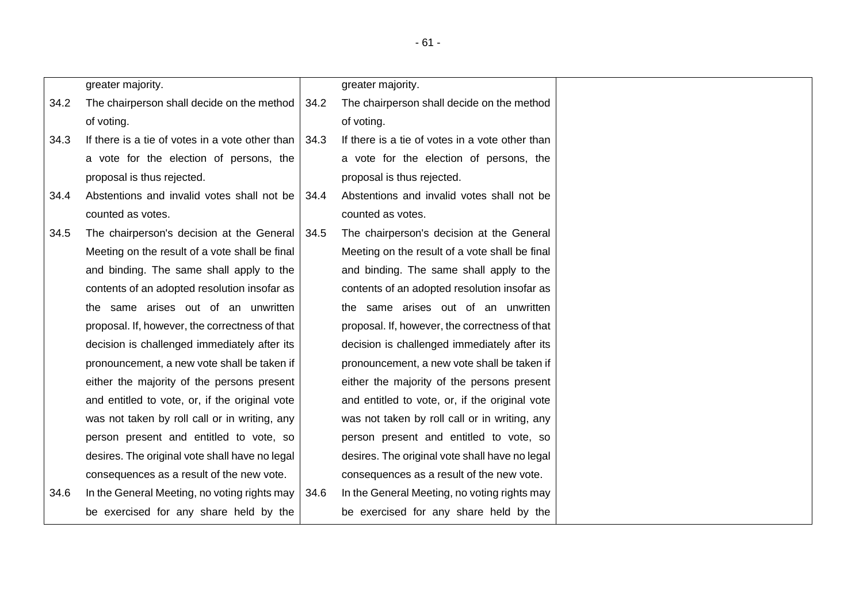|      | greater majority.                               |      | greater majority.                               |
|------|-------------------------------------------------|------|-------------------------------------------------|
| 34.2 | The chairperson shall decide on the method      | 34.2 | The chairperson shall decide on the method      |
|      | of voting.                                      |      | of voting.                                      |
| 34.3 | If there is a tie of votes in a vote other than | 34.3 | If there is a tie of votes in a vote other than |
|      | a vote for the election of persons, the         |      | a vote for the election of persons, the         |
|      | proposal is thus rejected.                      |      | proposal is thus rejected.                      |
| 34.4 | Abstentions and invalid votes shall not be      | 34.4 | Abstentions and invalid votes shall not be      |
|      | counted as votes.                               |      | counted as votes.                               |
| 34.5 | The chairperson's decision at the General       | 34.5 | The chairperson's decision at the General       |
|      | Meeting on the result of a vote shall be final  |      | Meeting on the result of a vote shall be final  |
|      | and binding. The same shall apply to the        |      | and binding. The same shall apply to the        |
|      | contents of an adopted resolution insofar as    |      | contents of an adopted resolution insofar as    |
|      | the same arises out of an unwritten             |      | the same arises out of an unwritten             |
|      | proposal. If, however, the correctness of that  |      | proposal. If, however, the correctness of that  |
|      | decision is challenged immediately after its    |      | decision is challenged immediately after its    |
|      | pronouncement, a new vote shall be taken if     |      | pronouncement, a new vote shall be taken if     |
|      | either the majority of the persons present      |      | either the majority of the persons present      |
|      | and entitled to vote, or, if the original vote  |      | and entitled to vote, or, if the original vote  |
|      | was not taken by roll call or in writing, any   |      | was not taken by roll call or in writing, any   |
|      | person present and entitled to vote, so         |      | person present and entitled to vote, so         |
|      | desires. The original vote shall have no legal  |      | desires. The original vote shall have no legal  |
|      | consequences as a result of the new vote.       |      | consequences as a result of the new vote.       |
| 34.6 | In the General Meeting, no voting rights may    | 34.6 | In the General Meeting, no voting rights may    |
|      | be exercised for any share held by the          |      | be exercised for any share held by the          |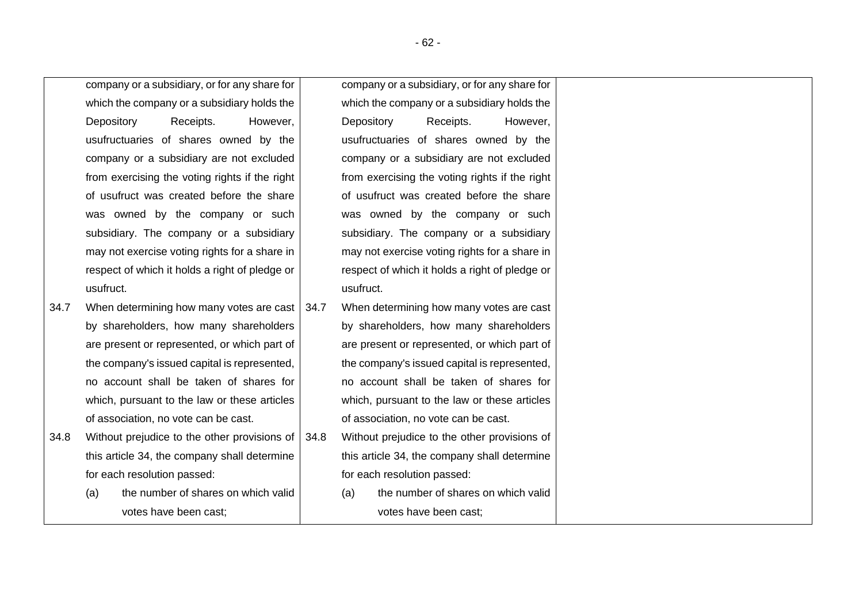company or a subsidiary, or for any share for which the company or a subsidiary holds the Depository Receipts. However, usufructuaries of shares owned by the company or a subsidiary are not excluded from exercising the voting rights if the right of usufruct was created before the share was owned by the company or such subsidiary. The company or a subsidiary may not exercise voting rights for a share in respect of which it holds a right of pledge or usufruct.

- 34.7 When determining how many votes are cast by shareholders, how many shareholders are present or represented, or which part of the company's issued capital is represented, no account shall be taken of shares for which, pursuant to the law or these articles of association, no vote can be cast.
- 34.8 Without prejudice to the other provisions of this article 34, the company shall determine for each resolution passed:
	- (a) the number of shares on which valid votes have been cast;

company or a subsidiary, or for any share for which the company or a subsidiary holds the Depository Receipts. However, usufructuaries of shares owned by the company or a subsidiary are not excluded from exercising the voting rights if the right of usufruct was created before the share was owned by the company or such subsidiary. The company or a subsidiary may not exercise voting rights for a share in respect of which it holds a right of pledge or usufruct.

- 34.7 When determining how many votes are cast by shareholders, how many shareholders are present or represented, or which part of the company's issued capital is represented, no account shall be taken of shares for which, pursuant to the law or these articles of association, no vote can be cast.
- 34.8 Without prejudice to the other provisions of this article 34, the company shall determine for each resolution passed:
	- (a) the number of shares on which valid votes have been cast;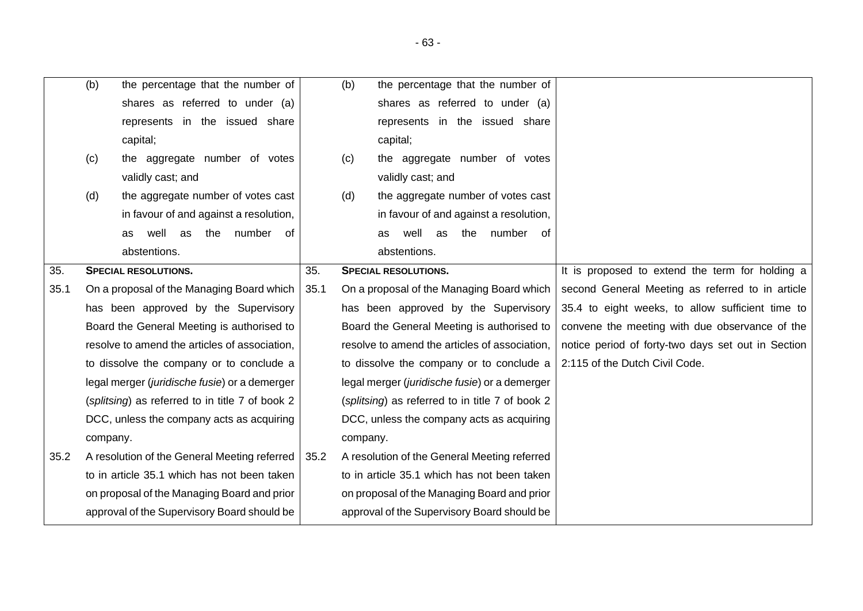<span id="page-62-0"></span>

|      | (b)      | the percentage that the number of                   |      | (b)      | the percentage that the number of               |                                                    |
|------|----------|-----------------------------------------------------|------|----------|-------------------------------------------------|----------------------------------------------------|
|      |          | shares as referred to under (a)                     |      |          | shares as referred to under (a)                 |                                                    |
|      |          | represents in the issued share                      |      |          | represents in the issued share                  |                                                    |
|      |          | capital;                                            |      |          | capital;                                        |                                                    |
|      | (c)      | the aggregate number of votes                       |      | (c)      | the aggregate number of votes                   |                                                    |
|      |          | validly cast; and                                   |      |          | validly cast; and                               |                                                    |
|      | (d)      | the aggregate number of votes cast                  |      | (d)      | the aggregate number of votes cast              |                                                    |
|      |          | in favour of and against a resolution,              |      |          | in favour of and against a resolution,          |                                                    |
|      |          | number<br>well<br>the<br>0f<br>as<br>as             |      |          | well<br>number of<br>the<br>as<br>as            |                                                    |
|      |          | abstentions.                                        |      |          | abstentions.                                    |                                                    |
| 35.  |          | <b>SPECIAL RESOLUTIONS.</b>                         | 35.  |          | <b>SPECIAL RESOLUTIONS.</b>                     | It is proposed to extend the term for holding a    |
| 35.1 |          | On a proposal of the Managing Board which           | 35.1 |          | On a proposal of the Managing Board which       | second General Meeting as referred to in article   |
|      |          | has been approved by the Supervisory                |      |          | has been approved by the Supervisory            | 35.4 to eight weeks, to allow sufficient time to   |
|      |          | Board the General Meeting is authorised to          |      |          | Board the General Meeting is authorised to      | convene the meeting with due observance of the     |
|      |          | resolve to amend the articles of association,       |      |          | resolve to amend the articles of association,   | notice period of forty-two days set out in Section |
|      |          | to dissolve the company or to conclude a            |      |          | to dissolve the company or to conclude a        | 2:115 of the Dutch Civil Code.                     |
|      |          | legal merger (juridische fusie) or a demerger       |      |          | legal merger (juridische fusie) or a demerger   |                                                    |
|      |          | (splitsing) as referred to in title 7 of book 2     |      |          | (splitsing) as referred to in title 7 of book 2 |                                                    |
|      |          | DCC, unless the company acts as acquiring           |      |          | DCC, unless the company acts as acquiring       |                                                    |
|      | company. |                                                     |      | company. |                                                 |                                                    |
| 35.2 |          | A resolution of the General Meeting referred   35.2 |      |          | A resolution of the General Meeting referred    |                                                    |
|      |          | to in article 35.1 which has not been taken         |      |          | to in article 35.1 which has not been taken     |                                                    |

on proposal of the Managing Board and prior approval of the Supervisory Board should be

<span id="page-62-1"></span>on proposal of the Managing Board and prior approval of the Supervisory Board should be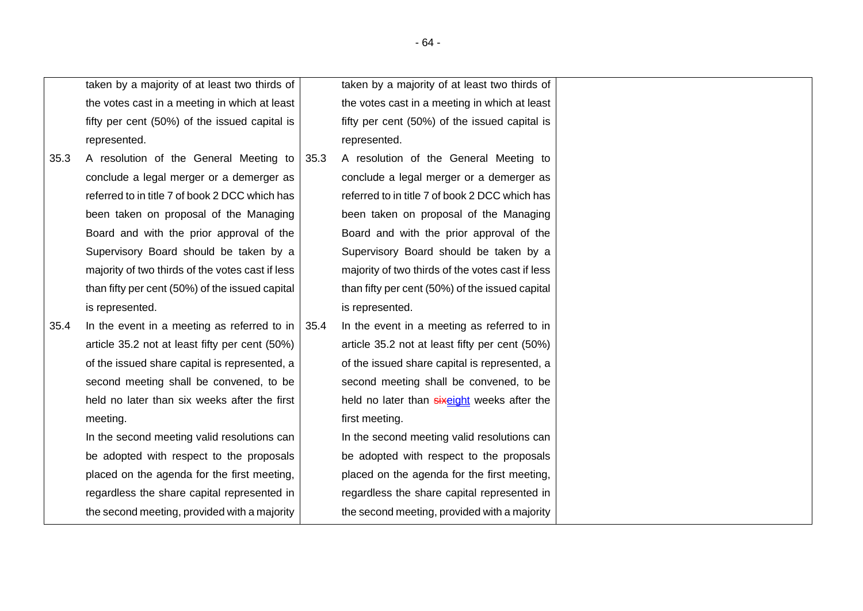taken by a majority of at least two thirds of the votes cast in a meeting in which at least fifty per cent (50%) of the issued capital is represented.

- 35.3 A resolution of the General Meeting to conclude a legal merger or a demerger as referred to in title 7 of book 2 DCC which has been taken on proposal of the Managing Board and with the prior approval of the Supervisory Board should be taken by a majority of two thirds of the votes cast if less than fifty per cent (50%) of the issued capital is represented.
- 35.4 In the event in a meeting as referred to in article [35.2](#page-62-1) not at least fifty per cent (50%) of the issued share capital is represented, a second meeting shall be convened, to be held no later than six weeks after the first meeting.

In the second meeting valid resolutions can be adopted with respect to the proposals placed on the agenda for the first meeting, regardless the share capital represented in the second meeting, provided with a majority taken by a majority of at least two thirds of the votes cast in a meeting in which at least fifty per cent (50%) of the issued capital is represented.

35.3 A resolution of the General Meeting to conclude a legal merger or a demerger as referred to in title 7 of book 2 DCC which has been taken on proposal of the Managing Board and with the prior approval of the Supervisory Board should be taken by a majority of two thirds of the votes cast if less than fifty per cent (50%) of the issued capital is represented.

35.4 In the event in a meeting as referred to in article [35.2](#page-62-1) not at least fifty per cent (50%) of the issued share capital is represented, a second meeting shall be convened, to be held no later than sixeight weeks after the first meeting.

> In the second meeting valid resolutions can be adopted with respect to the proposals placed on the agenda for the first meeting, regardless the share capital represented in the second meeting, provided with a majority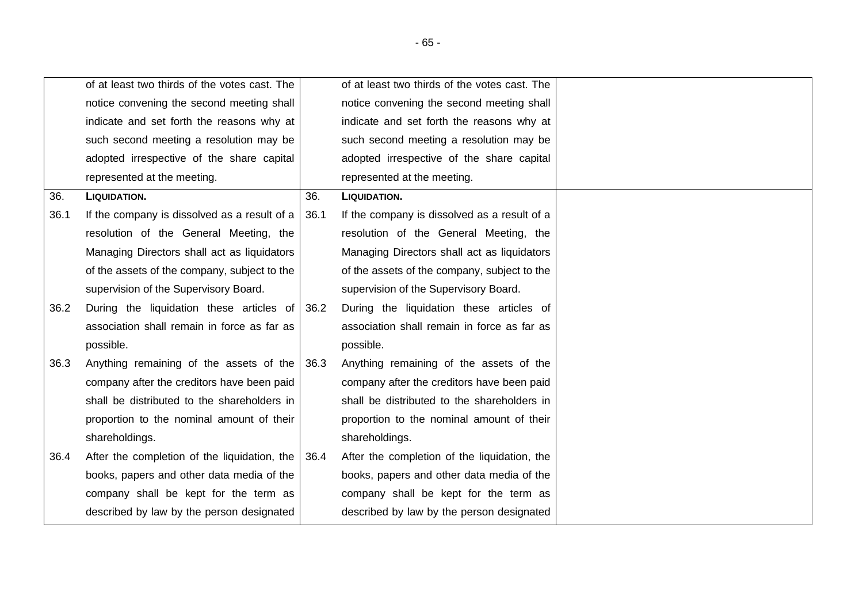|      | of at least two thirds of the votes cast. The |      | of at least two thirds of the votes cast. The |
|------|-----------------------------------------------|------|-----------------------------------------------|
|      | notice convening the second meeting shall     |      | notice convening the second meeting shall     |
|      | indicate and set forth the reasons why at     |      | indicate and set forth the reasons why at     |
|      | such second meeting a resolution may be       |      | such second meeting a resolution may be       |
|      | adopted irrespective of the share capital     |      | adopted irrespective of the share capital     |
|      | represented at the meeting.                   |      | represented at the meeting.                   |
| 36.  | <b>LIQUIDATION.</b>                           | 36.  | <b>LIQUIDATION.</b>                           |
| 36.1 | If the company is dissolved as a result of a  | 36.1 | If the company is dissolved as a result of a  |
|      | resolution of the General Meeting, the        |      | resolution of the General Meeting, the        |
|      | Managing Directors shall act as liquidators   |      | Managing Directors shall act as liquidators   |
|      | of the assets of the company, subject to the  |      | of the assets of the company, subject to the  |
|      | supervision of the Supervisory Board.         |      | supervision of the Supervisory Board.         |
| 36.2 | During the liquidation these articles of 36.2 |      | During the liquidation these articles of      |
|      | association shall remain in force as far as   |      | association shall remain in force as far as   |
|      | possible.                                     |      | possible.                                     |
| 36.3 | Anything remaining of the assets of the 36.3  |      | Anything remaining of the assets of the       |
|      | company after the creditors have been paid    |      | company after the creditors have been paid    |
|      | shall be distributed to the shareholders in   |      | shall be distributed to the shareholders in   |
|      | proportion to the nominal amount of their     |      | proportion to the nominal amount of their     |
|      | shareholdings.                                |      | shareholdings.                                |
| 36.4 | After the completion of the liquidation, the  | 36.4 | After the completion of the liquidation, the  |
|      | books, papers and other data media of the     |      | books, papers and other data media of the     |
|      | company shall be kept for the term as         |      | company shall be kept for the term as         |
|      | described by law by the person designated     |      | described by law by the person designated     |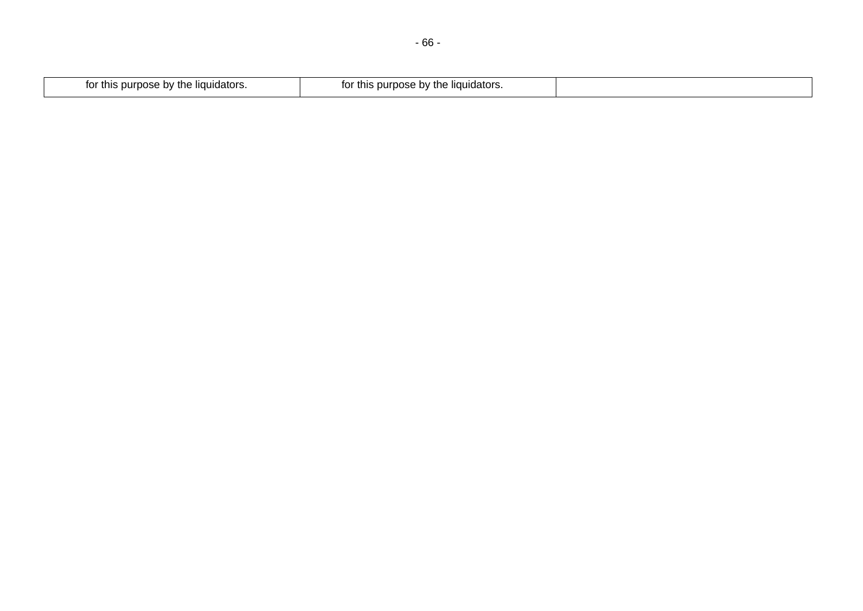| "dators.<br>τn<br>tο<br>nose<br>* this burl<br>. nv<br>. | ≅liɑuidators.<br>purpose<br>this<br>ΙOΙ<br>TNE.<br>. OV |  |
|----------------------------------------------------------|---------------------------------------------------------|--|
|                                                          |                                                         |  |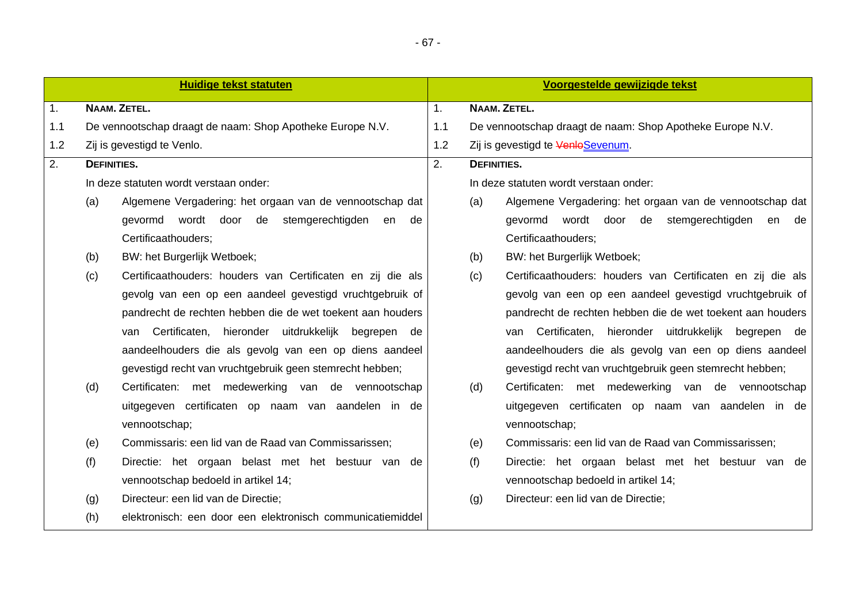|     |                    | <b>Huidige tekst statuten</b>                               |                |                                                           | Voorgestelde gewijzigde tekst                               |  |
|-----|--------------------|-------------------------------------------------------------|----------------|-----------------------------------------------------------|-------------------------------------------------------------|--|
| 1.  |                    | NAAM. ZETEL.                                                | 1 <sub>1</sub> |                                                           | NAAM. ZETEL.                                                |  |
| 1.1 |                    | De vennootschap draagt de naam: Shop Apotheke Europe N.V.   | 1.1            | De vennootschap draagt de naam: Shop Apotheke Europe N.V. |                                                             |  |
| 1.2 |                    | Zij is gevestigd te Venlo.                                  | 1.2            |                                                           | Zij is gevestigd te VenloSevenum.                           |  |
| 2.  | <b>DEFINITIES.</b> |                                                             | 2.             | <b>DEFINITIES.</b>                                        |                                                             |  |
|     |                    | In deze statuten wordt verstaan onder:                      |                |                                                           | In deze statuten wordt verstaan onder:                      |  |
|     | (a)                | Algemene Vergadering: het orgaan van de vennootschap dat    |                | (a)                                                       | Algemene Vergadering: het orgaan van de vennootschap dat    |  |
|     |                    | gevormd wordt door de stemgerechtigden en de                |                |                                                           | gevormd wordt door de stemgerechtigden en<br>de             |  |
|     |                    | Certificaathouders;                                         |                |                                                           | Certificaathouders;                                         |  |
|     | (b)                | BW: het Burgerlijk Wetboek;                                 |                | (b)                                                       | BW: het Burgerlijk Wetboek;                                 |  |
|     | (c)                | Certificaathouders: houders van Certificaten en zij die als |                | (c)                                                       | Certificaathouders: houders van Certificaten en zij die als |  |
|     |                    | gevolg van een op een aandeel gevestigd vruchtgebruik of    |                |                                                           | gevolg van een op een aandeel gevestigd vruchtgebruik of    |  |
|     |                    | pandrecht de rechten hebben die de wet toekent aan houders  |                |                                                           | pandrecht de rechten hebben die de wet toekent aan houders  |  |
|     |                    | van Certificaten, hieronder uitdrukkelijk begrepen de       |                |                                                           | van Certificaten, hieronder uitdrukkelijk begrepen de       |  |
|     |                    | aandeelhouders die als gevolg van een op diens aandeel      |                |                                                           | aandeelhouders die als gevolg van een op diens aandeel      |  |
|     |                    | gevestigd recht van vruchtgebruik geen stemrecht hebben;    |                |                                                           | gevestigd recht van vruchtgebruik geen stemrecht hebben;    |  |
|     | (d)                | Certificaten: met medewerking van de vennootschap           |                | (d)                                                       | Certificaten: met medewerking van de vennootschap           |  |
|     |                    | uitgegeven certificaten op naam van aandelen in de          |                |                                                           | uitgegeven certificaten op naam van aandelen in de          |  |
|     |                    | vennootschap;                                               |                |                                                           | vennootschap;                                               |  |
|     | (e)                | Commissaris: een lid van de Raad van Commissarissen;        |                | (e)                                                       | Commissaris: een lid van de Raad van Commissarissen;        |  |
|     | (f)                | Directie: het orgaan belast met het bestuur van de          |                | (f)                                                       | Directie: het orgaan belast met het bestuur van de          |  |
|     |                    | vennootschap bedoeld in artikel 14;                         |                |                                                           | vennootschap bedoeld in artikel 14;                         |  |
|     | (g)                | Directeur: een lid van de Directie;                         |                | (g)                                                       | Directeur: een lid van de Directie;                         |  |
|     | (h)                | elektronisch: een door een elektronisch communicatiemiddel  |                |                                                           |                                                             |  |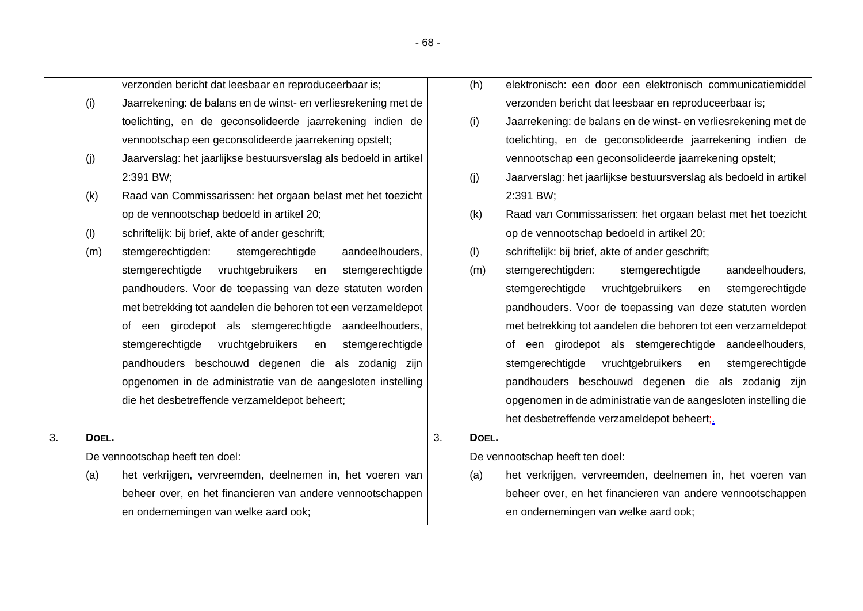|    | (i)   | Jaarrekening: de balans en de winst- en verliesrekening met de     |    |       | verzonden bericht dat leesbaar en reproduceerbaar is;              |
|----|-------|--------------------------------------------------------------------|----|-------|--------------------------------------------------------------------|
|    |       | toelichting, en de geconsolideerde jaarrekening indien de          |    | (i)   | Jaarrekening: de balans en de winst- en verliesrekening met de     |
|    |       | vennootschap een geconsolideerde jaarrekening opstelt;             |    |       | toelichting, en de geconsolideerde jaarrekening indien de          |
|    | (j)   | Jaarverslag: het jaarlijkse bestuursverslag als bedoeld in artikel |    |       | vennootschap een geconsolideerde jaarrekening opstelt;             |
|    |       | 2:391 BW;                                                          |    | (j)   | Jaarverslag: het jaarlijkse bestuursverslag als bedoeld in artikel |
|    | (k)   | Raad van Commissarissen: het orgaan belast met het toezicht        |    |       | 2:391 BW;                                                          |
|    |       | op de vennootschap bedoeld in artikel 20;                          |    | (k)   | Raad van Commissarissen: het orgaan belast met het toezicht        |
|    | (1)   | schriftelijk: bij brief, akte of ander geschrift;                  |    |       | op de vennootschap bedoeld in artikel 20;                          |
|    | (m)   | stemgerechtigden:<br>stemgerechtigde<br>aandeelhouders,            |    | (1)   | schriftelijk: bij brief, akte of ander geschrift;                  |
|    |       | stemgerechtigde<br>vruchtgebruikers<br>stemgerechtigde<br>en       |    | (m)   | stemgerechtigden:<br>stemgerechtigde<br>aandeelhouders,            |
|    |       | pandhouders. Voor de toepassing van deze statuten worden           |    |       | stemgerechtigde<br>vruchtgebruikers<br>stemgerechtigde<br>en       |
|    |       | met betrekking tot aandelen die behoren tot een verzameldepot      |    |       | pandhouders. Voor de toepassing van deze statuten worden           |
|    |       | of een girodepot als stemgerechtigde aandeelhouders,               |    |       | met betrekking tot aandelen die behoren tot een verzameldepot      |
|    |       | stemgerechtigde<br>vruchtgebruikers<br>en<br>stemgerechtigde       |    |       | of een girodepot als stemgerechtigde aandeelhouders,               |
|    |       | pandhouders beschouwd degenen die als zodanig zijn                 |    |       | stemgerechtigde<br>vruchtgebruikers<br>stemgerechtigde<br>en       |
|    |       | opgenomen in de administratie van de aangesloten instelling        |    |       | pandhouders beschouwd degenen die als zodanig zijn                 |
|    |       | die het desbetreffende verzameldepot beheert;                      |    |       | opgenomen in de administratie van de aangesloten instelling die    |
|    |       |                                                                    |    |       | het desbetreffende verzameldepot beheert;                          |
| 3. | DOEL. |                                                                    | 3. | DOEL. |                                                                    |
|    |       | De vennootschap heeft ten doel:                                    |    |       | De vennootschap heeft ten doel:                                    |
|    | (a)   | het verkrijgen, vervreemden, deelnemen in, het voeren van          |    | (a)   | het verkrijgen, vervreemden, deelnemen in, het voeren van          |
|    |       | beheer over, en het financieren van andere vennootschappen         |    |       | beheer over, en het financieren van andere vennootschappen         |

en ondernemingen van welke aard ook;

verzonden bericht dat leesbaar en reproduceerbaar is;

- 68 -

(h) elektronisch: een door een elektronisch communicatiemiddel

en ondernemingen van welke aard ook;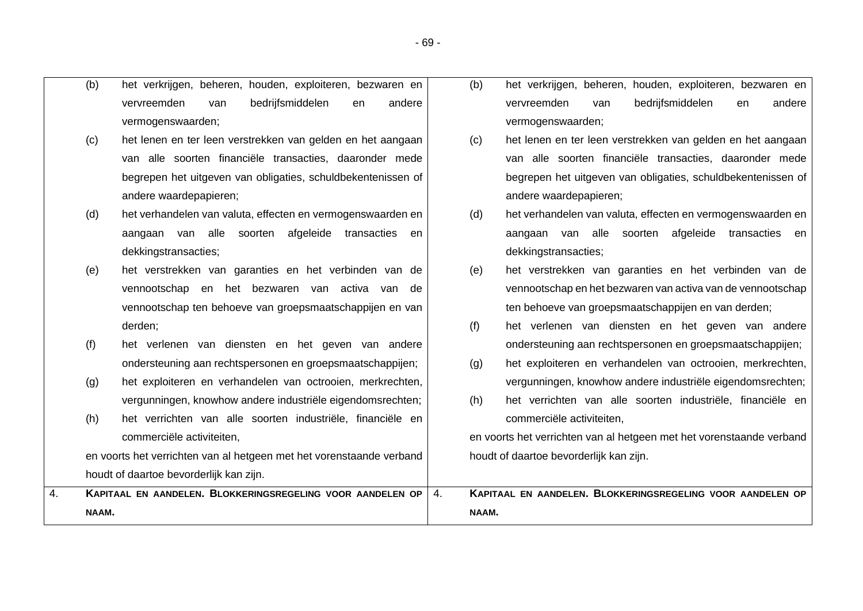- (b) het verkrijgen, beheren, houden, exploiteren, bezwaren en vervreemden van bedrijfsmiddelen en andere vermogenswaarden;
	- (c) het lenen en ter leen verstrekken van gelden en het aangaan van alle soorten financiële transacties, daaronder mede begrepen het uitgeven van obligaties, schuldbekentenissen of andere waardepapieren;
	- (d) het verhandelen van valuta, effecten en vermogenswaarden en aangaan van alle soorten afgeleide transacties en dekkingstransacties;
	- (e) het verstrekken van garanties en het verbinden van de vennootschap en het bezwaren van activa van de vennootschap ten behoeve van groepsmaatschappijen en van derden;
	- (f) het verlenen van diensten en het geven van andere ondersteuning aan rechtspersonen en groepsmaatschappijen;
	- (g) het exploiteren en verhandelen van octrooien, merkrechten, vergunningen, knowhow andere industriële eigendomsrechten;
	- (h) het verrichten van alle soorten industriële, financiële en commerciële activiteiten,

en voorts het verrichten van al hetgeen met het vorenstaande verband houdt of daartoe bevorderlijk kan zijn.

- (b) het verkrijgen, beheren, houden, exploiteren, bezwaren en vervreemden van bedrijfsmiddelen en andere vermogenswaarden;
- (c) het lenen en ter leen verstrekken van gelden en het aangaan van alle soorten financiële transacties, daaronder mede begrepen het uitgeven van obligaties, schuldbekentenissen of andere waardepapieren;
- (d) het verhandelen van valuta, effecten en vermogenswaarden en aangaan van alle soorten afgeleide transacties en dekkingstransacties;
- (e) het verstrekken van garanties en het verbinden van de vennootschap en het bezwaren van activa van de vennootschap ten behoeve van groepsmaatschappijen en van derden;
- (f) het verlenen van diensten en het geven van andere ondersteuning aan rechtspersonen en groepsmaatschappijen;
- (g) het exploiteren en verhandelen van octrooien, merkrechten, vergunningen, knowhow andere industriële eigendomsrechten;
- (h) het verrichten van alle soorten industriële, financiële en commerciële activiteiten,

en voorts het verrichten van al hetgeen met het vorenstaande verband houdt of daartoe bevorderlijk kan zijn.

| KAPITAAL EN AANDELEN. BLOKKERINGSREGELING VOOR AANDELEN OP <sup>1</sup> | KAPITAAL EN AANDELEN. BLOKKERINGSREGELING VOOR AANDELEN OP |
|-------------------------------------------------------------------------|------------------------------------------------------------|
| NAAM.                                                                   | NAAM.                                                      |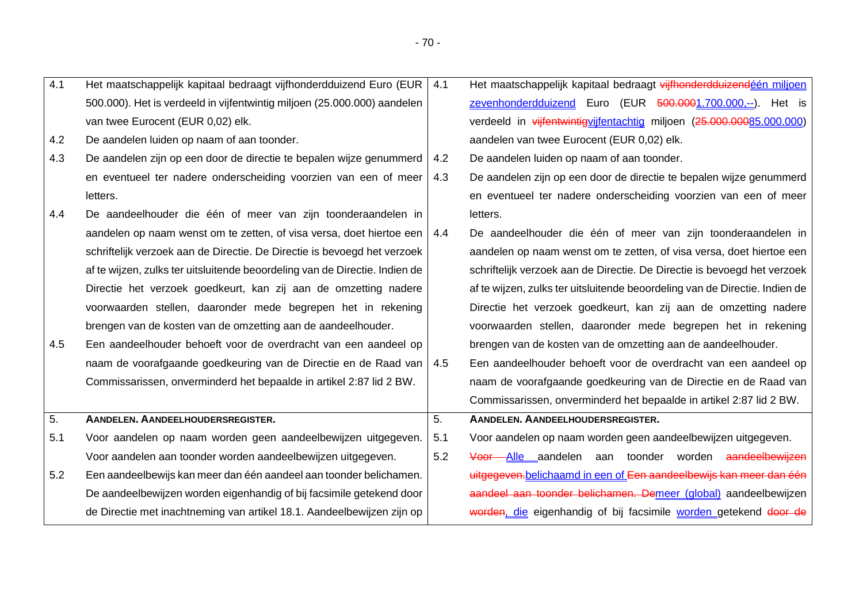| 4.1 | Het maatschappelijk kapitaal bedraagt vijfhonderdduizend Euro (EUR               | 4.1 | Het maatschappelijk kapitaal bedraagt vijfhonderdduizendéén miljoen         |
|-----|----------------------------------------------------------------------------------|-----|-----------------------------------------------------------------------------|
|     | 500.000). Het is verdeeld in vijfentwintig miljoen (25.000.000) aandelen         |     | zevenhonderdduizend Euro (EUR 500.0001.700.000,--). Het is                  |
|     | van twee Eurocent (EUR 0,02) elk.                                                |     | verdeeld in vijfentwintigvijfentachtig miljoen (25.000.00085.000.000)       |
| 4.2 | De aandelen luiden op naam of aan toonder.                                       |     | aandelen van twee Eurocent (EUR 0,02) elk.                                  |
| 4.3 | De aandelen zijn op een door de directie te bepalen wijze genummerd              | 4.2 | De aandelen luiden op naam of aan toonder.                                  |
|     | en eventueel ter nadere onderscheiding voorzien van een of meer                  | 4.3 | De aandelen zijn op een door de directie te bepalen wijze genummerd         |
|     | letters.                                                                         |     | en eventueel ter nadere onderscheiding voorzien van een of meer             |
| 4.4 | De aandeelhouder die één of meer van zijn toonderaandelen in                     |     | letters.                                                                    |
|     | aandelen op naam wenst om te zetten, of visa versa, doet hiertoe een $\vert$ 4.4 |     | De aandeelhouder die één of meer van zijn toonderaandelen in                |
|     | schriftelijk verzoek aan de Directie. De Directie is bevoegd het verzoek         |     | aandelen op naam wenst om te zetten, of visa versa, doet hiertoe een        |
|     | af te wijzen, zulks ter uitsluitende beoordeling van de Directie. Indien de      |     | schriftelijk verzoek aan de Directie. De Directie is bevoegd het verzoek    |
|     | Directie het verzoek goedkeurt, kan zij aan de omzetting nadere                  |     | af te wijzen, zulks ter uitsluitende beoordeling van de Directie. Indien de |
|     | voorwaarden stellen, daaronder mede begrepen het in rekening                     |     | Directie het verzoek goedkeurt, kan zij aan de omzetting nadere             |
|     | brengen van de kosten van de omzetting aan de aandeelhouder.                     |     | voorwaarden stellen, daaronder mede begrepen het in rekening                |
| 4.5 | Een aandeelhouder behoeft voor de overdracht van een aandeel op                  |     | brengen van de kosten van de omzetting aan de aandeelhouder.                |
|     | naam de voorafgaande goedkeuring van de Directie en de Raad van                  | 4.5 | Een aandeelhouder behoeft voor de overdracht van een aandeel op             |
|     | Commissarissen, onverminderd het bepaalde in artikel 2:87 lid 2 BW.              |     | naam de voorafgaande goedkeuring van de Directie en de Raad van             |
|     |                                                                                  |     | Commissarissen, onverminderd het bepaalde in artikel 2:87 lid 2 BW.         |
| 5.  | AANDELEN. AANDEELHOUDERSREGISTER.                                                | 5.  | AANDELEN. AANDEELHOUDERSREGISTER.                                           |
| 5.1 | Voor aandelen op naam worden geen aandeelbewijzen uitgegeven.                    | 5.1 | Voor aandelen op naam worden geen aandeelbewijzen uitgegeven.               |
|     | Voor aandelen aan toonder worden aandeelbewijzen uitgegeven.                     | 5.2 | Voor Alle aandelen aan toonder worden aandeelbewijzen                       |
| 5.2 | Een aandeelbewijs kan meer dan één aandeel aan toonder belichamen.               |     | uitgegeven. belichaamd in een of Een aandeelbewijs kan meer dan één         |
|     | De aandeelbewijzen worden eigenhandig of bij facsimile getekend door             |     | aandeel aan toonder belichamen. Demeer (global) aandeelbewijzen             |
|     | de Directie met inachtneming van artikel 18.1. Aandeelbewijzen zijn op           |     | worden, die eigenhandig of bij facsimile worden getekend door de            |
|     |                                                                                  |     |                                                                             |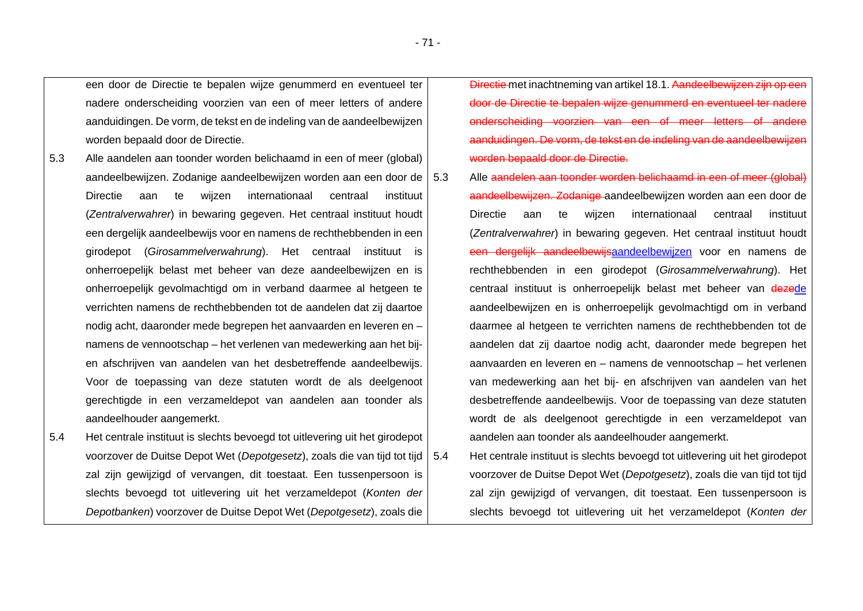een door de Directie te bepalen wijze genummerd en eventueel ter nadere onderscheiding voorzien van een of meer letters of andere aanduidingen. De vorm, de tekst en de indeling van de aandeelbewijzen worden bepaald door de Directie.

- 5.3 Alle aandelen aan toonder worden belichaamd in een of meer (global) aandeelbewijzen. Zodanige aandeelbewijzen worden aan een door de Directie aan te wijzen internationaal centraal instituut (*Zentralverwahrer*) in bewaring gegeven. Het centraal instituut houdt een dergelijk aandeelbewijs voor en namens de rechthebbenden in een girodepot (*Girosammelverwahrung*). Het centraal instituut is onherroepelijk belast met beheer van deze aandeelbewijzen en is onherroepelijk gevolmachtigd om in verband daarmee al hetgeen te verrichten namens de rechthebbenden tot de aandelen dat zij daartoe nodig acht, daaronder mede begrepen het aanvaarden en leveren en – namens de vennootschap – het verlenen van medewerking aan het bijen afschrijven van aandelen van het desbetreffende aandeelbewijs. Voor de toepassing van deze statuten wordt de als deelgenoot gerechtigde in een verzameldepot van aandelen aan toonder als aandeelhouder aangemerkt.
- 5.4 Het centrale instituut is slechts bevoegd tot uitlevering uit het girodepot voorzover de Duitse Depot Wet (*Depotgesetz*), zoals die van tijd tot tijd zal zijn gewijzigd of vervangen, dit toestaat. Een tussenpersoon is slechts bevoegd tot uitlevering uit het verzameldepot (*Konten der Depotbanken*) voorzover de Duitse Depot Wet (*Depotgesetz*), zoals die

Directie met inachtneming van artikel 18.1. Aandeelbewijzen zijn op een door de Directie te bepalen wijze genummerd en eventueel ter nadere onderscheiding voorzien van een of meer letters of andere aanduidingen. De vorm, de tekst en de indeling van de aandeelbewijzen worden bepaald door de Directie.

- 5.3 Alle aandelen aan toonder worden belichaamd in een of meer (global) aandeelbewijzen. Zodanige aandeelbewijzen worden aan een door de Directie aan te wijzen internationaal centraal instituut (*Zentralverwahrer*) in bewaring gegeven. Het centraal instituut houdt een dergelijk aandeelbewijsaandeelbewijzen voor en namens de rechthebbenden in een girodepot (*Girosammelverwahrung*). Het centraal instituut is onherroepelijk belast met beheer van dezede aandeelbewijzen en is onherroepelijk gevolmachtigd om in verband daarmee al hetgeen te verrichten namens de rechthebbenden tot de aandelen dat zij daartoe nodig acht, daaronder mede begrepen het aanvaarden en leveren en – namens de vennootschap – het verlenen van medewerking aan het bij- en afschrijven van aandelen van het desbetreffende aandeelbewijs. Voor de toepassing van deze statuten wordt de als deelgenoot gerechtigde in een verzameldepot van aandelen aan toonder als aandeelhouder aangemerkt.
- 5.4 Het centrale instituut is slechts bevoegd tot uitlevering uit het girodepot voorzover de Duitse Depot Wet (*Depotgesetz*), zoals die van tijd tot tijd zal zijn gewijzigd of vervangen, dit toestaat. Een tussenpersoon is slechts bevoegd tot uitlevering uit het verzameldepot (*Konten der*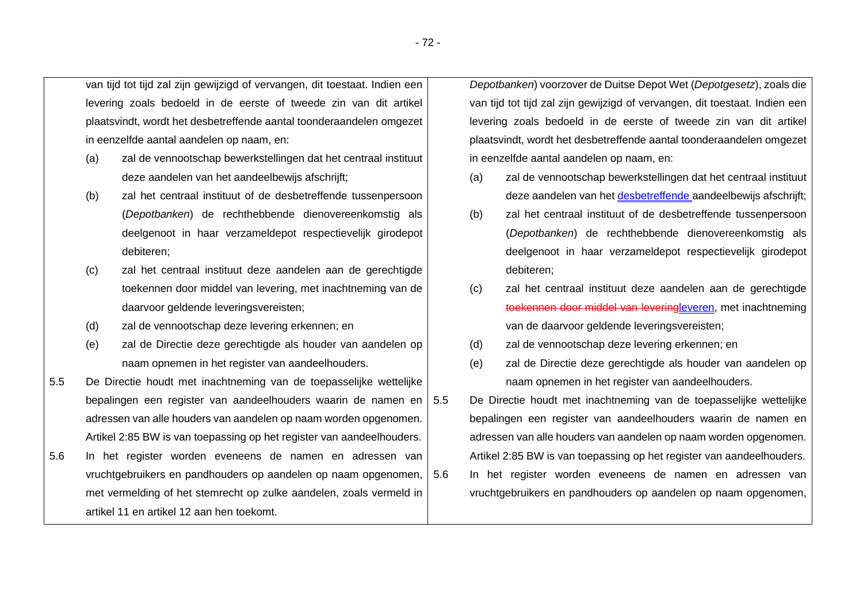van tijd tot tijd zal zijn gewijzigd of vervangen, dit toestaat. Indien een levering zoals bedoeld in de eerste of tweede zin van dit artikel plaatsvindt, wordt het desbetreffende aantal toonderaandelen omgezet in eenzelfde aantal aandelen op naam, en:

- (a) zal de vennootschap bewerkstellingen dat het centraal instituut deze aandelen van het aandeelbewijs afschrijft;
- (b) zal het centraal instituut of de desbetreffende tussenpersoon (*Depotbanken*) de rechthebbende dienovereenkomstig als deelgenoot in haar verzameldepot respectievelijk girodepot debiteren;
- (c) zal het centraal instituut deze aandelen aan de gerechtigde toekennen door middel van levering, met inachtneming van de daarvoor geldende leveringsvereisten;
- (d) zal de vennootschap deze levering erkennen; en
- (e) zal de Directie deze gerechtigde als houder van aandelen op naam opnemen in het register van aandeelhouders.
- 5.5 De Directie houdt met inachtneming van de toepasselijke wettelijke bepalingen een register van aandeelhouders waarin de namen en adressen van alle houders van aandelen op naam worden opgenomen. Artikel 2:85 BW is van toepassing op het register van aandeelhouders.
- 5.6 In het register worden eveneens de namen en adressen van vruchtgebruikers en pandhouders op aandelen op naam opgenomen, met vermelding of het stemrecht op zulke aandelen, zoals vermeld in artikel 11 en artikel 12 aan hen toekomt.

*Depotbanken*) voorzover de Duitse Depot Wet (*Depotgesetz*), zoals die van tijd tot tijd zal zijn gewijzigd of vervangen, dit toestaat. Indien een levering zoals bedoeld in de eerste of tweede zin van dit artikel plaatsvindt, wordt het desbetreffende aantal toonderaandelen omgezet in eenzelfde aantal aandelen op naam, en:

- (a) zal de vennootschap bewerkstellingen dat het centraal instituut deze aandelen van het desbetreffende aandeelbewijs afschrijft;
- (b) zal het centraal instituut of de desbetreffende tussenpersoon (*Depotbanken*) de rechthebbende dienovereenkomstig als deelgenoot in haar verzameldepot respectievelijk girodepot debiteren;
- (c) zal het centraal instituut deze aandelen aan de gerechtigde toekennen door middel van leveringleveren, met inachtneming van de daarvoor geldende leveringsvereisten;
- (d) zal de vennootschap deze levering erkennen; en
- (e) zal de Directie deze gerechtigde als houder van aandelen op naam opnemen in het register van aandeelhouders.
- 5.5 De Directie houdt met inachtneming van de toepasselijke wettelijke bepalingen een register van aandeelhouders waarin de namen en adressen van alle houders van aandelen op naam worden opgenomen. Artikel 2:85 BW is van toepassing op het register van aandeelhouders. 5.6 In het register worden eveneens de namen en adressen van vruchtgebruikers en pandhouders op aandelen op naam opgenomen,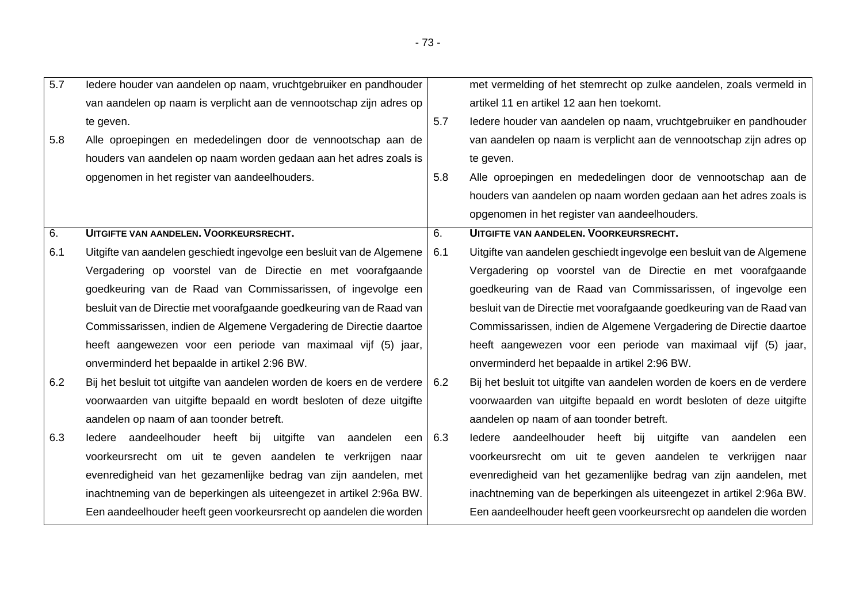| $\overline{5.7}$ | ledere houder van aandelen op naam, vruchtgebruiker en pandhouder             |     | met vermelding of het stemrecht op zulke aandelen, zoals vermeld in     |
|------------------|-------------------------------------------------------------------------------|-----|-------------------------------------------------------------------------|
|                  | van aandelen op naam is verplicht aan de vennootschap zijn adres op           |     | artikel 11 en artikel 12 aan hen toekomt.                               |
|                  | te geven.                                                                     | 5.7 | ledere houder van aandelen op naam, vruchtgebruiker en pandhouder       |
| 5.8              | Alle oproepingen en mededelingen door de vennootschap aan de                  |     | van aandelen op naam is verplicht aan de vennootschap zijn adres op     |
|                  | houders van aandelen op naam worden gedaan aan het adres zoals is             |     | te geven.                                                               |
|                  | opgenomen in het register van aandeelhouders.                                 | 5.8 | Alle oproepingen en mededelingen door de vennootschap aan de            |
|                  |                                                                               |     | houders van aandelen op naam worden gedaan aan het adres zoals is       |
|                  |                                                                               |     | opgenomen in het register van aandeelhouders.                           |
| 6.               | UITGIFTE VAN AANDELEN. VOORKEURSRECHT.                                        | 6.  | UITGIFTE VAN AANDELEN. VOORKEURSRECHT.                                  |
| 6.1              | Uitgifte van aandelen geschiedt ingevolge een besluit van de Algemene         | 6.1 | Uitgifte van aandelen geschiedt ingevolge een besluit van de Algemene   |
|                  | Vergadering op voorstel van de Directie en met voorafgaande                   |     | Vergadering op voorstel van de Directie en met voorafgaande             |
|                  | goedkeuring van de Raad van Commissarissen, of ingevolge een                  |     | goedkeuring van de Raad van Commissarissen, of ingevolge een            |
|                  | besluit van de Directie met voorafgaande goedkeuring van de Raad van          |     | besluit van de Directie met voorafgaande goedkeuring van de Raad van    |
|                  | Commissarissen, indien de Algemene Vergadering de Directie daartoe            |     | Commissarissen, indien de Algemene Vergadering de Directie daartoe      |
|                  | heeft aangewezen voor een periode van maximaal vijf (5) jaar,                 |     | heeft aangewezen voor een periode van maximaal vijf (5) jaar,           |
|                  | onverminderd het bepaalde in artikel 2:96 BW.                                 |     | onverminderd het bepaalde in artikel 2:96 BW.                           |
| 6.2              | Bij het besluit tot uitgifte van aandelen worden de koers en de verdere   6.2 |     | Bij het besluit tot uitgifte van aandelen worden de koers en de verdere |
|                  | voorwaarden van uitgifte bepaald en wordt besloten of deze uitgifte           |     | voorwaarden van uitgifte bepaald en wordt besloten of deze uitgifte     |
|                  | aandelen op naam of aan toonder betreft.                                      |     | aandelen op naam of aan toonder betreft.                                |
| 6.3              | ledere aandeelhouder heeft bij uitgifte van aandelen een 6.3                  |     | ledere aandeelhouder heeft bij uitgifte van aandelen een                |
|                  | voorkeursrecht om uit te geven aandelen te verkrijgen naar                    |     | voorkeursrecht om uit te geven aandelen te verkrijgen naar              |
|                  | evenredigheid van het gezamenlijke bedrag van zijn aandelen, met              |     | evenredigheid van het gezamenlijke bedrag van zijn aandelen, met        |
|                  | inachtneming van de beperkingen als uiteengezet in artikel 2:96a BW.          |     | inachtneming van de beperkingen als uiteengezet in artikel 2:96a BW.    |
|                  | Een aandeelhouder heeft geen voorkeursrecht op aandelen die worden            |     | Een aandeelhouder heeft geen voorkeursrecht op aandelen die worden      |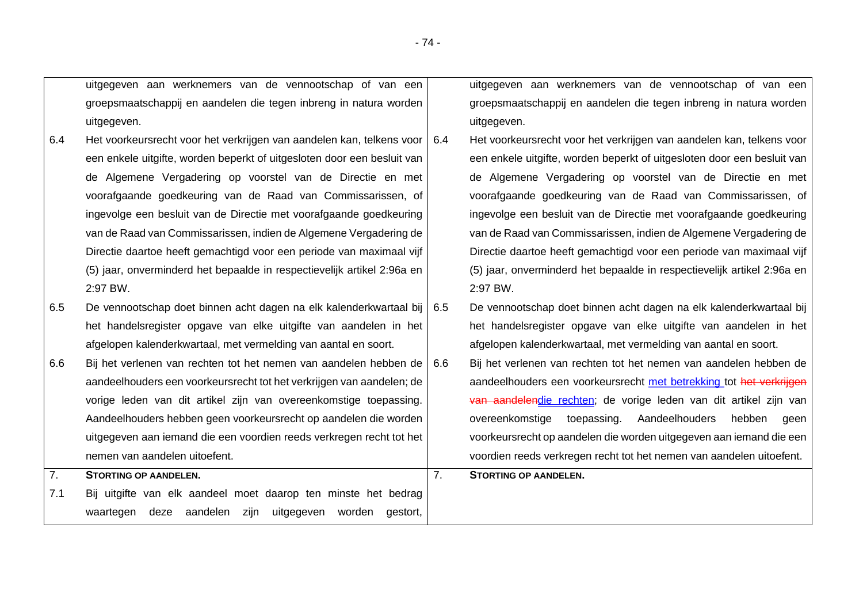uitgegeven aan werknemers van de vennootschap of van een groepsmaatschappij en aandelen die tegen inbreng in natura worden uitgegeven.

- 6.4 Het voorkeursrecht voor het verkrijgen van aandelen kan, telkens voor een enkele uitgifte, worden beperkt of uitgesloten door een besluit van de Algemene Vergadering op voorstel van de Directie en met voorafgaande goedkeuring van de Raad van Commissarissen, of ingevolge een besluit van de Directie met voorafgaande goedkeuring van de Raad van Commissarissen, indien de Algemene Vergadering de Directie daartoe heeft gemachtigd voor een periode van maximaal vijf (5) jaar, onverminderd het bepaalde in respectievelijk artikel 2:96a en 2:97 BW.
- 6.5 De vennootschap doet binnen acht dagen na elk kalenderkwartaal bij het handelsregister opgave van elke uitgifte van aandelen in het afgelopen kalenderkwartaal, met vermelding van aantal en soort.
- 6.6 Bij het verlenen van rechten tot het nemen van aandelen hebben de aandeelhouders een voorkeursrecht tot het verkrijgen van aandelen; de vorige leden van dit artikel zijn van overeenkomstige toepassing. Aandeelhouders hebben geen voorkeursrecht op aandelen die worden uitgegeven aan iemand die een voordien reeds verkregen recht tot het nemen van aandelen uitoefent. 7. **STORTING OP AANDELEN.**
- 7.1 Bij uitgifte van elk aandeel moet daarop ten minste het bedrag waartegen deze aandelen zijn uitgegeven worden gestort,

uitgegeven aan werknemers van de vennootschap of van een groepsmaatschappij en aandelen die tegen inbreng in natura worden uitgegeven.

- 6.4 Het voorkeursrecht voor het verkrijgen van aandelen kan, telkens voor een enkele uitgifte, worden beperkt of uitgesloten door een besluit van de Algemene Vergadering op voorstel van de Directie en met voorafgaande goedkeuring van de Raad van Commissarissen, of ingevolge een besluit van de Directie met voorafgaande goedkeuring van de Raad van Commissarissen, indien de Algemene Vergadering de Directie daartoe heeft gemachtigd voor een periode van maximaal vijf (5) jaar, onverminderd het bepaalde in respectievelijk artikel 2:96a en 2:97 BW.
- 6.5 De vennootschap doet binnen acht dagen na elk kalenderkwartaal bij het handelsregister opgave van elke uitgifte van aandelen in het afgelopen kalenderkwartaal, met vermelding van aantal en soort.
- 6.6 Bij het verlenen van rechten tot het nemen van aandelen hebben de aandeelhouders een voorkeursrecht met betrekking tot het verkrijgen van aandelendie rechten; de vorige leden van dit artikel zijn van overeenkomstige toepassing. Aandeelhouders hebben geen voorkeursrecht op aandelen die worden uitgegeven aan iemand die een voordien reeds verkregen recht tot het nemen van aandelen uitoefent.

7. **STORTING OP AANDELEN.**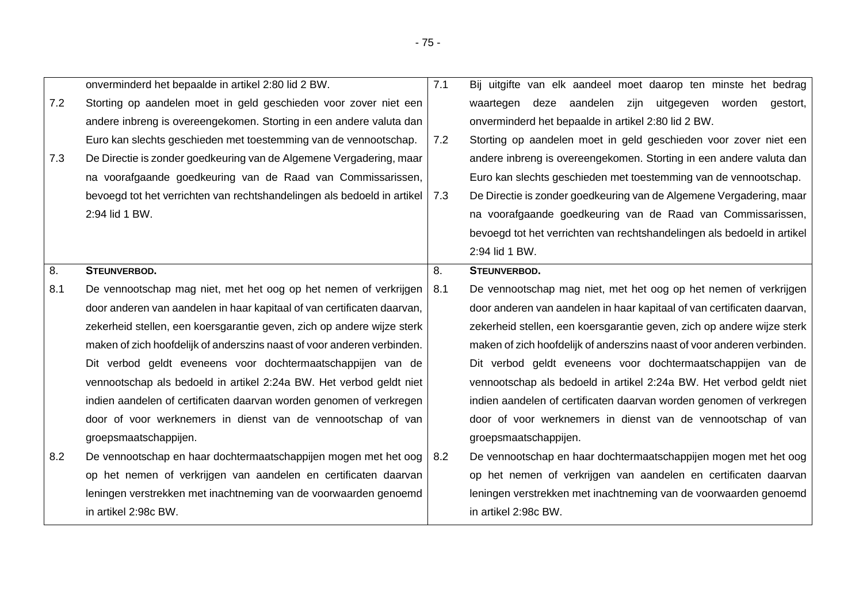|     | onverminderd het bepaalde in artikel 2:80 lid 2 BW.                     | 7.1 | Bij uitgifte van elk aandeel moet daarop ten minste het bedrag          |
|-----|-------------------------------------------------------------------------|-----|-------------------------------------------------------------------------|
| 7.2 | Storting op aandelen moet in geld geschieden voor zover niet een        |     | deze aandelen zijn uitgegeven worden gestort,<br>waartegen              |
|     | andere inbreng is overeengekomen. Storting in een andere valuta dan     |     | onverminderd het bepaalde in artikel 2:80 lid 2 BW.                     |
|     | Euro kan slechts geschieden met toestemming van de vennootschap.        | 7.2 | Storting op aandelen moet in geld geschieden voor zover niet een        |
| 7.3 | De Directie is zonder goedkeuring van de Algemene Vergadering, maar     |     | andere inbreng is overeengekomen. Storting in een andere valuta dan     |
|     | na voorafgaande goedkeuring van de Raad van Commissarissen,             |     | Euro kan slechts geschieden met toestemming van de vennootschap.        |
|     | bevoegd tot het verrichten van rechtshandelingen als bedoeld in artikel | 7.3 | De Directie is zonder goedkeuring van de Algemene Vergadering, maar     |
|     | 2:94 lid 1 BW.                                                          |     | na voorafgaande goedkeuring van de Raad van Commissarissen,             |
|     |                                                                         |     | bevoegd tot het verrichten van rechtshandelingen als bedoeld in artikel |
|     |                                                                         |     | 2:94 lid 1 BW.                                                          |
| 8.  | STEUNVERBOD.                                                            | 8.  | STEUNVERBOD.                                                            |
| 8.1 | De vennootschap mag niet, met het oog op het nemen of verkrijgen        | 8.1 | De vennootschap mag niet, met het oog op het nemen of verkrijgen        |
|     | door anderen van aandelen in haar kapitaal of van certificaten daarvan, |     | door anderen van aandelen in haar kapitaal of van certificaten daarvan, |
|     | zekerheid stellen, een koersgarantie geven, zich op andere wijze sterk  |     | zekerheid stellen, een koersgarantie geven, zich op andere wijze sterk  |
|     | maken of zich hoofdelijk of anderszins naast of voor anderen verbinden. |     | maken of zich hoofdelijk of anderszins naast of voor anderen verbinden. |
|     | Dit verbod geldt eveneens voor dochtermaatschappijen van de             |     | Dit verbod geldt eveneens voor dochtermaatschappijen van de             |
|     | vennootschap als bedoeld in artikel 2:24a BW. Het verbod geldt niet     |     | vennootschap als bedoeld in artikel 2:24a BW. Het verbod geldt niet     |
|     | indien aandelen of certificaten daarvan worden genomen of verkregen     |     | indien aandelen of certificaten daarvan worden genomen of verkregen     |
|     | door of voor werknemers in dienst van de vennootschap of van            |     | door of voor werknemers in dienst van de vennootschap of van            |
|     | groepsmaatschappijen.                                                   |     | groepsmaatschappijen.                                                   |
| 8.2 | De vennootschap en haar dochtermaatschappijen mogen met het oog         | 8.2 | De vennootschap en haar dochtermaatschappijen mogen met het oog         |
|     | op het nemen of verkrijgen van aandelen en certificaten daarvan         |     | op het nemen of verkrijgen van aandelen en certificaten daarvan         |
|     | leningen verstrekken met inachtneming van de voorwaarden genoemd        |     | leningen verstrekken met inachtneming van de voorwaarden genoemd        |
|     | in artikel 2:98c BW.                                                    |     | in artikel 2:98c BW.                                                    |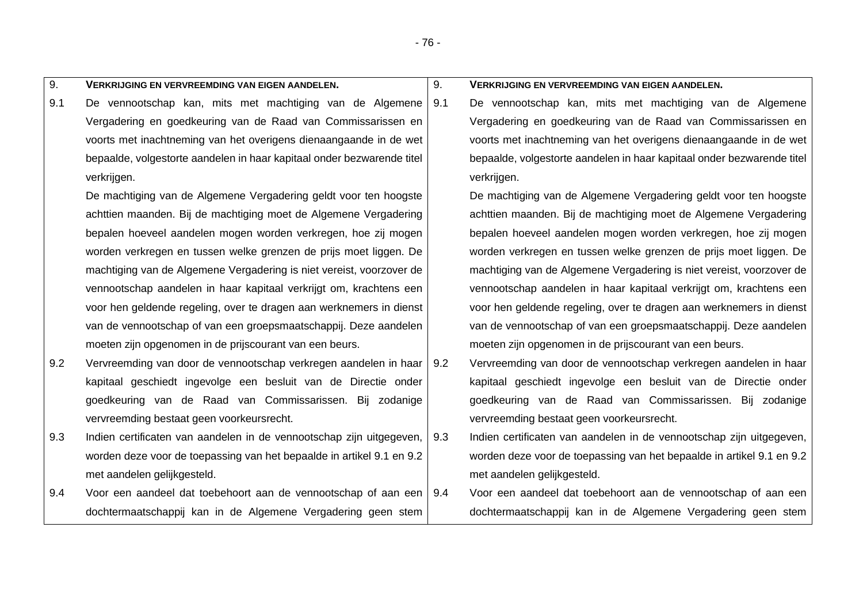- 76 -

| 9.  | <b>VERKRIJGING EN VERVREEMDING VAN EIGEN AANDELEN.</b>                 | 9.  | VERKRIJGING EN VERVREEMDING VAN EIGEN AANDELEN.                        |
|-----|------------------------------------------------------------------------|-----|------------------------------------------------------------------------|
| 9.1 | De vennootschap kan, mits met machtiging van de Algemene               | 9.1 | De vennootschap kan, mits met machtiging van de Algemene               |
|     | Vergadering en goedkeuring van de Raad van Commissarissen en           |     | Vergadering en goedkeuring van de Raad van Commissarissen en           |
|     | voorts met inachtneming van het overigens dienaangaande in de wet      |     | voorts met inachtneming van het overigens dienaangaande in de wet      |
|     | bepaalde, volgestorte aandelen in haar kapitaal onder bezwarende titel |     | bepaalde, volgestorte aandelen in haar kapitaal onder bezwarende titel |
|     | verkrijgen.                                                            |     | verkrijgen.                                                            |
|     | De machtiging van de Algemene Vergadering geldt voor ten hoogste       |     | De machtiging van de Algemene Vergadering geldt voor ten hoogste       |
|     | achttien maanden. Bij de machtiging moet de Algemene Vergadering       |     | achttien maanden. Bij de machtiging moet de Algemene Vergadering       |
|     | bepalen hoeveel aandelen mogen worden verkregen, hoe zij mogen         |     | bepalen hoeveel aandelen mogen worden verkregen, hoe zij mogen         |
|     | worden verkregen en tussen welke grenzen de prijs moet liggen. De      |     | worden verkregen en tussen welke grenzen de prijs moet liggen. De      |
|     | machtiging van de Algemene Vergadering is niet vereist, voorzover de   |     | machtiging van de Algemene Vergadering is niet vereist, voorzover de   |
|     | vennootschap aandelen in haar kapitaal verkrijgt om, krachtens een     |     | vennootschap aandelen in haar kapitaal verkrijgt om, krachtens een     |
|     | voor hen geldende regeling, over te dragen aan werknemers in dienst    |     | voor hen geldende regeling, over te dragen aan werknemers in dienst    |
|     | van de vennootschap of van een groepsmaatschappij. Deze aandelen       |     | van de vennootschap of van een groepsmaatschappij. Deze aandelen       |
|     | moeten zijn opgenomen in de prijscourant van een beurs.                |     | moeten zijn opgenomen in de prijscourant van een beurs.                |
| 9.2 | Vervreemding van door de vennootschap verkregen aandelen in haar   9.2 |     | Vervreemding van door de vennootschap verkregen aandelen in haar       |
|     | kapitaal geschiedt ingevolge een besluit van de Directie onder         |     | kapitaal geschiedt ingevolge een besluit van de Directie onder         |
|     | goedkeuring van de Raad van Commissarissen. Bij zodanige               |     | goedkeuring van de Raad van Commissarissen. Bij zodanige               |
|     | vervreemding bestaat geen voorkeursrecht.                              |     | vervreemding bestaat geen voorkeursrecht.                              |
| 9.3 | Indien certificaten van aandelen in de vennootschap zijn uitgegeven,   | 9.3 | Indien certificaten van aandelen in de vennootschap zijn uitgegeven,   |
|     | worden deze voor de toepassing van het bepaalde in artikel 9.1 en 9.2  |     | worden deze voor de toepassing van het bepaalde in artikel 9.1 en 9.2  |
|     | met aandelen gelijkgesteld.                                            |     | met aandelen gelijkgesteld.                                            |
| 9.4 | Voor een aandeel dat toebehoort aan de vennootschap of aan een   9.4   |     | Voor een aandeel dat toebehoort aan de vennootschap of aan een         |
|     | dochtermaatschappij kan in de Algemene Vergadering geen stem           |     | dochtermaatschappij kan in de Algemene Vergadering geen stem           |
|     |                                                                        |     |                                                                        |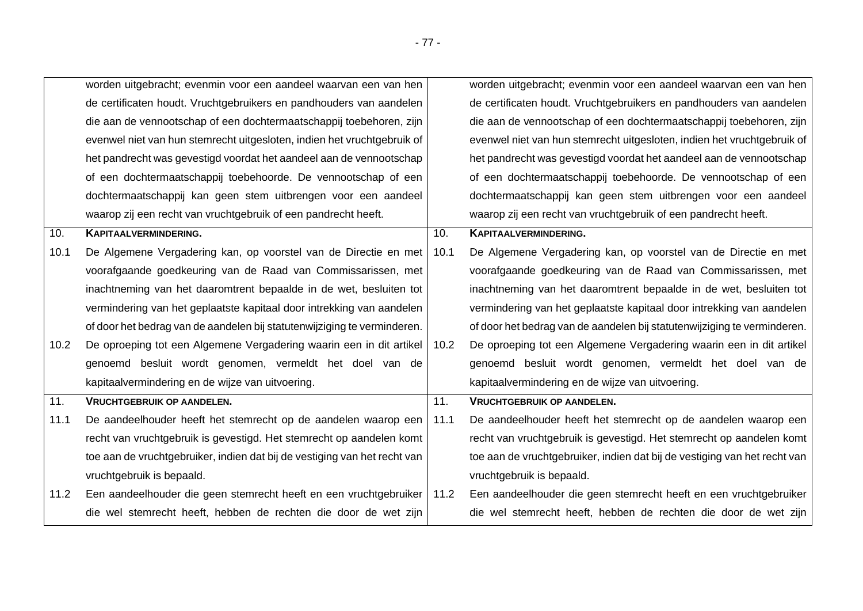|      | worden uitgebracht; evenmin voor een aandeel waarvan een van hen          |      | worden uitgebracht; evenmin voor een aandeel waarvan een van hen          |
|------|---------------------------------------------------------------------------|------|---------------------------------------------------------------------------|
|      | de certificaten houdt. Vruchtgebruikers en pandhouders van aandelen       |      | de certificaten houdt. Vruchtgebruikers en pandhouders van aandelen       |
|      | die aan de vennootschap of een dochtermaatschappij toebehoren, zijn       |      | die aan de vennootschap of een dochtermaatschappij toebehoren, zijn       |
|      | evenwel niet van hun stemrecht uitgesloten, indien het vruchtgebruik of   |      | evenwel niet van hun stemrecht uitgesloten, indien het vruchtgebruik of   |
|      | het pandrecht was gevestigd voordat het aandeel aan de vennootschap       |      | het pandrecht was gevestigd voordat het aandeel aan de vennootschap       |
|      | of een dochtermaatschappij toebehoorde. De vennootschap of een            |      | of een dochtermaatschappij toebehoorde. De vennootschap of een            |
|      | dochtermaatschappij kan geen stem uitbrengen voor een aandeel             |      | dochtermaatschappij kan geen stem uitbrengen voor een aandeel             |
|      | waarop zij een recht van vruchtgebruik of een pandrecht heeft.            |      | waarop zij een recht van vruchtgebruik of een pandrecht heeft.            |
| 10.  | <b>KAPITAALVERMINDERING.</b>                                              | 10.  | KAPITAALVERMINDERING.                                                     |
| 10.1 | De Algemene Vergadering kan, op voorstel van de Directie en met           | 10.1 | De Algemene Vergadering kan, op voorstel van de Directie en met           |
|      | voorafgaande goedkeuring van de Raad van Commissarissen, met              |      | voorafgaande goedkeuring van de Raad van Commissarissen, met              |
|      | inachtneming van het daaromtrent bepaalde in de wet, besluiten tot        |      | inachtneming van het daaromtrent bepaalde in de wet, besluiten tot        |
|      | vermindering van het geplaatste kapitaal door intrekking van aandelen     |      | vermindering van het geplaatste kapitaal door intrekking van aandelen     |
|      | of door het bedrag van de aandelen bij statutenwijziging te verminderen.  |      | of door het bedrag van de aandelen bij statutenwijziging te verminderen.  |
| 10.2 | De oproeping tot een Algemene Vergadering waarin een in dit artikel       | 10.2 | De oproeping tot een Algemene Vergadering waarin een in dit artikel       |
|      | genoemd besluit wordt genomen, vermeldt het doel van de                   |      | genoemd besluit wordt genomen, vermeldt het doel van de                   |
|      | kapitaalvermindering en de wijze van uitvoering.                          |      | kapitaalvermindering en de wijze van uitvoering.                          |
| 11.  | <b>VRUCHTGEBRUIK OP AANDELEN.</b>                                         | 11.  | <b>VRUCHTGEBRUIK OP AANDELEN.</b>                                         |
| 11.1 | De aandeelhouder heeft het stemrecht op de aandelen waarop een            | 11.1 | De aandeelhouder heeft het stemrecht op de aandelen waarop een            |
|      | recht van vruchtgebruik is gevestigd. Het stemrecht op aandelen komt      |      | recht van vruchtgebruik is gevestigd. Het stemrecht op aandelen komt      |
|      | toe aan de vruchtgebruiker, indien dat bij de vestiging van het recht van |      | toe aan de vruchtgebruiker, indien dat bij de vestiging van het recht van |
|      | vruchtgebruik is bepaald.                                                 |      | vruchtgebruik is bepaald.                                                 |
| 11.2 | Een aandeelhouder die geen stemrecht heeft en een vruchtgebruiker   11.2  |      | Een aandeelhouder die geen stemrecht heeft en een vruchtgebruiker         |
|      |                                                                           |      |                                                                           |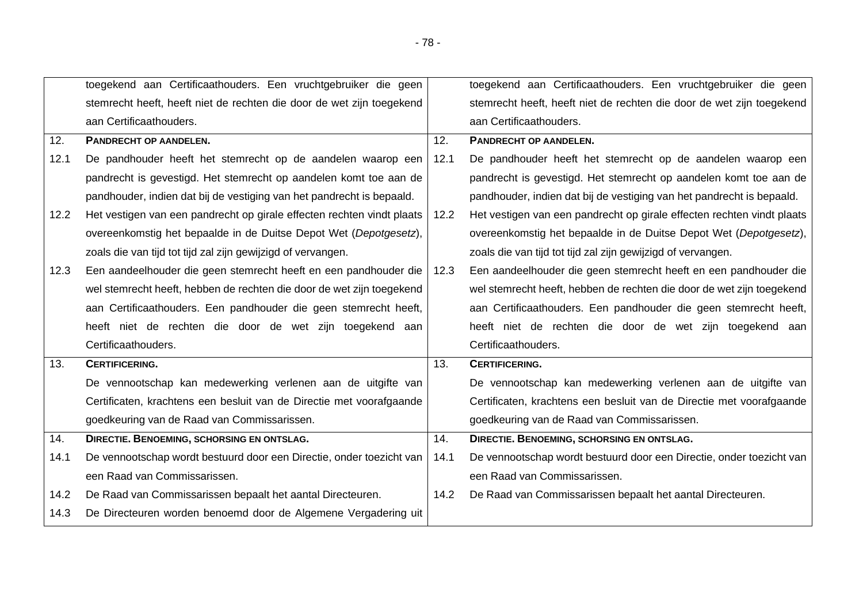|      | toegekend aan Certificaathouders. Een vruchtgebruiker die geen         |      | toegekend aan Certificaathouders. Een vruchtgebruiker die geen         |
|------|------------------------------------------------------------------------|------|------------------------------------------------------------------------|
|      | stemrecht heeft, heeft niet de rechten die door de wet zijn toegekend  |      | stemrecht heeft, heeft niet de rechten die door de wet zijn toegekend  |
|      | aan Certificaathouders.                                                |      | aan Certificaathouders.                                                |
| 12.  | PANDRECHT OP AANDELEN.                                                 | 12.  | PANDRECHT OP AANDELEN.                                                 |
| 12.1 | De pandhouder heeft het stemrecht op de aandelen waarop een            | 12.1 | De pandhouder heeft het stemrecht op de aandelen waarop een            |
|      | pandrecht is gevestigd. Het stemrecht op aandelen komt toe aan de      |      | pandrecht is gevestigd. Het stemrecht op aandelen komt toe aan de      |
|      | pandhouder, indien dat bij de vestiging van het pandrecht is bepaald.  |      | pandhouder, indien dat bij de vestiging van het pandrecht is bepaald.  |
| 12.2 | Het vestigen van een pandrecht op girale effecten rechten vindt plaats | 12.2 | Het vestigen van een pandrecht op girale effecten rechten vindt plaats |
|      | overeenkomstig het bepaalde in de Duitse Depot Wet (Depotgesetz),      |      | overeenkomstig het bepaalde in de Duitse Depot Wet (Depotgesetz),      |
|      | zoals die van tijd tot tijd zal zijn gewijzigd of vervangen.           |      | zoals die van tijd tot tijd zal zijn gewijzigd of vervangen.           |
| 12.3 | Een aandeelhouder die geen stemrecht heeft en een pandhouder die       | 12.3 | Een aandeelhouder die geen stemrecht heeft en een pandhouder die       |
|      | wel stemrecht heeft, hebben de rechten die door de wet zijn toegekend  |      | wel stemrecht heeft, hebben de rechten die door de wet zijn toegekend  |
|      | aan Certificaathouders. Een pandhouder die geen stemrecht heeft,       |      | aan Certificaathouders. Een pandhouder die geen stemrecht heeft,       |
|      | heeft niet de rechten die door de wet zijn toegekend aan               |      | heeft niet de rechten die door de wet zijn toegekend aan               |
|      | Certificaathouders.                                                    |      | Certificaathouders.                                                    |
| 13.  | <b>CERTIFICERING.</b>                                                  | 13.  | <b>CERTIFICERING.</b>                                                  |
|      | De vennootschap kan medewerking verlenen aan de uitgifte van           |      | De vennootschap kan medewerking verlenen aan de uitgifte van           |
|      | Certificaten, krachtens een besluit van de Directie met voorafgaande   |      | Certificaten, krachtens een besluit van de Directie met voorafgaande   |
|      | goedkeuring van de Raad van Commissarissen.                            |      | goedkeuring van de Raad van Commissarissen.                            |
| 14.  | <b>DIRECTIE. BENOEMING, SCHORSING EN ONTSLAG.</b>                      | 14.  | <b>DIRECTIE. BENOEMING, SCHORSING EN ONTSLAG.</b>                      |
| 14.1 | De vennootschap wordt bestuurd door een Directie, onder toezicht van   | 14.1 | De vennootschap wordt bestuurd door een Directie, onder toezicht van   |
|      | een Raad van Commissarissen.                                           |      | een Raad van Commissarissen.                                           |
| 14.2 | De Raad van Commissarissen bepaalt het aantal Directeuren.             | 14.2 | De Raad van Commissarissen bepaalt het aantal Directeuren.             |
| 14.3 | De Directeuren worden benoemd door de Algemene Vergadering uit         |      |                                                                        |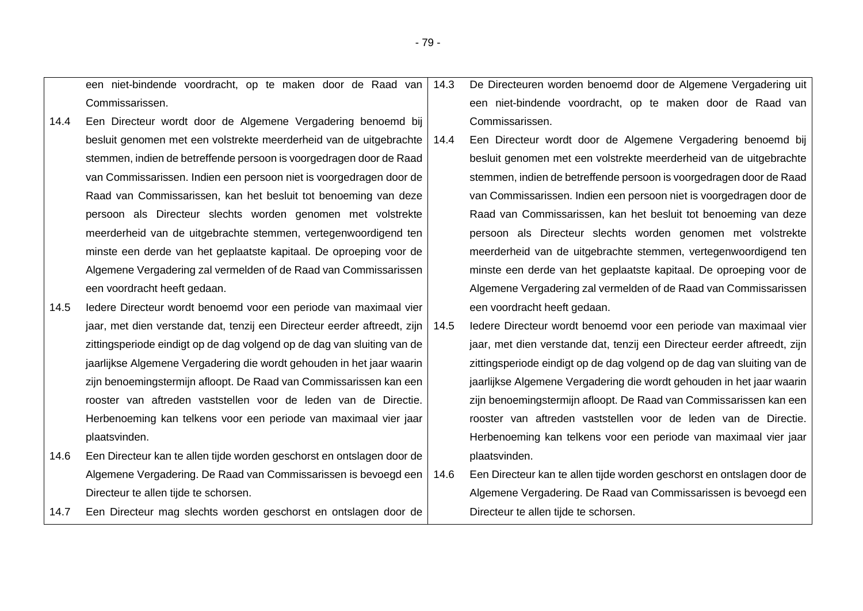|      | een niet-bindende voordracht, op te maken door de Raad van               | 14.3 | De Directeuren worden benoemd door de Algemene Vergadering uit           |
|------|--------------------------------------------------------------------------|------|--------------------------------------------------------------------------|
|      | Commissarissen.                                                          |      | een niet-bindende voordracht, op te maken door de Raad van               |
| 14.4 | Een Directeur wordt door de Algemene Vergadering benoemd bij             |      | Commissarissen.                                                          |
|      | besluit genomen met een volstrekte meerderheid van de uitgebrachte       | 14.4 | Een Directeur wordt door de Algemene Vergadering benoemd bij             |
|      | stemmen, indien de betreffende persoon is voorgedragen door de Raad      |      | besluit genomen met een volstrekte meerderheid van de uitgebrachte       |
|      | van Commissarissen. Indien een persoon niet is voorgedragen door de      |      | stemmen, indien de betreffende persoon is voorgedragen door de Raad      |
|      | Raad van Commissarissen, kan het besluit tot benoeming van deze          |      | van Commissarissen. Indien een persoon niet is voorgedragen door de      |
|      | persoon als Directeur slechts worden genomen met volstrekte              |      | Raad van Commissarissen, kan het besluit tot benoeming van deze          |
|      | meerderheid van de uitgebrachte stemmen, vertegenwoordigend ten          |      | persoon als Directeur slechts worden genomen met volstrekte              |
|      | minste een derde van het geplaatste kapitaal. De oproeping voor de       |      | meerderheid van de uitgebrachte stemmen, vertegenwoordigend ten          |
|      | Algemene Vergadering zal vermelden of de Raad van Commissarissen         |      | minste een derde van het geplaatste kapitaal. De oproeping voor de       |
|      | een voordracht heeft gedaan.                                             |      | Algemene Vergadering zal vermelden of de Raad van Commissarissen         |
| 14.5 | ledere Directeur wordt benoemd voor een periode van maximaal vier        |      | een voordracht heeft gedaan.                                             |
|      | jaar, met dien verstande dat, tenzij een Directeur eerder aftreedt, zijn | 14.5 | ledere Directeur wordt benoemd voor een periode van maximaal vier        |
|      | zittingsperiode eindigt op de dag volgend op de dag van sluiting van de  |      | jaar, met dien verstande dat, tenzij een Directeur eerder aftreedt, zijn |
|      | jaarlijkse Algemene Vergadering die wordt gehouden in het jaar waarin    |      | zittingsperiode eindigt op de dag volgend op de dag van sluiting van de  |
|      | zijn benoemingstermijn afloopt. De Raad van Commissarissen kan een       |      | jaarlijkse Algemene Vergadering die wordt gehouden in het jaar waarin    |
|      | rooster van aftreden vaststellen voor de leden van de Directie.          |      | zijn benoemingstermijn afloopt. De Raad van Commissarissen kan een       |
|      | Herbenoeming kan telkens voor een periode van maximaal vier jaar         |      | rooster van aftreden vaststellen voor de leden van de Directie.          |
|      | plaatsvinden.                                                            |      | Herbenoeming kan telkens voor een periode van maximaal vier jaar         |
| 14.6 | Een Directeur kan te allen tijde worden geschorst en ontslagen door de   |      | plaatsvinden.                                                            |
|      | Algemene Vergadering. De Raad van Commissarissen is bevoegd een          | 14.6 | Een Directeur kan te allen tijde worden geschorst en ontslagen door de   |
|      | Directeur te allen tijde te schorsen.                                    |      | Algemene Vergadering. De Raad van Commissarissen is bevoegd een          |
| 14.7 | Een Directeur mag slechts worden geschorst en ontslagen door de          |      | Directeur te allen tijde te schorsen.                                    |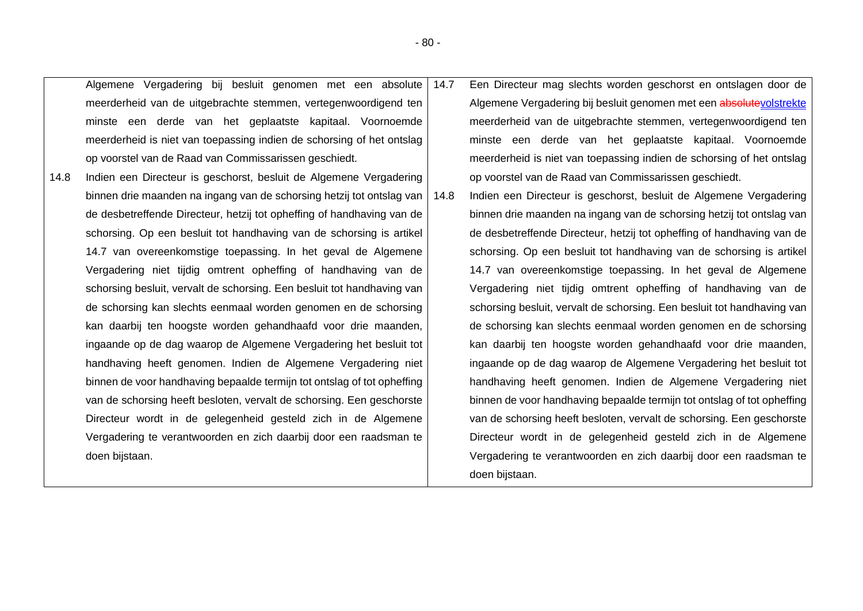|      | Algemene Vergadering bij besluit genomen met een absolute 14.7          |      | Een Directeur mag slechts worden geschorst en ontslagen door de         |
|------|-------------------------------------------------------------------------|------|-------------------------------------------------------------------------|
|      | meerderheid van de uitgebrachte stemmen, vertegenwoordigend ten         |      | Algemene Vergadering bij besluit genomen met een absolutevolstrekte     |
|      | minste een derde van het geplaatste kapitaal. Voornoemde                |      | meerderheid van de uitgebrachte stemmen, vertegenwoordigend ten         |
|      | meerderheid is niet van toepassing indien de schorsing of het ontslag   |      | minste een derde van het geplaatste kapitaal. Voornoemde                |
|      | op voorstel van de Raad van Commissarissen geschiedt.                   |      | meerderheid is niet van toepassing indien de schorsing of het ontslag   |
| 14.8 | Indien een Directeur is geschorst, besluit de Algemene Vergadering      |      | op voorstel van de Raad van Commissarissen geschiedt.                   |
|      | binnen drie maanden na ingang van de schorsing hetzij tot ontslag van   | 14.8 | Indien een Directeur is geschorst, besluit de Algemene Vergadering      |
|      | de desbetreffende Directeur, hetzij tot opheffing of handhaving van de  |      | binnen drie maanden na ingang van de schorsing hetzij tot ontslag van   |
|      | schorsing. Op een besluit tot handhaving van de schorsing is artikel    |      | de desbetreffende Directeur, hetzij tot opheffing of handhaving van de  |
|      | 14.7 van overeenkomstige toepassing. In het geval de Algemene           |      | schorsing. Op een besluit tot handhaving van de schorsing is artikel    |
|      | Vergadering niet tijdig omtrent opheffing of handhaving van de          |      | 14.7 van overeenkomstige toepassing. In het geval de Algemene           |
|      | schorsing besluit, vervalt de schorsing. Een besluit tot handhaving van |      | Vergadering niet tijdig omtrent opheffing of handhaving van de          |
|      | de schorsing kan slechts eenmaal worden genomen en de schorsing         |      | schorsing besluit, vervalt de schorsing. Een besluit tot handhaving van |
|      | kan daarbij ten hoogste worden gehandhaafd voor drie maanden,           |      | de schorsing kan slechts eenmaal worden genomen en de schorsing         |
|      | ingaande op de dag waarop de Algemene Vergadering het besluit tot       |      | kan daarbij ten hoogste worden gehandhaafd voor drie maanden,           |
|      | handhaving heeft genomen. Indien de Algemene Vergadering niet           |      | ingaande op de dag waarop de Algemene Vergadering het besluit tot       |
|      | binnen de voor handhaving bepaalde termijn tot ontslag of tot opheffing |      | handhaving heeft genomen. Indien de Algemene Vergadering niet           |
|      | van de schorsing heeft besloten, vervalt de schorsing. Een geschorste   |      | binnen de voor handhaving bepaalde termijn tot ontslag of tot opheffing |
|      | Directeur wordt in de gelegenheid gesteld zich in de Algemene           |      | van de schorsing heeft besloten, vervalt de schorsing. Een geschorste   |
|      | Vergadering te verantwoorden en zich daarbij door een raadsman te       |      | Directeur wordt in de gelegenheid gesteld zich in de Algemene           |
|      | doen bijstaan.                                                          |      | Vergadering te verantwoorden en zich daarbij door een raadsman te       |
|      |                                                                         |      | doen bijstaan.                                                          |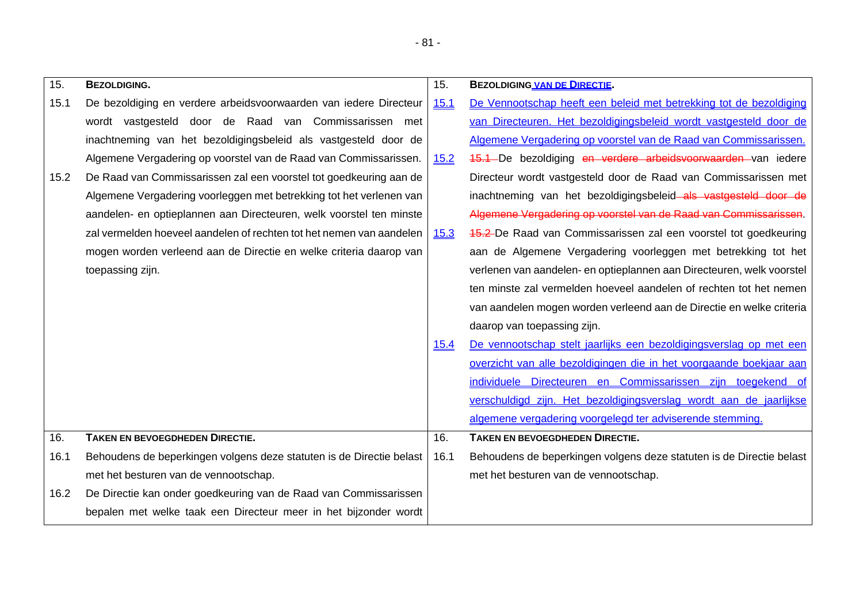| 15.  | <b>BEZOLDIGING.</b>                                                  | 15.         | <b>BEZOLDIGING VAN DE DIRECTIE.</b>                                   |
|------|----------------------------------------------------------------------|-------------|-----------------------------------------------------------------------|
| 15.1 | De bezoldiging en verdere arbeidsvoorwaarden van iedere Directeur    | 15.1        | De Vennootschap heeft een beleid met betrekking tot de bezoldiging    |
|      | wordt vastgesteld door de Raad van Commissarissen met                |             | van Directeuren. Het bezoldigingsbeleid wordt vastgesteld door de     |
|      | inachtneming van het bezoldigingsbeleid als vastgesteld door de      |             | Algemene Vergadering op voorstel van de Raad van Commissarissen.      |
|      | Algemene Vergadering op voorstel van de Raad van Commissarissen.     | 15.2        | 45.1 De bezoldiging en verdere arbeidsvoorwaarden van iedere          |
| 15.2 | De Raad van Commissarissen zal een voorstel tot goedkeuring aan de   |             | Directeur wordt vastgesteld door de Raad van Commissarissen met       |
|      | Algemene Vergadering voorleggen met betrekking tot het verlenen van  |             | inachtneming van het bezoldigingsbeleid als vastgesteld door de       |
|      | aandelen- en optieplannen aan Directeuren, welk voorstel ten minste  |             | Algemene Vergadering op voorstel van de Raad van Commissarissen.      |
|      | zal vermelden hoeveel aandelen of rechten tot het nemen van aandelen | <u>15.3</u> | 45.2 De Raad van Commissarissen zal een voorstel tot goedkeuring      |
|      | mogen worden verleend aan de Directie en welke criteria daarop van   |             | aan de Algemene Vergadering voorleggen met betrekking tot het         |
|      | toepassing zijn.                                                     |             | verlenen van aandelen- en optieplannen aan Directeuren, welk voorstel |
|      |                                                                      |             | ten minste zal vermelden hoeveel aandelen of rechten tot het nemen    |
|      |                                                                      |             | van aandelen mogen worden verleend aan de Directie en welke criteria  |
|      |                                                                      |             | daarop van toepassing zijn.                                           |
|      |                                                                      | 15.4        | De vennootschap stelt jaarlijks een bezoldigingsverslag op met een    |
|      |                                                                      |             | overzicht van alle bezoldigingen die in het voorgaande boekjaar aan   |
|      |                                                                      |             | individuele Directeuren en Commissarissen zijn toegekend of           |
|      |                                                                      |             | verschuldigd zijn. Het bezoldigingsverslag wordt aan de jaarlijkse    |
|      |                                                                      |             | algemene vergadering voorgelegd ter adviserende stemming.             |
| 16.  | <b>TAKEN EN BEVOEGDHEDEN DIRECTIE.</b>                               | 16.         | <b>TAKEN EN BEVOEGDHEDEN DIRECTIE.</b>                                |
| 16.1 | Behoudens de beperkingen volgens deze statuten is de Directie belast | 16.1        | Behoudens de beperkingen volgens deze statuten is de Directie belast  |
|      | met het besturen van de vennootschap.                                |             | met het besturen van de vennootschap.                                 |
| 16.2 | De Directie kan onder goedkeuring van de Raad van Commissarissen     |             |                                                                       |
|      | bepalen met welke taak een Directeur meer in het bijzonder wordt     |             |                                                                       |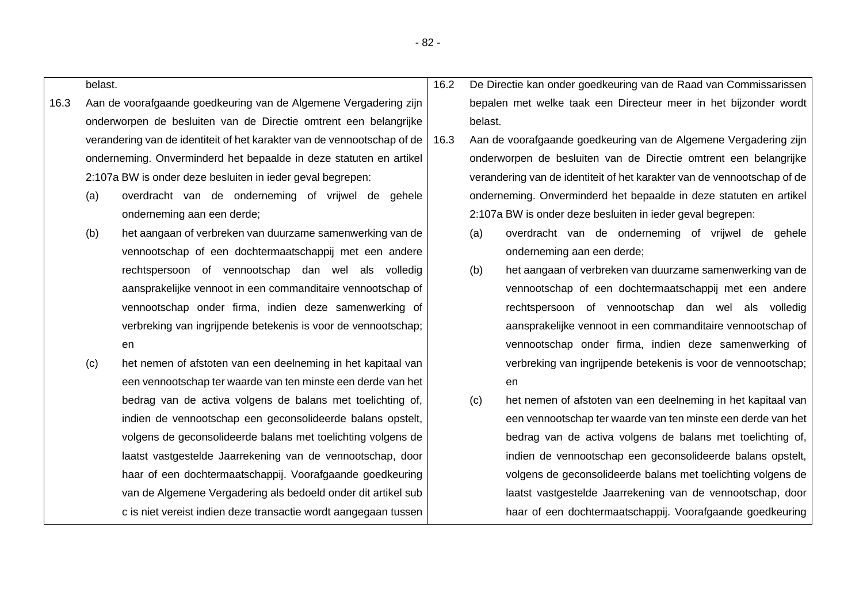|      | belast. |                                                                         | 16.2 |         | De Directie kan onder goedkeuring van de Raad van Commissarissen        |
|------|---------|-------------------------------------------------------------------------|------|---------|-------------------------------------------------------------------------|
| 16.3 |         | Aan de voorafgaande goedkeuring van de Algemene Vergadering zijn        |      |         | bepalen met welke taak een Directeur meer in het bijzonder wordt        |
|      |         | onderworpen de besluiten van de Directie omtrent een belangrijke        |      | belast. |                                                                         |
|      |         | verandering van de identiteit of het karakter van de vennootschap of de | 16.3 |         | Aan de voorafgaande goedkeuring van de Algemene Vergadering zijn        |
|      |         | onderneming. Onverminderd het bepaalde in deze statuten en artikel      |      |         | onderworpen de besluiten van de Directie omtrent een belangrijke        |
|      |         | 2:107a BW is onder deze besluiten in ieder geval begrepen:              |      |         | verandering van de identiteit of het karakter van de vennootschap of de |
|      | (a)     | overdracht van de onderneming of vrijwel de gehele                      |      |         | onderneming. Onverminderd het bepaalde in deze statuten en artikel      |
|      |         | onderneming aan een derde;                                              |      |         | 2:107a BW is onder deze besluiten in ieder geval begrepen:              |
|      | (b)     | het aangaan of verbreken van duurzame samenwerking van de               |      | (a)     | overdracht van de onderneming of vrijwel de gehele                      |
|      |         | vennootschap of een dochtermaatschappij met een andere                  |      |         | onderneming aan een derde;                                              |
|      |         | rechtspersoon of vennootschap dan wel als volledig                      |      | (b)     | het aangaan of verbreken van duurzame samenwerking van de               |
|      |         | aansprakelijke vennoot in een commanditaire vennootschap of             |      |         | vennootschap of een dochtermaatschappij met een andere                  |
|      |         | vennootschap onder firma, indien deze samenwerking of                   |      |         | rechtspersoon of vennootschap dan wel als volledig                      |
|      |         | verbreking van ingrijpende betekenis is voor de vennootschap;           |      |         | aansprakelijke vennoot in een commanditaire vennootschap of             |
|      |         | en                                                                      |      |         | vennootschap onder firma, indien deze samenwerking of                   |
|      | (c)     | het nemen of afstoten van een deelneming in het kapitaal van            |      |         | verbreking van ingrijpende betekenis is voor de vennootschap;           |
|      |         | een vennootschap ter waarde van ten minste een derde van het            |      |         | en                                                                      |
|      |         | bedrag van de activa volgens de balans met toelichting of,              |      | (c)     | het nemen of afstoten van een deelneming in het kapitaal van            |
|      |         | indien de vennootschap een geconsolideerde balans opstelt,              |      |         | een vennootschap ter waarde van ten minste een derde van het            |
|      |         | volgens de geconsolideerde balans met toelichting volgens de            |      |         | bedrag van de activa volgens de balans met toelichting of,              |
|      |         | laatst vastgestelde Jaarrekening van de vennootschap, door              |      |         | indien de vennootschap een geconsolideerde balans opstelt,              |
|      |         | haar of een dochtermaatschappij. Voorafgaande goedkeuring               |      |         | volgens de geconsolideerde balans met toelichting volgens de            |
|      |         | van de Algemene Vergadering als bedoeld onder dit artikel sub           |      |         | laatst vastgestelde Jaarrekening van de vennootschap, door              |
|      |         | c is niet vereist indien deze transactie wordt aangegaan tussen         |      |         | haar of een dochtermaatschappij. Voorafgaande goedkeuring               |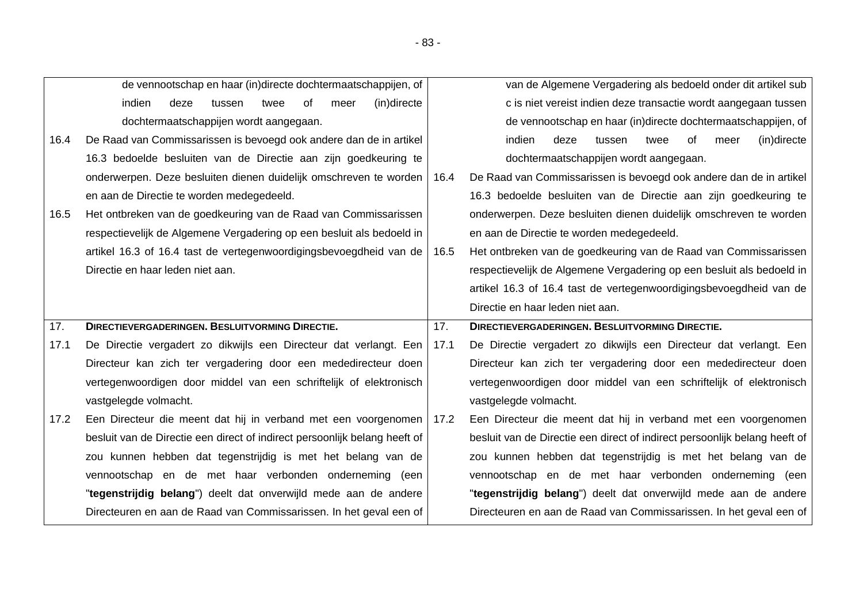|      | de vennootschap en haar (in)directe dochtermaatschappijen, of              |      | van de Algemene Vergadering als bedoeld onder dit artikel sub              |
|------|----------------------------------------------------------------------------|------|----------------------------------------------------------------------------|
|      | indien<br>(in)directe<br>deze<br>tussen<br>0f<br>twee<br>meer              |      | c is niet vereist indien deze transactie wordt aangegaan tussen            |
|      | dochtermaatschappijen wordt aangegaan.                                     |      | de vennootschap en haar (in)directe dochtermaatschappijen, of              |
| 16.4 | De Raad van Commissarissen is bevoegd ook andere dan de in artikel         |      | (in)directe<br>indien<br>deze<br>0f<br>tussen<br>twee<br>meer              |
|      | 16.3 bedoelde besluiten van de Directie aan zijn goedkeuring te            |      | dochtermaatschappijen wordt aangegaan.                                     |
|      | onderwerpen. Deze besluiten dienen duidelijk omschreven te worden          | 16.4 | De Raad van Commissarissen is bevoegd ook andere dan de in artikel         |
|      | en aan de Directie te worden medegedeeld.                                  |      | 16.3 bedoelde besluiten van de Directie aan zijn goedkeuring te            |
| 16.5 | Het ontbreken van de goedkeuring van de Raad van Commissarissen            |      | onderwerpen. Deze besluiten dienen duidelijk omschreven te worden          |
|      | respectievelijk de Algemene Vergadering op een besluit als bedoeld in      |      | en aan de Directie te worden medegedeeld.                                  |
|      | artikel 16.3 of 16.4 tast de vertegenwoordigingsbevoegdheid van de         | 16.5 | Het ontbreken van de goedkeuring van de Raad van Commissarissen            |
|      | Directie en haar leden niet aan.                                           |      | respectievelijk de Algemene Vergadering op een besluit als bedoeld in      |
|      |                                                                            |      | artikel 16.3 of 16.4 tast de vertegenwoordigingsbevoegdheid van de         |
|      |                                                                            |      |                                                                            |
|      |                                                                            |      | Directie en haar leden niet aan.                                           |
| 17.  | <b>DIRECTIEVERGADERINGEN. BESLUITVORMING DIRECTIE.</b>                     | 17.  | <b>DIRECTIEVERGADERINGEN. BESLUITVORMING DIRECTIE.</b>                     |
| 17.1 | De Directie vergadert zo dikwijls een Directeur dat verlangt. Een          | 17.1 | De Directie vergadert zo dikwijls een Directeur dat verlangt. Een          |
|      | Directeur kan zich ter vergadering door een mededirecteur doen             |      | Directeur kan zich ter vergadering door een mededirecteur doen             |
|      | vertegenwoordigen door middel van een schriftelijk of elektronisch         |      | vertegenwoordigen door middel van een schriftelijk of elektronisch         |
|      | vastgelegde volmacht.                                                      |      | vastgelegde volmacht.                                                      |
| 17.2 | Een Directeur die meent dat hij in verband met een voorgenomen 17.2        |      | Een Directeur die meent dat hij in verband met een voorgenomen             |
|      | besluit van de Directie een direct of indirect persoonlijk belang heeft of |      | besluit van de Directie een direct of indirect persoonlijk belang heeft of |
|      | zou kunnen hebben dat tegenstrijdig is met het belang van de               |      | zou kunnen hebben dat tegenstrijdig is met het belang van de               |
|      | vennootschap en de met haar verbonden onderneming (een                     |      | vennootschap en de met haar verbonden onderneming (een                     |
|      | "tegenstrijdig belang") deelt dat onverwijld mede aan de andere            |      | "tegenstrijdig belang") deelt dat onverwijld mede aan de andere            |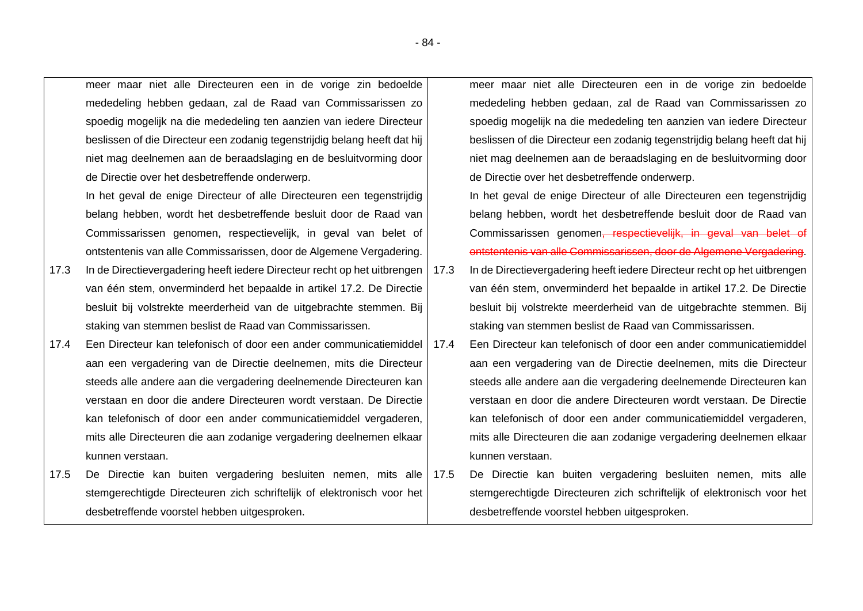meer maar niet alle Directeuren een in de vorige zin bedoelde mededeling hebben gedaan, zal de Raad van Commissarissen zo spoedig mogelijk na die mededeling ten aanzien van iedere Directeur beslissen of die Directeur een zodanig tegenstrijdig belang heeft dat hij niet mag deelnemen aan de beraadslaging en de besluitvorming door de Directie over het desbetreffende onderwerp.

In het geval de enige Directeur of alle Directeuren een tegenstrijdig belang hebben, wordt het desbetreffende besluit door de Raad van Commissarissen genomen, respectievelijk, in geval van belet of ontstentenis van alle Commissarissen, door de Algemene Vergadering.

- 17.3 In de Directievergadering heeft iedere Directeur recht op het uitbrengen van één stem, onverminderd het bepaalde in artikel 17.2. De Directie besluit bij volstrekte meerderheid van de uitgebrachte stemmen. Bij staking van stemmen beslist de Raad van Commissarissen.
- 17.4 Een Directeur kan telefonisch of door een ander communicatiemiddel aan een vergadering van de Directie deelnemen, mits die Directeur steeds alle andere aan die vergadering deelnemende Directeuren kan verstaan en door die andere Directeuren wordt verstaan. De Directie kan telefonisch of door een ander communicatiemiddel vergaderen, mits alle Directeuren die aan zodanige vergadering deelnemen elkaar kunnen verstaan.
- 17.5 De Directie kan buiten vergadering besluiten nemen, mits alle stemgerechtigde Directeuren zich schriftelijk of elektronisch voor het desbetreffende voorstel hebben uitgesproken.

meer maar niet alle Directeuren een in de vorige zin bedoelde mededeling hebben gedaan, zal de Raad van Commissarissen zo spoedig mogelijk na die mededeling ten aanzien van iedere Directeur beslissen of die Directeur een zodanig tegenstrijdig belang heeft dat hij niet mag deelnemen aan de beraadslaging en de besluitvorming door de Directie over het desbetreffende onderwerp.

In het geval de enige Directeur of alle Directeuren een tegenstrijdig belang hebben, wordt het desbetreffende besluit door de Raad van Commissarissen genomen, respectievelijk, in geval van belet of ontstentenis van alle Commissarissen, door de Algemene Vergadering.

- 17.3 In de Directievergadering heeft iedere Directeur recht op het uitbrengen van één stem, onverminderd het bepaalde in artikel 17.2. De Directie besluit bij volstrekte meerderheid van de uitgebrachte stemmen. Bij staking van stemmen beslist de Raad van Commissarissen.
- 17.4 Een Directeur kan telefonisch of door een ander communicatiemiddel aan een vergadering van de Directie deelnemen, mits die Directeur steeds alle andere aan die vergadering deelnemende Directeuren kan verstaan en door die andere Directeuren wordt verstaan. De Directie kan telefonisch of door een ander communicatiemiddel vergaderen, mits alle Directeuren die aan zodanige vergadering deelnemen elkaar kunnen verstaan.
- 17.5 De Directie kan buiten vergadering besluiten nemen, mits alle stemgerechtigde Directeuren zich schriftelijk of elektronisch voor het desbetreffende voorstel hebben uitgesproken.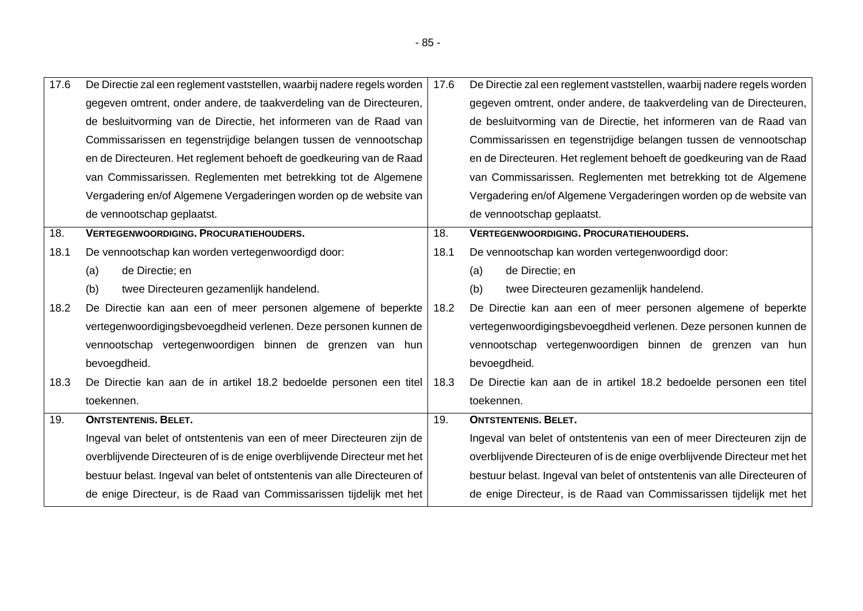| 17.6 | De Directie zal een reglement vaststellen, waarbij nadere regels worden   17.6 |      | De Directie zal een reglement vaststellen, waarbij nadere regels worden   |
|------|--------------------------------------------------------------------------------|------|---------------------------------------------------------------------------|
|      | gegeven omtrent, onder andere, de taakverdeling van de Directeuren,            |      | gegeven omtrent, onder andere, de taakverdeling van de Directeuren,       |
|      | de besluitvorming van de Directie, het informeren van de Raad van              |      | de besluitvorming van de Directie, het informeren van de Raad van         |
|      | Commissarissen en tegenstrijdige belangen tussen de vennootschap               |      | Commissarissen en tegenstrijdige belangen tussen de vennootschap          |
|      | en de Directeuren. Het reglement behoeft de goedkeuring van de Raad            |      | en de Directeuren. Het reglement behoeft de goedkeuring van de Raad       |
|      | van Commissarissen. Reglementen met betrekking tot de Algemene                 |      | van Commissarissen. Reglementen met betrekking tot de Algemene            |
|      | Vergadering en/of Algemene Vergaderingen worden op de website van              |      | Vergadering en/of Algemene Vergaderingen worden op de website van         |
|      | de vennootschap geplaatst.                                                     |      | de vennootschap geplaatst.                                                |
| 18.  | <b>VERTEGENWOORDIGING. PROCURATIEHOUDERS.</b>                                  | 18.  | <b>VERTEGENWOORDIGING. PROCURATIEHOUDERS.</b>                             |
| 18.1 | De vennootschap kan worden vertegenwoordigd door:                              | 18.1 | De vennootschap kan worden vertegenwoordigd door:                         |
|      | de Directie; en<br>(a)                                                         |      | de Directie; en<br>(a)                                                    |
|      | twee Directeuren gezamenlijk handelend.<br>(b)                                 |      | (b)<br>twee Directeuren gezamenlijk handelend.                            |
| 18.2 | De Directie kan aan een of meer personen algemene of beperkte                  | 18.2 | De Directie kan aan een of meer personen algemene of beperkte             |
|      | vertegenwoordigingsbevoegdheid verlenen. Deze personen kunnen de               |      | vertegenwoordigingsbevoegdheid verlenen. Deze personen kunnen de          |
|      | vennootschap vertegenwoordigen binnen de grenzen van hun                       |      | vennootschap vertegenwoordigen binnen de grenzen van hun                  |
|      | bevoegdheid.                                                                   |      | bevoegdheid.                                                              |
| 18.3 | De Directie kan aan de in artikel 18.2 bedoelde personen een titel             | 18.3 | De Directie kan aan de in artikel 18.2 bedoelde personen een titel        |
|      | toekennen.                                                                     |      | toekennen.                                                                |
| 19.  | <b>ONTSTENTENIS. BELET.</b>                                                    | 19.  | <b>ONTSTENTENIS. BELET.</b>                                               |
|      | Ingeval van belet of ontstentenis van een of meer Directeuren zijn de          |      | Ingeval van belet of ontstentenis van een of meer Directeuren zijn de     |
|      | overblijvende Directeuren of is de enige overblijvende Directeur met het       |      | overblijvende Directeuren of is de enige overblijvende Directeur met het  |
|      | bestuur belast. Ingeval van belet of ontstentenis van alle Directeuren of      |      | bestuur belast. Ingeval van belet of ontstentenis van alle Directeuren of |
|      | de enige Directeur, is de Raad van Commissarissen tijdelijk met het            |      | de enige Directeur, is de Raad van Commissarissen tijdelijk met het       |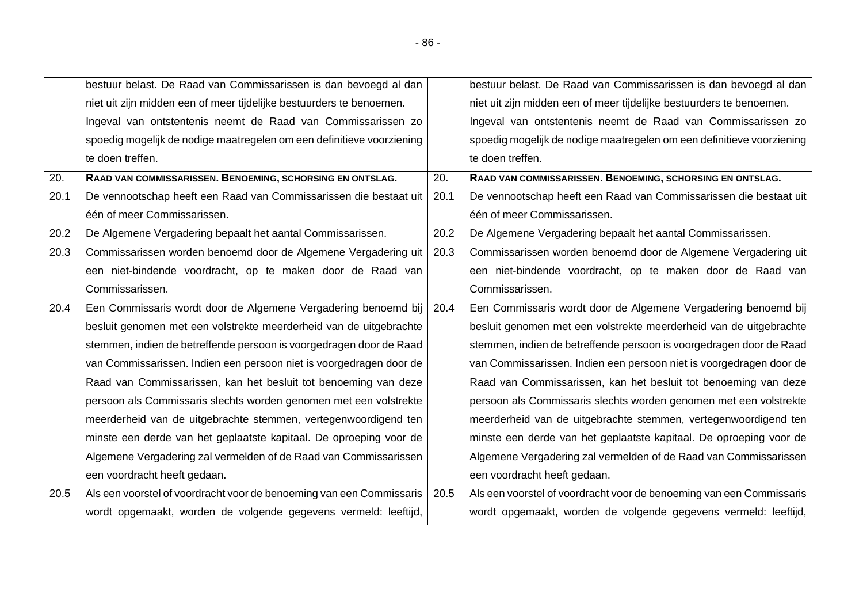|      | bestuur belast. De Raad van Commissarissen is dan bevoegd al dan            |      | bestuur belast. De Raad van Commissarissen is dan bevoegd al dan      |
|------|-----------------------------------------------------------------------------|------|-----------------------------------------------------------------------|
|      | niet uit zijn midden een of meer tijdelijke bestuurders te benoemen.        |      | niet uit zijn midden een of meer tijdelijke bestuurders te benoemen.  |
|      | Ingeval van ontstentenis neemt de Raad van Commissarissen zo                |      | Ingeval van ontstentenis neemt de Raad van Commissarissen zo          |
|      | spoedig mogelijk de nodige maatregelen om een definitieve voorziening       |      | spoedig mogelijk de nodige maatregelen om een definitieve voorziening |
|      | te doen treffen.                                                            |      | te doen treffen.                                                      |
| 20.  | RAAD VAN COMMISSARISSEN. BENOEMING, SCHORSING EN ONTSLAG.                   | 20.  | RAAD VAN COMMISSARISSEN. BENOEMING, SCHORSING EN ONTSLAG.             |
| 20.1 | De vennootschap heeft een Raad van Commissarissen die bestaat uit           | 20.1 | De vennootschap heeft een Raad van Commissarissen die bestaat uit     |
|      | één of meer Commissarissen.                                                 |      | één of meer Commissarissen.                                           |
| 20.2 | De Algemene Vergadering bepaalt het aantal Commissarissen.                  | 20.2 | De Algemene Vergadering bepaalt het aantal Commissarissen.            |
| 20.3 | Commissarissen worden benoemd door de Algemene Vergadering uit              | 20.3 | Commissarissen worden benoemd door de Algemene Vergadering uit        |
|      | een niet-bindende voordracht, op te maken door de Raad van                  |      | een niet-bindende voordracht, op te maken door de Raad van            |
|      | Commissarissen.                                                             |      | Commissarissen.                                                       |
| 20.4 | Een Commissaris wordt door de Algemene Vergadering benoemd bij   20.4       |      | Een Commissaris wordt door de Algemene Vergadering benoemd bij        |
|      | besluit genomen met een volstrekte meerderheid van de uitgebrachte          |      | besluit genomen met een volstrekte meerderheid van de uitgebrachte    |
|      | stemmen, indien de betreffende persoon is voorgedragen door de Raad         |      | stemmen, indien de betreffende persoon is voorgedragen door de Raad   |
|      | van Commissarissen. Indien een persoon niet is voorgedragen door de         |      | van Commissarissen. Indien een persoon niet is voorgedragen door de   |
|      | Raad van Commissarissen, kan het besluit tot benoeming van deze             |      | Raad van Commissarissen, kan het besluit tot benoeming van deze       |
|      | persoon als Commissaris slechts worden genomen met een volstrekte           |      | persoon als Commissaris slechts worden genomen met een volstrekte     |
|      | meerderheid van de uitgebrachte stemmen, vertegenwoordigend ten             |      | meerderheid van de uitgebrachte stemmen, vertegenwoordigend ten       |
|      | minste een derde van het geplaatste kapitaal. De oproeping voor de          |      | minste een derde van het geplaatste kapitaal. De oproeping voor de    |
|      | Algemene Vergadering zal vermelden of de Raad van Commissarissen            |      | Algemene Vergadering zal vermelden of de Raad van Commissarissen      |
|      | een voordracht heeft gedaan.                                                |      | een voordracht heeft gedaan.                                          |
| 20.5 | Als een voorstel of voordracht voor de benoeming van een Commissaris   20.5 |      | Als een voorstel of voordracht voor de benoeming van een Commissaris  |
|      | wordt opgemaakt, worden de volgende gegevens vermeld: leeftijd,             |      | wordt opgemaakt, worden de volgende gegevens vermeld: leeftijd,       |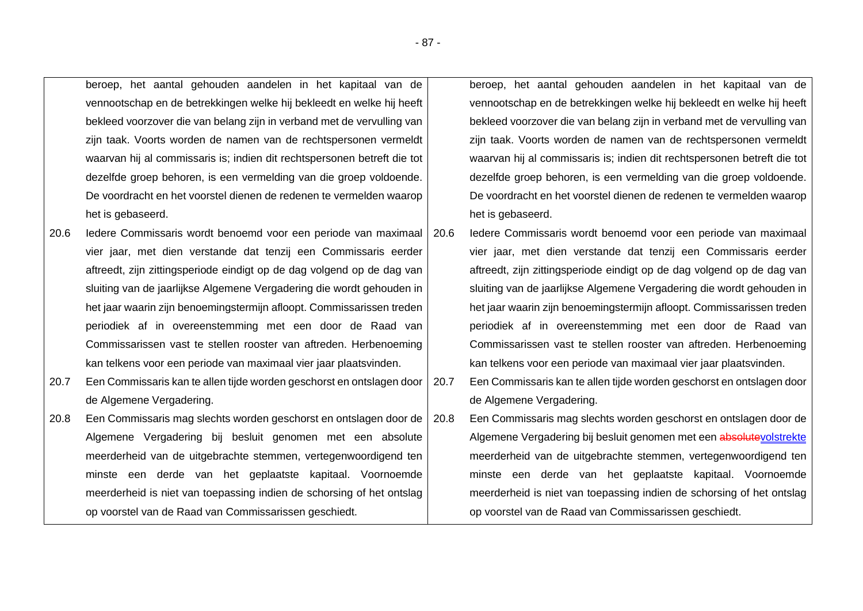beroep, het aantal gehouden aandelen in het kapitaal van de vennootschap en de betrekkingen welke hij bekleedt en welke hij heeft bekleed voorzover die van belang zijn in verband met de vervulling van zijn taak. Voorts worden de namen van de rechtspersonen vermeldt waarvan hij al commissaris is; indien dit rechtspersonen betreft die tot dezelfde groep behoren, is een vermelding van die groep voldoende. De voordracht en het voorstel dienen de redenen te vermelden waarop het is gebaseerd.

- 20.6 Iedere Commissaris wordt benoemd voor een periode van maximaal vier jaar, met dien verstande dat tenzij een Commissaris eerder aftreedt, zijn zittingsperiode eindigt op de dag volgend op de dag van sluiting van de jaarlijkse Algemene Vergadering die wordt gehouden in het jaar waarin zijn benoemingstermijn afloopt. Commissarissen treden periodiek af in overeenstemming met een door de Raad van Commissarissen vast te stellen rooster van aftreden. Herbenoeming kan telkens voor een periode van maximaal vier jaar plaatsvinden.
- 20.7 Een Commissaris kan te allen tijde worden geschorst en ontslagen door de Algemene Vergadering.
- 20.8 Een Commissaris mag slechts worden geschorst en ontslagen door de Algemene Vergadering bij besluit genomen met een absolute meerderheid van de uitgebrachte stemmen, vertegenwoordigend ten minste een derde van het geplaatste kapitaal. Voornoemde meerderheid is niet van toepassing indien de schorsing of het ontslag op voorstel van de Raad van Commissarissen geschiedt.

beroep, het aantal gehouden aandelen in het kapitaal van de vennootschap en de betrekkingen welke hij bekleedt en welke hij heeft bekleed voorzover die van belang zijn in verband met de vervulling van zijn taak. Voorts worden de namen van de rechtspersonen vermeldt waarvan hij al commissaris is; indien dit rechtspersonen betreft die tot dezelfde groep behoren, is een vermelding van die groep voldoende. De voordracht en het voorstel dienen de redenen te vermelden waarop het is gebaseerd.

20.6 Iedere Commissaris wordt benoemd voor een periode van maximaal vier jaar, met dien verstande dat tenzij een Commissaris eerder aftreedt, zijn zittingsperiode eindigt op de dag volgend op de dag van sluiting van de jaarlijkse Algemene Vergadering die wordt gehouden in het jaar waarin zijn benoemingstermijn afloopt. Commissarissen treden periodiek af in overeenstemming met een door de Raad van Commissarissen vast te stellen rooster van aftreden. Herbenoeming kan telkens voor een periode van maximaal vier jaar plaatsvinden.

- 20.7 Een Commissaris kan te allen tijde worden geschorst en ontslagen door de Algemene Vergadering.
- 20.8 Een Commissaris mag slechts worden geschorst en ontslagen door de Algemene Vergadering bij besluit genomen met een absolutevolstrekte meerderheid van de uitgebrachte stemmen, vertegenwoordigend ten minste een derde van het geplaatste kapitaal. Voornoemde meerderheid is niet van toepassing indien de schorsing of het ontslag op voorstel van de Raad van Commissarissen geschiedt.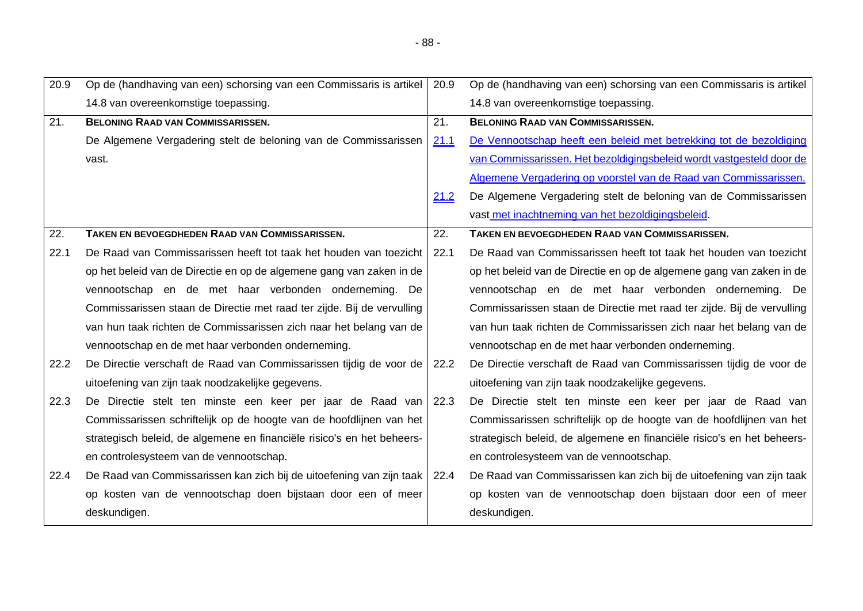| 20.9 | Op de (handhaving van een) schorsing van een Commissaris is artikel    | 20.9 | Op de (handhaving van een) schorsing van een Commissaris is artikel    |
|------|------------------------------------------------------------------------|------|------------------------------------------------------------------------|
|      | 14.8 van overeenkomstige toepassing.                                   |      | 14.8 van overeenkomstige toepassing.                                   |
| 21.  | <b>BELONING RAAD VAN COMMISSARISSEN.</b>                               | 21.  | <b>BELONING RAAD VAN COMMISSARISSEN.</b>                               |
|      | De Algemene Vergadering stelt de beloning van de Commissarissen        | 21.1 | De Vennootschap heeft een beleid met betrekking tot de bezoldiging     |
|      | vast.                                                                  |      | van Commissarissen. Het bezoldigingsbeleid wordt vastgesteld door de   |
|      |                                                                        |      | Algemene Vergadering op voorstel van de Raad van Commissarissen.       |
|      |                                                                        | 21.2 | De Algemene Vergadering stelt de beloning van de Commissarissen        |
|      |                                                                        |      | vast met inachtneming van het bezoldigingsbeleid.                      |
| 22.  | <b>TAKEN EN BEVOEGDHEDEN RAAD VAN COMMISSARISSEN.</b>                  | 22.  | <b>TAKEN EN BEVOEGDHEDEN RAAD VAN COMMISSARISSEN.</b>                  |
| 22.1 | De Raad van Commissarissen heeft tot taak het houden van toezicht      | 22.1 | De Raad van Commissarissen heeft tot taak het houden van toezicht      |
|      | op het beleid van de Directie en op de algemene gang van zaken in de   |      | op het beleid van de Directie en op de algemene gang van zaken in de   |
|      | vennootschap en de met haar verbonden onderneming. De                  |      | vennootschap en de met haar verbonden onderneming. De                  |
|      | Commissarissen staan de Directie met raad ter zijde. Bij de vervulling |      | Commissarissen staan de Directie met raad ter zijde. Bij de vervulling |
|      | van hun taak richten de Commissarissen zich naar het belang van de     |      | van hun taak richten de Commissarissen zich naar het belang van de     |
|      | vennootschap en de met haar verbonden onderneming.                     |      | vennootschap en de met haar verbonden onderneming.                     |
| 22.2 | De Directie verschaft de Raad van Commissarissen tijdig de voor de     | 22.2 | De Directie verschaft de Raad van Commissarissen tijdig de voor de     |
|      | uitoefening van zijn taak noodzakelijke gegevens.                      |      | uitoefening van zijn taak noodzakelijke gegevens.                      |
| 22.3 | De Directie stelt ten minste een keer per jaar de Raad van 22.3        |      | De Directie stelt ten minste een keer per jaar de Raad van             |
|      | Commissarissen schriftelijk op de hoogte van de hoofdlijnen van het    |      | Commissarissen schriftelijk op de hoogte van de hoofdlijnen van het    |
|      | strategisch beleid, de algemene en financiële risico's en het beheers- |      | strategisch beleid, de algemene en financiële risico's en het beheers- |
|      | en controlesysteem van de vennootschap.                                |      | en controlesysteem van de vennootschap.                                |
| 22.4 | De Raad van Commissarissen kan zich bij de uitoefening van zijn taak   | 22.4 | De Raad van Commissarissen kan zich bij de uitoefening van zijn taak   |
|      | op kosten van de vennootschap doen bijstaan door een of meer           |      | op kosten van de vennootschap doen bijstaan door een of meer           |
|      | deskundigen.                                                           |      | deskundigen.                                                           |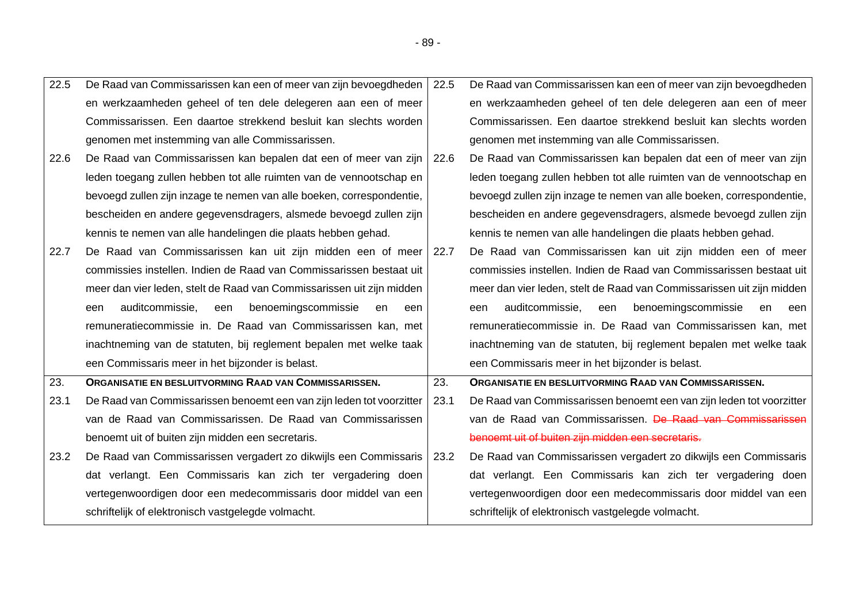| 22.5 | De Raad van Commissarissen kan een of meer van zijn bevoegdheden   22.5 |      | De Raad van Commissarissen kan een of meer van zijn bevoegdheden      |
|------|-------------------------------------------------------------------------|------|-----------------------------------------------------------------------|
|      | en werkzaamheden geheel of ten dele delegeren aan een of meer           |      | en werkzaamheden geheel of ten dele delegeren aan een of meer         |
|      | Commissarissen. Een daartoe strekkend besluit kan slechts worden        |      | Commissarissen. Een daartoe strekkend besluit kan slechts worden      |
|      | genomen met instemming van alle Commissarissen.                         |      | genomen met instemming van alle Commissarissen.                       |
| 22.6 | De Raad van Commissarissen kan bepalen dat een of meer van zijn         | 22.6 | De Raad van Commissarissen kan bepalen dat een of meer van zijn       |
|      | leden toegang zullen hebben tot alle ruimten van de vennootschap en     |      | leden toegang zullen hebben tot alle ruimten van de vennootschap en   |
|      | bevoegd zullen zijn inzage te nemen van alle boeken, correspondentie,   |      | bevoegd zullen zijn inzage te nemen van alle boeken, correspondentie, |
|      | bescheiden en andere gegevensdragers, alsmede bevoegd zullen zijn       |      | bescheiden en andere gegevensdragers, alsmede bevoegd zullen zijn     |
|      | kennis te nemen van alle handelingen die plaats hebben gehad.           |      | kennis te nemen van alle handelingen die plaats hebben gehad.         |
| 22.7 | De Raad van Commissarissen kan uit zijn midden een of meer   22.7       |      | De Raad van Commissarissen kan uit zijn midden een of meer            |
|      | commissies instellen. Indien de Raad van Commissarissen bestaat uit     |      | commissies instellen. Indien de Raad van Commissarissen bestaat uit   |
|      | meer dan vier leden, stelt de Raad van Commissarissen uit zijn midden   |      | meer dan vier leden, stelt de Raad van Commissarissen uit zijn midden |
|      | benoemingscommissie<br>auditcommissie,<br>een<br>een<br>en<br>een       |      | auditcommissie,<br>benoemingscommissie<br>een<br>en<br>een<br>een     |
|      | remuneratiecommissie in. De Raad van Commissarissen kan, met            |      | remuneratiecommissie in. De Raad van Commissarissen kan, met          |
|      | inachtneming van de statuten, bij reglement bepalen met welke taak      |      | inachtneming van de statuten, bij reglement bepalen met welke taak    |
|      | een Commissaris meer in het bijzonder is belast.                        |      | een Commissaris meer in het bijzonder is belast.                      |
| 23.  | ORGANISATIE EN BESLUITVORMING RAAD VAN COMMISSARISSEN.                  | 23.  | ORGANISATIE EN BESLUITVORMING RAAD VAN COMMISSARISSEN.                |
| 23.1 | De Raad van Commissarissen benoemt een van zijn leden tot voorzitter    | 23.1 | De Raad van Commissarissen benoemt een van zijn leden tot voorzitter  |
|      | van de Raad van Commissarissen. De Raad van Commissarissen              |      | van de Raad van Commissarissen. De Raad van Commissarissen            |
|      | benoemt uit of buiten zijn midden een secretaris.                       |      | benoemt uit of buiten zijn midden een secretaris.                     |
| 23.2 | De Raad van Commissarissen vergadert zo dikwijls een Commissaris        | 23.2 | De Raad van Commissarissen vergadert zo dikwijls een Commissaris      |
|      | dat verlangt. Een Commissaris kan zich ter vergadering doen             |      | dat verlangt. Een Commissaris kan zich ter vergadering doen           |
|      | vertegenwoordigen door een medecommissaris door middel van een          |      | vertegenwoordigen door een medecommissaris door middel van een        |
|      | schriftelijk of elektronisch vastgelegde volmacht.                      |      | schriftelijk of elektronisch vastgelegde volmacht.                    |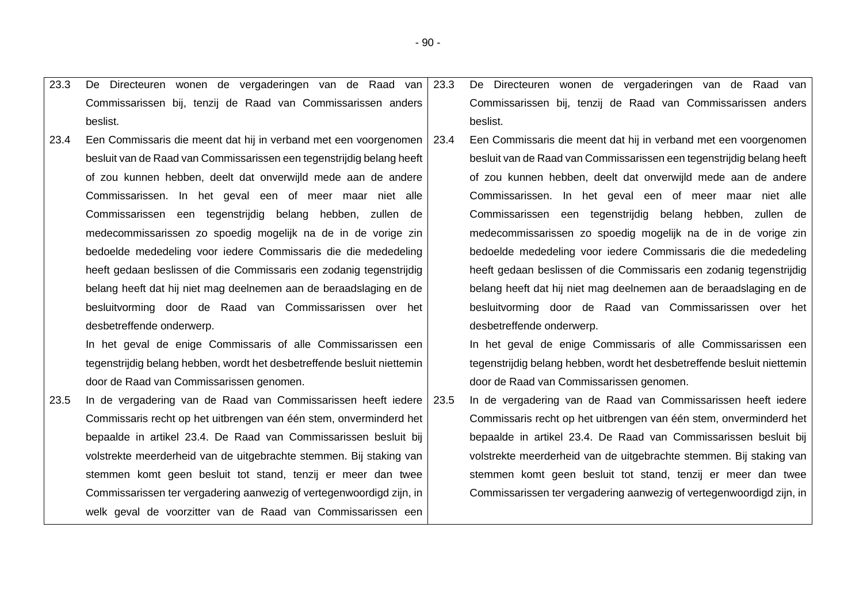|                                                                         |                                                                                                                                                                                                        | De Directeuren wonen de vergaderingen van de Raad van                                                                                                                                                         |
|-------------------------------------------------------------------------|--------------------------------------------------------------------------------------------------------------------------------------------------------------------------------------------------------|---------------------------------------------------------------------------------------------------------------------------------------------------------------------------------------------------------------|
| Commissarissen bij, tenzij de Raad van Commissarissen anders            |                                                                                                                                                                                                        | Commissarissen bij, tenzij de Raad van Commissarissen anders                                                                                                                                                  |
| beslist.                                                                |                                                                                                                                                                                                        | beslist.                                                                                                                                                                                                      |
|                                                                         |                                                                                                                                                                                                        | Een Commissaris die meent dat hij in verband met een voorgenomen                                                                                                                                              |
|                                                                         |                                                                                                                                                                                                        | besluit van de Raad van Commissarissen een tegenstrijdig belang heeft                                                                                                                                         |
| of zou kunnen hebben, deelt dat onverwijld mede aan de andere           |                                                                                                                                                                                                        | of zou kunnen hebben, deelt dat onverwijld mede aan de andere                                                                                                                                                 |
| Commissarissen. In het geval een of meer maar niet alle                 |                                                                                                                                                                                                        | Commissarissen. In het geval een of meer maar niet alle                                                                                                                                                       |
| Commissarissen een tegenstrijdig belang hebben, zullen de               |                                                                                                                                                                                                        | Commissarissen een tegenstrijdig belang hebben, zullen de                                                                                                                                                     |
| medecommissarissen zo spoedig mogelijk na de in de vorige zin           |                                                                                                                                                                                                        | medecommissarissen zo spoedig mogelijk na de in de vorige zin                                                                                                                                                 |
| bedoelde mededeling voor iedere Commissaris die die mededeling          |                                                                                                                                                                                                        | bedoelde mededeling voor iedere Commissaris die die mededeling                                                                                                                                                |
| heeft gedaan beslissen of die Commissaris een zodanig tegenstrijdig     |                                                                                                                                                                                                        | heeft gedaan beslissen of die Commissaris een zodanig tegenstrijdig                                                                                                                                           |
| belang heeft dat hij niet mag deelnemen aan de beraadslaging en de      |                                                                                                                                                                                                        | belang heeft dat hij niet mag deelnemen aan de beraadslaging en de                                                                                                                                            |
|                                                                         |                                                                                                                                                                                                        | besluitvorming door de Raad van Commissarissen over het                                                                                                                                                       |
| desbetreffende onderwerp.                                               |                                                                                                                                                                                                        | desbetreffende onderwerp.                                                                                                                                                                                     |
| In het geval de enige Commissaris of alle Commissarissen een            |                                                                                                                                                                                                        | In het geval de enige Commissaris of alle Commissarissen een                                                                                                                                                  |
| tegenstrijdig belang hebben, wordt het desbetreffende besluit niettemin |                                                                                                                                                                                                        | tegenstrijdig belang hebben, wordt het desbetreffende besluit niettemin                                                                                                                                       |
| door de Raad van Commissarissen genomen.                                |                                                                                                                                                                                                        | door de Raad van Commissarissen genomen.                                                                                                                                                                      |
|                                                                         |                                                                                                                                                                                                        | In de vergadering van de Raad van Commissarissen heeft iedere                                                                                                                                                 |
|                                                                         |                                                                                                                                                                                                        | Commissaris recht op het uitbrengen van één stem, onverminderd het                                                                                                                                            |
| bepaalde in artikel 23.4. De Raad van Commissarissen besluit bij        |                                                                                                                                                                                                        | bepaalde in artikel 23.4. De Raad van Commissarissen besluit bij                                                                                                                                              |
| volstrekte meerderheid van de uitgebrachte stemmen. Bij staking van     |                                                                                                                                                                                                        | volstrekte meerderheid van de uitgebrachte stemmen. Bij staking van                                                                                                                                           |
| stemmen komt geen besluit tot stand, tenzij er meer dan twee            |                                                                                                                                                                                                        | stemmen komt geen besluit tot stand, tenzij er meer dan twee                                                                                                                                                  |
| Commissarissen ter vergadering aanwezig of vertegenwoordigd zijn, in    |                                                                                                                                                                                                        | Commissarissen ter vergadering aanwezig of vertegenwoordigd zijn, in                                                                                                                                          |
| welk geval de voorzitter van de Raad van Commissarissen een             |                                                                                                                                                                                                        |                                                                                                                                                                                                               |
|                                                                         | besluit van de Raad van Commissarissen een tegenstrijdig belang heeft<br>besluitvorming door de Raad van Commissarissen over het<br>Commissaris recht op het uitbrengen van één stem, onverminderd het | De Directeuren wonen de vergaderingen van de Raad van 23.3<br>Een Commissaris die meent dat hij in verband met een voorgenomen   23.4<br>In de vergadering van de Raad van Commissarissen heeft iedere   23.5 |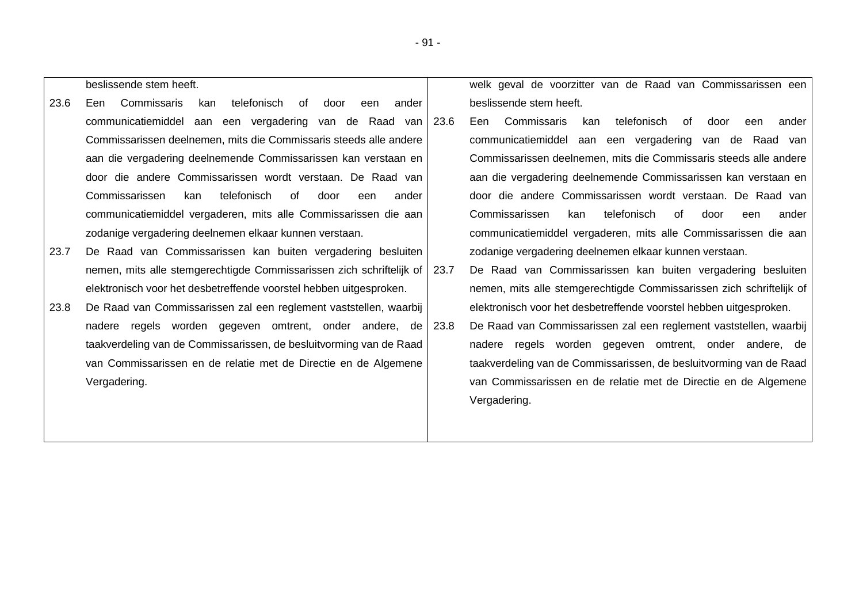|      | beslissende stem heeft.                                                |       | welk geval de voorzitter van de Raad van Commissarissen een             |
|------|------------------------------------------------------------------------|-------|-------------------------------------------------------------------------|
| 23.6 | Commissaris<br>telefonisch<br>Een<br>kan<br>of<br>door<br>een<br>ander |       | beslissende stem heeft.                                                 |
|      | communicatiemiddel aan een vergadering van de Raad van 23.6            |       | Commissaris<br>kan<br>telefonisch<br>Een.<br>of<br>door<br>ander<br>een |
|      | Commissarissen deelnemen, mits die Commissaris steeds alle andere      |       | communicatiemiddel aan een vergadering van de Raad van                  |
|      | aan die vergadering deelnemende Commissarissen kan verstaan en         |       | Commissarissen deelnemen, mits die Commissaris steeds alle andere       |
|      | door die andere Commissarissen wordt verstaan. De Raad van             |       | aan die vergadering deelnemende Commissarissen kan verstaan en          |
|      | Commissarissen<br>telefonisch<br>of<br>kan<br>door<br>een<br>ander     |       | door die andere Commissarissen wordt verstaan. De Raad van              |
|      | communicatiemiddel vergaderen, mits alle Commissarissen die aan        |       | telefonisch<br>Commissarissen<br>of<br>kan<br>door<br>een<br>ander      |
|      | zodanige vergadering deelnemen elkaar kunnen verstaan.                 |       | communicatiemiddel vergaderen, mits alle Commissarissen die aan         |
| 23.7 | De Raad van Commissarissen kan buiten vergadering besluiten            |       | zodanige vergadering deelnemen elkaar kunnen verstaan.                  |
|      | nemen, mits alle stemgerechtigde Commissarissen zich schriftelijk of   | -23.7 | De Raad van Commissarissen kan buiten vergadering besluiten             |
|      | elektronisch voor het desbetreffende voorstel hebben uitgesproken.     |       | nemen, mits alle stemgerechtigde Commissarissen zich schriftelijk of    |
| 23.8 | De Raad van Commissarissen zal een reglement vaststellen, waarbij      |       | elektronisch voor het desbetreffende voorstel hebben uitgesproken.      |
|      | nadere regels worden gegeven omtrent, onder andere, de                 | -23.8 | De Raad van Commissarissen zal een reglement vaststellen, waarbij       |
|      | taakverdeling van de Commissarissen, de besluitvorming van de Raad     |       | nadere regels worden gegeven omtrent, onder andere, de                  |
|      | van Commissarissen en de relatie met de Directie en de Algemene        |       | taakverdeling van de Commissarissen, de besluitvorming van de Raad      |
|      | Vergadering.                                                           |       | van Commissarissen en de relatie met de Directie en de Algemene         |
|      |                                                                        |       | Vergadering.                                                            |
|      |                                                                        |       |                                                                         |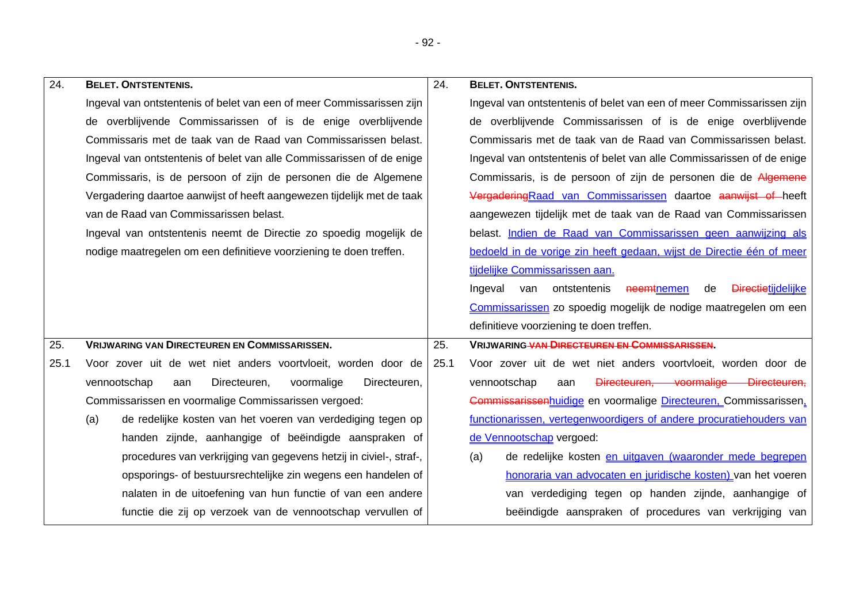| 24.  | <b>BELET. ONTSTENTENIS.</b>                                            | 24.  | <b>BELET. ONTSTENTENIS.</b>                                                     |
|------|------------------------------------------------------------------------|------|---------------------------------------------------------------------------------|
|      | Ingeval van ontstentenis of belet van een of meer Commissarissen zijn  |      | Ingeval van ontstentenis of belet van een of meer Commissarissen zijn           |
|      | de overblijvende Commissarissen of is de enige overblijvende           |      | de overblijvende Commissarissen of is de enige overblijvende                    |
|      | Commissaris met de taak van de Raad van Commissarissen belast.         |      | Commissaris met de taak van de Raad van Commissarissen belast.                  |
|      | Ingeval van ontstentenis of belet van alle Commissarissen of de enige  |      | Ingeval van ontstentenis of belet van alle Commissarissen of de enige           |
|      | Commissaris, is de persoon of zijn de personen die de Algemene         |      | Commissaris, is de persoon of zijn de personen die de Algemene                  |
|      | Vergadering daartoe aanwijst of heeft aangewezen tijdelijk met de taak |      | Vergadering Raad van Commissarissen daartoe aanwijst of heeft                   |
|      | van de Raad van Commissarissen belast.                                 |      | aangewezen tijdelijk met de taak van de Raad van Commissarissen                 |
|      | Ingeval van ontstentenis neemt de Directie zo spoedig mogelijk de      |      | belast. Indien de Raad van Commissarissen geen aanwijzing als                   |
|      | nodige maatregelen om een definitieve voorziening te doen treffen.     |      | bedoeld in de vorige zin heeft gedaan, wijst de Directie één of meer            |
|      |                                                                        |      | tijdelijke Commissarissen aan.                                                  |
|      |                                                                        |      | <b>Directietijdelijke</b><br>Ingeval<br>ontstentenis<br>van<br>neemtnemen<br>de |
|      |                                                                        |      | Commissarissen zo spoedig mogelijk de nodige maatregelen om een                 |
|      |                                                                        |      | definitieve voorziening te doen treffen.                                        |
| 25.  | <b>VRIJWARING VAN DIRECTEUREN EN COMMISSARISSEN.</b>                   | 25.  | <b>VRIJWARING VAN DIRECTEUREN EN COMMISSARISSEN.</b>                            |
| 25.1 | Voor zover uit de wet niet anders voortvloeit, worden door de          | 25.1 | Voor zover uit de wet niet anders voortvloeit, worden door de                   |
|      | vennootschap<br>Directeuren,<br>voormalige<br>Directeuren,<br>aan      |      | vennootschap<br>Directeuren, voormalige Directeuren,<br>aan                     |
|      | Commissarissen en voormalige Commissarissen vergoed:                   |      | Commissarissenhuidige en voormalige Directeuren, Commissarissen,                |
|      | de redelijke kosten van het voeren van verdediging tegen op<br>(a)     |      | functionarissen, vertegenwoordigers of andere procuratiehouders van             |
|      | handen zijnde, aanhangige of beëindigde aanspraken of                  |      | de Vennootschap vergoed:                                                        |
|      | procedures van verkrijging van gegevens hetzij in civiel-, straf-,     |      | de redelijke kosten en uitgaven (waaronder mede begrepen<br>(a)                 |
|      | opsporings- of bestuursrechtelijke zin wegens een handelen of          |      | honoraria van advocaten en juridische kosten) van het voeren                    |
|      | nalaten in de uitoefening van hun functie of van een andere            |      | van verdediging tegen op handen zijnde, aanhangige of                           |
|      | functie die zij op verzoek van de vennootschap vervullen of            |      | beëindigde aanspraken of procedures van verkrijging van                         |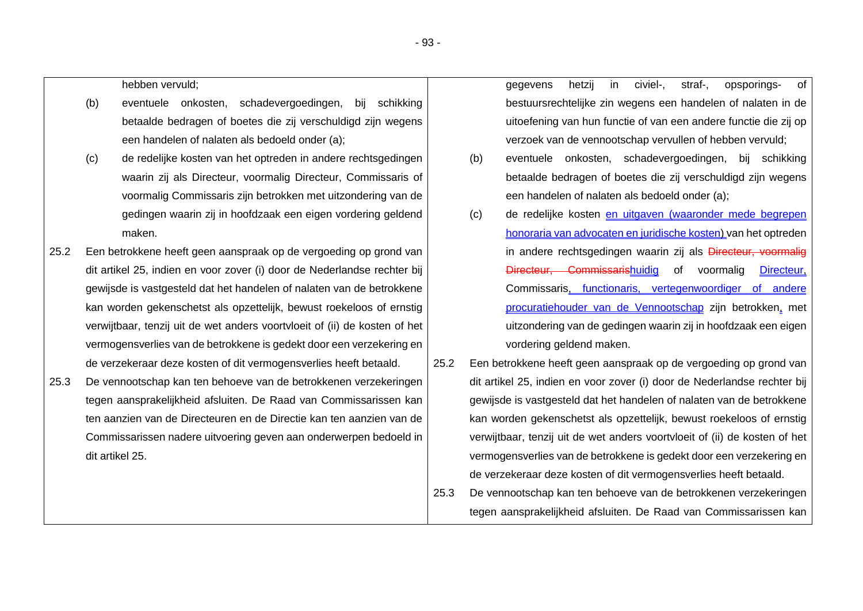hebben vervuld;

- (b) eventuele onkosten, schadevergoedingen, bij schikking betaalde bedragen of boetes die zij verschuldigd zijn wegens een handelen of nalaten als bedoeld onder (a);
- (c) de redelijke kosten van het optreden in andere rechtsgedingen waarin zij als Directeur, voormalig Directeur, Commissaris of voormalig Commissaris zijn betrokken met uitzondering van de gedingen waarin zij in hoofdzaak een eigen vordering geldend maken.
- 25.2 Een betrokkene heeft geen aanspraak op de vergoeding op grond van dit artikel 25, indien en voor zover (i) door de Nederlandse rechter bij gewijsde is vastgesteld dat het handelen of nalaten van de betrokkene kan worden gekenschetst als opzettelijk, bewust roekeloos of ernstig verwijtbaar, tenzij uit de wet anders voortvloeit of (ii) de kosten of het vermogensverlies van de betrokkene is gedekt door een verzekering en de verzekeraar deze kosten of dit vermogensverlies heeft betaald.
- 25.3 De vennootschap kan ten behoeve van de betrokkenen verzekeringen tegen aansprakelijkheid afsluiten. De Raad van Commissarissen kan ten aanzien van de Directeuren en de Directie kan ten aanzien van de Commissarissen nadere uitvoering geven aan onderwerpen bedoeld in dit artikel 25.
- gegevens hetzij in civiel-, straf-, opsporings- of bestuursrechtelijke zin wegens een handelen of nalaten in de uitoefening van hun functie of van een andere functie die zij op verzoek van de vennootschap vervullen of hebben vervuld;
- (b) eventuele onkosten, schadevergoedingen, bij schikking betaalde bedragen of boetes die zij verschuldigd zijn wegens een handelen of nalaten als bedoeld onder (a);
- (c) de redelijke kosten en uitgaven (waaronder mede begrepen honoraria van advocaten en juridische kosten) van het optreden in andere rechtsgedingen waarin zij als Directeur, voormalig Directeur, Commissarishuidig of voormalig Directeur, Commissaris, functionaris, vertegenwoordiger of andere procuratiehouder van de Vennootschap zijn betrokken, met uitzondering van de gedingen waarin zij in hoofdzaak een eigen vordering geldend maken.
- 25.2 Een betrokkene heeft geen aanspraak op de vergoeding op grond van dit artikel 25, indien en voor zover (i) door de Nederlandse rechter bij gewijsde is vastgesteld dat het handelen of nalaten van de betrokkene kan worden gekenschetst als opzettelijk, bewust roekeloos of ernstig verwijtbaar, tenzij uit de wet anders voortvloeit of (ii) de kosten of het vermogensverlies van de betrokkene is gedekt door een verzekering en de verzekeraar deze kosten of dit vermogensverlies heeft betaald.
- 25.3 De vennootschap kan ten behoeve van de betrokkenen verzekeringen tegen aansprakelijkheid afsluiten. De Raad van Commissarissen kan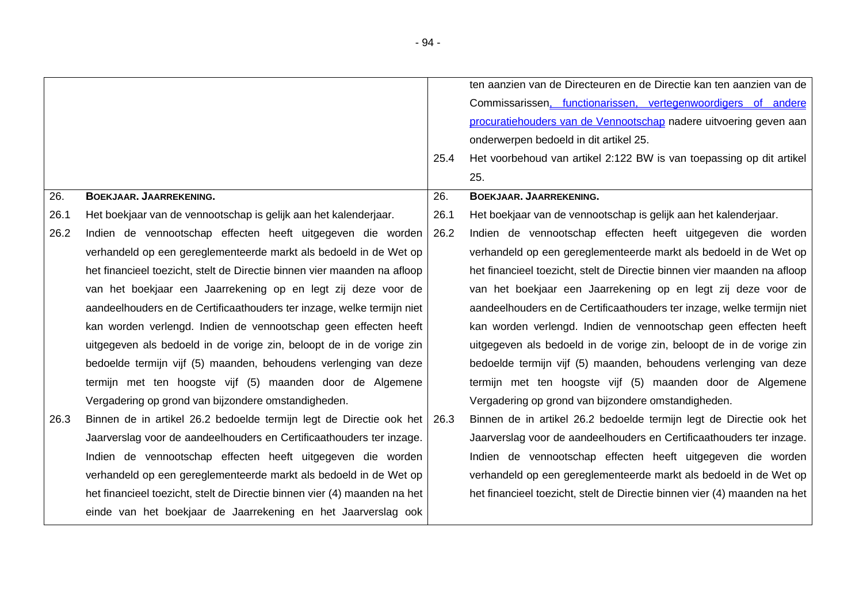|      |                                                                            |      | ten aanzien van de Directeuren en de Directie kan ten aanzien van de      |
|------|----------------------------------------------------------------------------|------|---------------------------------------------------------------------------|
|      |                                                                            |      | Commissarissen, functionarissen, vertegenwoordigers of andere             |
|      |                                                                            |      | procuratiehouders van de Vennootschap nadere uitvoering geven aan         |
|      |                                                                            |      | onderwerpen bedoeld in dit artikel 25.                                    |
|      |                                                                            | 25.4 | Het voorbehoud van artikel 2:122 BW is van toepassing op dit artikel      |
|      |                                                                            |      | 25.                                                                       |
| 26.  | BOEKJAAR. JAARREKENING.                                                    | 26.  | BOEKJAAR. JAARREKENING.                                                   |
| 26.1 | Het boekjaar van de vennootschap is gelijk aan het kalenderjaar.           | 26.1 | Het boekjaar van de vennootschap is gelijk aan het kalenderjaar.          |
| 26.2 | Indien de vennootschap effecten heeft uitgegeven die worden                | 26.2 | Indien de vennootschap effecten heeft uitgegeven die worden               |
|      | verhandeld op een gereglementeerde markt als bedoeld in de Wet op          |      | verhandeld op een gereglementeerde markt als bedoeld in de Wet op         |
|      | het financieel toezicht, stelt de Directie binnen vier maanden na afloop   |      | het financieel toezicht, stelt de Directie binnen vier maanden na afloop  |
|      | van het boekjaar een Jaarrekening op en legt zij deze voor de              |      | van het boekjaar een Jaarrekening op en legt zij deze voor de             |
|      | aandeelhouders en de Certificaathouders ter inzage, welke termijn niet     |      | aandeelhouders en de Certificaathouders ter inzage, welke termijn niet    |
|      | kan worden verlengd. Indien de vennootschap geen effecten heeft            |      | kan worden verlengd. Indien de vennootschap geen effecten heeft           |
|      | uitgegeven als bedoeld in de vorige zin, beloopt de in de vorige zin       |      | uitgegeven als bedoeld in de vorige zin, beloopt de in de vorige zin      |
|      | bedoelde termijn vijf (5) maanden, behoudens verlenging van deze           |      | bedoelde termijn vijf (5) maanden, behoudens verlenging van deze          |
|      | termijn met ten hoogste vijf (5) maanden door de Algemene                  |      | termijn met ten hoogste vijf (5) maanden door de Algemene                 |
|      | Vergadering op grond van bijzondere omstandigheden.                        |      | Vergadering op grond van bijzondere omstandigheden.                       |
| 26.3 | Binnen de in artikel 26.2 bedoelde termijn legt de Directie ook het   26.3 |      | Binnen de in artikel 26.2 bedoelde termijn legt de Directie ook het       |
|      | Jaarverslag voor de aandeelhouders en Certificaathouders ter inzage.       |      | Jaarverslag voor de aandeelhouders en Certificaathouders ter inzage.      |
|      | Indien de vennootschap effecten heeft uitgegeven die worden                |      | Indien de vennootschap effecten heeft uitgegeven die worden               |
|      | verhandeld op een gereglementeerde markt als bedoeld in de Wet op          |      | verhandeld op een gereglementeerde markt als bedoeld in de Wet op         |
|      | het financieel toezicht, stelt de Directie binnen vier (4) maanden na het  |      | het financieel toezicht, stelt de Directie binnen vier (4) maanden na het |
|      | einde van het boekjaar de Jaarrekening en het Jaarverslag ook              |      |                                                                           |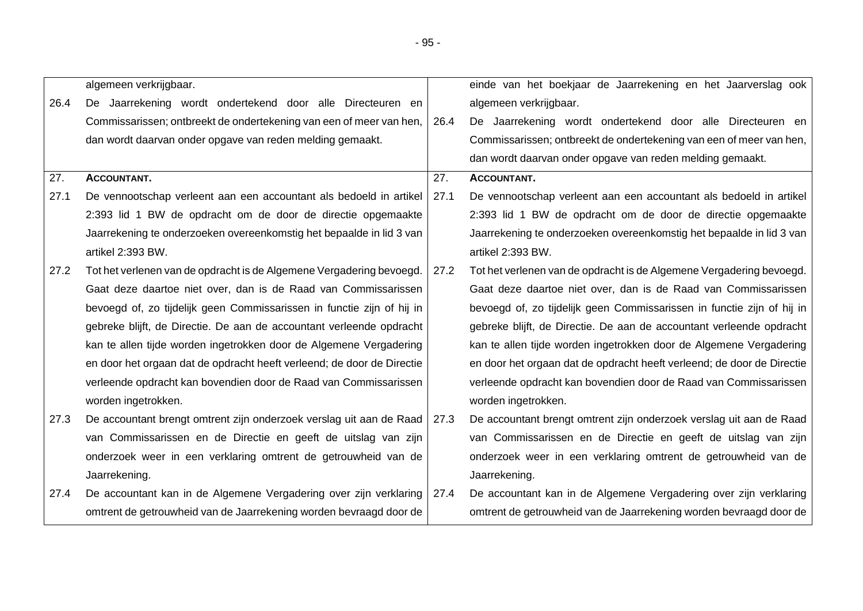|      | algemeen verkrijgbaar.                                                     |      | einde van het boekjaar de Jaarrekening en het Jaarverslag ook          |
|------|----------------------------------------------------------------------------|------|------------------------------------------------------------------------|
| 26.4 | De Jaarrekening wordt ondertekend door alle Directeuren en                 |      | algemeen verkrijgbaar.                                                 |
|      | Commissarissen; ontbreekt de ondertekening van een of meer van hen,        | 26.4 | De Jaarrekening wordt ondertekend door alle Directeuren en             |
|      | dan wordt daarvan onder opgave van reden melding gemaakt.                  |      | Commissarissen; ontbreekt de ondertekening van een of meer van hen,    |
|      |                                                                            |      | dan wordt daarvan onder opgave van reden melding gemaakt.              |
| 27.  | <b>ACCOUNTANT.</b>                                                         | 27.  | <b>ACCOUNTANT.</b>                                                     |
| 27.1 | De vennootschap verleent aan een accountant als bedoeld in artikel         | 27.1 | De vennootschap verleent aan een accountant als bedoeld in artikel     |
|      | 2:393 lid 1 BW de opdracht om de door de directie opgemaakte               |      | 2:393 lid 1 BW de opdracht om de door de directie opgemaakte           |
|      | Jaarrekening te onderzoeken overeenkomstig het bepaalde in lid 3 van       |      | Jaarrekening te onderzoeken overeenkomstig het bepaalde in lid 3 van   |
|      | artikel 2:393 BW.                                                          |      | artikel 2:393 BW.                                                      |
| 27.2 | Tot het verlenen van de opdracht is de Algemene Vergadering bevoegd.       | 27.2 | Tot het verlenen van de opdracht is de Algemene Vergadering bevoegd.   |
|      | Gaat deze daartoe niet over, dan is de Raad van Commissarissen             |      | Gaat deze daartoe niet over, dan is de Raad van Commissarissen         |
|      | bevoegd of, zo tijdelijk geen Commissarissen in functie zijn of hij in     |      | bevoegd of, zo tijdelijk geen Commissarissen in functie zijn of hij in |
|      | gebreke blijft, de Directie. De aan de accountant verleende opdracht       |      | gebreke blijft, de Directie. De aan de accountant verleende opdracht   |
|      | kan te allen tijde worden ingetrokken door de Algemene Vergadering         |      | kan te allen tijde worden ingetrokken door de Algemene Vergadering     |
|      | en door het orgaan dat de opdracht heeft verleend; de door de Directie     |      | en door het orgaan dat de opdracht heeft verleend; de door de Directie |
|      | verleende opdracht kan bovendien door de Raad van Commissarissen           |      | verleende opdracht kan bovendien door de Raad van Commissarissen       |
|      | worden ingetrokken.                                                        |      | worden ingetrokken.                                                    |
| 27.3 | De accountant brengt omtrent zijn onderzoek verslag uit aan de Raad   27.3 |      | De accountant brengt omtrent zijn onderzoek verslag uit aan de Raad    |
|      | van Commissarissen en de Directie en geeft de uitslag van zijn             |      | van Commissarissen en de Directie en geeft de uitslag van zijn         |
|      | onderzoek weer in een verklaring omtrent de getrouwheid van de             |      | onderzoek weer in een verklaring omtrent de getrouwheid van de         |
|      | Jaarrekening.                                                              |      | Jaarrekening.                                                          |
| 27.4 | De accountant kan in de Algemene Vergadering over zijn verklaring          | 27.4 | De accountant kan in de Algemene Vergadering over zijn verklaring      |
|      | omtrent de getrouwheid van de Jaarrekening worden bevraagd door de         |      | omtrent de getrouwheid van de Jaarrekening worden bevraagd door de     |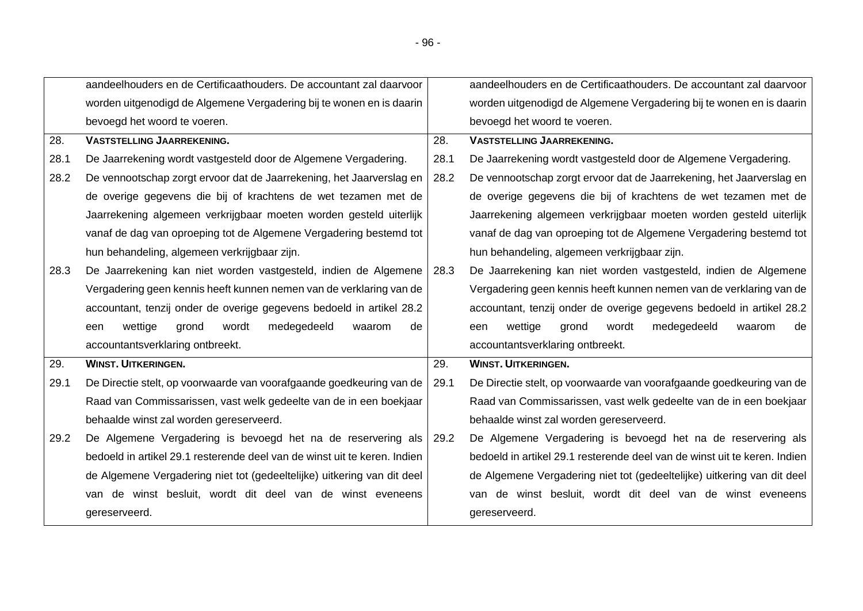|      | aandeelhouders en de Certificaathouders. De accountant zal daarvoor       |      | aandeelhouders en de Certificaathouders. De accountant zal daarvoor       |  |
|------|---------------------------------------------------------------------------|------|---------------------------------------------------------------------------|--|
|      | worden uitgenodigd de Algemene Vergadering bij te wonen en is daarin      |      | worden uitgenodigd de Algemene Vergadering bij te wonen en is daarin      |  |
|      | bevoegd het woord te voeren.                                              |      | bevoegd het woord te voeren.                                              |  |
| 28.  | <b>VASTSTELLING JAARREKENING.</b>                                         | 28.  | <b>VASTSTELLING JAARREKENING.</b>                                         |  |
| 28.1 | De Jaarrekening wordt vastgesteld door de Algemene Vergadering.           | 28.1 | De Jaarrekening wordt vastgesteld door de Algemene Vergadering.           |  |
| 28.2 | De vennootschap zorgt ervoor dat de Jaarrekening, het Jaarverslag en      | 28.2 | De vennootschap zorgt ervoor dat de Jaarrekening, het Jaarverslag en      |  |
|      | de overige gegevens die bij of krachtens de wet tezamen met de            |      | de overige gegevens die bij of krachtens de wet tezamen met de            |  |
|      | Jaarrekening algemeen verkrijgbaar moeten worden gesteld uiterlijk        |      | Jaarrekening algemeen verkrijgbaar moeten worden gesteld uiterlijk        |  |
|      | vanaf de dag van oproeping tot de Algemene Vergadering bestemd tot        |      | vanaf de dag van oproeping tot de Algemene Vergadering bestemd tot        |  |
|      | hun behandeling, algemeen verkrijgbaar zijn.                              |      | hun behandeling, algemeen verkrijgbaar zijn.                              |  |
| 28.3 | De Jaarrekening kan niet worden vastgesteld, indien de Algemene           | 28.3 | De Jaarrekening kan niet worden vastgesteld, indien de Algemene           |  |
|      | Vergadering geen kennis heeft kunnen nemen van de verklaring van de       |      | Vergadering geen kennis heeft kunnen nemen van de verklaring van de       |  |
|      | accountant, tenzij onder de overige gegevens bedoeld in artikel 28.2      |      | accountant, tenzij onder de overige gegevens bedoeld in artikel 28.2      |  |
|      | medegedeeld<br>wettige<br>grond<br>wordt<br>waarom<br>de<br>een           |      | medegedeeld<br>wettige<br>grond<br>wordt<br>waarom<br>de<br>een           |  |
|      | accountantsverklaring ontbreekt.                                          |      | accountantsverklaring ontbreekt.                                          |  |
| 29.  | <b>WINST. UITKERINGEN.</b>                                                | 29.  | <b>WINST. UITKERINGEN.</b>                                                |  |
| 29.1 | De Directie stelt, op voorwaarde van voorafgaande goedkeuring van de      | 29.1 | De Directie stelt, op voorwaarde van voorafgaande goedkeuring van de      |  |
|      | Raad van Commissarissen, vast welk gedeelte van de in een boekjaar        |      | Raad van Commissarissen, vast welk gedeelte van de in een boekjaar        |  |
|      |                                                                           |      |                                                                           |  |
|      | behaalde winst zal worden gereserveerd.                                   |      | behaalde winst zal worden gereserveerd.                                   |  |
| 29.2 | De Algemene Vergadering is bevoegd het na de reservering als              | 29.2 | De Algemene Vergadering is bevoegd het na de reservering als              |  |
|      | bedoeld in artikel 29.1 resterende deel van de winst uit te keren. Indien |      | bedoeld in artikel 29.1 resterende deel van de winst uit te keren. Indien |  |
|      | de Algemene Vergadering niet tot (gedeeltelijke) uitkering van dit deel   |      | de Algemene Vergadering niet tot (gedeeltelijke) uitkering van dit deel   |  |
|      | van de winst besluit, wordt dit deel van de winst eveneens                |      | van de winst besluit, wordt dit deel van de winst eveneens                |  |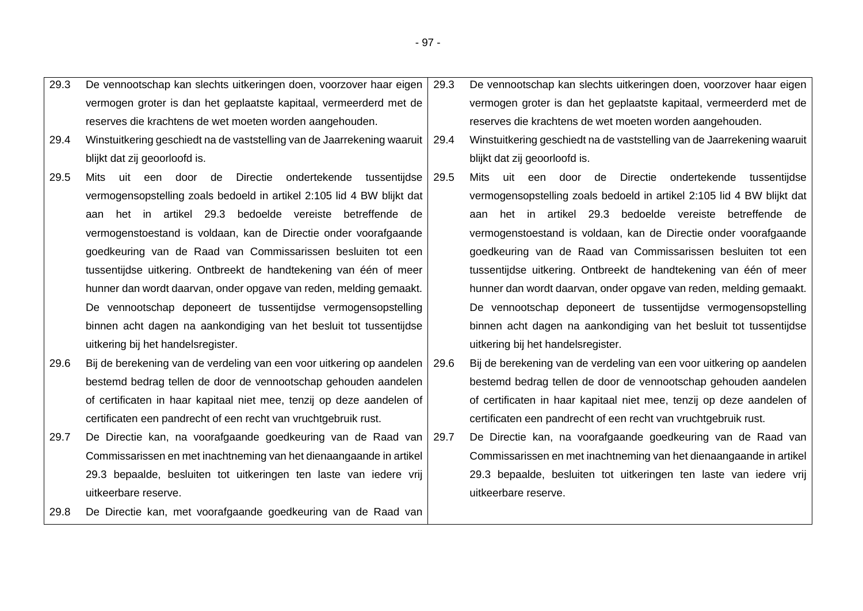| 29.3 | De vennootschap kan slechts uitkeringen doen, voorzover haar eigen      | 29.3 | De vennootschap kan slechts uitkeringen doen, voorzover haar eigen      |
|------|-------------------------------------------------------------------------|------|-------------------------------------------------------------------------|
|      | vermogen groter is dan het geplaatste kapitaal, vermeerderd met de      |      | vermogen groter is dan het geplaatste kapitaal, vermeerderd met de      |
|      | reserves die krachtens de wet moeten worden aangehouden.                |      | reserves die krachtens de wet moeten worden aangehouden.                |
| 29.4 | Winstuitkering geschiedt na de vaststelling van de Jaarrekening waaruit | 29.4 | Winstuitkering geschiedt na de vaststelling van de Jaarrekening waaruit |
|      | blijkt dat zij geoorloofd is.                                           |      | blijkt dat zij geoorloofd is.                                           |
| 29.5 | een door de Directie<br>ondertekende tussentijdse<br>Mits<br>uit        | 29.5 | uit een door de<br>Directie ondertekende tussentijdse<br>Mits           |
|      | vermogensopstelling zoals bedoeld in artikel 2:105 lid 4 BW blijkt dat  |      | vermogensopstelling zoals bedoeld in artikel 2:105 lid 4 BW blijkt dat  |
|      | het in artikel 29.3 bedoelde vereiste betreffende de<br>aan             |      | aan het in artikel 29.3 bedoelde vereiste betreffende de                |
|      | vermogenstoestand is voldaan, kan de Directie onder voorafgaande        |      | vermogenstoestand is voldaan, kan de Directie onder voorafgaande        |
|      | goedkeuring van de Raad van Commissarissen besluiten tot een            |      | goedkeuring van de Raad van Commissarissen besluiten tot een            |
|      | tussentijdse uitkering. Ontbreekt de handtekening van één of meer       |      | tussentijdse uitkering. Ontbreekt de handtekening van één of meer       |
|      | hunner dan wordt daarvan, onder opgave van reden, melding gemaakt.      |      | hunner dan wordt daarvan, onder opgave van reden, melding gemaakt.      |
|      | De vennootschap deponeert de tussentijdse vermogensopstelling           |      | De vennootschap deponeert de tussentijdse vermogensopstelling           |
|      | binnen acht dagen na aankondiging van het besluit tot tussentijdse      |      | binnen acht dagen na aankondiging van het besluit tot tussentijdse      |
|      | uitkering bij het handelsregister.                                      |      | uitkering bij het handelsregister.                                      |
| 29.6 | Bij de berekening van de verdeling van een voor uitkering op aandelen   | 29.6 | Bij de berekening van de verdeling van een voor uitkering op aandelen   |
|      | bestemd bedrag tellen de door de vennootschap gehouden aandelen         |      | bestemd bedrag tellen de door de vennootschap gehouden aandelen         |
|      | of certificaten in haar kapitaal niet mee, tenzij op deze aandelen of   |      | of certificaten in haar kapitaal niet mee, tenzij op deze aandelen of   |
|      | certificaten een pandrecht of een recht van vruchtgebruik rust.         |      | certificaten een pandrecht of een recht van vruchtgebruik rust.         |
| 29.7 | De Directie kan, na voorafgaande goedkeuring van de Raad van 29.7       |      | De Directie kan, na voorafgaande goedkeuring van de Raad van            |
|      | Commissarissen en met inachtneming van het dienaangaande in artikel     |      | Commissarissen en met inachtneming van het dienaangaande in artikel     |
|      | 29.3 bepaalde, besluiten tot uitkeringen ten laste van iedere vrij      |      | 29.3 bepaalde, besluiten tot uitkeringen ten laste van iedere vrij      |
|      | uitkeerbare reserve.                                                    |      | uitkeerbare reserve.                                                    |
| 29.8 | De Directie kan, met voorafgaande goedkeuring van de Raad van           |      |                                                                         |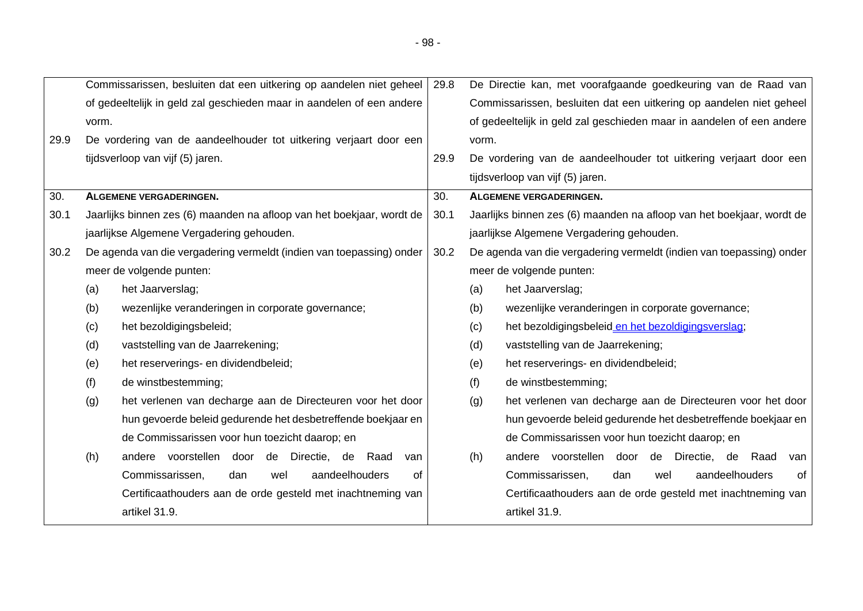|      |                                           | Commissarissen, besluiten dat een uitkering op aandelen niet geheel   | 29.8 | De Directie kan, met voorafgaande goedkeuring van de Raad van         |  |  |
|------|-------------------------------------------|-----------------------------------------------------------------------|------|-----------------------------------------------------------------------|--|--|
|      |                                           | of gedeeltelijk in geld zal geschieden maar in aandelen of een andere |      | Commissarissen, besluiten dat een uitkering op aandelen niet geheel   |  |  |
|      | vorm.                                     |                                                                       |      | of gedeeltelijk in geld zal geschieden maar in aandelen of een andere |  |  |
| 29.9 |                                           | De vordering van de aandeelhouder tot uitkering verjaart door een     |      | vorm.                                                                 |  |  |
|      |                                           | tijdsverloop van vijf (5) jaren.                                      | 29.9 | De vordering van de aandeelhouder tot uitkering verjaart door een     |  |  |
|      |                                           |                                                                       |      | tijdsverloop van vijf (5) jaren.                                      |  |  |
| 30.  |                                           | <b>ALGEMENE VERGADERINGEN.</b>                                        | 30.  | <b>ALGEMENE VERGADERINGEN.</b>                                        |  |  |
| 30.1 |                                           | Jaarlijks binnen zes (6) maanden na afloop van het boekjaar, wordt de | 30.1 | Jaarlijks binnen zes (6) maanden na afloop van het boekjaar, wordt de |  |  |
|      | jaarlijkse Algemene Vergadering gehouden. |                                                                       |      | jaarlijkse Algemene Vergadering gehouden.                             |  |  |
| 30.2 |                                           | De agenda van die vergadering vermeldt (indien van toepassing) onder  | 30.2 | De agenda van die vergadering vermeldt (indien van toepassing) onder  |  |  |
|      |                                           | meer de volgende punten:                                              |      | meer de volgende punten:                                              |  |  |
|      | (a)                                       | het Jaarverslag;                                                      |      | het Jaarverslag;<br>(a)                                               |  |  |
|      | (b)                                       | wezenlijke veranderingen in corporate governance;                     |      | wezenlijke veranderingen in corporate governance;<br>(b)              |  |  |
|      | (c)                                       | het bezoldigingsbeleid;                                               |      | (c)<br>het bezoldigingsbeleid en het bezoldigingsverslag;             |  |  |
|      | (d)                                       | vaststelling van de Jaarrekening;                                     |      | (d)<br>vaststelling van de Jaarrekening;                              |  |  |
|      | (e)                                       | het reserverings- en dividendbeleid;                                  |      | (e)<br>het reserverings- en dividendbeleid;                           |  |  |
|      | (f)                                       | de winstbestemming;                                                   |      | (f)<br>de winstbestemming;                                            |  |  |
|      | (g)                                       | het verlenen van decharge aan de Directeuren voor het door            |      | het verlenen van decharge aan de Directeuren voor het door<br>(g)     |  |  |
|      |                                           | hun gevoerde beleid gedurende het desbetreffende boekjaar en          |      | hun gevoerde beleid gedurende het desbetreffende boekjaar en          |  |  |
|      |                                           | de Commissarissen voor hun toezicht daarop; en                        |      | de Commissarissen voor hun toezicht daarop; en                        |  |  |
|      | (h)                                       | andere voorstellen door<br>de Directie, de<br>Raad<br>van             |      | andere voorstellen<br>door de Directie, de Raad<br>(h)<br>van         |  |  |
|      |                                           | aandeelhouders<br>Commissarissen,<br>dan<br>0f<br>wel                 |      | Commissarissen,<br>aandeelhouders<br>of<br>dan<br>wel                 |  |  |
|      |                                           | Certificaathouders aan de orde gesteld met inachtneming van           |      | Certificaathouders aan de orde gesteld met inachtneming van           |  |  |
|      |                                           | artikel 31.9.                                                         |      | artikel 31.9.                                                         |  |  |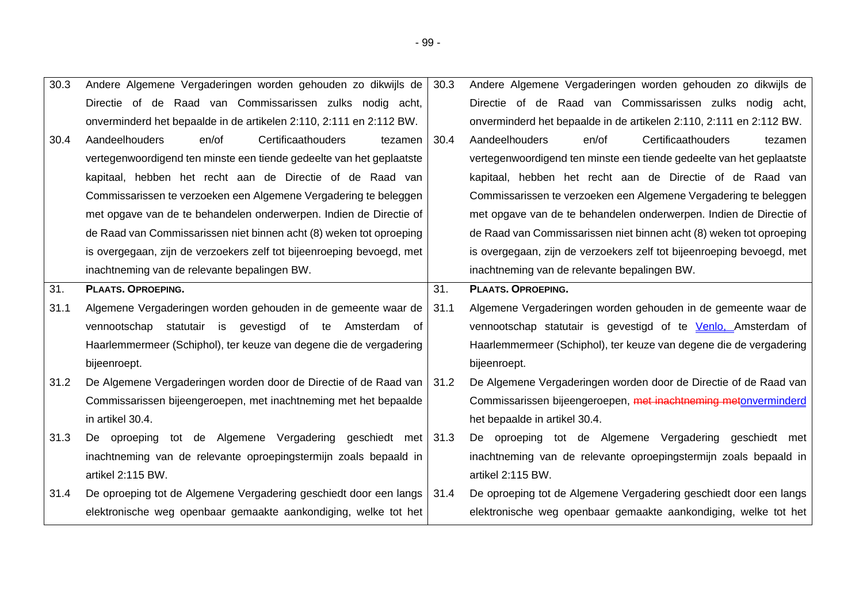| 30.3 | Andere Algemene Vergaderingen worden gehouden zo dikwijls de             | 30.3 | Andere Algemene Vergaderingen worden gehouden zo dikwijls de          |
|------|--------------------------------------------------------------------------|------|-----------------------------------------------------------------------|
|      | Directie of de Raad van Commissarissen zulks nodig acht,                 |      | Directie of de Raad van Commissarissen zulks nodig acht,              |
|      | onverminderd het bepaalde in de artikelen 2:110, 2:111 en 2:112 BW.      |      | onverminderd het bepaalde in de artikelen 2:110, 2:111 en 2:112 BW.   |
| 30.4 | Aandeelhouders<br>Certificaathouders<br>en/of<br>tezamen                 | 30.4 | Certificaathouders<br>Aandeelhouders<br>en/of<br>tezamen              |
|      | vertegenwoordigend ten minste een tiende gedeelte van het geplaatste     |      | vertegenwoordigend ten minste een tiende gedeelte van het geplaatste  |
|      | kapitaal, hebben het recht aan de Directie of de Raad van                |      | kapitaal, hebben het recht aan de Directie of de Raad van             |
|      | Commissarissen te verzoeken een Algemene Vergadering te beleggen         |      | Commissarissen te verzoeken een Algemene Vergadering te beleggen      |
|      | met opgave van de te behandelen onderwerpen. Indien de Directie of       |      | met opgave van de te behandelen onderwerpen. Indien de Directie of    |
|      | de Raad van Commissarissen niet binnen acht (8) weken tot oproeping      |      | de Raad van Commissarissen niet binnen acht (8) weken tot oproeping   |
|      | is overgegaan, zijn de verzoekers zelf tot bijeenroeping bevoegd, met    |      | is overgegaan, zijn de verzoekers zelf tot bijeenroeping bevoegd, met |
|      | inachtneming van de relevante bepalingen BW.                             |      | inachtneming van de relevante bepalingen BW.                          |
| 31.  | <b>PLAATS. OPROEPING.</b>                                                | 31.  | <b>PLAATS. OPROEPING.</b>                                             |
|      |                                                                          |      |                                                                       |
| 31.1 | Algemene Vergaderingen worden gehouden in de gemeente waar de            | 31.1 | Algemene Vergaderingen worden gehouden in de gemeente waar de         |
|      | vennootschap statutair is gevestigd of te Amsterdam<br>of.               |      | vennootschap statutair is gevestigd of te Venlo, Amsterdam of         |
|      | Haarlemmermeer (Schiphol), ter keuze van degene die de vergadering       |      | Haarlemmermeer (Schiphol), ter keuze van degene die de vergadering    |
|      | bijeenroept.                                                             |      | bijeenroept.                                                          |
| 31.2 | De Algemene Vergaderingen worden door de Directie of de Raad van   31.2  |      | De Algemene Vergaderingen worden door de Directie of de Raad van      |
|      | Commissarissen bijeengeroepen, met inachtneming met het bepaalde         |      | Commissarissen bijeengeroepen, met inachtneming metonverminderd       |
|      | in artikel 30.4.                                                         |      | het bepaalde in artikel 30.4.                                         |
| 31.3 | De oproeping tot de Algemene Vergadering geschiedt met 31.3              |      | De oproeping tot de Algemene Vergadering geschiedt met                |
|      | inachtneming van de relevante oproepingstermijn zoals bepaald in         |      | inachtneming van de relevante oproepingstermijn zoals bepaald in      |
|      | artikel 2:115 BW.                                                        |      | artikel 2:115 BW.                                                     |
| 31.4 | De oproeping tot de Algemene Vergadering geschiedt door een langs   31.4 |      | De oproeping tot de Algemene Vergadering geschiedt door een langs     |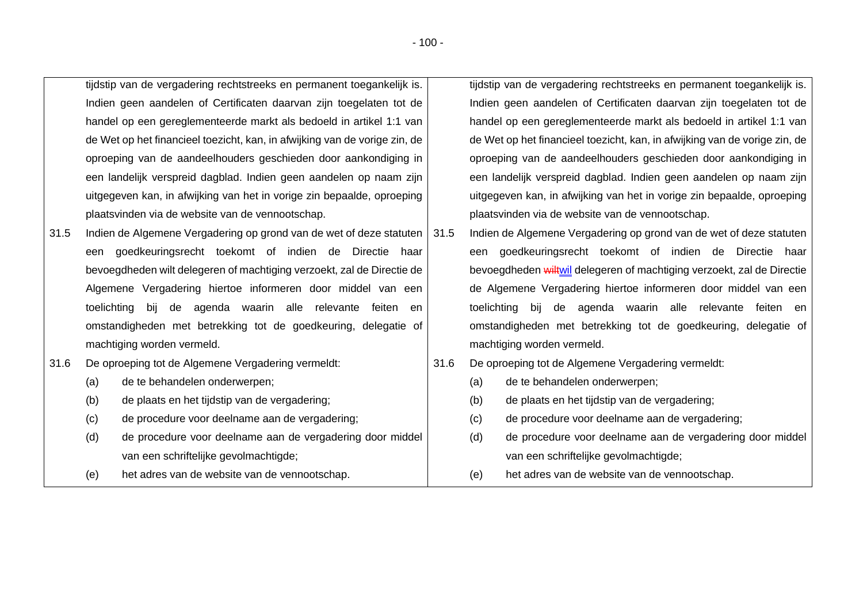|      |             | tijdstip van de vergadering rechtstreeks en permanent toegankelijk is.     |      |     | tijdstip van de vergadering rechtstreeks en permanent toegankelijk is.     |
|------|-------------|----------------------------------------------------------------------------|------|-----|----------------------------------------------------------------------------|
|      |             | Indien geen aandelen of Certificaten daarvan zijn toegelaten tot de        |      |     | Indien geen aandelen of Certificaten daarvan zijn toegelaten tot de        |
|      |             | handel op een gereglementeerde markt als bedoeld in artikel 1:1 van        |      |     | handel op een gereglementeerde markt als bedoeld in artikel 1:1 van        |
|      |             | de Wet op het financieel toezicht, kan, in afwijking van de vorige zin, de |      |     | de Wet op het financieel toezicht, kan, in afwijking van de vorige zin, de |
|      |             | oproeping van de aandeelhouders geschieden door aankondiging in            |      |     | oproeping van de aandeelhouders geschieden door aankondiging in            |
|      |             | een landelijk verspreid dagblad. Indien geen aandelen op naam zijn         |      |     | een landelijk verspreid dagblad. Indien geen aandelen op naam zijn         |
|      |             | uitgegeven kan, in afwijking van het in vorige zin bepaalde, oproeping     |      |     | uitgegeven kan, in afwijking van het in vorige zin bepaalde, oproeping     |
|      |             | plaatsvinden via de website van de vennootschap.                           |      |     | plaatsvinden via de website van de vennootschap.                           |
| 31.5 |             | Indien de Algemene Vergadering op grond van de wet of deze statuten   31.5 |      |     | Indien de Algemene Vergadering op grond van de wet of deze statuten        |
|      | een         | goedkeuringsrecht toekomt of indien de Directie haar                       |      | een | goedkeuringsrecht toekomt of indien de Directie haar                       |
|      |             | bevoegdheden wilt delegeren of machtiging verzoekt, zal de Directie de     |      |     | bevoegdheden wiltwil delegeren of machtiging verzoekt, zal de Directie     |
|      |             | Algemene Vergadering hiertoe informeren door middel van een                |      |     | de Algemene Vergadering hiertoe informeren door middel van een             |
|      | toelichting | bij de agenda waarin alle relevante feiten<br>en                           |      |     | toelichting bij de agenda waarin alle relevante feiten en                  |
|      |             | omstandigheden met betrekking tot de goedkeuring, delegatie of             |      |     | omstandigheden met betrekking tot de goedkeuring, delegatie of             |
|      |             | machtiging worden vermeld.                                                 |      |     | machtiging worden vermeld.                                                 |
| 31.6 |             | De oproeping tot de Algemene Vergadering vermeldt:                         | 31.6 |     | De oproeping tot de Algemene Vergadering vermeldt:                         |
|      | (a)         | de te behandelen onderwerpen;                                              |      | (a) | de te behandelen onderwerpen;                                              |
|      | (b)         | de plaats en het tijdstip van de vergadering;                              |      | (b) | de plaats en het tijdstip van de vergadering;                              |
|      | (c)         | de procedure voor deelname aan de vergadering;                             |      | (c) | de procedure voor deelname aan de vergadering;                             |
|      | (d)         | de procedure voor deelname aan de vergadering door middel                  |      | (d) | de procedure voor deelname aan de vergadering door middel                  |
|      |             | van een schriftelijke gevolmachtigde;                                      |      |     | van een schriftelijke gevolmachtigde;                                      |
|      | (e)         | het adres van de website van de vennootschap.                              |      | (e) | het adres van de website van de vennootschap.                              |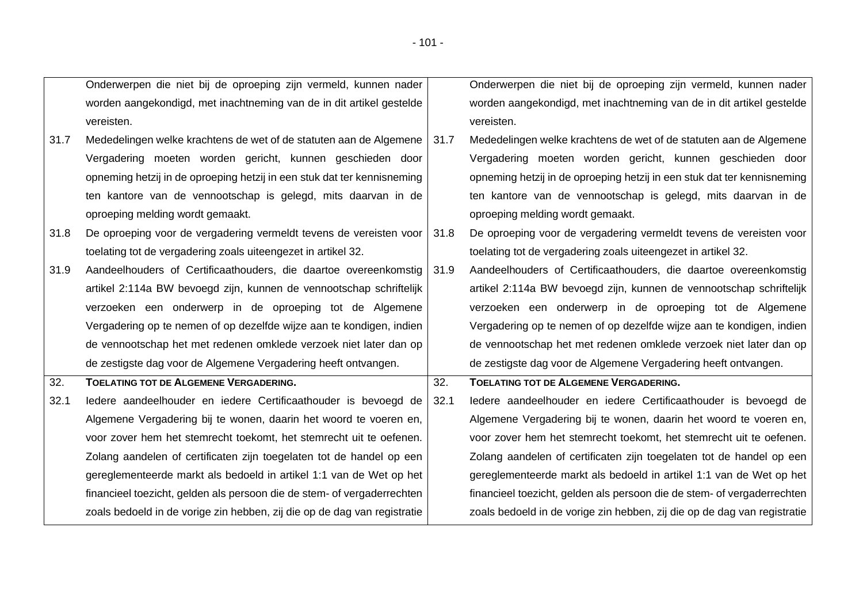$\Gamma$ 

|      | Onderwerpen die niet bij de oproeping zijn vermeld, kunnen nader         |      | Onderwerpen die niet bij de oproeping zijn vermeld, kunnen nader         |
|------|--------------------------------------------------------------------------|------|--------------------------------------------------------------------------|
|      | worden aangekondigd, met inachtneming van de in dit artikel gestelde     |      | worden aangekondigd, met inachtneming van de in dit artikel gestelde     |
|      | vereisten.                                                               |      | vereisten.                                                               |
| 31.7 | Mededelingen welke krachtens de wet of de statuten aan de Algemene       | 31.7 | Mededelingen welke krachtens de wet of de statuten aan de Algemene       |
|      | Vergadering moeten worden gericht, kunnen geschieden door                |      | Vergadering moeten worden gericht, kunnen geschieden door                |
|      | opneming hetzij in de oproeping hetzij in een stuk dat ter kennisneming  |      | opneming hetzij in de oproeping hetzij in een stuk dat ter kennisneming  |
|      | ten kantore van de vennootschap is gelegd, mits daarvan in de            |      | ten kantore van de vennootschap is gelegd, mits daarvan in de            |
|      | oproeping melding wordt gemaakt.                                         |      | oproeping melding wordt gemaakt.                                         |
| 31.8 | De oproeping voor de vergadering vermeldt tevens de vereisten voor       | 31.8 | De oproeping voor de vergadering vermeldt tevens de vereisten voor       |
|      | toelating tot de vergadering zoals uiteengezet in artikel 32.            |      | toelating tot de vergadering zoals uiteengezet in artikel 32.            |
| 31.9 | Aandeelhouders of Certificaathouders, die daartoe overeenkomstig         | 31.9 | Aandeelhouders of Certificaathouders, die daartoe overeenkomstig         |
|      | artikel 2:114a BW bevoegd zijn, kunnen de vennootschap schriftelijk      |      | artikel 2:114a BW bevoegd zijn, kunnen de vennootschap schriftelijk      |
|      | verzoeken een onderwerp in de oproeping tot de Algemene                  |      | verzoeken een onderwerp in de oproeping tot de Algemene                  |
|      | Vergadering op te nemen of op dezelfde wijze aan te kondigen, indien     |      | Vergadering op te nemen of op dezelfde wijze aan te kondigen, indien     |
|      | de vennootschap het met redenen omklede verzoek niet later dan op        |      | de vennootschap het met redenen omklede verzoek niet later dan op        |
|      | de zestigste dag voor de Algemene Vergadering heeft ontvangen.           |      | de zestigste dag voor de Algemene Vergadering heeft ontvangen.           |
| 32.  | <b>TOELATING TOT DE ALGEMENE VERGADERING.</b>                            | 32.  | TOELATING TOT DE ALGEMENE VERGADERING.                                   |
| 32.1 | ledere aandeelhouder en iedere Certificaathouder is bevoegd de           | 32.1 | ledere aandeelhouder en iedere Certificaathouder is bevoegd de           |
|      | Algemene Vergadering bij te wonen, daarin het woord te voeren en,        |      | Algemene Vergadering bij te wonen, daarin het woord te voeren en,        |
|      | voor zover hem het stemrecht toekomt, het stemrecht uit te oefenen.      |      | voor zover hem het stemrecht toekomt, het stemrecht uit te oefenen.      |
|      | Zolang aandelen of certificaten zijn toegelaten tot de handel op een     |      | Zolang aandelen of certificaten zijn toegelaten tot de handel op een     |
|      | gereglementeerde markt als bedoeld in artikel 1:1 van de Wet op het      |      | gereglementeerde markt als bedoeld in artikel 1:1 van de Wet op het      |
|      | financieel toezicht, gelden als persoon die de stem- of vergaderrechten  |      | financieel toezicht, gelden als persoon die de stem- of vergaderrechten  |
|      | zoals bedoeld in de vorige zin hebben, zij die op de dag van registratie |      | zoals bedoeld in de vorige zin hebben, zij die op de dag van registratie |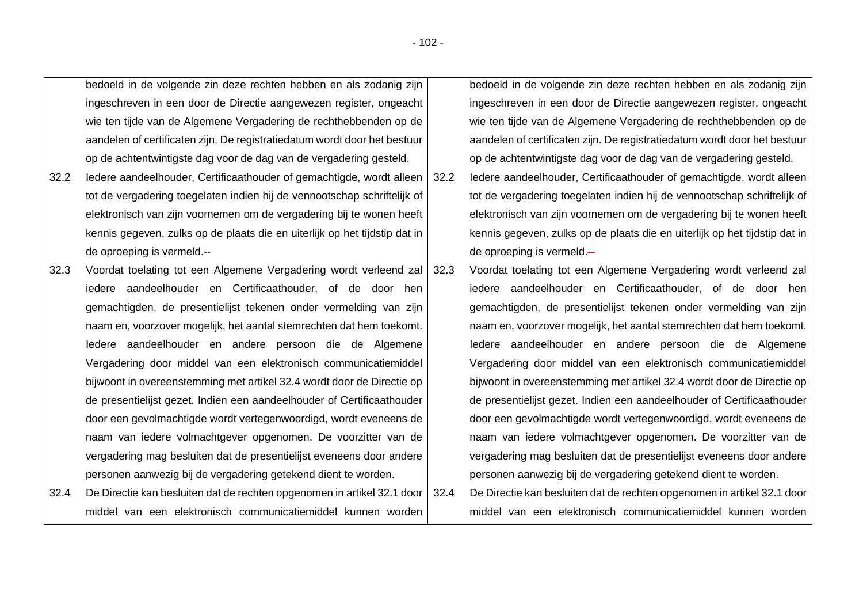bedoeld in de volgende zin deze rechten hebben en als zodanig zijn ingeschreven in een door de Directie aangewezen register, ongeacht wie ten tijde van de Algemene Vergadering de rechthebbenden op de aandelen of certificaten zijn. De registratiedatum wordt door het bestuur op de achtentwintigste dag voor de dag van de vergadering gesteld.

- 32.2 Iedere aandeelhouder, Certificaathouder of gemachtigde, wordt alleen tot de vergadering toegelaten indien hij de vennootschap schriftelijk of elektronisch van zijn voornemen om de vergadering bij te wonen heeft kennis gegeven, zulks op de plaats die en uiterlijk op het tijdstip dat in de oproeping is vermeld.--
- 32.3 Voordat toelating tot een Algemene Vergadering wordt verleend zal iedere aandeelhouder en Certificaathouder, of de door hen gemachtigden, de presentielijst tekenen onder vermelding van zijn naam en, voorzover mogelijk, het aantal stemrechten dat hem toekomt. Iedere aandeelhouder en andere persoon die de Algemene Vergadering door middel van een elektronisch communicatiemiddel bijwoont in overeenstemming met artikel 32.4 wordt door de Directie op de presentielijst gezet. Indien een aandeelhouder of Certificaathouder door een gevolmachtigde wordt vertegenwoordigd, wordt eveneens de naam van iedere volmachtgever opgenomen. De voorzitter van de vergadering mag besluiten dat de presentielijst eveneens door andere personen aanwezig bij de vergadering getekend dient te worden.
- 32.4 De Directie kan besluiten dat de rechten opgenomen in artikel 32.1 door middel van een elektronisch communicatiemiddel kunnen worden

bedoeld in de volgende zin deze rechten hebben en als zodanig zijn ingeschreven in een door de Directie aangewezen register, ongeacht wie ten tijde van de Algemene Vergadering de rechthebbenden op de aandelen of certificaten zijn. De registratiedatum wordt door het bestuur op de achtentwintigste dag voor de dag van de vergadering gesteld.

- 32.2 Iedere aandeelhouder, Certificaathouder of gemachtigde, wordt alleen tot de vergadering toegelaten indien hij de vennootschap schriftelijk of elektronisch van zijn voornemen om de vergadering bij te wonen heeft kennis gegeven, zulks op de plaats die en uiterlijk op het tijdstip dat in  $de$  oproeping is vermeld. $-$
- 32.3 Voordat toelating tot een Algemene Vergadering wordt verleend zal iedere aandeelhouder en Certificaathouder, of de door hen gemachtigden, de presentielijst tekenen onder vermelding van zijn naam en, voorzover mogelijk, het aantal stemrechten dat hem toekomt. Iedere aandeelhouder en andere persoon die de Algemene Vergadering door middel van een elektronisch communicatiemiddel bijwoont in overeenstemming met artikel 32.4 wordt door de Directie op de presentielijst gezet. Indien een aandeelhouder of Certificaathouder door een gevolmachtigde wordt vertegenwoordigd, wordt eveneens de naam van iedere volmachtgever opgenomen. De voorzitter van de vergadering mag besluiten dat de presentielijst eveneens door andere personen aanwezig bij de vergadering getekend dient te worden.
- 32.4 De Directie kan besluiten dat de rechten opgenomen in artikel 32.1 door middel van een elektronisch communicatiemiddel kunnen worden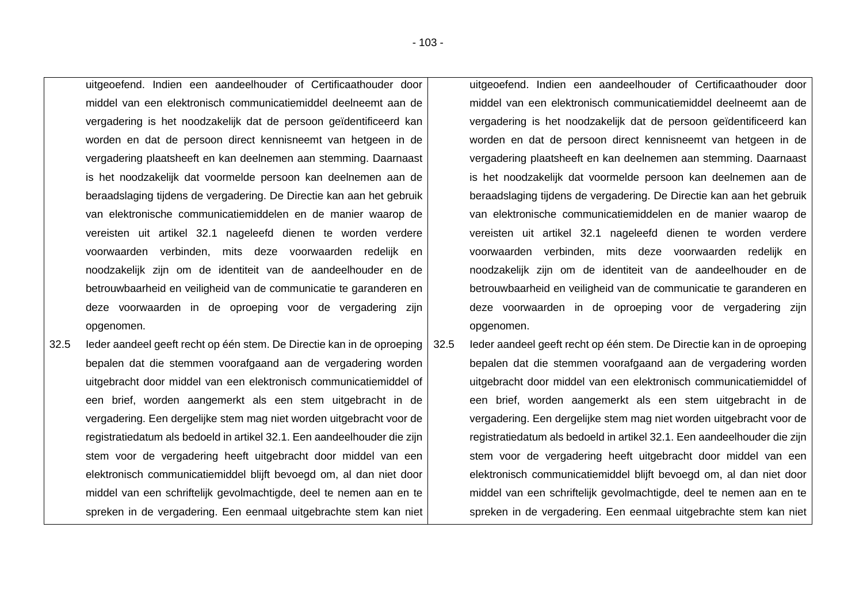uitgeoefend. Indien een aandeelhouder of Certificaathouder door middel van een elektronisch communicatiemiddel deelneemt aan de vergadering is het noodzakelijk dat de persoon geïdentificeerd kan worden en dat de persoon direct kennisneemt van hetgeen in de vergadering plaatsheeft en kan deelnemen aan stemming. Daarnaast is het noodzakelijk dat voormelde persoon kan deelnemen aan de beraadslaging tijdens de vergadering. De Directie kan aan het gebruik van elektronische communicatiemiddelen en de manier waarop de vereisten uit artikel 32.1 nageleefd dienen te worden verdere voorwaarden verbinden, mits deze voorwaarden redelijk en noodzakelijk zijn om de identiteit van de aandeelhouder en de betrouwbaarheid en veiligheid van de communicatie te garanderen en deze voorwaarden in de oproeping voor de vergadering zijn opgenomen.

32.5 Ieder aandeel geeft recht op één stem. De Directie kan in de oproeping bepalen dat die stemmen voorafgaand aan de vergadering worden uitgebracht door middel van een elektronisch communicatiemiddel of een brief, worden aangemerkt als een stem uitgebracht in de vergadering. Een dergelijke stem mag niet worden uitgebracht voor de registratiedatum als bedoeld in artikel 32.1. Een aandeelhouder die zijn stem voor de vergadering heeft uitgebracht door middel van een elektronisch communicatiemiddel blijft bevoegd om, al dan niet door middel van een schriftelijk gevolmachtigde, deel te nemen aan en te spreken in de vergadering. Een eenmaal uitgebrachte stem kan niet

uitgeoefend. Indien een aandeelhouder of Certificaathouder door middel van een elektronisch communicatiemiddel deelneemt aan de vergadering is het noodzakelijk dat de persoon geïdentificeerd kan worden en dat de persoon direct kennisneemt van hetgeen in de vergadering plaatsheeft en kan deelnemen aan stemming. Daarnaast is het noodzakelijk dat voormelde persoon kan deelnemen aan de beraadslaging tijdens de vergadering. De Directie kan aan het gebruik van elektronische communicatiemiddelen en de manier waarop de vereisten uit artikel 32.1 nageleefd dienen te worden verdere voorwaarden verbinden, mits deze voorwaarden redelijk en noodzakelijk zijn om de identiteit van de aandeelhouder en de betrouwbaarheid en veiligheid van de communicatie te garanderen en deze voorwaarden in de oproeping voor de vergadering zijn opgenomen.

32.5 Ieder aandeel geeft recht op één stem. De Directie kan in de oproeping bepalen dat die stemmen voorafgaand aan de vergadering worden uitgebracht door middel van een elektronisch communicatiemiddel of een brief, worden aangemerkt als een stem uitgebracht in de vergadering. Een dergelijke stem mag niet worden uitgebracht voor de registratiedatum als bedoeld in artikel 32.1. Een aandeelhouder die zijn stem voor de vergadering heeft uitgebracht door middel van een elektronisch communicatiemiddel blijft bevoegd om, al dan niet door middel van een schriftelijk gevolmachtigde, deel te nemen aan en te spreken in de vergadering. Een eenmaal uitgebrachte stem kan niet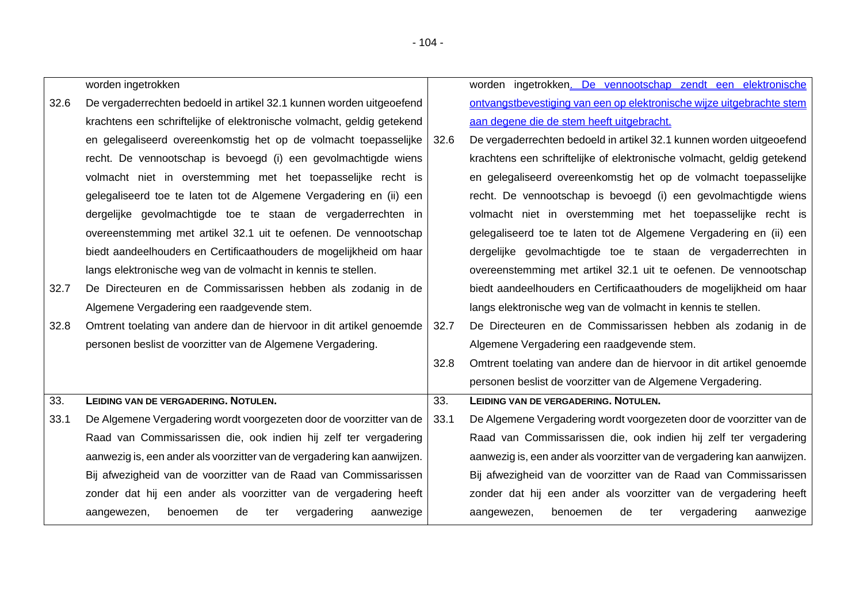|      | worden ingetrokken                                                      |      | worden ingetrokken. De vennootschap zendt een elektronische             |
|------|-------------------------------------------------------------------------|------|-------------------------------------------------------------------------|
| 32.6 | De vergaderrechten bedoeld in artikel 32.1 kunnen worden uitgeoefend    |      | ontvangstbevestiging van een op elektronische wijze uitgebrachte stem   |
|      | krachtens een schriftelijke of elektronische volmacht, geldig getekend  |      | aan degene die de stem heeft uitgebracht.                               |
|      | en gelegaliseerd overeenkomstig het op de volmacht toepasselijke        | 32.6 | De vergaderrechten bedoeld in artikel 32.1 kunnen worden uitgeoefend    |
|      | recht. De vennootschap is bevoegd (i) een gevolmachtigde wiens          |      | krachtens een schriftelijke of elektronische volmacht, geldig getekend  |
|      | volmacht niet in overstemming met het toepasselijke recht is            |      | en gelegaliseerd overeenkomstig het op de volmacht toepasselijke        |
|      | gelegaliseerd toe te laten tot de Algemene Vergadering en (ii) een      |      | recht. De vennootschap is bevoegd (i) een gevolmachtigde wiens          |
|      | dergelijke gevolmachtigde toe te staan de vergaderrechten in            |      | volmacht niet in overstemming met het toepasselijke recht is            |
|      | overeenstemming met artikel 32.1 uit te oefenen. De vennootschap        |      | gelegaliseerd toe te laten tot de Algemene Vergadering en (ii) een      |
|      | biedt aandeelhouders en Certificaathouders de mogelijkheid om haar      |      | dergelijke gevolmachtigde toe te staan de vergaderrechten in            |
|      | langs elektronische weg van de volmacht in kennis te stellen.           |      | overeenstemming met artikel 32.1 uit te oefenen. De vennootschap        |
| 32.7 | De Directeuren en de Commissarissen hebben als zodanig in de            |      | biedt aandeelhouders en Certificaathouders de mogelijkheid om haar      |
|      | Algemene Vergadering een raadgevende stem.                              |      | langs elektronische weg van de volmacht in kennis te stellen.           |
| 32.8 | Omtrent toelating van andere dan de hiervoor in dit artikel genoemde    | 32.7 | De Directeuren en de Commissarissen hebben als zodanig in de            |
|      | personen beslist de voorzitter van de Algemene Vergadering.             |      | Algemene Vergadering een raadgevende stem.                              |
|      |                                                                         | 32.8 | Omtrent toelating van andere dan de hiervoor in dit artikel genoemde    |
|      |                                                                         |      | personen beslist de voorzitter van de Algemene Vergadering.             |
| 33.  | LEIDING VAN DE VERGADERING. NOTULEN.                                    | 33.  | LEIDING VAN DE VERGADERING. NOTULEN.                                    |
| 33.1 | De Algemene Vergadering wordt voorgezeten door de voorzitter van de     | 33.1 | De Algemene Vergadering wordt voorgezeten door de voorzitter van de     |
|      | Raad van Commissarissen die, ook indien hij zelf ter vergadering        |      | Raad van Commissarissen die, ook indien hij zelf ter vergadering        |
|      | aanwezig is, een ander als voorzitter van de vergadering kan aanwijzen. |      | aanwezig is, een ander als voorzitter van de vergadering kan aanwijzen. |
|      | Bij afwezigheid van de voorzitter van de Raad van Commissarissen        |      | Bij afwezigheid van de voorzitter van de Raad van Commissarissen        |
|      | zonder dat hij een ander als voorzitter van de vergadering heeft        |      | zonder dat hij een ander als voorzitter van de vergadering heeft        |
|      | vergadering<br>aangewezen,<br>benoemen<br>de<br>aanwezige<br>ter        |      | benoemen<br>vergadering<br>aangewezen,<br>de<br>aanwezige<br>ter        |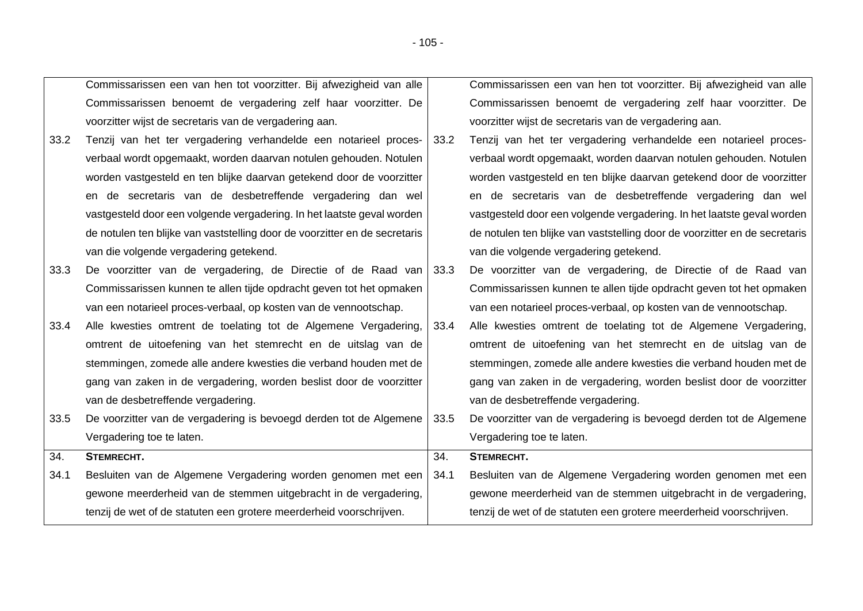|      | Commissarissen een van hen tot voorzitter. Bij afwezigheid van alle        |      | Commissarissen een van hen tot voorzitter. Bij afwezigheid van alle        |
|------|----------------------------------------------------------------------------|------|----------------------------------------------------------------------------|
|      | Commissarissen benoemt de vergadering zelf haar voorzitter. De             |      | Commissarissen benoemt de vergadering zelf haar voorzitter. De             |
|      | voorzitter wijst de secretaris van de vergadering aan.                     |      | voorzitter wijst de secretaris van de vergadering aan.                     |
| 33.2 | Tenzij van het ter vergadering verhandelde een notarieel proces-           | 33.2 | Tenzij van het ter vergadering verhandelde een notarieel proces-           |
|      | verbaal wordt opgemaakt, worden daarvan notulen gehouden. Notulen          |      | verbaal wordt opgemaakt, worden daarvan notulen gehouden. Notulen          |
|      | worden vastgesteld en ten blijke daarvan getekend door de voorzitter       |      | worden vastgesteld en ten blijke daarvan getekend door de voorzitter       |
|      | en de secretaris van de desbetreffende vergadering dan wel                 |      | en de secretaris van de desbetreffende vergadering dan wel                 |
|      | vastgesteld door een volgende vergadering. In het laatste geval worden     |      | vastgesteld door een volgende vergadering. In het laatste geval worden     |
|      | de notulen ten blijke van vaststelling door de voorzitter en de secretaris |      | de notulen ten blijke van vaststelling door de voorzitter en de secretaris |
|      | van die volgende vergadering getekend.                                     |      | van die volgende vergadering getekend.                                     |
| 33.3 | De voorzitter van de vergadering, de Directie of de Raad van 33.3          |      | De voorzitter van de vergadering, de Directie of de Raad van               |
|      | Commissarissen kunnen te allen tijde opdracht geven tot het opmaken        |      | Commissarissen kunnen te allen tijde opdracht geven tot het opmaken        |
|      | van een notarieel proces-verbaal, op kosten van de vennootschap.           |      | van een notarieel proces-verbaal, op kosten van de vennootschap.           |
| 33.4 | Alle kwesties omtrent de toelating tot de Algemene Vergadering,            | 33.4 | Alle kwesties omtrent de toelating tot de Algemene Vergadering,            |
|      | omtrent de uitoefening van het stemrecht en de uitslag van de              |      | omtrent de uitoefening van het stemrecht en de uitslag van de              |
|      | stemmingen, zomede alle andere kwesties die verband houden met de          |      | stemmingen, zomede alle andere kwesties die verband houden met de          |
|      | gang van zaken in de vergadering, worden beslist door de voorzitter        |      | gang van zaken in de vergadering, worden beslist door de voorzitter        |
|      | van de desbetreffende vergadering.                                         |      | van de desbetreffende vergadering.                                         |
| 33.5 | De voorzitter van de vergadering is bevoegd derden tot de Algemene         | 33.5 | De voorzitter van de vergadering is bevoegd derden tot de Algemene         |
|      | Vergadering toe te laten.                                                  |      | Vergadering toe te laten.                                                  |
| 34.  | STEMRECHT.                                                                 | 34.  | STEMRECHT.                                                                 |
|      | Besluiten van de Algemene Vergadering worden genomen met een               | 34.1 | Besluiten van de Algemene Vergadering worden genomen met een               |
| 34.1 |                                                                            |      |                                                                            |
|      | gewone meerderheid van de stemmen uitgebracht in de vergadering,           |      | gewone meerderheid van de stemmen uitgebracht in de vergadering,           |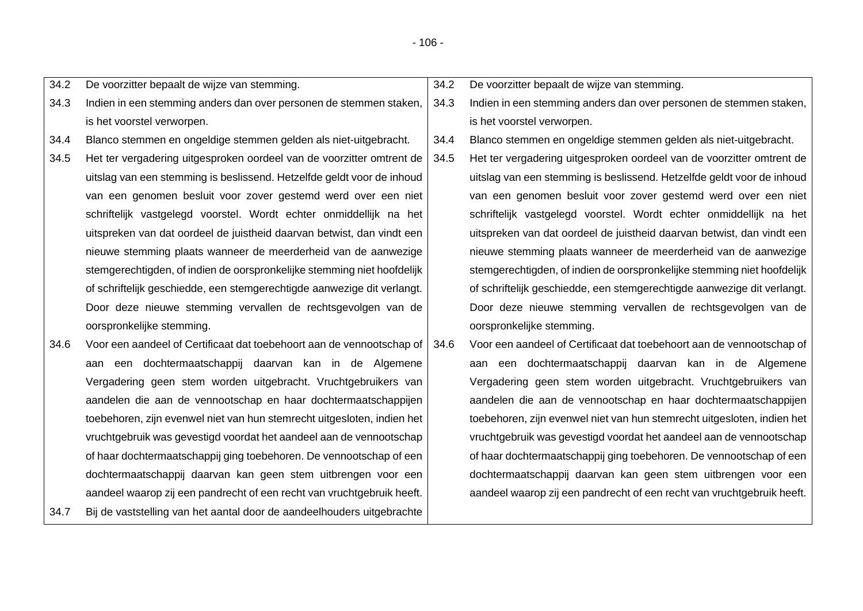| 34.2 | De voorzitter bepaalt de wijze van stemming.                                 | 34.2 | De voorzitter bepaalt de wijze van stemming.                            |
|------|------------------------------------------------------------------------------|------|-------------------------------------------------------------------------|
| 34.3 | Indien in een stemming anders dan over personen de stemmen staken,           | 34.3 | Indien in een stemming anders dan over personen de stemmen staken,      |
|      | is het voorstel verworpen.                                                   |      | is het voorstel verworpen.                                              |
| 34.4 | Blanco stemmen en ongeldige stemmen gelden als niet-uitgebracht.             | 34.4 | Blanco stemmen en ongeldige stemmen gelden als niet-uitgebracht.        |
| 34.5 | Het ter vergadering uitgesproken oordeel van de voorzitter omtrent de        | 34.5 | Het ter vergadering uitgesproken oordeel van de voorzitter omtrent de   |
|      | uitslag van een stemming is beslissend. Hetzelfde geldt voor de inhoud       |      | uitslag van een stemming is beslissend. Hetzelfde geldt voor de inhoud  |
|      | van een genomen besluit voor zover gestemd werd over een niet                |      | van een genomen besluit voor zover gestemd werd over een niet           |
|      | schriftelijk vastgelegd voorstel. Wordt echter onmiddellijk na het           |      | schriftelijk vastgelegd voorstel. Wordt echter onmiddellijk na het      |
|      | uitspreken van dat oordeel de juistheid daarvan betwist, dan vindt een       |      | uitspreken van dat oordeel de juistheid daarvan betwist, dan vindt een  |
|      | nieuwe stemming plaats wanneer de meerderheid van de aanwezige               |      | nieuwe stemming plaats wanneer de meerderheid van de aanwezige          |
|      | stemgerechtigden, of indien de oorspronkelijke stemming niet hoofdelijk      |      | stemgerechtigden, of indien de oorspronkelijke stemming niet hoofdelijk |
|      | of schriftelijk geschiedde, een stemgerechtigde aanwezige dit verlangt.      |      | of schriftelijk geschiedde, een stemgerechtigde aanwezige dit verlangt. |
|      | Door deze nieuwe stemming vervallen de rechtsgevolgen van de                 |      | Door deze nieuwe stemming vervallen de rechtsgevolgen van de            |
|      | oorspronkelijke stemming.                                                    |      | oorspronkelijke stemming.                                               |
| 34.6 | Voor een aandeel of Certificaat dat toebehoort aan de vennootschap of   34.6 |      | Voor een aandeel of Certificaat dat toebehoort aan de vennootschap of   |
|      | aan een dochtermaatschappij daarvan kan in de Algemene                       |      | aan een dochtermaatschappij daarvan kan in de Algemene                  |
|      | Vergadering geen stem worden uitgebracht. Vruchtgebruikers van               |      | Vergadering geen stem worden uitgebracht. Vruchtgebruikers van          |
|      | aandelen die aan de vennootschap en haar dochtermaatschappijen               |      | aandelen die aan de vennootschap en haar dochtermaatschappijen          |
|      | toebehoren, zijn evenwel niet van hun stemrecht uitgesloten, indien het      |      | toebehoren, zijn evenwel niet van hun stemrecht uitgesloten, indien het |
|      | vruchtgebruik was gevestigd voordat het aandeel aan de vennootschap          |      | vruchtgebruik was gevestigd voordat het aandeel aan de vennootschap     |
|      | of haar dochtermaatschappij ging toebehoren. De vennootschap of een          |      | of haar dochtermaatschappij ging toebehoren. De vennootschap of een     |
|      | dochtermaatschappij daarvan kan geen stem uitbrengen voor een                |      | dochtermaatschappij daarvan kan geen stem uitbrengen voor een           |
|      | aandeel waarop zij een pandrecht of een recht van vruchtgebruik heeft.       |      | aandeel waarop zij een pandrecht of een recht van vruchtgebruik heeft.  |
| 34.7 | Bij de vaststelling van het aantal door de aandeelhouders uitgebrachte       |      |                                                                         |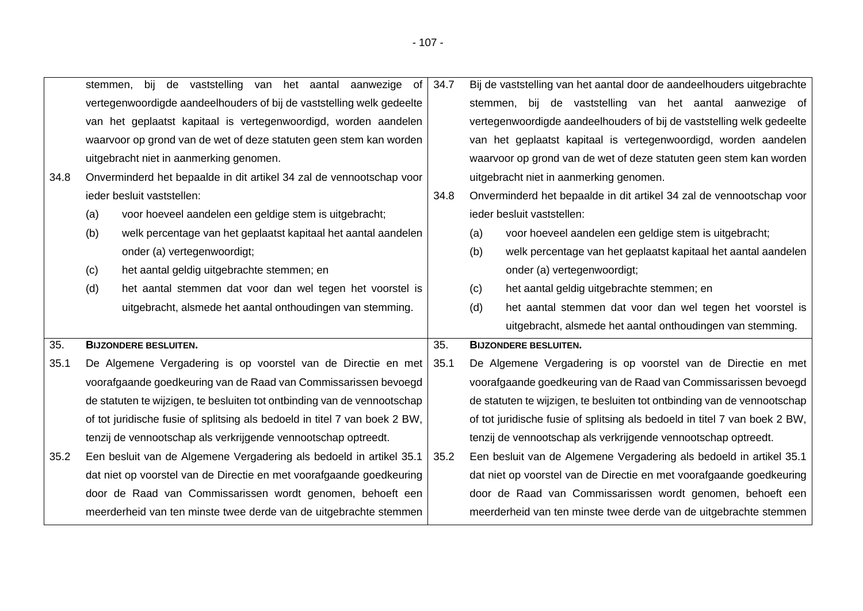| bij de<br>aanwezige<br>vaststelling<br>het aantal<br>van<br>stemmen.  | of   34.7 | Bij de vaststelling van het aantal door de aandeelhouders uitgebrachte |
|-----------------------------------------------------------------------|-----------|------------------------------------------------------------------------|
| vertegenwoordigde aandeelhouders of bij de vaststelling welk gedeelte |           | vaststelling van het aantal<br>bij<br>aanwezige of<br>de<br>stemmen.   |
| van het geplaatst kapitaal is vertegenwoordigd, worden aandelen       |           | vertegenwoordigde aandeelhouders of bij de vaststelling welk gedeelte  |
| waarvoor op grond van de wet of deze statuten geen stem kan worden    |           | van het geplaatst kapitaal is vertegenwoordigd, worden aandelen        |
| uitgebracht niet in aanmerking genomen.                               |           | waarvoor op grond van de wet of deze statuten geen stem kan worden     |

uitgebracht niet in aanmerking genomen.

onder (a) vertegenwoordigt;

(c) het aantal geldig uitgebrachte stemmen; en

ieder besluit vaststellen:

35. **BIJZONDERE BESLUITEN.**

34.8 Onverminderd het bepaalde in dit artikel 34 zal de vennootschap voor

(a) voor hoeveel aandelen een geldige stem is uitgebracht;

35.1 De Algemene Vergadering is op voorstel van de Directie en met

tenzij de vennootschap als verkrijgende vennootschap optreedt.

(b) welk percentage van het geplaatst kapitaal het aantal aandelen

(d) het aantal stemmen dat voor dan wel tegen het voorstel is

voorafgaande goedkeuring van de Raad van Commissarissen bevoegd de statuten te wijzigen, te besluiten tot ontbinding van de vennootschap of tot juridische fusie of splitsing als bedoeld in titel 7 van boek 2 BW,

uitgebracht, alsmede het aantal onthoudingen van stemming.

- 34.8 Onverminderd het bepaalde in dit artikel 34 zal de vennootschap voor ieder besluit vaststellen:
	- (a) voor hoeveel aandelen een geldige stem is uitgebracht;
	- (b) welk percentage van het geplaatst kapitaal het aantal aandelen onder (a) vertegenwoordigt;
	- (c) het aantal geldig uitgebrachte stemmen; en

(d) het aantal stemmen dat voor dan wel tegen het voorstel is uitgebracht, alsmede het aantal onthoudingen van stemming.

## 35. **BIJZONDERE BESLUITEN.**

- 35.1 De Algemene Vergadering is op voorstel van de Directie en met voorafgaande goedkeuring van de Raad van Commissarissen bevoegd de statuten te wijzigen, te besluiten tot ontbinding van de vennootschap of tot juridische fusie of splitsing als bedoeld in titel 7 van boek 2 BW, tenzij de vennootschap als verkrijgende vennootschap optreedt.
- 35.2 Een besluit van de Algemene Vergadering als bedoeld in artikel 35.1 dat niet op voorstel van de Directie en met voorafgaande goedkeuring door de Raad van Commissarissen wordt genomen, behoeft een meerderheid van ten minste twee derde van de uitgebrachte stemmen 35.2 Een besluit van de Algemene Vergadering als bedoeld in artikel 35.1 dat niet op voorstel van de Directie en met voorafgaande goedkeuring door de Raad van Commissarissen wordt genomen, behoeft een meerderheid van ten minste twee derde van de uitgebrachte stemmen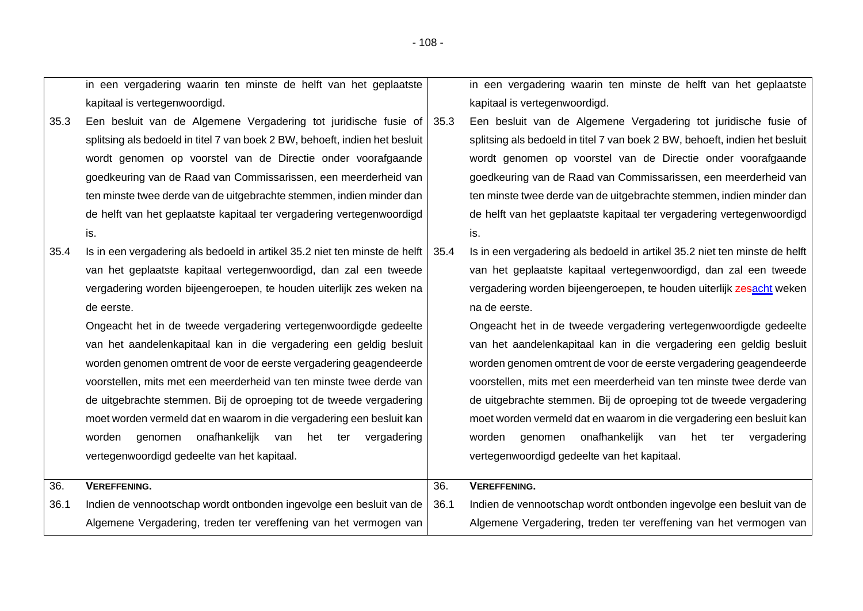|      | in een vergadering waarin ten minste de helft van het geplaatste                  |      | in een vergadering waarin ten minste de helft van het geplaatste            |
|------|-----------------------------------------------------------------------------------|------|-----------------------------------------------------------------------------|
|      | kapitaal is vertegenwoordigd.                                                     |      | kapitaal is vertegenwoordigd.                                               |
| 35.3 | Een besluit van de Algemene Vergadering tot juridische fusie of                   | 35.3 | Een besluit van de Algemene Vergadering tot juridische fusie of             |
|      | splitsing als bedoeld in titel 7 van boek 2 BW, behoeft, indien het besluit       |      | splitsing als bedoeld in titel 7 van boek 2 BW, behoeft, indien het besluit |
|      | wordt genomen op voorstel van de Directie onder voorafgaande                      |      | wordt genomen op voorstel van de Directie onder voorafgaande                |
|      | goedkeuring van de Raad van Commissarissen, een meerderheid van                   |      | goedkeuring van de Raad van Commissarissen, een meerderheid van             |
|      | ten minste twee derde van de uitgebrachte stemmen, indien minder dan              |      | ten minste twee derde van de uitgebrachte stemmen, indien minder dan        |
|      | de helft van het geplaatste kapitaal ter vergadering vertegenwoordigd             |      | de helft van het geplaatste kapitaal ter vergadering vertegenwoordigd       |
|      | is.                                                                               |      | is.                                                                         |
| 35.4 | Is in een vergadering als bedoeld in artikel 35.2 niet ten minste de helft   35.4 |      | Is in een vergadering als bedoeld in artikel 35.2 niet ten minste de helft  |
|      | van het geplaatste kapitaal vertegenwoordigd, dan zal een tweede                  |      | van het geplaatste kapitaal vertegenwoordigd, dan zal een tweede            |
|      | vergadering worden bijeengeroepen, te houden uiterlijk zes weken na               |      | vergadering worden bijeengeroepen, te houden uiterlijk zesacht weken        |
|      | de eerste.                                                                        |      | na de eerste.                                                               |
|      | Ongeacht het in de tweede vergadering vertegenwoordigde gedeelte                  |      | Ongeacht het in de tweede vergadering vertegenwoordigde gedeelte            |
|      | van het aandelenkapitaal kan in die vergadering een geldig besluit                |      | van het aandelenkapitaal kan in die vergadering een geldig besluit          |
|      | worden genomen omtrent de voor de eerste vergadering geagendeerde                 |      | worden genomen omtrent de voor de eerste vergadering geagendeerde           |
|      | voorstellen, mits met een meerderheid van ten minste twee derde van               |      | voorstellen, mits met een meerderheid van ten minste twee derde van         |
|      | de uitgebrachte stemmen. Bij de oproeping tot de tweede vergadering               |      | de uitgebrachte stemmen. Bij de oproeping tot de tweede vergadering         |
|      | moet worden vermeld dat en waarom in die vergadering een besluit kan              |      | moet worden vermeld dat en waarom in die vergadering een besluit kan        |
|      | onafhankelijk van het ter<br>worden<br>genomen<br>vergadering                     |      | onafhankelijk van<br>het ter<br>vergadering<br>worden<br>genomen            |
|      | vertegenwoordigd gedeelte van het kapitaal.                                       |      | vertegenwoordigd gedeelte van het kapitaal.                                 |
|      |                                                                                   |      |                                                                             |
| 36.  | <b>VEREFFENING.</b>                                                               | 36.  | <b>VEREFFENING.</b>                                                         |
| 36.1 | Indien de vennootschap wordt ontbonden ingevolge een besluit van de               | 36.1 | Indien de vennootschap wordt ontbonden ingevolge een besluit van de         |
|      | Algemene Vergadering, treden ter vereffening van het vermogen van                 |      | Algemene Vergadering, treden ter vereffening van het vermogen van           |